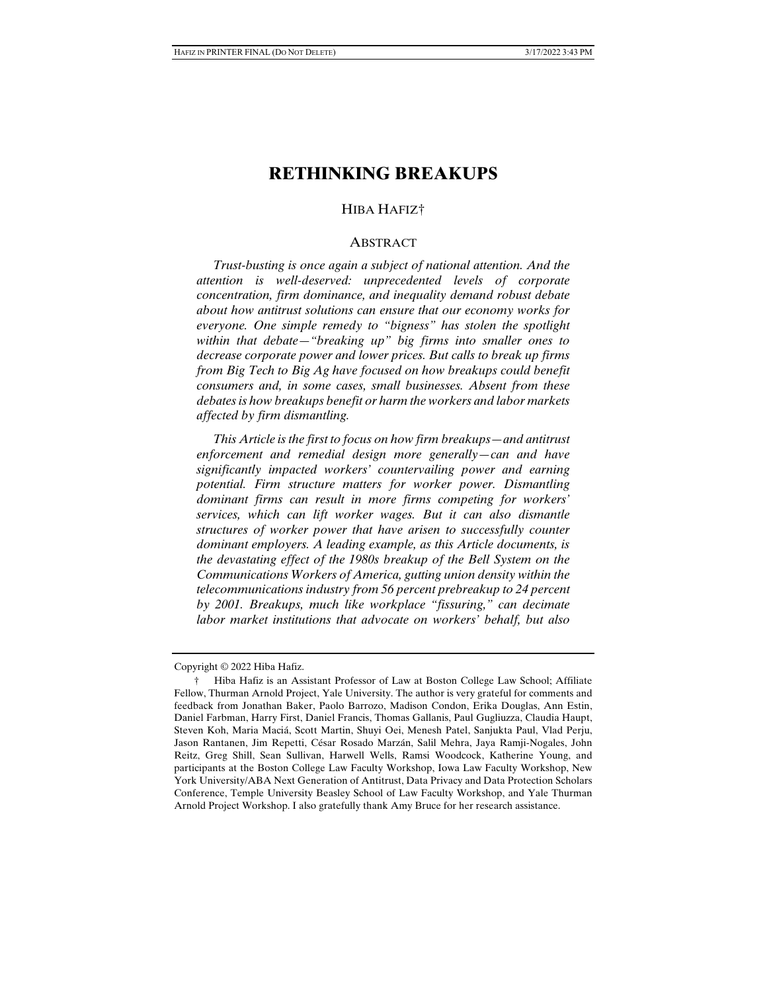# **RETHINKING BREAKUPS**

# HIBA HAFIZ†

#### ABSTRACT

 *Trust-busting is once again a subject of national attention. And the attention is well-deserved: unprecedented levels of corporate concentration, firm dominance, and inequality demand robust debate about how antitrust solutions can ensure that our economy works for everyone. One simple remedy to "bigness" has stolen the spotlight within that debate—"breaking up" big firms into smaller ones to decrease corporate power and lower prices. But calls to break up firms from Big Tech to Big Ag have focused on how breakups could benefit consumers and, in some cases, small businesses. Absent from these debates is how breakups benefit or harm the workers and labor markets affected by firm dismantling.* 

 *This Article is the first to focus on how firm breakups—and antitrust enforcement and remedial design more generally—can and have significantly impacted workers' countervailing power and earning potential. Firm structure matters for worker power. Dismantling dominant firms can result in more firms competing for workers' services, which can lift worker wages. But it can also dismantle structures of worker power that have arisen to successfully counter dominant employers. A leading example, as this Article documents, is the devastating effect of the 1980s breakup of the Bell System on the Communications Workers of America, gutting union density within the telecommunications industry from 56 percent prebreakup to 24 percent by 2001. Breakups, much like workplace "fissuring," can decimate labor market institutions that advocate on workers' behalf, but also* 

Copyright © 2022 Hiba Hafiz.

 <sup>†</sup> Hiba Hafiz is an Assistant Professor of Law at Boston College Law School; Affiliate Fellow, Thurman Arnold Project, Yale University. The author is very grateful for comments and feedback from Jonathan Baker, Paolo Barrozo, Madison Condon, Erika Douglas, Ann Estin, Daniel Farbman, Harry First, Daniel Francis, Thomas Gallanis, Paul Gugliuzza, Claudia Haupt, Steven Koh, Maria Maciá, Scott Martin, Shuyi Oei, Menesh Patel, Sanjukta Paul, Vlad Perju, Jason Rantanen, Jim Repetti, César Rosado Marzán, Salil Mehra, Jaya Ramji-Nogales, John Reitz, Greg Shill, Sean Sullivan, Harwell Wells, Ramsi Woodcock, Katherine Young, and participants at the Boston College Law Faculty Workshop, Iowa Law Faculty Workshop, New York University/ABA Next Generation of Antitrust, Data Privacy and Data Protection Scholars Conference, Temple University Beasley School of Law Faculty Workshop, and Yale Thurman Arnold Project Workshop. I also gratefully thank Amy Bruce for her research assistance.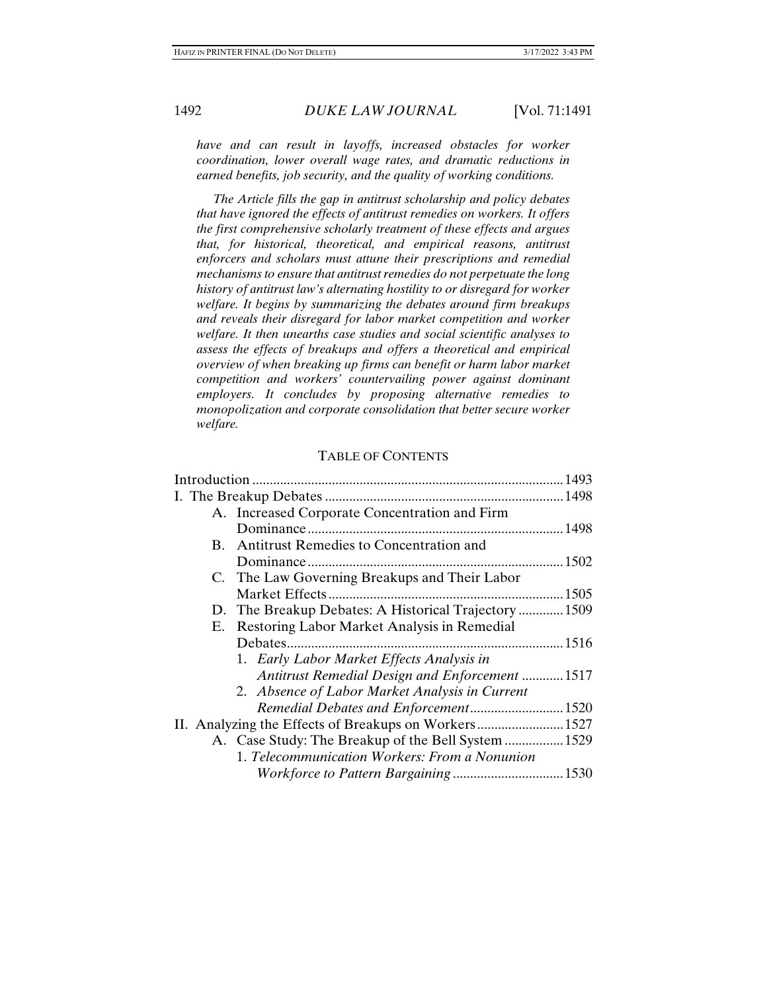*have and can result in layoffs, increased obstacles for worker coordination, lower overall wage rates, and dramatic reductions in earned benefits, job security, and the quality of working conditions.* 

 *The Article fills the gap in antitrust scholarship and policy debates that have ignored the effects of antitrust remedies on workers. It offers the first comprehensive scholarly treatment of these effects and argues that, for historical, theoretical, and empirical reasons, antitrust enforcers and scholars must attune their prescriptions and remedial mechanisms to ensure that antitrust remedies do not perpetuate the long history of antitrust law's alternating hostility to or disregard for worker welfare. It begins by summarizing the debates around firm breakups and reveals their disregard for labor market competition and worker welfare. It then unearths case studies and social scientific analyses to assess the effects of breakups and offers a theoretical and empirical overview of when breaking up firms can benefit or harm labor market competition and workers' countervailing power against dominant employers. It concludes by proposing alternative remedies to monopolization and corporate consolidation that better secure worker welfare.* 

#### TABLE OF CONTENTS

| A. Increased Corporate Concentration and Firm         |  |
|-------------------------------------------------------|--|
|                                                       |  |
| Antitrust Remedies to Concentration and<br>B.         |  |
|                                                       |  |
| C. The Law Governing Breakups and Their Labor         |  |
|                                                       |  |
| D. The Breakup Debates: A Historical Trajectory1509   |  |
| E. Restoring Labor Market Analysis in Remedial        |  |
|                                                       |  |
| 1. Early Labor Market Effects Analysis in             |  |
| Antitrust Remedial Design and Enforcement 1517        |  |
| 2. Absence of Labor Market Analysis in Current        |  |
| Remedial Debates and Enforcement 1520                 |  |
| II. Analyzing the Effects of Breakups on Workers 1527 |  |
| A. Case Study: The Breakup of the Bell System  1529   |  |
| 1. Telecommunication Workers: From a Nonunion         |  |
|                                                       |  |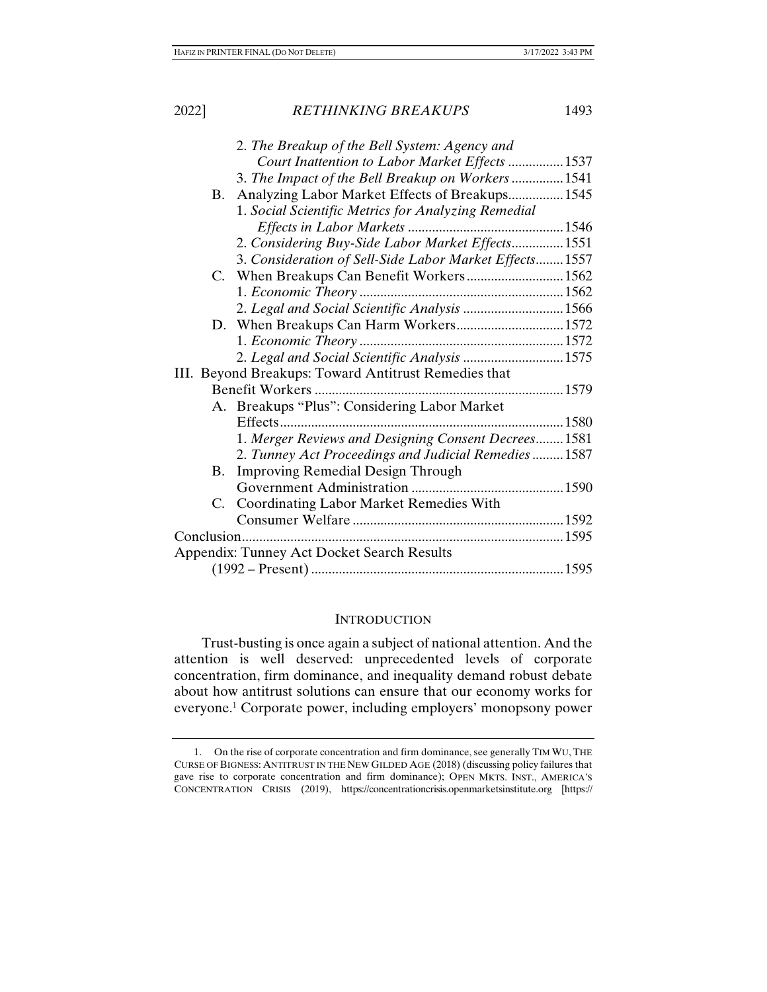|           | 2. The Breakup of the Bell System: Agency and           |  |
|-----------|---------------------------------------------------------|--|
|           | Court Inattention to Labor Market Effects 1537          |  |
|           | 3. The Impact of the Bell Breakup on Workers 1541       |  |
| В.        | Analyzing Labor Market Effects of Breakups 1545         |  |
|           | 1. Social Scientific Metrics for Analyzing Remedial     |  |
|           |                                                         |  |
|           | 2. Considering Buy-Side Labor Market Effects1551        |  |
|           | 3. Consideration of Sell-Side Labor Market Effects 1557 |  |
|           | C. When Breakups Can Benefit Workers 1562               |  |
|           |                                                         |  |
|           | 2. Legal and Social Scientific Analysis 1566            |  |
|           |                                                         |  |
|           |                                                         |  |
|           | 2. Legal and Social Scientific Analysis  1575           |  |
|           | III. Beyond Breakups: Toward Antitrust Remedies that    |  |
|           |                                                         |  |
|           | A. Breakups "Plus": Considering Labor Market            |  |
|           | Effects                                                 |  |
|           | 1. Merger Reviews and Designing Consent Decrees1581     |  |
|           | 2. Tunney Act Proceedings and Judicial Remedies  1587   |  |
| <b>B.</b> | <b>Improving Remedial Design Through</b>                |  |
|           |                                                         |  |
|           | C. Coordinating Labor Market Remedies With              |  |
|           |                                                         |  |
|           |                                                         |  |
|           | <b>Appendix: Tunney Act Docket Search Results</b>       |  |
|           |                                                         |  |

#### **INTRODUCTION**

Trust-busting is once again a subject of national attention. And the attention is well deserved: unprecedented levels of corporate concentration, firm dominance, and inequality demand robust debate about how antitrust solutions can ensure that our economy works for everyone.1 Corporate power, including employers' monopsony power

 <sup>1.</sup> On the rise of corporate concentration and firm dominance, see generally TIM WU, THE CURSE OF BIGNESS: ANTITRUST IN THE NEW GILDED AGE (2018) (discussing policy failures that gave rise to corporate concentration and firm dominance); OPEN MKTS. INST., AMERICA'S CONCENTRATION CRISIS (2019), https://concentrationcrisis.openmarketsinstitute.org [https://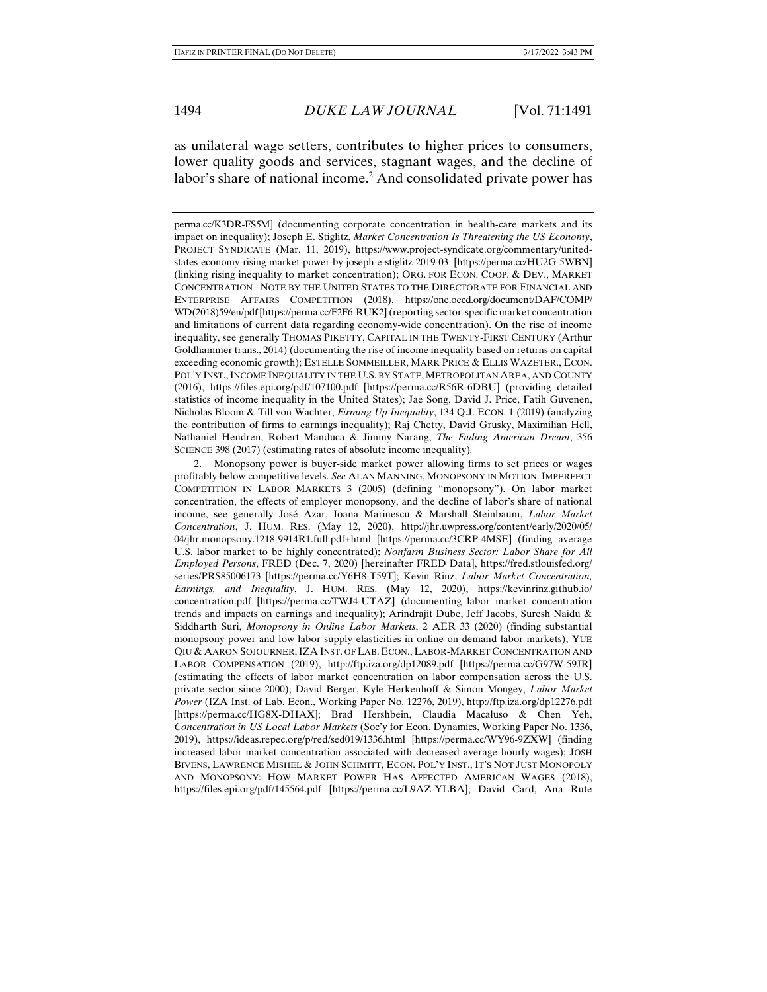as unilateral wage setters, contributes to higher prices to consumers, lower quality goods and services, stagnant wages, and the decline of labor's share of national income.<sup>2</sup> And consolidated private power has

perma.cc/K3DR-FS5M] (documenting corporate concentration in health-care markets and its impact on inequality); Joseph E. Stiglitz, *Market Concentration Is Threatening the US Economy*, PROJECT SYNDICATE (Mar. 11, 2019), https://www.project-syndicate.org/commentary/unitedstates-economy-rising-market-power-by-joseph-e-stiglitz-2019-03 [https://perma.cc/HU2G-5WBN] (linking rising inequality to market concentration); ORG. FOR ECON. COOP. & DEV., MARKET CONCENTRATION - NOTE BY THE UNITED STATES TO THE DIRECTORATE FOR FINANCIAL AND ENTERPRISE AFFAIRS COMPETITION (2018), https://one.oecd.org/document/DAF/COMP/ WD(2018)59/en/pdf [https://perma.cc/F2F6-RUK2] (reporting sector-specific market concentration and limitations of current data regarding economy-wide concentration). On the rise of income inequality, see generally THOMAS PIKETTY, CAPITAL IN THE TWENTY-FIRST CENTURY (Arthur Goldhammer trans., 2014) (documenting the rise of income inequality based on returns on capital exceeding economic growth); ESTELLE SOMMEILLER, MARK PRICE & ELLIS WAZETER., ECON. POL'Y INST., INCOME INEQUALITY IN THE U.S. BY STATE, METROPOLITAN AREA, AND COUNTY (2016), https://files.epi.org/pdf/107100.pdf [https://perma.cc/R56R-6DBU] (providing detailed statistics of income inequality in the United States); Jae Song, David J. Price, Fatih Guvenen, Nicholas Bloom & Till von Wachter, *Firming Up Inequality*, 134 Q.J. ECON. 1 (2019) (analyzing the contribution of firms to earnings inequality); Raj Chetty, David Grusky, Maximilian Hell, Nathaniel Hendren, Robert Manduca & Jimmy Narang, *The Fading American Dream*, 356 SCIENCE 398 (2017) (estimating rates of absolute income inequality)*.*

 2. Monopsony power is buyer-side market power allowing firms to set prices or wages profitably below competitive levels. *See* ALAN MANNING, MONOPSONY IN MOTION: IMPERFECT COMPETITION IN LABOR MARKETS 3 (2005) (defining "monopsony"). On labor market concentration, the effects of employer monopsony, and the decline of labor's share of national income, see generally José Azar, Ioana Marinescu & Marshall Steinbaum, *Labor Market Concentration*, J. HUM. RES. (May 12, 2020), http://jhr.uwpress.org/content/early/2020/05/ 04/jhr.monopsony.1218-9914R1.full.pdf+html [https://perma.cc/3CRP-4MSE] (finding average U.S. labor market to be highly concentrated); *Nonfarm Business Sector: Labor Share for All Employed Persons*, FRED (Dec. 7, 2020) [hereinafter FRED Data], https://fred.stlouisfed.org/ series/PRS85006173 [https://perma.cc/Y6H8-T59T]; Kevin Rinz, *Labor Market Concentration, Earnings, and Inequality*, J. HUM. RES. (May 12, 2020), https://kevinrinz.github.io/ concentration.pdf [https://perma.cc/TWJ4-UTAZ] (documenting labor market concentration trends and impacts on earnings and inequality); Arindrajit Dube, Jeff Jacobs, Suresh Naidu & Siddharth Suri, *Monopsony in Online Labor Markets*, 2 AER 33 (2020) (finding substantial monopsony power and low labor supply elasticities in online on-demand labor markets); YUE QIU & AARON SOJOURNER,IZA INST. OF LAB. ECON., LABOR-MARKET CONCENTRATION AND LABOR COMPENSATION (2019), http://ftp.iza.org/dp12089.pdf [https://perma.cc/G97W-59JR] (estimating the effects of labor market concentration on labor compensation across the U.S. private sector since 2000); David Berger, Kyle Herkenhoff & Simon Mongey, *Labor Market Power* (IZA Inst. of Lab. Econ., Working Paper No. 12276, 2019), http://ftp.iza.org/dp12276.pdf [https://perma.cc/HG8X-DHAX]; Brad Hershbein, Claudia Macaluso & Chen Yeh, *Concentration in US Local Labor Markets* (Soc'y for Econ. Dynamics, Working Paper No. 1336, 2019), https://ideas.repec.org/p/red/sed019/1336.html [https://perma.cc/WY96-9ZXW] (finding increased labor market concentration associated with decreased average hourly wages); JOSH BIVENS, LAWRENCE MISHEL & JOHN SCHMITT, ECON. POL'Y INST., IT'S NOT JUST MONOPOLY AND MONOPSONY: HOW MARKET POWER HAS AFFECTED AMERICAN WAGES (2018), https://files.epi.org/pdf/145564.pdf [https://perma.cc/L9AZ-YLBA]; David Card, Ana Rute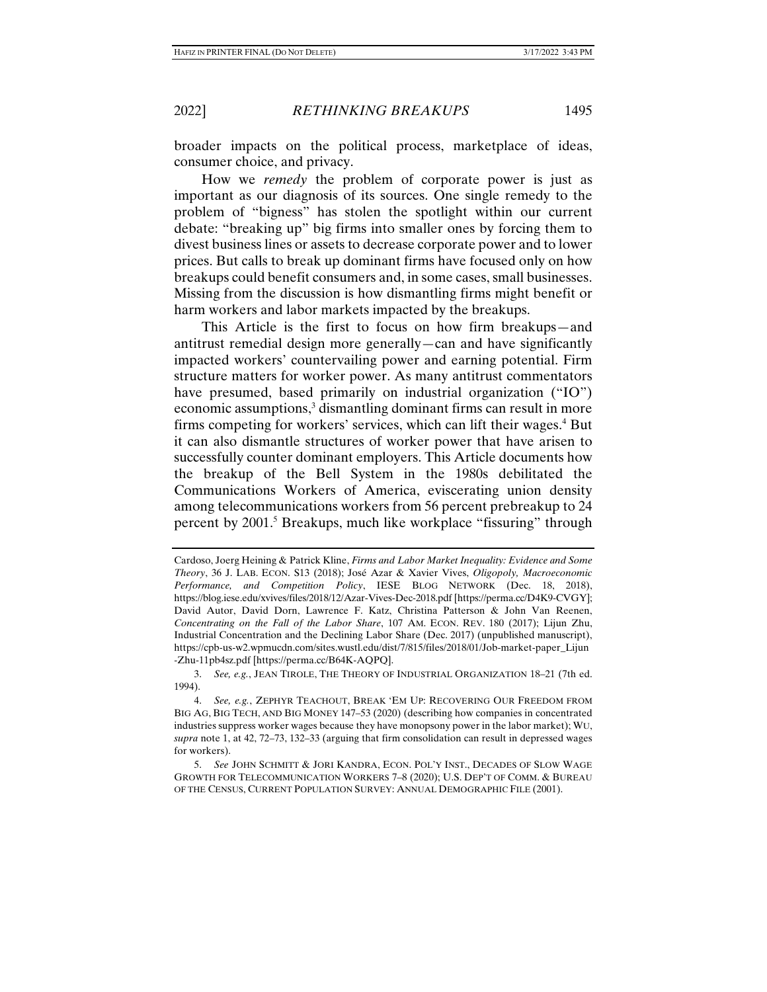broader impacts on the political process, marketplace of ideas, consumer choice, and privacy.

How we *remedy* the problem of corporate power is just as important as our diagnosis of its sources. One single remedy to the problem of "bigness" has stolen the spotlight within our current debate: "breaking up" big firms into smaller ones by forcing them to divest business lines or assets to decrease corporate power and to lower prices. But calls to break up dominant firms have focused only on how breakups could benefit consumers and, in some cases, small businesses. Missing from the discussion is how dismantling firms might benefit or harm workers and labor markets impacted by the breakups.

This Article is the first to focus on how firm breakups—and antitrust remedial design more generally—can and have significantly impacted workers' countervailing power and earning potential. Firm structure matters for worker power. As many antitrust commentators have presumed, based primarily on industrial organization ("IO") economic assumptions,<sup>3</sup> dismantling dominant firms can result in more firms competing for workers' services, which can lift their wages.<sup>4</sup> But it can also dismantle structures of worker power that have arisen to successfully counter dominant employers. This Article documents how the breakup of the Bell System in the 1980s debilitated the Communications Workers of America, eviscerating union density among telecommunications workers from 56 percent prebreakup to 24 percent by 2001.<sup>5</sup> Breakups, much like workplace "fissuring" through

Cardoso, Joerg Heining & Patrick Kline, *Firms and Labor Market Inequality: Evidence and Some Theory*, 36 J. LAB. ECON. S13 (2018); José Azar & Xavier Vives, *Oligopoly, Macroeconomic Performance, and Competition Policy*, IESE BLOG NETWORK (Dec. 18, 2018), https://blog.iese.edu/xvives/files/2018/12/Azar-Vives-Dec-2018.pdf [https://perma.cc/D4K9-CVGY]; David Autor, David Dorn, Lawrence F. Katz, Christina Patterson & John Van Reenen, *Concentrating on the Fall of the Labor Share*, 107 AM. ECON. REV. 180 (2017); Lijun Zhu, Industrial Concentration and the Declining Labor Share (Dec. 2017) (unpublished manuscript), https://cpb-us-w2.wpmucdn.com/sites.wustl.edu/dist/7/815/files/2018/01/Job-market-paper\_Lijun -Zhu-11pb4sz.pdf [https://perma.cc/B64K-AQPQ].

 <sup>3.</sup> *See, e.g.*, JEAN TIROLE, THE THEORY OF INDUSTRIAL ORGANIZATION 18–21 (7th ed. 1994).

 <sup>4.</sup> *See, e.g.*, ZEPHYR TEACHOUT, BREAK 'EM UP: RECOVERING OUR FREEDOM FROM BIG AG, BIG TECH, AND BIG MONEY 147–53 (2020) (describing how companies in concentrated industries suppress worker wages because they have monopsony power in the labor market); WU, *supra* note 1, at 42, 72–73, 132–33 (arguing that firm consolidation can result in depressed wages for workers).

 <sup>5.</sup> *See* JOHN SCHMITT & JORI KANDRA, ECON. POL'Y INST., DECADES OF SLOW WAGE GROWTH FOR TELECOMMUNICATION WORKERS 7–8 (2020); U.S. DEP'T OF COMM. & BUREAU OF THE CENSUS, CURRENT POPULATION SURVEY: ANNUAL DEMOGRAPHIC FILE (2001).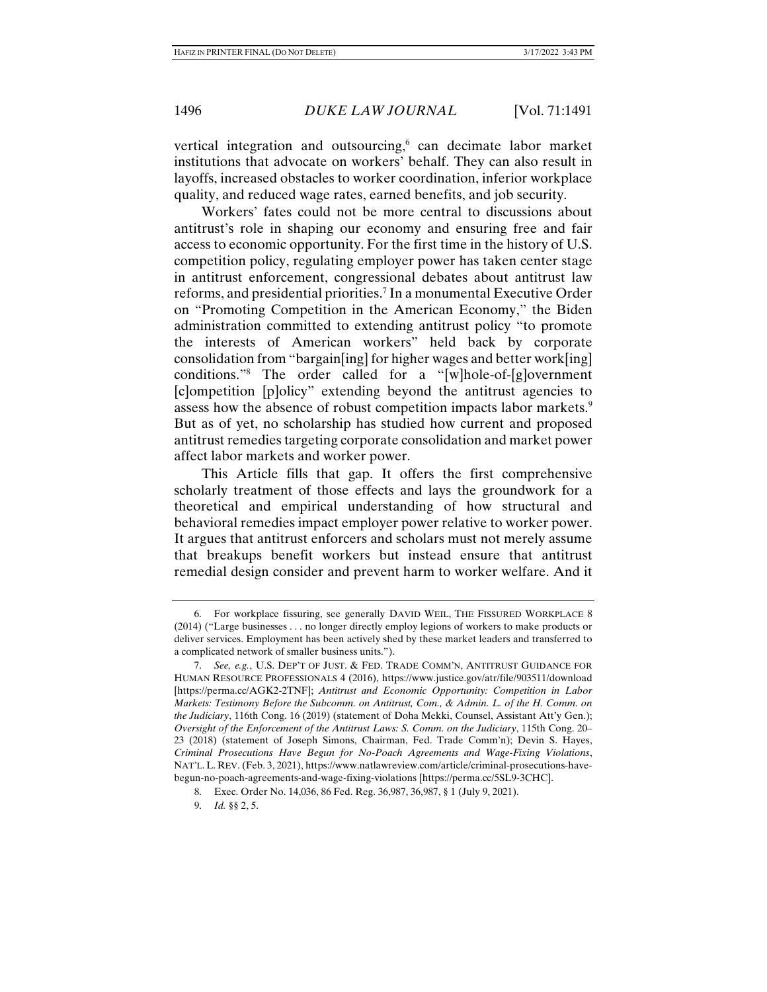vertical integration and outsourcing,<sup>6</sup> can decimate labor market institutions that advocate on workers' behalf. They can also result in layoffs, increased obstacles to worker coordination, inferior workplace quality, and reduced wage rates, earned benefits, and job security.

Workers' fates could not be more central to discussions about antitrust's role in shaping our economy and ensuring free and fair access to economic opportunity. For the first time in the history of U.S. competition policy, regulating employer power has taken center stage in antitrust enforcement, congressional debates about antitrust law reforms, and presidential priorities.<sup>7</sup> In a monumental Executive Order on "Promoting Competition in the American Economy," the Biden administration committed to extending antitrust policy "to promote the interests of American workers" held back by corporate consolidation from "bargain[ing] for higher wages and better work[ing] conditions."8 The order called for a "[w]hole-of-[g]overnment [c]ompetition [p]olicy" extending beyond the antitrust agencies to assess how the absence of robust competition impacts labor markets.<sup>9</sup> But as of yet, no scholarship has studied how current and proposed antitrust remedies targeting corporate consolidation and market power affect labor markets and worker power.

This Article fills that gap. It offers the first comprehensive scholarly treatment of those effects and lays the groundwork for a theoretical and empirical understanding of how structural and behavioral remedies impact employer power relative to worker power. It argues that antitrust enforcers and scholars must not merely assume that breakups benefit workers but instead ensure that antitrust remedial design consider and prevent harm to worker welfare. And it

 <sup>6.</sup> For workplace fissuring, see generally DAVID WEIL, THE FISSURED WORKPLACE 8 (2014) ("Large businesses . . . no longer directly employ legions of workers to make products or deliver services. Employment has been actively shed by these market leaders and transferred to a complicated network of smaller business units.").

 <sup>7.</sup> *See, e.g.*, U.S. DEP'T OF JUST. & FED. TRADE COMM'N, ANTITRUST GUIDANCE FOR HUMAN RESOURCE PROFESSIONALS 4 (2016), https://www.justice.gov/atr/file/903511/download [https://perma.cc/AGK2-2TNF]; *Antitrust and Economic Opportunity: Competition in Labor Markets: Testimony Before the Subcomm. on Antitrust, Com., & Admin. L. of the H. Comm. on the Judiciary*, 116th Cong. 16 (2019) (statement of Doha Mekki, Counsel, Assistant Att'y Gen.); *Oversight of the Enforcement of the Antitrust Laws: S. Comm. on the Judiciary*, 115th Cong. 20– 23 (2018) (statement of Joseph Simons, Chairman, Fed. Trade Comm'n); Devin S. Hayes, *Criminal Prosecutions Have Begun for No-Poach Agreements and Wage-Fixing Violations*, NAT'L. L. REV. (Feb. 3, 2021), https://www.natlawreview.com/article/criminal-prosecutions-havebegun-no-poach-agreements-and-wage-fixing-violations [https://perma.cc/5SL9-3CHC].

 <sup>8.</sup> Exec. Order No. 14,036, 86 Fed. Reg. 36,987, 36,987, § 1 (July 9, 2021).

 <sup>9.</sup> *Id.* §§ 2, 5.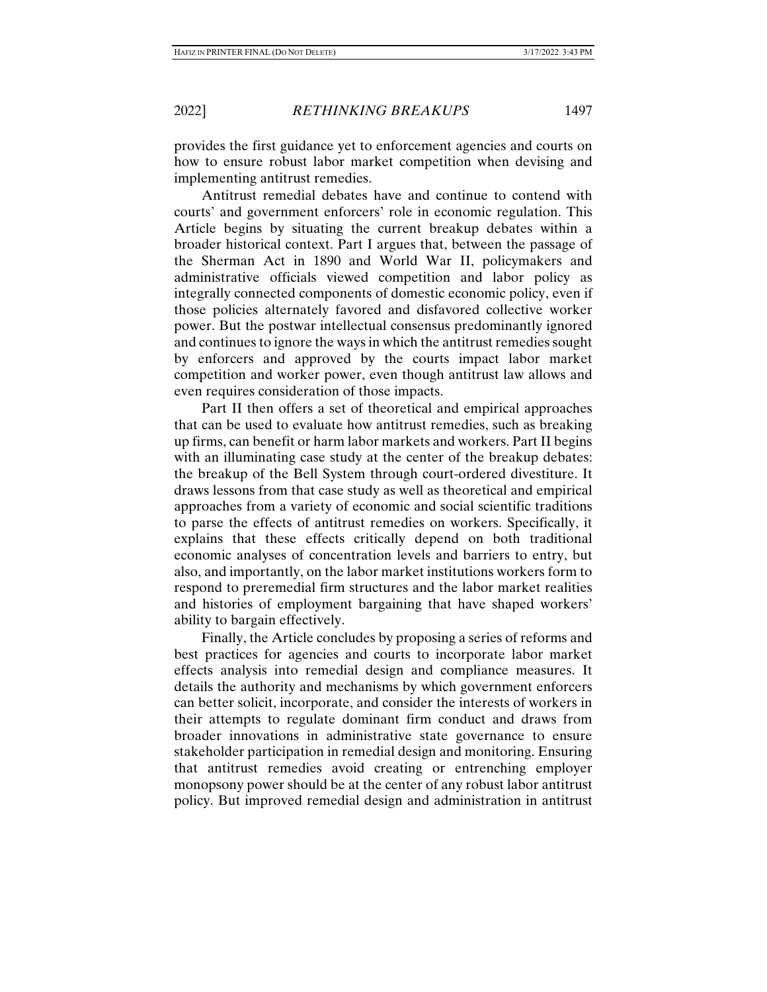provides the first guidance yet to enforcement agencies and courts on how to ensure robust labor market competition when devising and implementing antitrust remedies.

Antitrust remedial debates have and continue to contend with courts' and government enforcers' role in economic regulation. This Article begins by situating the current breakup debates within a broader historical context. Part I argues that, between the passage of the Sherman Act in 1890 and World War II, policymakers and administrative officials viewed competition and labor policy as integrally connected components of domestic economic policy, even if those policies alternately favored and disfavored collective worker power. But the postwar intellectual consensus predominantly ignored and continues to ignore the ways in which the antitrust remedies sought by enforcers and approved by the courts impact labor market competition and worker power, even though antitrust law allows and even requires consideration of those impacts.

Part II then offers a set of theoretical and empirical approaches that can be used to evaluate how antitrust remedies, such as breaking up firms, can benefit or harm labor markets and workers. Part II begins with an illuminating case study at the center of the breakup debates: the breakup of the Bell System through court-ordered divestiture. It draws lessons from that case study as well as theoretical and empirical approaches from a variety of economic and social scientific traditions to parse the effects of antitrust remedies on workers. Specifically, it explains that these effects critically depend on both traditional economic analyses of concentration levels and barriers to entry, but also, and importantly, on the labor market institutions workers form to respond to preremedial firm structures and the labor market realities and histories of employment bargaining that have shaped workers' ability to bargain effectively.

Finally, the Article concludes by proposing a series of reforms and best practices for agencies and courts to incorporate labor market effects analysis into remedial design and compliance measures. It details the authority and mechanisms by which government enforcers can better solicit, incorporate, and consider the interests of workers in their attempts to regulate dominant firm conduct and draws from broader innovations in administrative state governance to ensure stakeholder participation in remedial design and monitoring. Ensuring that antitrust remedies avoid creating or entrenching employer monopsony power should be at the center of any robust labor antitrust policy. But improved remedial design and administration in antitrust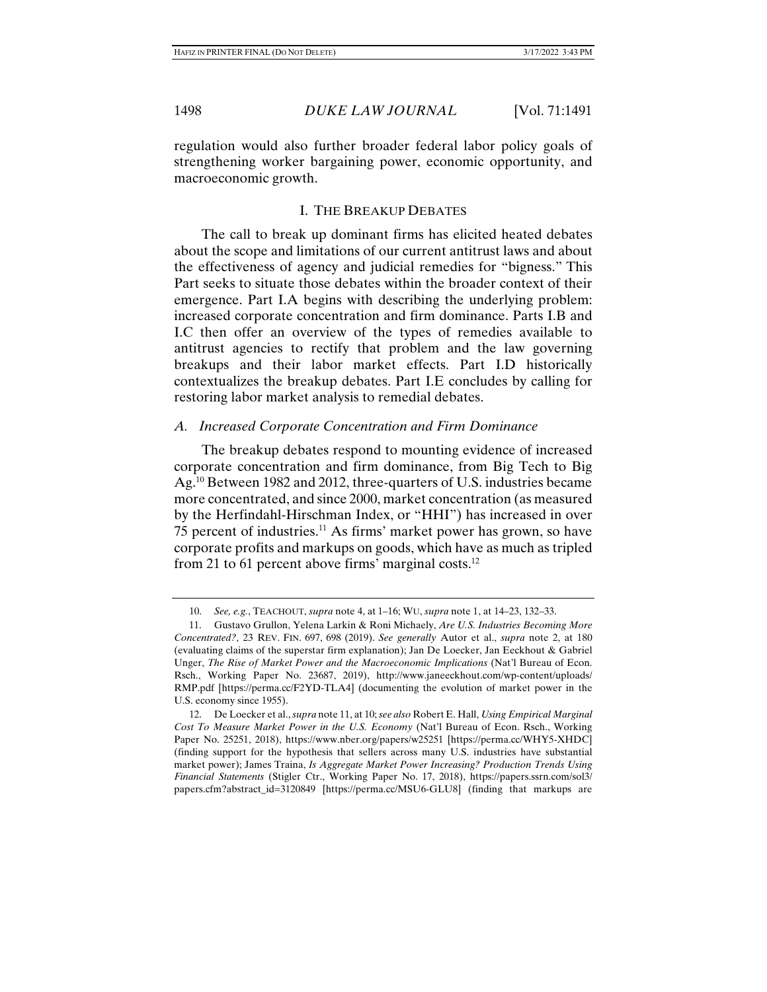regulation would also further broader federal labor policy goals of strengthening worker bargaining power, economic opportunity, and macroeconomic growth.

# I. THE BREAKUP DEBATES

The call to break up dominant firms has elicited heated debates about the scope and limitations of our current antitrust laws and about the effectiveness of agency and judicial remedies for "bigness." This Part seeks to situate those debates within the broader context of their emergence. Part I.A begins with describing the underlying problem: increased corporate concentration and firm dominance. Parts I.B and I.C then offer an overview of the types of remedies available to antitrust agencies to rectify that problem and the law governing breakups and their labor market effects. Part I.D historically contextualizes the breakup debates. Part I.E concludes by calling for restoring labor market analysis to remedial debates.

# *A. Increased Corporate Concentration and Firm Dominance*

The breakup debates respond to mounting evidence of increased corporate concentration and firm dominance, from Big Tech to Big Ag.10 Between 1982 and 2012, three-quarters of U.S. industries became more concentrated, and since 2000, market concentration (as measured by the Herfindahl-Hirschman Index, or "HHI") has increased in over 75 percent of industries.11 As firms' market power has grown, so have corporate profits and markups on goods, which have as much as tripled from 21 to 61 percent above firms' marginal costs.<sup>12</sup>

 <sup>10.</sup> *See, e.g.*, TEACHOUT, *supra* note 4, at 1–16; WU, *supra* note 1, at 14–23, 132–33.

 <sup>11.</sup> Gustavo Grullon, Yelena Larkin & Roni Michaely, *Are U.S. Industries Becoming More Concentrated?*, 23 REV. FIN. 697, 698 (2019). *See generally* Autor et al., *supra* note 2, at 180 (evaluating claims of the superstar firm explanation); Jan De Loecker, Jan Eeckhout & Gabriel Unger, *The Rise of Market Power and the Macroeconomic Implications* (Nat'l Bureau of Econ. Rsch., Working Paper No. 23687, 2019), http://www.janeeckhout.com/wp-content/uploads/ RMP.pdf [https://perma.cc/F2YD-TLA4] (documenting the evolution of market power in the U.S. economy since 1955).

 <sup>12.</sup> De Loecker et al., *supra* note 11, at 10; *see also* Robert E. Hall, *Using Empirical Marginal Cost To Measure Market Power in the U.S. Economy* (Nat'l Bureau of Econ. Rsch., Working Paper No. 25251, 2018), https://www.nber.org/papers/w25251 [https://perma.cc/WHY5-XHDC] (finding support for the hypothesis that sellers across many U.S. industries have substantial market power); James Traina, *Is Aggregate Market Power Increasing? Production Trends Using Financial Statements* (Stigler Ctr., Working Paper No. 17, 2018), https://papers.ssrn.com/sol3/ papers.cfm?abstract\_id=3120849 [https://perma.cc/MSU6-GLU8] (finding that markups are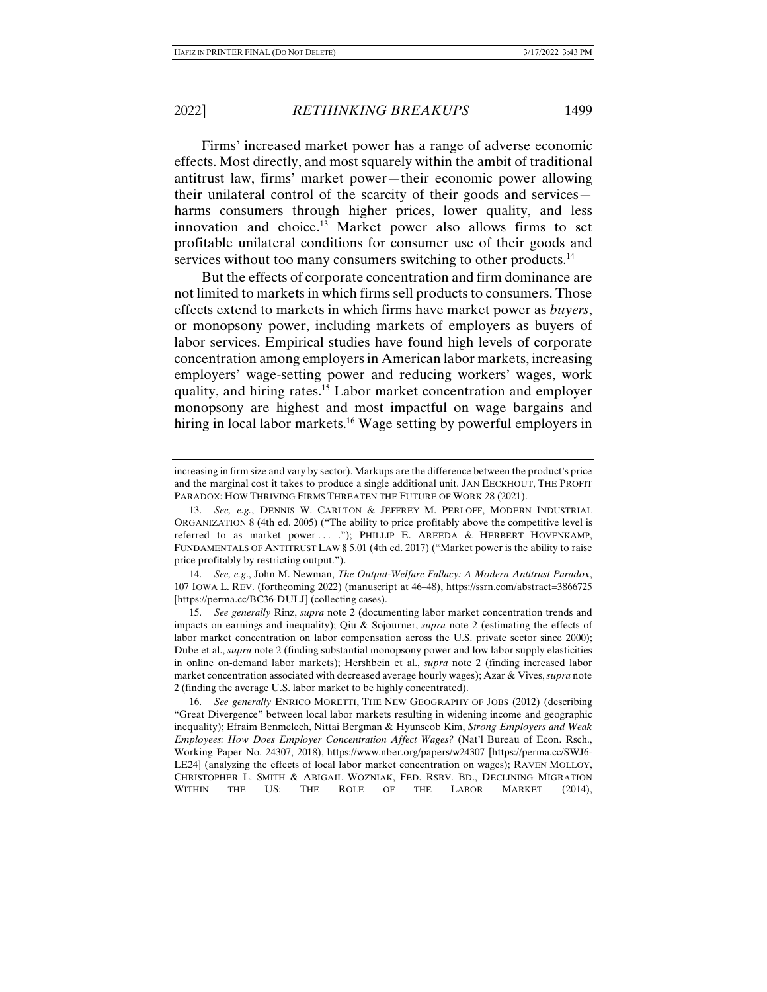Firms' increased market power has a range of adverse economic effects. Most directly, and most squarely within the ambit of traditional antitrust law, firms' market power—their economic power allowing their unilateral control of the scarcity of their goods and services harms consumers through higher prices, lower quality, and less innovation and choice.13 Market power also allows firms to set profitable unilateral conditions for consumer use of their goods and services without too many consumers switching to other products.<sup>14</sup>

But the effects of corporate concentration and firm dominance are not limited to markets in which firms sell products to consumers. Those effects extend to markets in which firms have market power as *buyers*, or monopsony power, including markets of employers as buyers of labor services. Empirical studies have found high levels of corporate concentration among employers in American labor markets, increasing employers' wage-setting power and reducing workers' wages, work quality, and hiring rates.15 Labor market concentration and employer monopsony are highest and most impactful on wage bargains and hiring in local labor markets.<sup>16</sup> Wage setting by powerful employers in

 14. *See, e.g*., John M. Newman, *The Output-Welfare Fallacy: A Modern Antitrust Paradox*, 107 IOWA L. REV. (forthcoming 2022) (manuscript at 46–48), https://ssrn.com/abstract=3866725 [https://perma.cc/BC36-DULJ] (collecting cases).

 15. *See generally* Rinz, *supra* note 2 (documenting labor market concentration trends and impacts on earnings and inequality); Qiu & Sojourner, *supra* note 2 (estimating the effects of labor market concentration on labor compensation across the U.S. private sector since 2000); Dube et al., *supra* note 2 (finding substantial monopsony power and low labor supply elasticities in online on-demand labor markets); Hershbein et al., *supra* note 2 (finding increased labor market concentration associated with decreased average hourly wages); Azar & Vives, *supra* note 2 (finding the average U.S. labor market to be highly concentrated).

 16. *See generally* ENRICO MORETTI, THE NEW GEOGRAPHY OF JOBS (2012) (describing "Great Divergence" between local labor markets resulting in widening income and geographic inequality); Efraim Benmelech, Nittai Bergman & Hyunseob Kim, *Strong Employers and Weak Employees: How Does Employer Concentration Affect Wages?* (Nat'l Bureau of Econ. Rsch., Working Paper No. 24307, 2018), https://www.nber.org/papers/w24307 [https://perma.cc/SWJ6- LE24] (analyzing the effects of local labor market concentration on wages); RAVEN MOLLOY, CHRISTOPHER L. SMITH & ABIGAIL WOZNIAK, FED. RSRV. BD., DECLINING MIGRATION WITHIN THE US: THE ROLE OF THE LABOR MARKET (2014),

increasing in firm size and vary by sector). Markups are the difference between the product's price and the marginal cost it takes to produce a single additional unit. JAN EECKHOUT, THE PROFIT PARADOX: HOW THRIVING FIRMS THREATEN THE FUTURE OF WORK 28 (2021).

 <sup>13.</sup> *See, e.g.*, DENNIS W. CARLTON & JEFFREY M. PERLOFF, MODERN INDUSTRIAL ORGANIZATION 8 (4th ed. 2005) ("The ability to price profitably above the competitive level is referred to as market power ... ."); PHILLIP E. AREEDA & HERBERT HOVENKAMP, FUNDAMENTALS OF ANTITRUST LAW § 5.01 (4th ed. 2017) ("Market power is the ability to raise price profitably by restricting output.").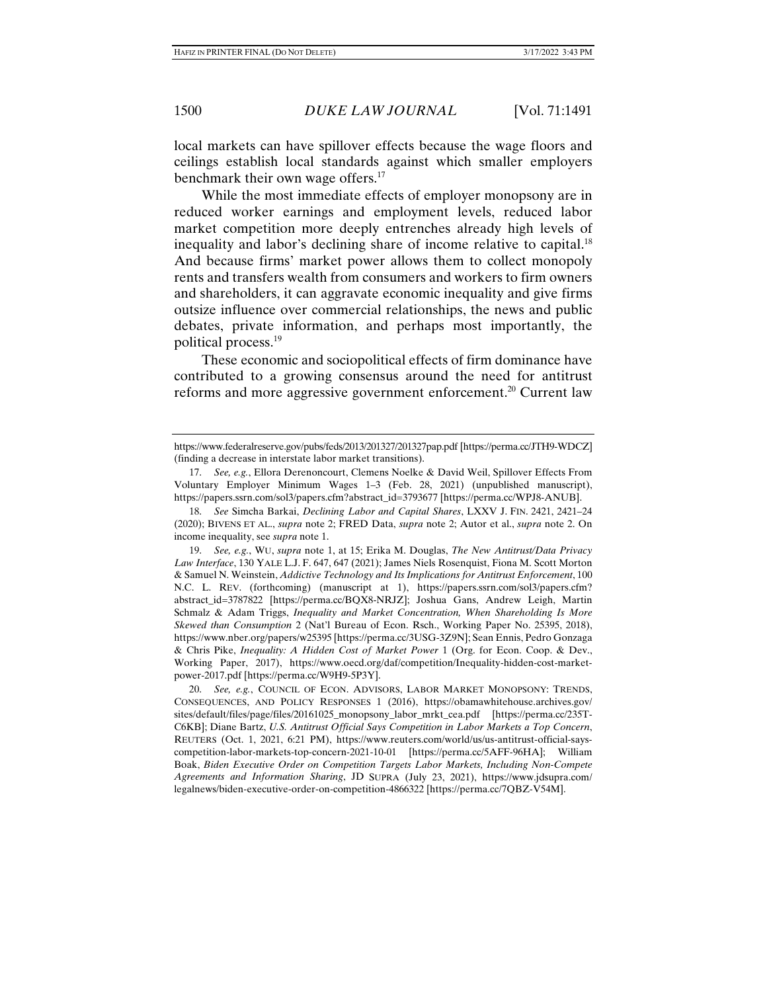local markets can have spillover effects because the wage floors and ceilings establish local standards against which smaller employers benchmark their own wage offers.<sup>17</sup>

While the most immediate effects of employer monopsony are in reduced worker earnings and employment levels, reduced labor market competition more deeply entrenches already high levels of inequality and labor's declining share of income relative to capital.<sup>18</sup> And because firms' market power allows them to collect monopoly rents and transfers wealth from consumers and workers to firm owners and shareholders, it can aggravate economic inequality and give firms outsize influence over commercial relationships, the news and public debates, private information, and perhaps most importantly, the political process.19

These economic and sociopolitical effects of firm dominance have contributed to a growing consensus around the need for antitrust reforms and more aggressive government enforcement.<sup>20</sup> Current law

https://www.federalreserve.gov/pubs/feds/2013/201327/201327pap.pdf [https://perma.cc/JTH9-WDCZ] (finding a decrease in interstate labor market transitions).

 <sup>17.</sup> *See, e.g.*, Ellora Derenoncourt, Clemens Noelke & David Weil, Spillover Effects From Voluntary Employer Minimum Wages 1–3 (Feb. 28, 2021) (unpublished manuscript), https://papers.ssrn.com/sol3/papers.cfm?abstract\_id=3793677 [https://perma.cc/WPJ8-ANUB].

 <sup>18.</sup> *See* Simcha Barkai, *Declining Labor and Capital Shares*, LXXV J. FIN. 2421, 2421–24 (2020); BIVENS ET AL., *supra* note 2; FRED Data, *supra* note 2; Autor et al., *supra* note 2. On income inequality, see *supra* note 1.

 <sup>19.</sup> *See, e.g.*, WU, *supra* note 1, at 15; Erika M. Douglas, *The New Antitrust/Data Privacy Law Interface*, 130 YALE L.J. F. 647, 647 (2021); James Niels Rosenquist, Fiona M. Scott Morton & Samuel N. Weinstein, *Addictive Technology and Its Implications for Antitrust Enforcement*, 100 N.C. L. REV. (forthcoming) (manuscript at 1), https://papers.ssrn.com/sol3/papers.cfm? abstract\_id=3787822 [https://perma.cc/BQX8-NRJZ]; Joshua Gans, Andrew Leigh, Martin Schmalz & Adam Triggs, *Inequality and Market Concentration, When Shareholding Is More Skewed than Consumption* 2 (Nat'l Bureau of Econ. Rsch., Working Paper No. 25395, 2018), https://www.nber.org/papers/w25395 [https://perma.cc/3USG-3Z9N]; Sean Ennis, Pedro Gonzaga & Chris Pike, *Inequality: A Hidden Cost of Market Power* 1 (Org. for Econ. Coop. & Dev., Working Paper, 2017), https://www.oecd.org/daf/competition/Inequality-hidden-cost-marketpower-2017.pdf [https://perma.cc/W9H9-5P3Y].

 <sup>20.</sup> *See, e.g.*, COUNCIL OF ECON. ADVISORS, LABOR MARKET MONOPSONY: TRENDS, CONSEQUENCES, AND POLICY RESPONSES 1 (2016), https://obamawhitehouse.archives.gov/ sites/default/files/page/files/20161025\_monopsony\_labor\_mrkt\_cea.pdf [https://perma.cc/235T-C6KB]; Diane Bartz, *U.S. Antitrust Official Says Competition in Labor Markets a Top Concern*, REUTERS (Oct. 1, 2021, 6:21 PM), https://www.reuters.com/world/us/us-antitrust-official-sayscompetition-labor-markets-top-concern-2021-10-01 [https://perma.cc/5AFF-96HA]; William Boak, *Biden Executive Order on Competition Targets Labor Markets, Including Non-Compete Agreements and Information Sharing*, JD SUPRA (July 23, 2021), https://www.jdsupra.com/ legalnews/biden-executive-order-on-competition-4866322 [https://perma.cc/7QBZ-V54M].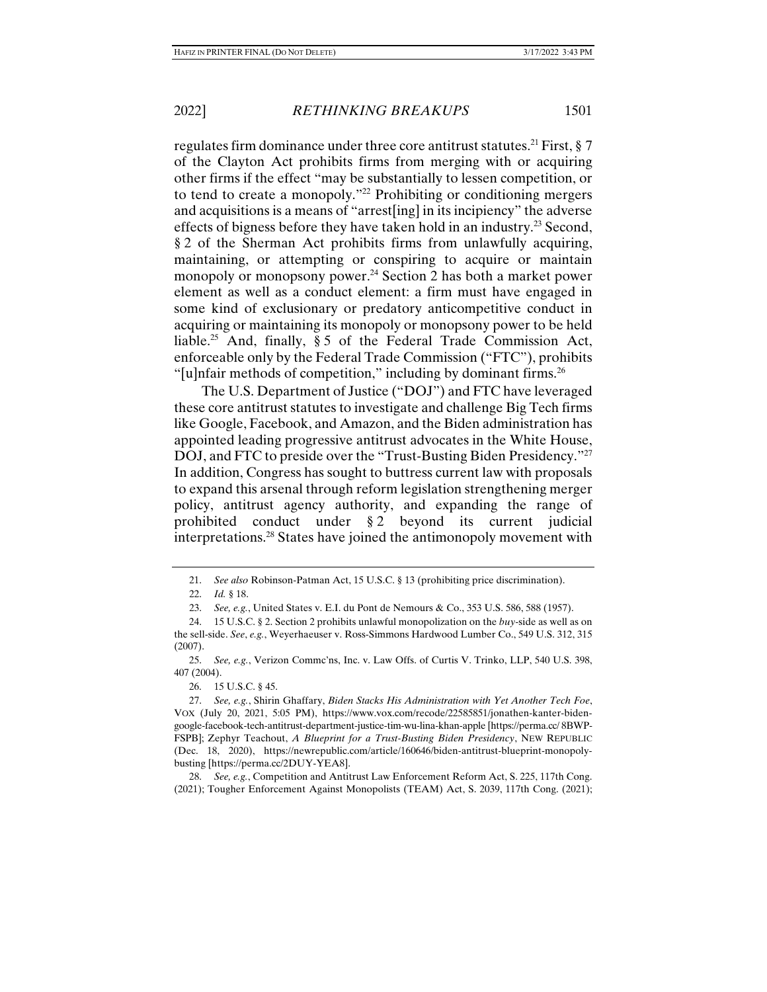regulates firm dominance under three core antitrust statutes.<sup>21</sup> First,  $\S 7$ of the Clayton Act prohibits firms from merging with or acquiring other firms if the effect "may be substantially to lessen competition, or to tend to create a monopoly."22 Prohibiting or conditioning mergers and acquisitions is a means of "arrest[ing] in its incipiency" the adverse effects of bigness before they have taken hold in an industry.<sup>23</sup> Second, § 2 of the Sherman Act prohibits firms from unlawfully acquiring, maintaining, or attempting or conspiring to acquire or maintain monopoly or monopsony power.<sup>24</sup> Section 2 has both a market power element as well as a conduct element: a firm must have engaged in some kind of exclusionary or predatory anticompetitive conduct in acquiring or maintaining its monopoly or monopsony power to be held liable.<sup>25</sup> And, finally,  $\S 5$  of the Federal Trade Commission Act, enforceable only by the Federal Trade Commission ("FTC"), prohibits "[u]nfair methods of competition," including by dominant firms. $26$ 

The U.S. Department of Justice ("DOJ") and FTC have leveraged these core antitrust statutes to investigate and challenge Big Tech firms like Google, Facebook, and Amazon, and the Biden administration has appointed leading progressive antitrust advocates in the White House, DOJ, and FTC to preside over the "Trust-Busting Biden Presidency."<sup>27</sup> In addition, Congress has sought to buttress current law with proposals to expand this arsenal through reform legislation strengthening merger policy, antitrust agency authority, and expanding the range of prohibited conduct under § 2 beyond its current judicial interpretations.28 States have joined the antimonopoly movement with

 <sup>21.</sup> *See also* Robinson-Patman Act, 15 U.S.C. § 13 (prohibiting price discrimination).

 <sup>22.</sup> *Id.* § 18.

 <sup>23.</sup> *See, e.g.*, United States v. E.I. du Pont de Nemours & Co., 353 U.S. 586, 588 (1957).

 <sup>24. 15</sup> U.S.C. § 2. Section 2 prohibits unlawful monopolization on the *buy*-side as well as on the sell-side. *See*, *e.g.*, Weyerhaeuser v. Ross-Simmons Hardwood Lumber Co., 549 U.S. 312, 315 (2007).

 <sup>25.</sup> *See, e.g.*, Verizon Commc'ns, Inc. v. Law Offs. of Curtis V. Trinko, LLP, 540 U.S. 398, 407 (2004).

 <sup>26. 15</sup> U.S.C. § 45.

 <sup>27.</sup> *See, e.g.*, Shirin Ghaffary, *Biden Stacks His Administration with Yet Another Tech Foe*, VOX (July 20, 2021, 5:05 PM), https://www.vox.com/recode/22585851/jonathen-kanter-bidengoogle-facebook-tech-antitrust-department-justice-tim-wu-lina-khan-apple [https://perma.cc/ 8BWP-FSPB]; Zephyr Teachout, *A Blueprint for a Trust-Busting Biden Presidency*, NEW REPUBLIC (Dec. 18, 2020), https://newrepublic.com/article/160646/biden-antitrust-blueprint-monopolybusting [https://perma.cc/2DUY-YEA8].

 <sup>28.</sup> *See, e.g.*, Competition and Antitrust Law Enforcement Reform Act, S. 225, 117th Cong. (2021); Tougher Enforcement Against Monopolists (TEAM) Act, S. 2039, 117th Cong. (2021);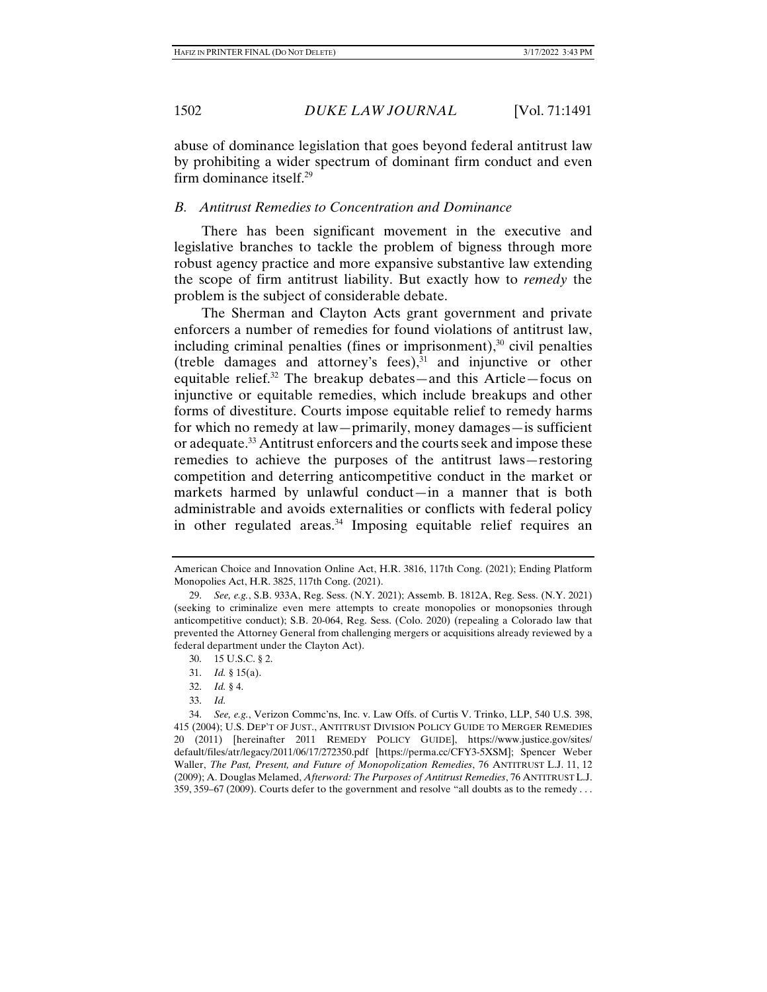abuse of dominance legislation that goes beyond federal antitrust law by prohibiting a wider spectrum of dominant firm conduct and even firm dominance itself.29

# *B. Antitrust Remedies to Concentration and Dominance*

There has been significant movement in the executive and legislative branches to tackle the problem of bigness through more robust agency practice and more expansive substantive law extending the scope of firm antitrust liability. But exactly how to *remedy* the problem is the subject of considerable debate.

The Sherman and Clayton Acts grant government and private enforcers a number of remedies for found violations of antitrust law, including criminal penalties (fines or imprisonment), $30$  civil penalties (treble damages and attorney's fees), $31$  and injunctive or other equitable relief.32 The breakup debates—and this Article—focus on injunctive or equitable remedies, which include breakups and other forms of divestiture. Courts impose equitable relief to remedy harms for which no remedy at law—primarily, money damages—is sufficient or adequate.33 Antitrust enforcers and the courts seek and impose these remedies to achieve the purposes of the antitrust laws—restoring competition and deterring anticompetitive conduct in the market or markets harmed by unlawful conduct—in a manner that is both administrable and avoids externalities or conflicts with federal policy in other regulated areas.<sup>34</sup> Imposing equitable relief requires an

American Choice and Innovation Online Act, H.R. 3816, 117th Cong. (2021); Ending Platform Monopolies Act, H.R. 3825, 117th Cong. (2021).

 <sup>29.</sup> *See, e.g.*, S.B. 933A, Reg. Sess. (N.Y. 2021); Assemb. B. 1812A, Reg. Sess. (N.Y. 2021) (seeking to criminalize even mere attempts to create monopolies or monopsonies through anticompetitive conduct); S.B. 20-064, Reg. Sess. (Colo. 2020) (repealing a Colorado law that prevented the Attorney General from challenging mergers or acquisitions already reviewed by a federal department under the Clayton Act).

 <sup>30. 15</sup> U.S.C. § 2.

 <sup>31.</sup> *Id.* § 15(a).

 <sup>32.</sup> *Id.* § 4.

 <sup>33.</sup> *Id.* 

 <sup>34.</sup> *See, e.g.*, Verizon Commc'ns, Inc. v. Law Offs. of Curtis V. Trinko, LLP, 540 U.S. 398, 415 (2004); U.S. DEP'T OF JUST., ANTITRUST DIVISION POLICY GUIDE TO MERGER REMEDIES 20 (2011) [hereinafter 2011 REMEDY POLICY GUIDE], https://www.justice.gov/sites/ default/files/atr/legacy/2011/06/17/272350.pdf [https://perma.cc/CFY3-5XSM]; Spencer Weber Waller, *The Past, Present, and Future of Monopolization Remedies*, 76 ANTITRUST L.J. 11, 12 (2009); A. Douglas Melamed, *Afterword: The Purposes of Antitrust Remedies*, 76 ANTITRUST L.J. 359, 359–67 (2009). Courts defer to the government and resolve "all doubts as to the remedy . . .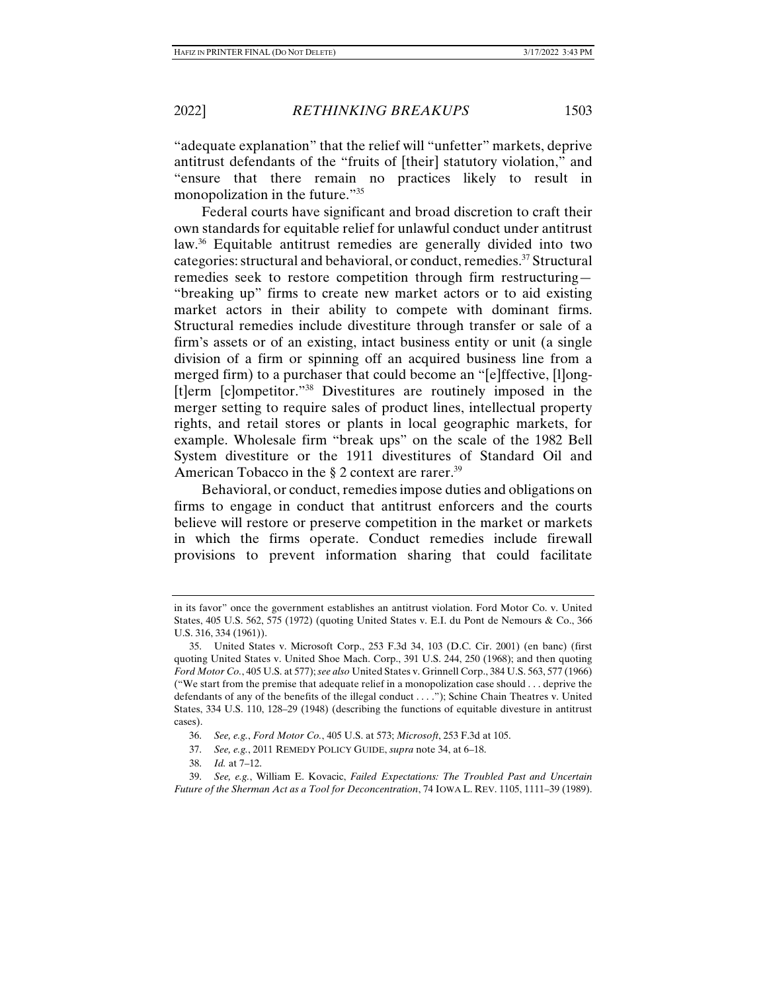"adequate explanation" that the relief will "unfetter" markets, deprive antitrust defendants of the "fruits of [their] statutory violation," and "ensure that there remain no practices likely to result in monopolization in the future."35

Federal courts have significant and broad discretion to craft their own standards for equitable relief for unlawful conduct under antitrust law.36 Equitable antitrust remedies are generally divided into two categories: structural and behavioral, or conduct, remedies.37 Structural remedies seek to restore competition through firm restructuring— "breaking up" firms to create new market actors or to aid existing market actors in their ability to compete with dominant firms. Structural remedies include divestiture through transfer or sale of a firm's assets or of an existing, intact business entity or unit (a single division of a firm or spinning off an acquired business line from a merged firm) to a purchaser that could become an "[e]ffective, [l]ong- [t]erm [c]ompetitor."38 Divestitures are routinely imposed in the merger setting to require sales of product lines, intellectual property rights, and retail stores or plants in local geographic markets, for example. Wholesale firm "break ups" on the scale of the 1982 Bell System divestiture or the 1911 divestitures of Standard Oil and American Tobacco in the  $\S 2$  context are rarer.<sup>39</sup>

Behavioral, or conduct, remedies impose duties and obligations on firms to engage in conduct that antitrust enforcers and the courts believe will restore or preserve competition in the market or markets in which the firms operate. Conduct remedies include firewall provisions to prevent information sharing that could facilitate

in its favor" once the government establishes an antitrust violation. Ford Motor Co. v. United States, 405 U.S. 562, 575 (1972) (quoting United States v. E.I. du Pont de Nemours & Co., 366 U.S. 316, 334 (1961)).

 <sup>35.</sup> United States v. Microsoft Corp., 253 F.3d 34, 103 (D.C. Cir. 2001) (en banc) (first quoting United States v. United Shoe Mach. Corp., 391 U.S. 244, 250 (1968); and then quoting *Ford Motor Co.*, 405 U.S. at 577); *see also* United States v. Grinnell Corp., 384 U.S. 563, 577 (1966) ("We start from the premise that adequate relief in a monopolization case should . . . deprive the defendants of any of the benefits of the illegal conduct . . . ."); Schine Chain Theatres v. United States, 334 U.S. 110, 128–29 (1948) (describing the functions of equitable divesture in antitrust cases).

 <sup>36.</sup> *See, e.g.*, *Ford Motor Co.*, 405 U.S. at 573; *Microsoft*, 253 F.3d at 105.

 <sup>37.</sup> *See, e.g.*, 2011 REMEDY POLICY GUIDE, *supra* note 34, at 6–18.

 <sup>38.</sup> *Id.* at 7–12.

 <sup>39.</sup> *See, e.g.*, William E. Kovacic, *Failed Expectations: The Troubled Past and Uncertain Future of the Sherman Act as a Tool for Deconcentration*, 74 IOWA L. REV. 1105, 1111–39 (1989).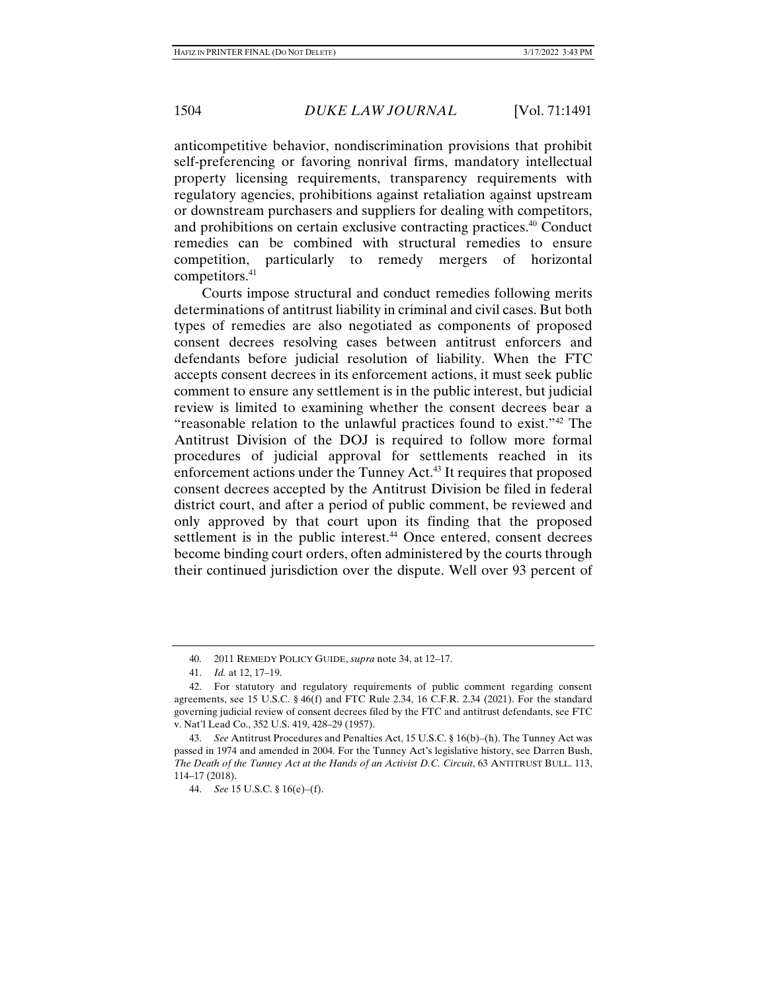anticompetitive behavior, nondiscrimination provisions that prohibit self-preferencing or favoring nonrival firms, mandatory intellectual property licensing requirements, transparency requirements with regulatory agencies, prohibitions against retaliation against upstream or downstream purchasers and suppliers for dealing with competitors, and prohibitions on certain exclusive contracting practices.40 Conduct remedies can be combined with structural remedies to ensure competition, particularly to remedy mergers of horizontal competitors.<sup>41</sup>

Courts impose structural and conduct remedies following merits determinations of antitrust liability in criminal and civil cases. But both types of remedies are also negotiated as components of proposed consent decrees resolving cases between antitrust enforcers and defendants before judicial resolution of liability. When the FTC accepts consent decrees in its enforcement actions, it must seek public comment to ensure any settlement is in the public interest, but judicial review is limited to examining whether the consent decrees bear a "reasonable relation to the unlawful practices found to exist."42 The Antitrust Division of the DOJ is required to follow more formal procedures of judicial approval for settlements reached in its enforcement actions under the Tunney Act.<sup>43</sup> It requires that proposed consent decrees accepted by the Antitrust Division be filed in federal district court, and after a period of public comment, be reviewed and only approved by that court upon its finding that the proposed settlement is in the public interest.<sup>44</sup> Once entered, consent decrees become binding court orders, often administered by the courts through their continued jurisdiction over the dispute. Well over 93 percent of

 <sup>40. 2011</sup> REMEDY POLICY GUIDE, *supra* note 34, at 12–17.

 <sup>41.</sup> *Id.* at 12, 17–19.

 <sup>42.</sup> For statutory and regulatory requirements of public comment regarding consent agreements, see 15 U.S.C. § 46(f) and FTC Rule 2.34, 16 C.F.R. 2.34 (2021). For the standard governing judicial review of consent decrees filed by the FTC and antitrust defendants, see FTC v. Nat'l Lead Co., 352 U.S. 419, 428–29 (1957).

 <sup>43.</sup> *See* Antitrust Procedures and Penalties Act, 15 U.S.C. § 16(b)–(h). The Tunney Act was passed in 1974 and amended in 2004. For the Tunney Act's legislative history, see Darren Bush, *The Death of the Tunney Act at the Hands of an Activist D.C. Circuit*, 63 ANTITRUST BULL. 113, 114–17 (2018).

 <sup>44.</sup> *See* 15 U.S.C. § 16(e)–(f).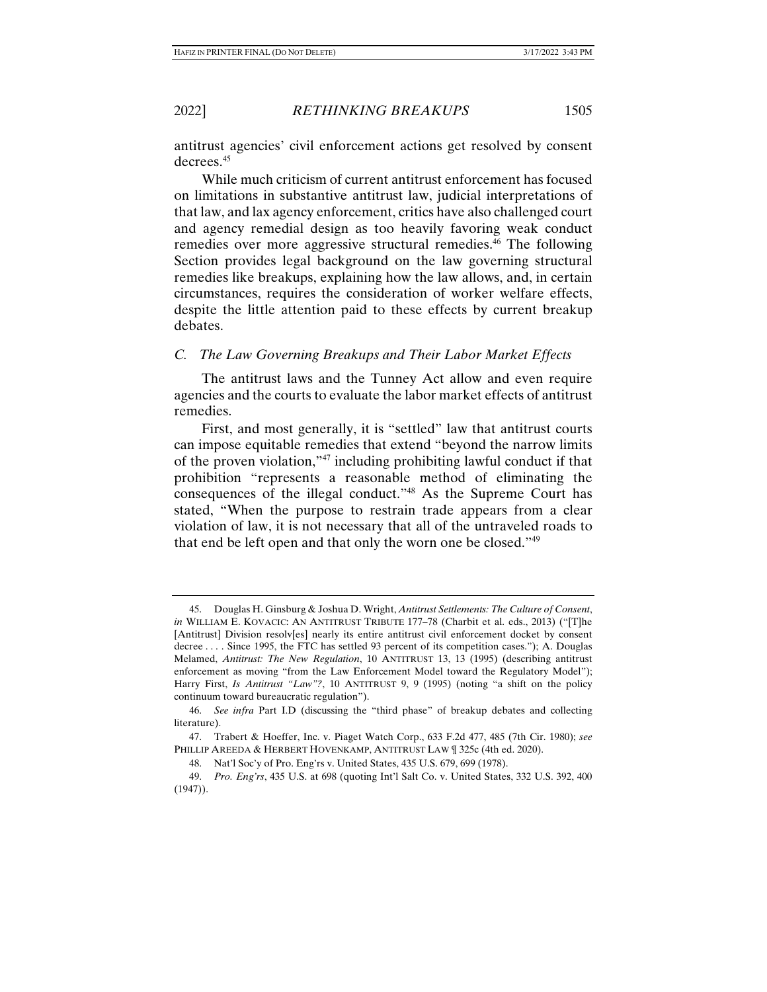antitrust agencies' civil enforcement actions get resolved by consent decrees.<sup>45</sup>

While much criticism of current antitrust enforcement has focused on limitations in substantive antitrust law, judicial interpretations of that law, and lax agency enforcement, critics have also challenged court and agency remedial design as too heavily favoring weak conduct remedies over more aggressive structural remedies.<sup>46</sup> The following Section provides legal background on the law governing structural remedies like breakups, explaining how the law allows, and, in certain circumstances, requires the consideration of worker welfare effects, despite the little attention paid to these effects by current breakup debates.

## *C. The Law Governing Breakups and Their Labor Market Effects*

The antitrust laws and the Tunney Act allow and even require agencies and the courts to evaluate the labor market effects of antitrust remedies.

First, and most generally, it is "settled" law that antitrust courts can impose equitable remedies that extend "beyond the narrow limits of the proven violation,"47 including prohibiting lawful conduct if that prohibition "represents a reasonable method of eliminating the consequences of the illegal conduct."48 As the Supreme Court has stated, "When the purpose to restrain trade appears from a clear violation of law, it is not necessary that all of the untraveled roads to that end be left open and that only the worn one be closed."49

 <sup>45.</sup> Douglas H. Ginsburg & Joshua D. Wright, *Antitrust Settlements: The Culture of Consent*, *in* WILLIAM E. KOVACIC: AN ANTITRUST TRIBUTE 177-78 (Charbit et al. eds., 2013) ("[T]he [Antitrust] Division resolv[es] nearly its entire antitrust civil enforcement docket by consent decree . . . . Since 1995, the FTC has settled 93 percent of its competition cases."); A. Douglas Melamed, *Antitrust: The New Regulation*, 10 ANTITRUST 13, 13 (1995) (describing antitrust enforcement as moving "from the Law Enforcement Model toward the Regulatory Model"); Harry First, *Is Antitrust "Law"?*, 10 ANTITRUST 9, 9 (1995) (noting "a shift on the policy continuum toward bureaucratic regulation").

 <sup>46.</sup> *See infra* Part I.D (discussing the "third phase" of breakup debates and collecting literature).

 <sup>47.</sup> Trabert & Hoeffer, Inc. v. Piaget Watch Corp., 633 F.2d 477, 485 (7th Cir. 1980); *see*  PHILLIP AREEDA & HERBERT HOVENKAMP, ANTITRUST LAW | 325c (4th ed. 2020).

 <sup>48.</sup> Nat'l Soc'y of Pro. Eng'rs v. United States, 435 U.S. 679, 699 (1978).

 <sup>49.</sup> *Pro. Eng'rs*, 435 U.S. at 698 (quoting Int'l Salt Co. v. United States, 332 U.S. 392, 400 (1947)).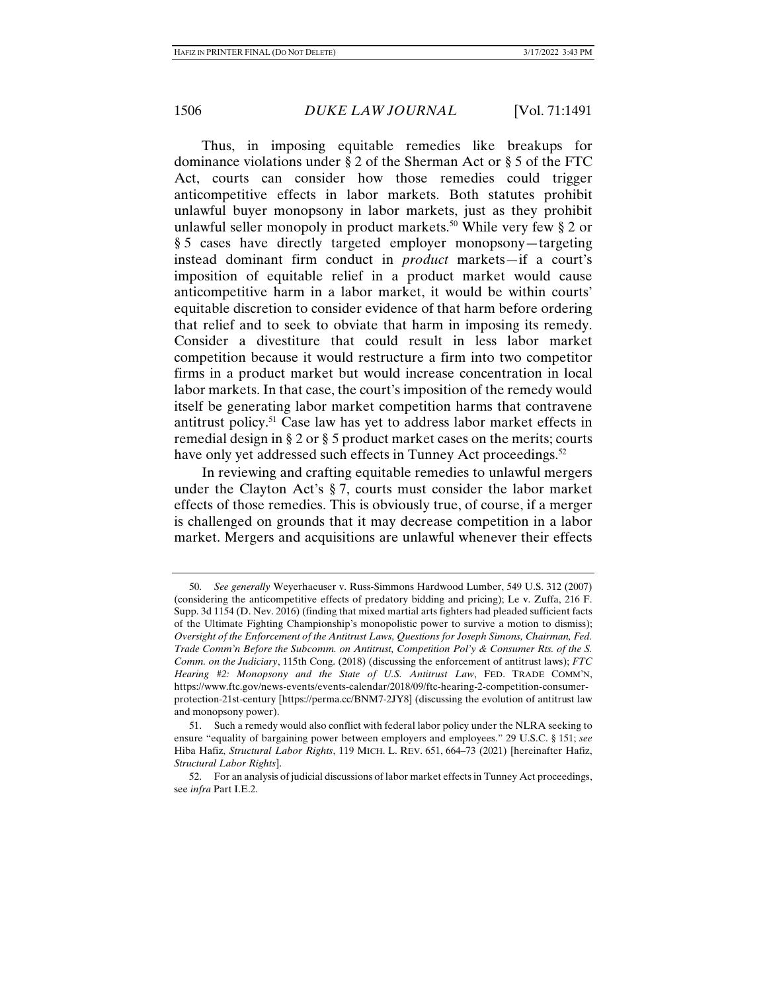Thus, in imposing equitable remedies like breakups for dominance violations under § 2 of the Sherman Act or § 5 of the FTC Act, courts can consider how those remedies could trigger anticompetitive effects in labor markets. Both statutes prohibit unlawful buyer monopsony in labor markets, just as they prohibit unlawful seller monopoly in product markets.<sup>50</sup> While very few § 2 or § 5 cases have directly targeted employer monopsony—targeting instead dominant firm conduct in *product* markets—if a court's imposition of equitable relief in a product market would cause anticompetitive harm in a labor market, it would be within courts' equitable discretion to consider evidence of that harm before ordering that relief and to seek to obviate that harm in imposing its remedy. Consider a divestiture that could result in less labor market competition because it would restructure a firm into two competitor firms in a product market but would increase concentration in local labor markets. In that case, the court's imposition of the remedy would itself be generating labor market competition harms that contravene antitrust policy.51 Case law has yet to address labor market effects in remedial design in § 2 or § 5 product market cases on the merits; courts have only yet addressed such effects in Tunney Act proceedings.<sup>52</sup>

In reviewing and crafting equitable remedies to unlawful mergers under the Clayton Act's § 7, courts must consider the labor market effects of those remedies. This is obviously true, of course, if a merger is challenged on grounds that it may decrease competition in a labor market. Mergers and acquisitions are unlawful whenever their effects

 <sup>50.</sup> *See generally* Weyerhaeuser v. Russ-Simmons Hardwood Lumber, 549 U.S. 312 (2007) (considering the anticompetitive effects of predatory bidding and pricing); Le v. Zuffa, 216 F. Supp. 3d 1154 (D. Nev. 2016) (finding that mixed martial arts fighters had pleaded sufficient facts of the Ultimate Fighting Championship's monopolistic power to survive a motion to dismiss); *Oversight of the Enforcement of the Antitrust Laws, Questions for Joseph Simons, Chairman, Fed. Trade Comm'n Before the Subcomm. on Antitrust, Competition Pol'y & Consumer Rts. of the S. Comm. on the Judiciary*, 115th Cong. (2018) (discussing the enforcement of antitrust laws); *FTC Hearing #2: Monopsony and the State of U.S. Antitrust Law*, FED. TRADE COMM'N, https://www.ftc.gov/news-events/events-calendar/2018/09/ftc-hearing-2-competition-consumerprotection-21st-century [https://perma.cc/BNM7-2JY8] (discussing the evolution of antitrust law and monopsony power).

 <sup>51.</sup> Such a remedy would also conflict with federal labor policy under the NLRA seeking to ensure "equality of bargaining power between employers and employees." 29 U.S.C. § 151; *see*  Hiba Hafiz, *Structural Labor Rights*, 119 MICH. L. REV. 651, 664–73 (2021) [hereinafter Hafiz, *Structural Labor Rights*].

 <sup>52.</sup> For an analysis of judicial discussions of labor market effects in Tunney Act proceedings, see *infra* Part I.E.2.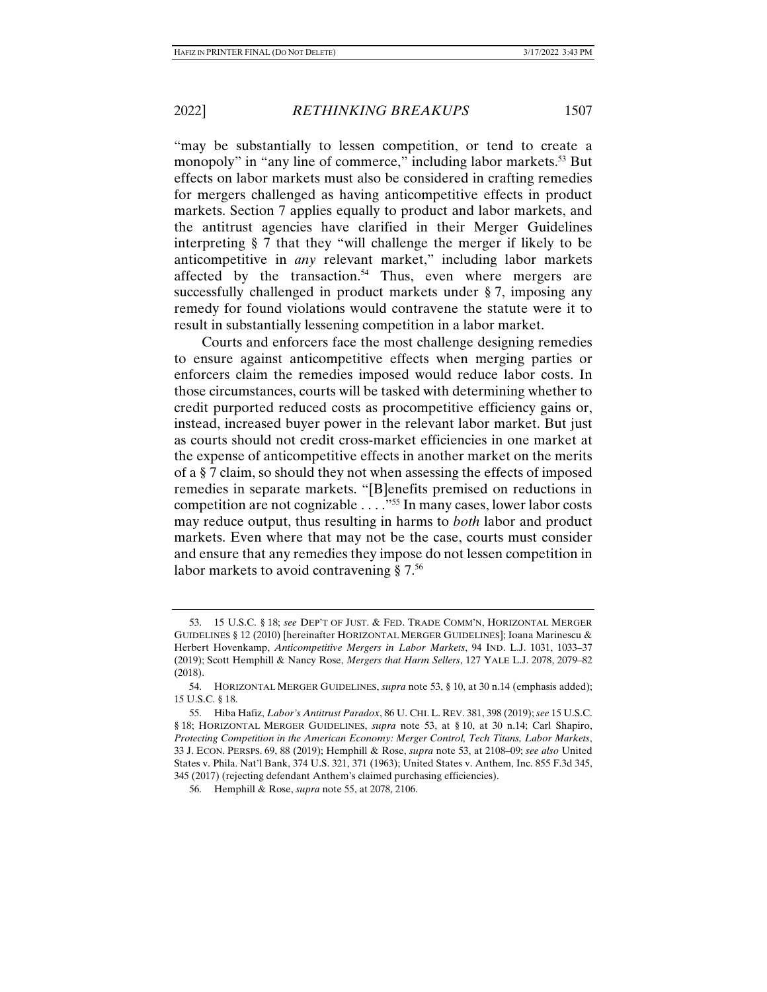"may be substantially to lessen competition, or tend to create a monopoly" in "any line of commerce," including labor markets.<sup>53</sup> But effects on labor markets must also be considered in crafting remedies for mergers challenged as having anticompetitive effects in product markets. Section 7 applies equally to product and labor markets, and the antitrust agencies have clarified in their Merger Guidelines interpreting § 7 that they "will challenge the merger if likely to be anticompetitive in *any* relevant market," including labor markets affected by the transaction.<sup>54</sup> Thus, even where mergers are successfully challenged in product markets under § 7, imposing any remedy for found violations would contravene the statute were it to result in substantially lessening competition in a labor market.

Courts and enforcers face the most challenge designing remedies to ensure against anticompetitive effects when merging parties or enforcers claim the remedies imposed would reduce labor costs. In those circumstances, courts will be tasked with determining whether to credit purported reduced costs as procompetitive efficiency gains or, instead, increased buyer power in the relevant labor market. But just as courts should not credit cross-market efficiencies in one market at the expense of anticompetitive effects in another market on the merits of a § 7 claim, so should they not when assessing the effects of imposed remedies in separate markets. "[B]enefits premised on reductions in competition are not cognizable . . . ."55 In many cases, lower labor costs may reduce output, thus resulting in harms to *both* labor and product markets. Even where that may not be the case, courts must consider and ensure that any remedies they impose do not lessen competition in labor markets to avoid contravening  $\S 7<sup>56</sup>$ 

 <sup>53. 15</sup> U.S.C. § 18; *see* DEP'T OF JUST. & FED. TRADE COMM'N, HORIZONTAL MERGER GUIDELINES § 12 (2010) [hereinafter HORIZONTAL MERGER GUIDELINES]; Ioana Marinescu & Herbert Hovenkamp, *Anticompetitive Mergers in Labor Markets*, 94 IND. L.J. 1031, 1033–37 (2019); Scott Hemphill & Nancy Rose, *Mergers that Harm Sellers*, 127 YALE L.J. 2078, 2079–82 (2018).

 <sup>54.</sup> HORIZONTAL MERGER GUIDELINES, *supra* note 53, § 10, at 30 n.14 (emphasis added); 15 U.S.C. § 18.

 <sup>55.</sup> Hiba Hafiz, *Labor's Antitrust Paradox*, 86 U. CHI. L. REV. 381, 398 (2019); *see* 15 U.S.C. § 18; HORIZONTAL MERGER GUIDELINES, *supra* note 53, at § 10, at 30 n.14; Carl Shapiro, *Protecting Competition in the American Economy: Merger Control, Tech Titans, Labor Markets*, 33 J. ECON. PERSPS. 69, 88 (2019); Hemphill & Rose, *supra* note 53, at 2108–09; *see also* United States v. Phila. Nat'l Bank, 374 U.S. 321, 371 (1963); United States v. Anthem, Inc. 855 F.3d 345, 345 (2017) (rejecting defendant Anthem's claimed purchasing efficiencies).

 <sup>56.</sup> Hemphill & Rose, *supra* note 55, at 2078, 2106.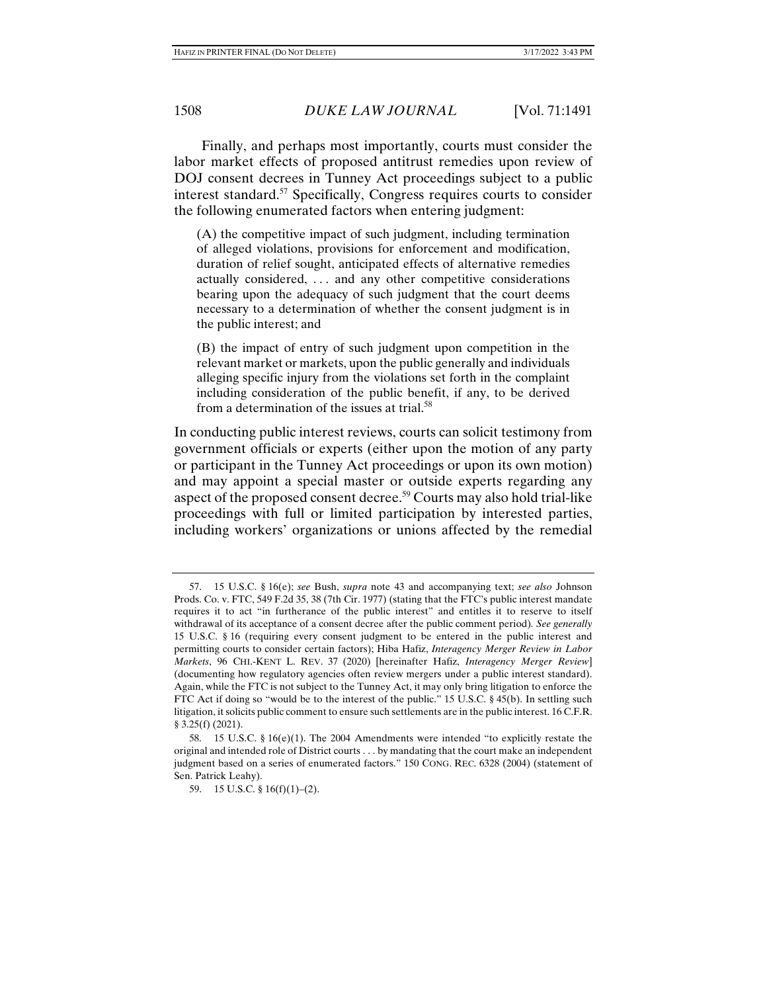Finally, and perhaps most importantly, courts must consider the labor market effects of proposed antitrust remedies upon review of DOJ consent decrees in Tunney Act proceedings subject to a public interest standard.57 Specifically, Congress requires courts to consider the following enumerated factors when entering judgment:

(A) the competitive impact of such judgment, including termination of alleged violations, provisions for enforcement and modification, duration of relief sought, anticipated effects of alternative remedies actually considered, . . . and any other competitive considerations bearing upon the adequacy of such judgment that the court deems necessary to a determination of whether the consent judgment is in the public interest; and

(B) the impact of entry of such judgment upon competition in the relevant market or markets, upon the public generally and individuals alleging specific injury from the violations set forth in the complaint including consideration of the public benefit, if any, to be derived from a determination of the issues at trial. $58$ 

In conducting public interest reviews, courts can solicit testimony from government officials or experts (either upon the motion of any party or participant in the Tunney Act proceedings or upon its own motion) and may appoint a special master or outside experts regarding any aspect of the proposed consent decree.59 Courts may also hold trial-like proceedings with full or limited participation by interested parties, including workers' organizations or unions affected by the remedial

 <sup>57. 15</sup> U.S.C. § 16(e); *see* Bush, *supra* note 43 and accompanying text; *see also* Johnson Prods. Co. v. FTC, 549 F.2d 35, 38 (7th Cir. 1977) (stating that the FTC's public interest mandate requires it to act "in furtherance of the public interest" and entitles it to reserve to itself withdrawal of its acceptance of a consent decree after the public comment period)*. See generally* 15 U.S.C. § 16 (requiring every consent judgment to be entered in the public interest and permitting courts to consider certain factors); Hiba Hafiz, *Interagency Merger Review in Labor Markets*, 96 CHI.-KENT L. REV. 37 (2020) [hereinafter Hafiz, *Interagency Merger Review*] (documenting how regulatory agencies often review mergers under a public interest standard). Again, while the FTC is not subject to the Tunney Act, it may only bring litigation to enforce the FTC Act if doing so "would be to the interest of the public." 15 U.S.C. § 45(b). In settling such litigation, it solicits public comment to ensure such settlements are in the public interest. 16 C.F.R. § 3.25(f) (2021).

 <sup>58. 15</sup> U.S.C. § 16(e)(1). The 2004 Amendments were intended "to explicitly restate the original and intended role of District courts . . . by mandating that the court make an independent judgment based on a series of enumerated factors." 150 CONG. REC. 6328 (2004) (statement of Sen. Patrick Leahy).

 <sup>59. 15</sup> U.S.C. § 16(f)(1)–(2).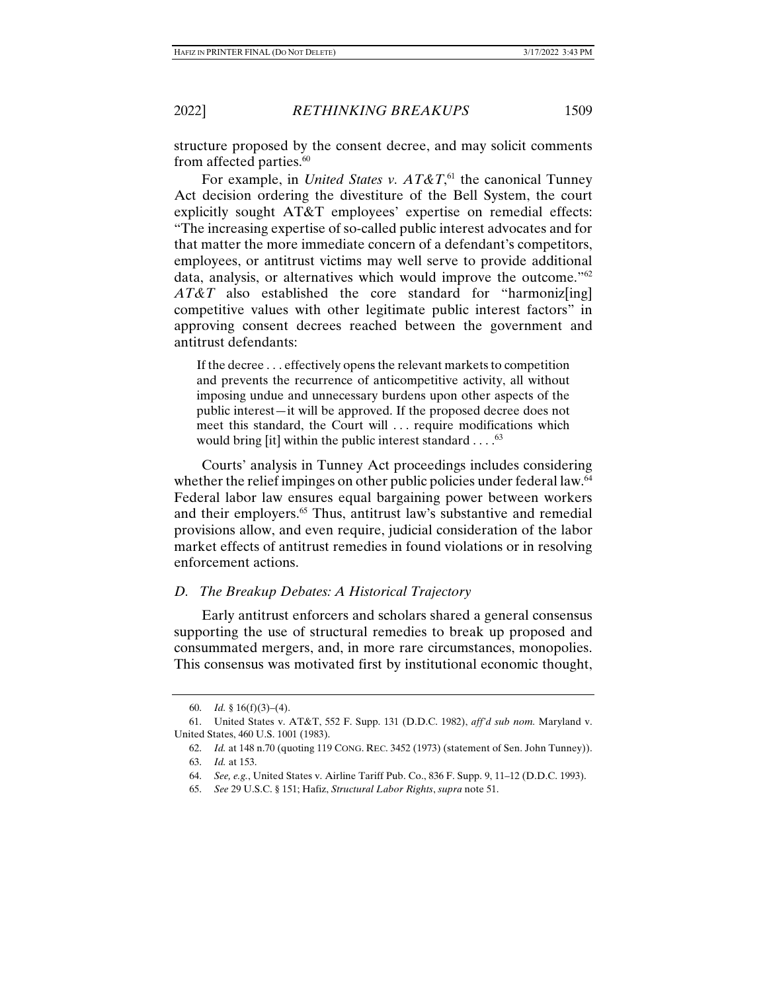structure proposed by the consent decree, and may solicit comments

from affected parties.<sup>60</sup> For example, in *United States v. AT&T*, 61 the canonical Tunney Act decision ordering the divestiture of the Bell System, the court explicitly sought AT&T employees' expertise on remedial effects: "The increasing expertise of so-called public interest advocates and for that matter the more immediate concern of a defendant's competitors, employees, or antitrust victims may well serve to provide additional data, analysis, or alternatives which would improve the outcome."62 *AT&T* also established the core standard for "harmoniz[ing] competitive values with other legitimate public interest factors" in approving consent decrees reached between the government and antitrust defendants:

If the decree . . . effectively opens the relevant markets to competition and prevents the recurrence of anticompetitive activity, all without imposing undue and unnecessary burdens upon other aspects of the public interest—it will be approved. If the proposed decree does not meet this standard, the Court will . . . require modifications which would bring [it] within the public interest standard  $\dots$ .<sup>63</sup>

Courts' analysis in Tunney Act proceedings includes considering whether the relief impinges on other public policies under federal law.<sup>64</sup> Federal labor law ensures equal bargaining power between workers and their employers.<sup>65</sup> Thus, antitrust law's substantive and remedial provisions allow, and even require, judicial consideration of the labor market effects of antitrust remedies in found violations or in resolving enforcement actions.

#### *D. The Breakup Debates: A Historical Trajectory*

Early antitrust enforcers and scholars shared a general consensus supporting the use of structural remedies to break up proposed and consummated mergers, and, in more rare circumstances, monopolies. This consensus was motivated first by institutional economic thought,

 <sup>60.</sup> *Id.* § 16(f)(3)–(4).

 <sup>61.</sup> United States v. AT&T, 552 F. Supp. 131 (D.D.C. 1982), *aff'd sub nom.* Maryland v. United States, 460 U.S. 1001 (1983).

 <sup>62.</sup> *Id.* at 148 n.70 (quoting 119 CONG. REC. 3452 (1973) (statement of Sen. John Tunney)).

 <sup>63.</sup> *Id.* at 153.

 <sup>64.</sup> *See, e.g.*, United States v. Airline Tariff Pub. Co., 836 F. Supp. 9, 11–12 (D.D.C. 1993).

 <sup>65.</sup> *See* 29 U.S.C. § 151; Hafiz, *Structural Labor Rights*, *supra* note 51.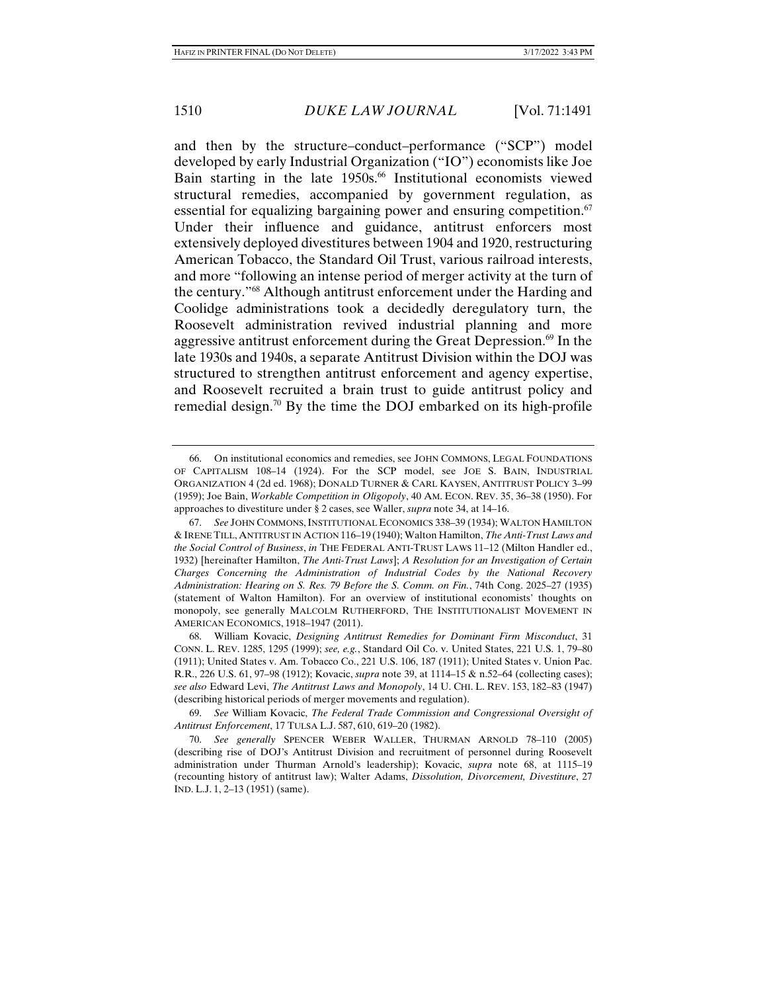and then by the structure–conduct–performance ("SCP") model developed by early Industrial Organization ("IO") economists like Joe Bain starting in the late 1950s.<sup>66</sup> Institutional economists viewed structural remedies, accompanied by government regulation, as essential for equalizing bargaining power and ensuring competition. $67$ Under their influence and guidance, antitrust enforcers most extensively deployed divestitures between 1904 and 1920, restructuring American Tobacco, the Standard Oil Trust, various railroad interests, and more "following an intense period of merger activity at the turn of the century."68 Although antitrust enforcement under the Harding and Coolidge administrations took a decidedly deregulatory turn, the Roosevelt administration revived industrial planning and more aggressive antitrust enforcement during the Great Depression.<sup>69</sup> In the late 1930s and 1940s, a separate Antitrust Division within the DOJ was structured to strengthen antitrust enforcement and agency expertise, and Roosevelt recruited a brain trust to guide antitrust policy and remedial design.<sup>70</sup> By the time the DOJ embarked on its high-profile

 <sup>66.</sup> On institutional economics and remedies, see JOHN COMMONS, LEGAL FOUNDATIONS OF CAPITALISM 108–14 (1924). For the SCP model, see JOE S. BAIN, INDUSTRIAL ORGANIZATION 4 (2d ed. 1968); DONALD TURNER & CARL KAYSEN, ANTITRUST POLICY 3–99 (1959); Joe Bain, *Workable Competition in Oligopoly*, 40 AM. ECON. REV. 35, 36–38 (1950). For approaches to divestiture under § 2 cases, see Waller, *supra* note 34, at 14–16.

 <sup>67.</sup> *See* JOHN COMMONS,INSTITUTIONAL ECONOMICS 338–39 (1934); WALTON HAMILTON & IRENE TILL, ANTITRUST IN ACTION 116–19 (1940); Walton Hamilton, *The Anti-Trust Laws and the Social Control of Business*, *in* THE FEDERAL ANTI-TRUST LAWS 11–12 (Milton Handler ed., 1932) [hereinafter Hamilton, *The Anti-Trust Laws*]; *A Resolution for an Investigation of Certain Charges Concerning the Administration of Industrial Codes by the National Recovery Administration: Hearing on S. Res. 79 Before the S. Comm. on Fin.*, 74th Cong. 2025–27 (1935) (statement of Walton Hamilton). For an overview of institutional economists' thoughts on monopoly, see generally MALCOLM RUTHERFORD, THE INSTITUTIONALIST MOVEMENT IN AMERICAN ECONOMICS, 1918–1947 (2011).

 <sup>68.</sup> William Kovacic, *Designing Antitrust Remedies for Dominant Firm Misconduct*, 31 CONN. L. REV. 1285, 1295 (1999); *see, e.g.*, Standard Oil Co. v. United States, 221 U.S. 1, 79–80 (1911); United States v. Am. Tobacco Co., 221 U.S. 106, 187 (1911); United States v. Union Pac. R.R., 226 U.S. 61, 97–98 (1912); Kovacic, *supra* note 39, at 1114–15 & n.52–64 (collecting cases); *see also* Edward Levi, *The Antitrust Laws and Monopoly*, 14 U. CHI. L. REV. 153, 182–83 (1947) (describing historical periods of merger movements and regulation).

 <sup>69.</sup> *See* William Kovacic, *The Federal Trade Commission and Congressional Oversight of Antitrust Enforcement*, 17 TULSA L.J. 587, 610, 619–20 (1982).

 <sup>70.</sup> *See generally* SPENCER WEBER WALLER, THURMAN ARNOLD 78–110 (2005) (describing rise of DOJ's Antitrust Division and recruitment of personnel during Roosevelt administration under Thurman Arnold's leadership); Kovacic, *supra* note 68, at 1115–19 (recounting history of antitrust law); Walter Adams, *Dissolution, Divorcement, Divestiture*, 27 IND. L.J. 1, 2–13 (1951) (same).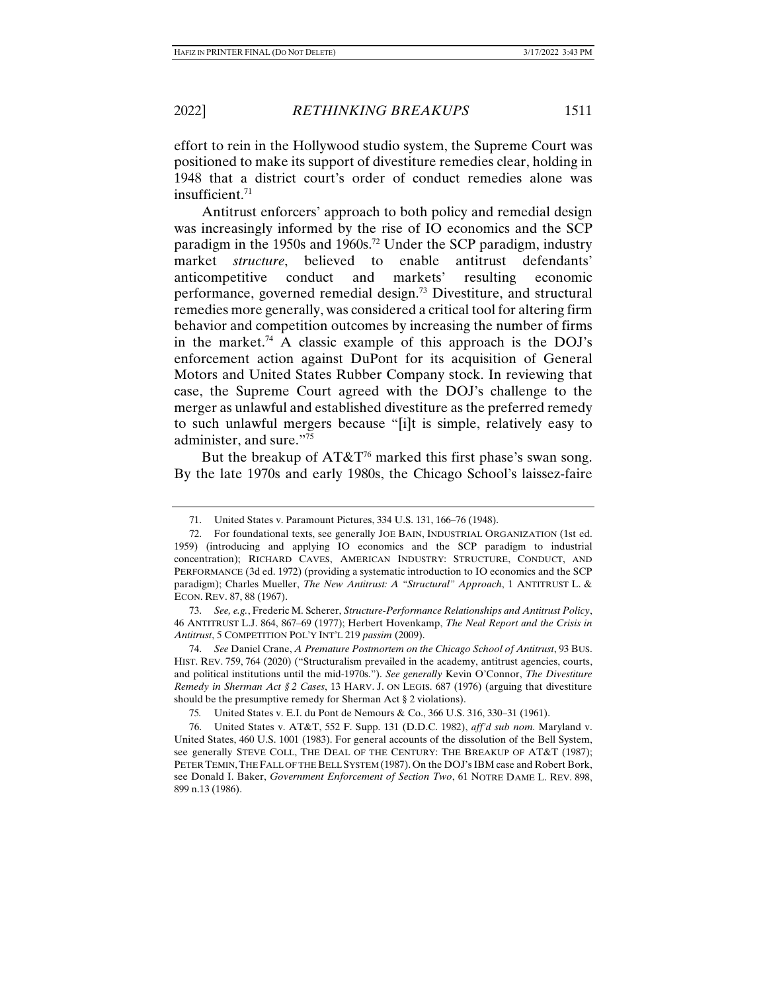effort to rein in the Hollywood studio system, the Supreme Court was positioned to make its support of divestiture remedies clear, holding in 1948 that a district court's order of conduct remedies alone was insufficient. $71$ 

Antitrust enforcers' approach to both policy and remedial design was increasingly informed by the rise of IO economics and the SCP paradigm in the 1950s and 1960s.<sup>72</sup> Under the SCP paradigm, industry market *structure*, believed to enable antitrust defendants' anticompetitive conduct and markets' resulting economic performance, governed remedial design.73 Divestiture, and structural remedies more generally, was considered a critical tool for altering firm behavior and competition outcomes by increasing the number of firms in the market.<sup>74</sup> A classic example of this approach is the DOJ's enforcement action against DuPont for its acquisition of General Motors and United States Rubber Company stock. In reviewing that case, the Supreme Court agreed with the DOJ's challenge to the merger as unlawful and established divestiture as the preferred remedy to such unlawful mergers because "[i]t is simple, relatively easy to administer, and sure."75

But the breakup of  $AT\&T^{76}$  marked this first phase's swan song. By the late 1970s and early 1980s, the Chicago School's laissez-faire

 <sup>71.</sup> United States v. Paramount Pictures, 334 U.S. 131, 166–76 (1948).

 <sup>72.</sup> For foundational texts, see generally JOE BAIN, INDUSTRIAL ORGANIZATION (1st ed. 1959) (introducing and applying IO economics and the SCP paradigm to industrial concentration); RICHARD CAVES, AMERICAN INDUSTRY: STRUCTURE, CONDUCT, AND PERFORMANCE (3d ed. 1972) (providing a systematic introduction to IO economics and the SCP paradigm); Charles Mueller, *The New Antitrust: A "Structural" Approach*, 1 ANTITRUST L. & ECON. REV. 87, 88 (1967).

 <sup>73.</sup> *See, e.g.*, Frederic M. Scherer, *Structure-Performance Relationships and Antitrust Policy*, 46 ANTITRUST L.J. 864, 867–69 (1977); Herbert Hovenkamp, *The Neal Report and the Crisis in Antitrust*, 5 COMPETITION POL'Y INT'L 219 *passim* (2009).

 <sup>74.</sup> *See* Daniel Crane, *A Premature Postmortem on the Chicago School of Antitrust*, 93 BUS. HIST. REV. 759, 764 (2020) ("Structuralism prevailed in the academy, antitrust agencies, courts, and political institutions until the mid-1970s."). *See generally* Kevin O'Connor, *The Divestiture Remedy in Sherman Act § 2 Cases*, 13 HARV. J. ON LEGIS. 687 (1976) (arguing that divestiture should be the presumptive remedy for Sherman Act § 2 violations).

<sup>75</sup>*.* United States v. E.I. du Pont de Nemours & Co., 366 U.S. 316, 330–31 (1961).

 <sup>76.</sup> United States v. AT&T, 552 F. Supp. 131 (D.D.C. 1982), *aff'd sub nom.* Maryland v. United States, 460 U.S. 1001 (1983). For general accounts of the dissolution of the Bell System, see generally STEVE COLL, THE DEAL OF THE CENTURY: THE BREAKUP OF AT&T (1987); PETER TEMIN, THE FALL OF THE BELL SYSTEM (1987). On the DOJ's IBM case and Robert Bork, see Donald I. Baker, *Government Enforcement of Section Two*, 61 NOTRE DAME L. REV. 898, 899 n.13 (1986).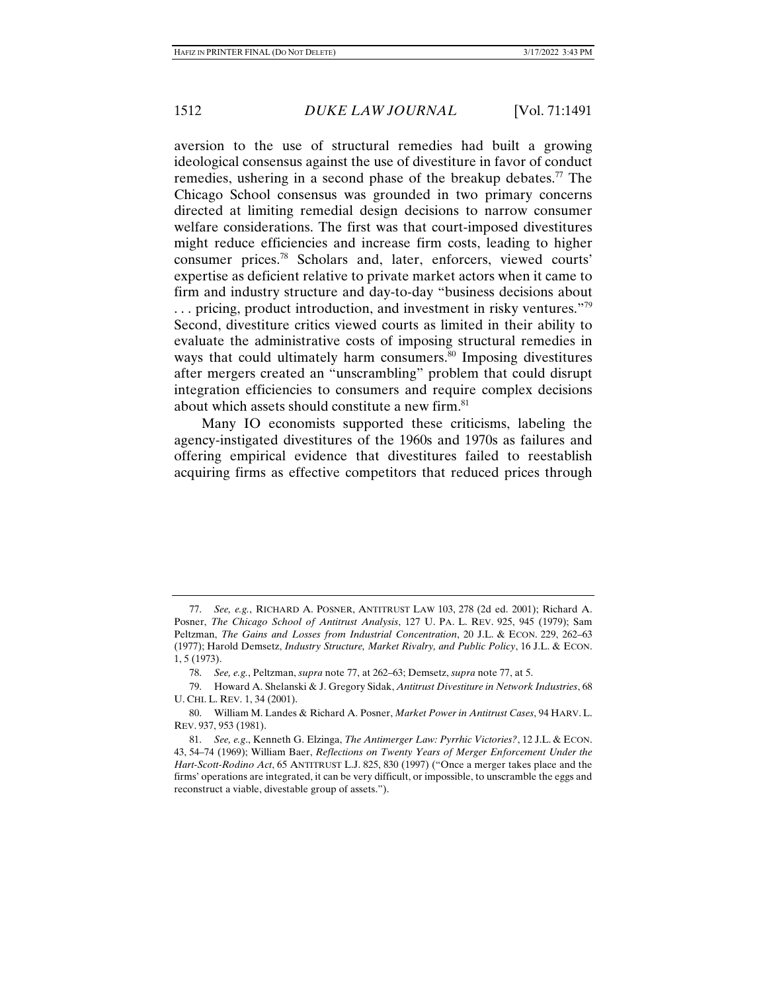aversion to the use of structural remedies had built a growing ideological consensus against the use of divestiture in favor of conduct remedies, ushering in a second phase of the breakup debates.<sup>77</sup> The Chicago School consensus was grounded in two primary concerns directed at limiting remedial design decisions to narrow consumer welfare considerations. The first was that court-imposed divestitures might reduce efficiencies and increase firm costs, leading to higher consumer prices.78 Scholars and, later, enforcers, viewed courts' expertise as deficient relative to private market actors when it came to firm and industry structure and day-to-day "business decisions about  $\ldots$  pricing, product introduction, and investment in risky ventures.<sup> $\frac{779}{2}$ </sup> Second, divestiture critics viewed courts as limited in their ability to evaluate the administrative costs of imposing structural remedies in ways that could ultimately harm consumers.<sup>80</sup> Imposing divestitures after mergers created an "unscrambling" problem that could disrupt integration efficiencies to consumers and require complex decisions about which assets should constitute a new firm.<sup>81</sup>

Many IO economists supported these criticisms, labeling the agency-instigated divestitures of the 1960s and 1970s as failures and offering empirical evidence that divestitures failed to reestablish acquiring firms as effective competitors that reduced prices through

 <sup>77.</sup> *See, e.g.*, RICHARD A. POSNER, ANTITRUST LAW 103, 278 (2d ed. 2001); Richard A. Posner, *The Chicago School of Antitrust Analysis*, 127 U. PA. L. REV. 925, 945 (1979); Sam Peltzman, *The Gains and Losses from Industrial Concentration*, 20 J.L. & ECON. 229, 262–63 (1977); Harold Demsetz, *Industry Structure, Market Rivalry, and Public Policy*, 16 J.L. & ECON. 1, 5 (1973).

 <sup>78.</sup> *See, e.g.*, Peltzman, *supra* note 77, at 262–63; Demsetz, *supra* note 77, at 5.

 <sup>79.</sup> Howard A. Shelanski & J. Gregory Sidak, *Antitrust Divestiture in Network Industries*, 68 U. CHI. L. REV. 1, 34 (2001).

 <sup>80.</sup> William M. Landes & Richard A. Posner, *Market Power in Antitrust Cases*, 94 HARV. L. REV. 937, 953 (1981).

 <sup>81.</sup> *See, e.g*., Kenneth G. Elzinga, *The Antimerger Law: Pyrrhic Victories?*, 12 J.L. & ECON. 43, 54–74 (1969); William Baer, *Reflections on Twenty Years of Merger Enforcement Under the Hart-Scott-Rodino Act*, 65 ANTITRUST L.J. 825, 830 (1997) ("Once a merger takes place and the firms' operations are integrated, it can be very difficult, or impossible, to unscramble the eggs and reconstruct a viable, divestable group of assets.").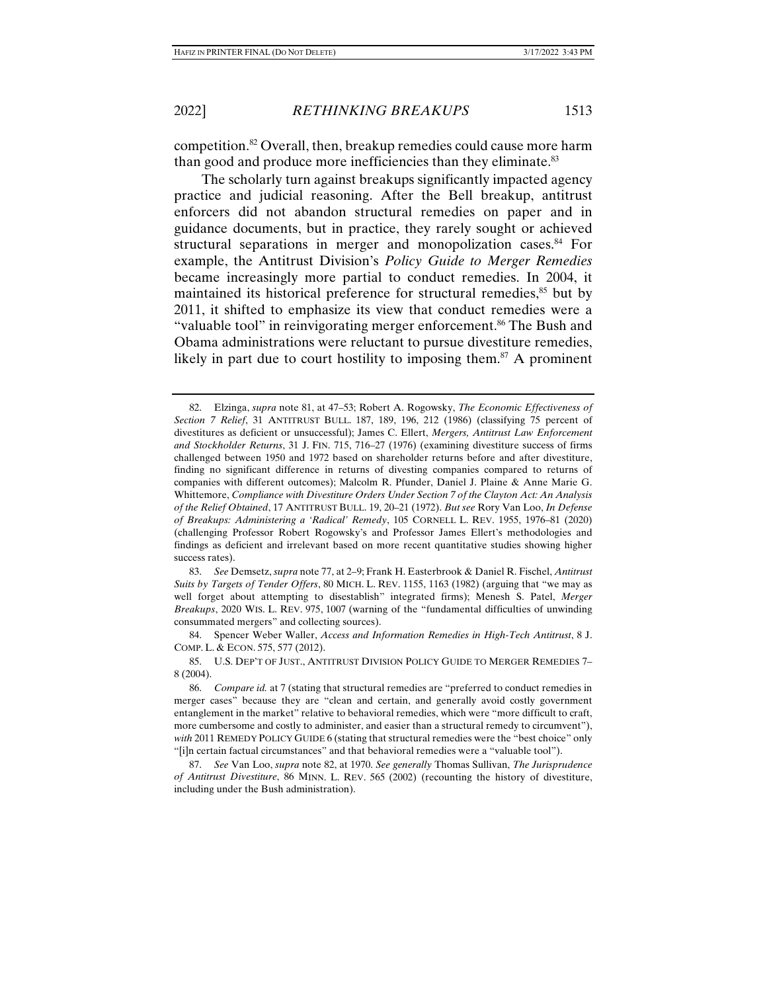competition.82 Overall, then, breakup remedies could cause more harm than good and produce more inefficiencies than they eliminate.<sup>83</sup>

The scholarly turn against breakups significantly impacted agency practice and judicial reasoning. After the Bell breakup, antitrust enforcers did not abandon structural remedies on paper and in guidance documents, but in practice, they rarely sought or achieved structural separations in merger and monopolization cases.<sup>84</sup> For example, the Antitrust Division's *Policy Guide to Merger Remedies* became increasingly more partial to conduct remedies. In 2004, it maintained its historical preference for structural remedies,<sup>85</sup> but by 2011, it shifted to emphasize its view that conduct remedies were a "valuable tool" in reinvigorating merger enforcement.<sup>86</sup> The Bush and Obama administrations were reluctant to pursue divestiture remedies, likely in part due to court hostility to imposing them.<sup>87</sup> A prominent

 83. *See* Demsetz, *supra* note 77, at 2–9; Frank H. Easterbrook & Daniel R. Fischel, *Antitrust Suits by Targets of Tender Offers*, 80 MICH. L. REV. 1155, 1163 (1982) (arguing that "we may as well forget about attempting to disestablish" integrated firms); Menesh S. Patel, *Merger Breakups*, 2020 WIS. L. REV. 975, 1007 (warning of the "fundamental difficulties of unwinding consummated mergers" and collecting sources).

 84. Spencer Weber Waller, *Access and Information Remedies in High-Tech Antitrust*, 8 J. COMP. L. & ECON. 575, 577 (2012).

 85. U.S. DEP'T OF JUST., ANTITRUST DIVISION POLICY GUIDE TO MERGER REMEDIES 7– 8 (2004).

 86. *Compare id.* at 7 (stating that structural remedies are "preferred to conduct remedies in merger cases" because they are "clean and certain, and generally avoid costly government entanglement in the market" relative to behavioral remedies, which were "more difficult to craft, more cumbersome and costly to administer, and easier than a structural remedy to circumvent"), *with* 2011 REMEDY POLICY GUIDE 6 (stating that structural remedies were the "best choice" only "[i]n certain factual circumstances" and that behavioral remedies were a "valuable tool").

 87. *See* Van Loo, *supra* note 82, at 1970. *See generally* Thomas Sullivan, *The Jurisprudence of Antitrust Divestiture*, 86 MINN. L. REV. 565 (2002) (recounting the history of divestiture, including under the Bush administration).

 <sup>82.</sup> Elzinga, *supra* note 81, at 47–53; Robert A. Rogowsky, *The Economic Effectiveness of Section 7 Relief*, 31 ANTITRUST BULL. 187, 189, 196, 212 (1986) (classifying 75 percent of divestitures as deficient or unsuccessful); James C. Ellert, *Mergers, Antitrust Law Enforcement and Stockholder Returns*, 31 J. FIN. 715, 716–27 (1976) (examining divestiture success of firms challenged between 1950 and 1972 based on shareholder returns before and after divestiture, finding no significant difference in returns of divesting companies compared to returns of companies with different outcomes); Malcolm R. Pfunder, Daniel J. Plaine & Anne Marie G. Whittemore, *Compliance with Divestiture Orders Under Section 7 of the Clayton Act: An Analysis of the Relief Obtained*, 17 ANTITRUST BULL. 19, 20–21 (1972). *But see* Rory Van Loo, *In Defense of Breakups: Administering a 'Radical' Remedy*, 105 CORNELL L. REV. 1955, 1976–81 (2020) (challenging Professor Robert Rogowsky's and Professor James Ellert's methodologies and findings as deficient and irrelevant based on more recent quantitative studies showing higher success rates).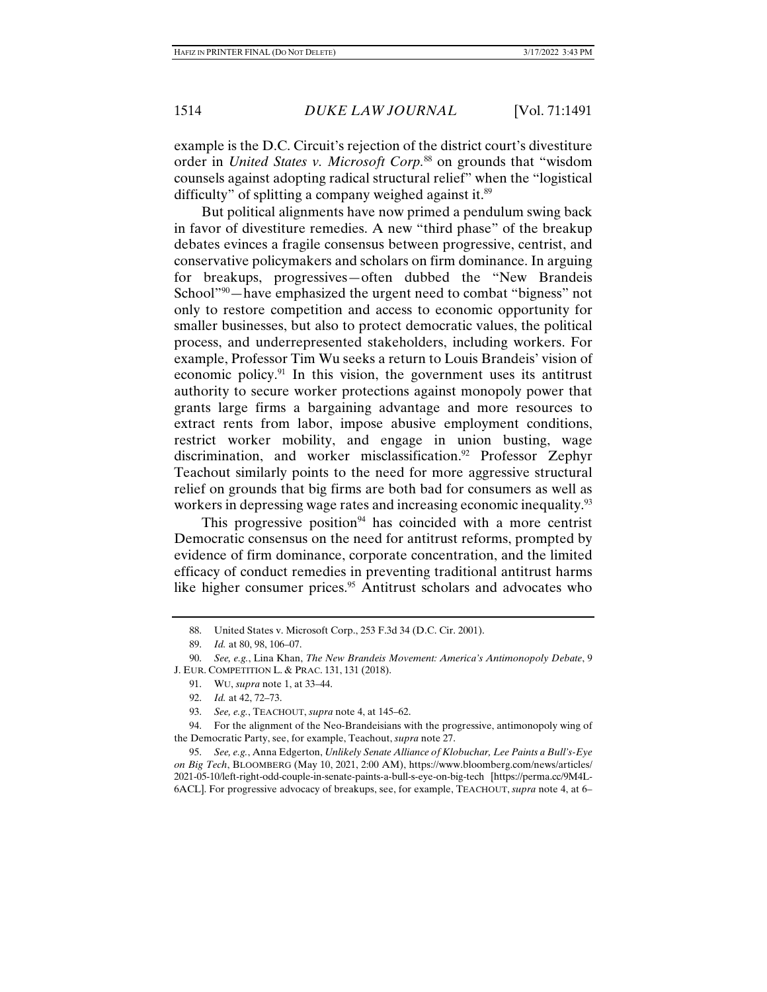example is the D.C. Circuit's rejection of the district court's divestiture order in *United States v. Microsoft Corp.*<sup>88</sup> on grounds that "wisdom counsels against adopting radical structural relief" when the "logistical difficulty" of splitting a company weighed against it.<sup>89</sup>

But political alignments have now primed a pendulum swing back in favor of divestiture remedies. A new "third phase" of the breakup debates evinces a fragile consensus between progressive, centrist, and conservative policymakers and scholars on firm dominance. In arguing for breakups, progressives—often dubbed the "New Brandeis School<sup>"90</sup>—have emphasized the urgent need to combat "bigness" not only to restore competition and access to economic opportunity for smaller businesses, but also to protect democratic values, the political process, and underrepresented stakeholders, including workers. For example, Professor Tim Wu seeks a return to Louis Brandeis' vision of economic policy.<sup>91</sup> In this vision, the government uses its antitrust authority to secure worker protections against monopoly power that grants large firms a bargaining advantage and more resources to extract rents from labor, impose abusive employment conditions, restrict worker mobility, and engage in union busting, wage discrimination, and worker misclassification.<sup>92</sup> Professor Zephyr Teachout similarly points to the need for more aggressive structural relief on grounds that big firms are both bad for consumers as well as workers in depressing wage rates and increasing economic inequality.<sup>93</sup>

This progressive position<sup>94</sup> has coincided with a more centrist Democratic consensus on the need for antitrust reforms, prompted by evidence of firm dominance, corporate concentration, and the limited efficacy of conduct remedies in preventing traditional antitrust harms like higher consumer prices.<sup>95</sup> Antitrust scholars and advocates who

 <sup>88.</sup> United States v. Microsoft Corp., 253 F.3d 34 (D.C. Cir. 2001).

 <sup>89.</sup> *Id.* at 80, 98, 106–07.

 <sup>90.</sup> *See, e.g.*, Lina Khan, *The New Brandeis Movement: America's Antimonopoly Debate*, 9 J. EUR. COMPETITION L. & PRAC. 131, 131 (2018).

 <sup>91.</sup> WU, *supra* note 1, at 33–44.

 <sup>92.</sup> *Id.* at 42, 72–73.

 <sup>93.</sup> *See, e.g.*, TEACHOUT, *supra* note 4, at 145–62.

 <sup>94.</sup> For the alignment of the Neo-Brandeisians with the progressive, antimonopoly wing of the Democratic Party, see, for example, Teachout, *supra* note 27.

 <sup>95.</sup> *See, e.g.*, Anna Edgerton, *Unlikely Senate Alliance of Klobuchar, Lee Paints a Bull's-Eye on Big Tech*, BLOOMBERG (May 10, 2021, 2:00 AM), https://www.bloomberg.com/news/articles/ 2021-05-10/left-right-odd-couple-in-senate-paints-a-bull-s-eye-on-big-tech [https://perma.cc/9M4L-6ACL]. For progressive advocacy of breakups, see, for example, TEACHOUT, *supra* note 4, at 6–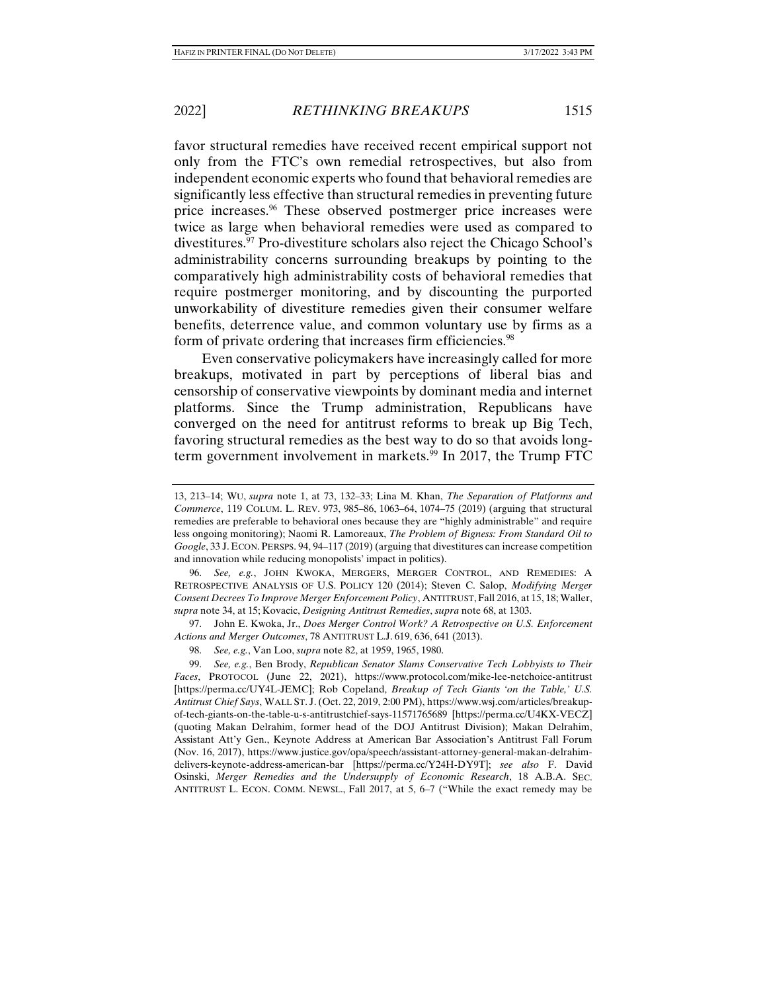favor structural remedies have received recent empirical support not only from the FTC's own remedial retrospectives, but also from independent economic experts who found that behavioral remedies are significantly less effective than structural remedies in preventing future price increases.96 These observed postmerger price increases were twice as large when behavioral remedies were used as compared to divestitures.97 Pro-divestiture scholars also reject the Chicago School's administrability concerns surrounding breakups by pointing to the comparatively high administrability costs of behavioral remedies that require postmerger monitoring, and by discounting the purported unworkability of divestiture remedies given their consumer welfare benefits, deterrence value, and common voluntary use by firms as a form of private ordering that increases firm efficiencies.<sup>98</sup>

Even conservative policymakers have increasingly called for more breakups, motivated in part by perceptions of liberal bias and censorship of conservative viewpoints by dominant media and internet platforms. Since the Trump administration, Republicans have converged on the need for antitrust reforms to break up Big Tech, favoring structural remedies as the best way to do so that avoids longterm government involvement in markets.<sup>99</sup> In 2017, the Trump FTC

 96. *See, e.g.*, JOHN KWOKA, MERGERS, MERGER CONTROL, AND REMEDIES: A RETROSPECTIVE ANALYSIS OF U.S. POLICY 120 (2014); Steven C. Salop, *Modifying Merger Consent Decrees To Improve Merger Enforcement Policy*, ANTITRUST, Fall 2016, at 15, 18; Waller, *supra* note 34, at 15; Kovacic, *Designing Antitrust Remedies*, *supra* note 68, at 1303.

 97. John E. Kwoka, Jr., *Does Merger Control Work? A Retrospective on U.S. Enforcement Actions and Merger Outcomes*, 78 ANTITRUST L.J. 619, 636, 641 (2013).

<sup>13, 213–14;</sup> WU, *supra* note 1, at 73, 132–33; Lina M. Khan, *The Separation of Platforms and Commerce*, 119 COLUM. L. REV. 973, 985–86, 1063–64, 1074–75 (2019) (arguing that structural remedies are preferable to behavioral ones because they are "highly administrable" and require less ongoing monitoring); Naomi R. Lamoreaux, *The Problem of Bigness: From Standard Oil to Google*, 33 J. ECON. PERSPS. 94, 94–117 (2019) (arguing that divestitures can increase competition and innovation while reducing monopolists' impact in politics).

 <sup>98.</sup> *See, e.g.*, Van Loo, *supra* note 82, at 1959, 1965, 1980.

 <sup>99.</sup> *See, e.g.*, Ben Brody, *Republican Senator Slams Conservative Tech Lobbyists to Their Faces*, PROTOCOL (June 22, 2021), https://www.protocol.com/mike-lee-netchoice-antitrust [https://perma.cc/UY4L-JEMC]; Rob Copeland, *Breakup of Tech Giants 'on the Table,' U.S. Antitrust Chief Says*, WALL ST. J.(Oct. 22, 2019, 2:00 PM), https://www.wsj.com/articles/breakupof-tech-giants-on-the-table-u-s-antitrustchief-says-11571765689 [https://perma.cc/U4KX-VECZ] (quoting Makan Delrahim, former head of the DOJ Antitrust Division); Makan Delrahim, Assistant Att'y Gen., Keynote Address at American Bar Association's Antitrust Fall Forum (Nov. 16, 2017), https://www.justice.gov/opa/speech/assistant-attorney-general-makan-delrahimdelivers-keynote-address-american-bar [https://perma.cc/Y24H-DY9T]; *see also* F. David Osinski, *Merger Remedies and the Undersupply of Economic Research*, 18 A.B.A. SEC. ANTITRUST L. ECON. COMM. NEWSL., Fall 2017, at 5, 6–7 ("While the exact remedy may be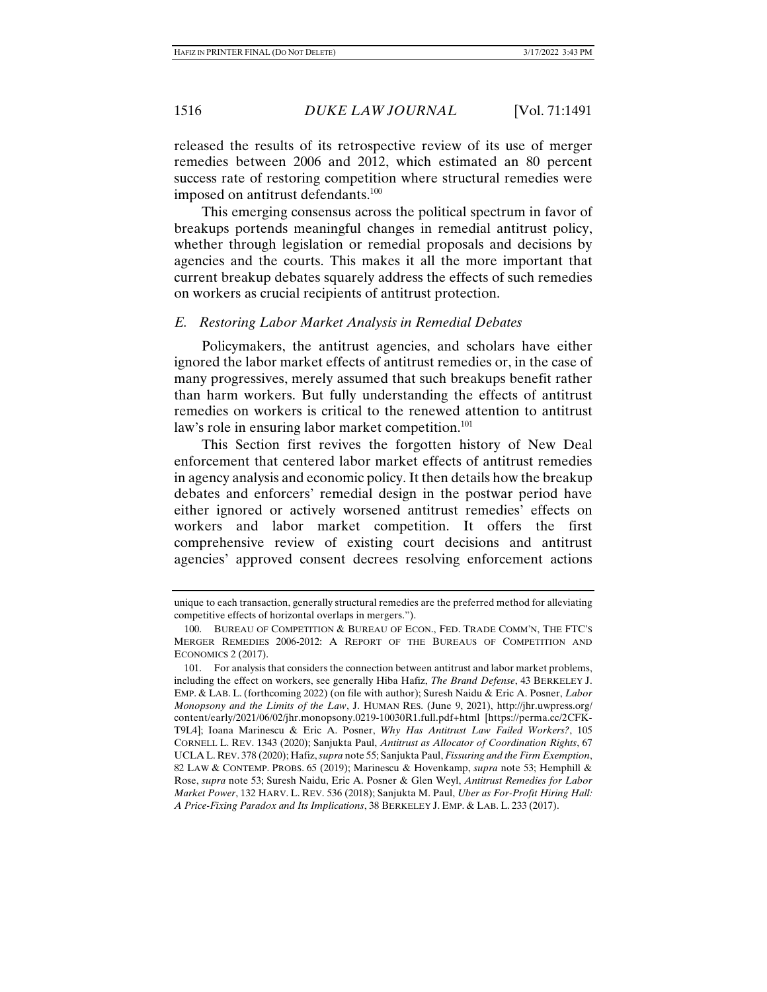released the results of its retrospective review of its use of merger remedies between 2006 and 2012, which estimated an 80 percent success rate of restoring competition where structural remedies were imposed on antitrust defendants.<sup>100</sup>

This emerging consensus across the political spectrum in favor of breakups portends meaningful changes in remedial antitrust policy, whether through legislation or remedial proposals and decisions by agencies and the courts. This makes it all the more important that current breakup debates squarely address the effects of such remedies on workers as crucial recipients of antitrust protection.

#### *E. Restoring Labor Market Analysis in Remedial Debates*

Policymakers, the antitrust agencies, and scholars have either ignored the labor market effects of antitrust remedies or, in the case of many progressives, merely assumed that such breakups benefit rather than harm workers. But fully understanding the effects of antitrust remedies on workers is critical to the renewed attention to antitrust law's role in ensuring labor market competition.<sup>101</sup>

This Section first revives the forgotten history of New Deal enforcement that centered labor market effects of antitrust remedies in agency analysis and economic policy. It then details how the breakup debates and enforcers' remedial design in the postwar period have either ignored or actively worsened antitrust remedies' effects on workers and labor market competition. It offers the first comprehensive review of existing court decisions and antitrust agencies' approved consent decrees resolving enforcement actions

unique to each transaction, generally structural remedies are the preferred method for alleviating competitive effects of horizontal overlaps in mergers.").

 <sup>100.</sup> BUREAU OF COMPETITION & BUREAU OF ECON., FED. TRADE COMM'N, THE FTC'S MERGER REMEDIES 2006-2012: A REPORT OF THE BUREAUS OF COMPETITION AND ECONOMICS 2 (2017).

 <sup>101.</sup> For analysis that considers the connection between antitrust and labor market problems, including the effect on workers, see generally Hiba Hafiz, *The Brand Defense*, 43 BERKELEY J. EMP. & LAB. L. (forthcoming 2022) (on file with author); Suresh Naidu & Eric A. Posner, *Labor Monopsony and the Limits of the Law*, J. HUMAN RES. (June 9, 2021), http://jhr.uwpress.org/ content/early/2021/06/02/jhr.monopsony.0219-10030R1.full.pdf+html [https://perma.cc/2CFK-T9L4]; Ioana Marinescu & Eric A. Posner, *Why Has Antitrust Law Failed Workers?*, 105 CORNELL L. REV. 1343 (2020); Sanjukta Paul, *Antitrust as Allocator of Coordination Rights*, 67 UCLA L. REV. 378 (2020); Hafiz, *supra* note 55; Sanjukta Paul, *Fissuring and the Firm Exemption*, 82 LAW & CONTEMP. PROBS. 65 (2019); Marinescu & Hovenkamp, *supra* note 53; Hemphill & Rose, *supra* note 53; Suresh Naidu, Eric A. Posner & Glen Weyl, *Antitrust Remedies for Labor Market Power*, 132 HARV. L. REV. 536 (2018); Sanjukta M. Paul, *Uber as For-Profit Hiring Hall: A Price-Fixing Paradox and Its Implications*, 38 BERKELEY J. EMP. & LAB. L. 233 (2017).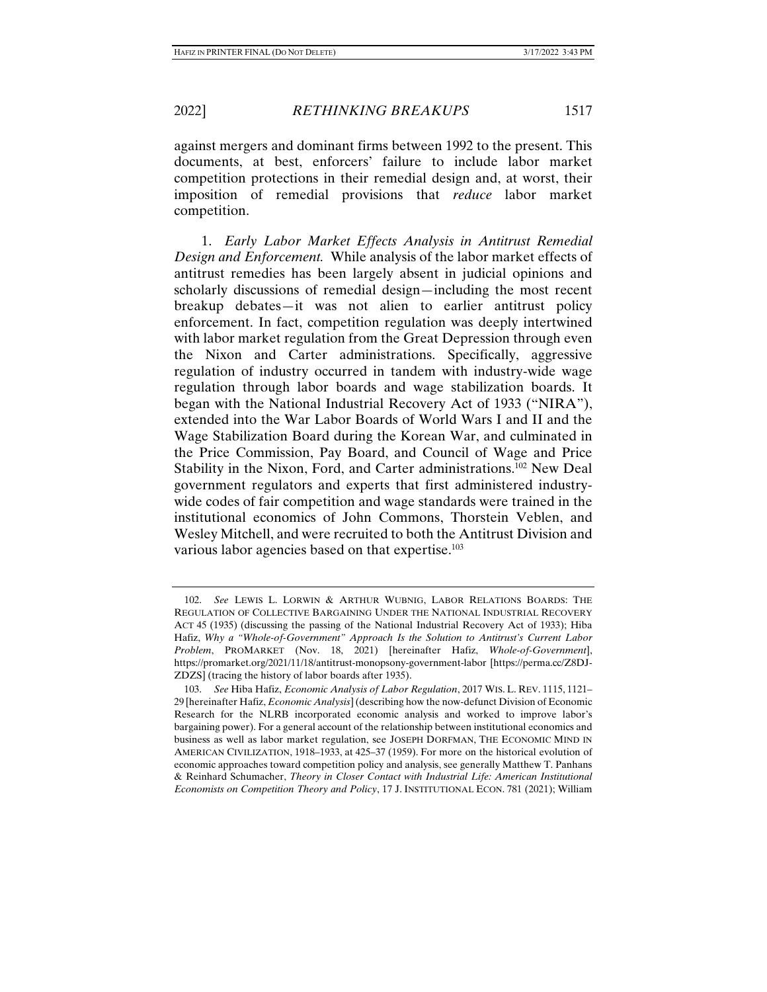against mergers and dominant firms between 1992 to the present. This documents, at best, enforcers' failure to include labor market competition protections in their remedial design and, at worst, their imposition of remedial provisions that *reduce* labor market competition.

1. *Early Labor Market Effects Analysis in Antitrust Remedial Design and Enforcement.* While analysis of the labor market effects of antitrust remedies has been largely absent in judicial opinions and scholarly discussions of remedial design—including the most recent breakup debates—it was not alien to earlier antitrust policy enforcement. In fact, competition regulation was deeply intertwined with labor market regulation from the Great Depression through even the Nixon and Carter administrations. Specifically, aggressive regulation of industry occurred in tandem with industry-wide wage regulation through labor boards and wage stabilization boards. It began with the National Industrial Recovery Act of 1933 ("NIRA"), extended into the War Labor Boards of World Wars I and II and the Wage Stabilization Board during the Korean War, and culminated in the Price Commission, Pay Board, and Council of Wage and Price Stability in the Nixon, Ford, and Carter administrations.<sup>102</sup> New Deal government regulators and experts that first administered industrywide codes of fair competition and wage standards were trained in the institutional economics of John Commons, Thorstein Veblen, and Wesley Mitchell, and were recruited to both the Antitrust Division and various labor agencies based on that expertise.<sup>103</sup>

 <sup>102.</sup> *See* LEWIS L. LORWIN & ARTHUR WUBNIG, LABOR RELATIONS BOARDS: THE REGULATION OF COLLECTIVE BARGAINING UNDER THE NATIONAL INDUSTRIAL RECOVERY ACT 45 (1935) (discussing the passing of the National Industrial Recovery Act of 1933); Hiba Hafiz, *Why a "Whole-of-Government" Approach Is the Solution to Antitrust's Current Labor Problem*, PROMARKET (Nov. 18, 2021) [hereinafter Hafiz, *Whole-of-Government*], https://promarket.org/2021/11/18/antitrust-monopsony-government-labor [https://perma.cc/Z8DJ-ZDZS] (tracing the history of labor boards after 1935).

 <sup>103.</sup> *See* Hiba Hafiz, *Economic Analysis of Labor Regulation*, 2017 WIS. L. REV. 1115, 1121– 29 [hereinafter Hafiz, *Economic Analysis*](describing how the now-defunct Division of Economic Research for the NLRB incorporated economic analysis and worked to improve labor's bargaining power). For a general account of the relationship between institutional economics and business as well as labor market regulation, see JOSEPH DORFMAN, THE ECONOMIC MIND IN AMERICAN CIVILIZATION, 1918–1933, at 425–37 (1959). For more on the historical evolution of economic approaches toward competition policy and analysis, see generally Matthew T. Panhans & Reinhard Schumacher, *Theory in Closer Contact with Industrial Life: American Institutional Economists on Competition Theory and Policy*, 17 J. INSTITUTIONAL ECON. 781 (2021); William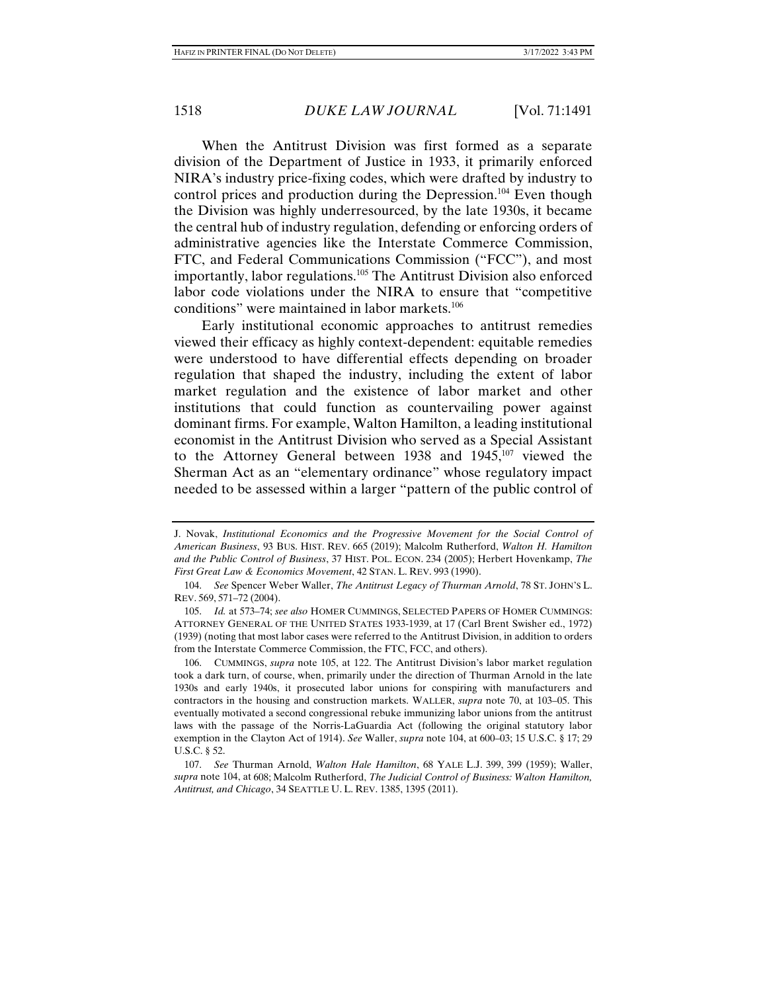When the Antitrust Division was first formed as a separate division of the Department of Justice in 1933, it primarily enforced NIRA's industry price-fixing codes, which were drafted by industry to control prices and production during the Depression.<sup>104</sup> Even though the Division was highly underresourced, by the late 1930s, it became the central hub of industry regulation, defending or enforcing orders of administrative agencies like the Interstate Commerce Commission, FTC, and Federal Communications Commission ("FCC"), and most importantly, labor regulations.105 The Antitrust Division also enforced labor code violations under the NIRA to ensure that "competitive conditions" were maintained in labor markets.<sup>106</sup>

Early institutional economic approaches to antitrust remedies viewed their efficacy as highly context-dependent: equitable remedies were understood to have differential effects depending on broader regulation that shaped the industry, including the extent of labor market regulation and the existence of labor market and other institutions that could function as countervailing power against dominant firms. For example, Walton Hamilton, a leading institutional economist in the Antitrust Division who served as a Special Assistant to the Attorney General between 1938 and 1945,<sup>107</sup> viewed the Sherman Act as an "elementary ordinance" whose regulatory impact needed to be assessed within a larger "pattern of the public control of

J. Novak, *Institutional Economics and the Progressive Movement for the Social Control of American Business*, 93 BUS. HIST. REV. 665 (2019); Malcolm Rutherford, *Walton H. Hamilton and the Public Control of Business*, 37 HIST. POL. ECON. 234 (2005); Herbert Hovenkamp, *The First Great Law & Economics Movement*, 42 STAN. L. REV. 993 (1990).

 <sup>104.</sup> *See* Spencer Weber Waller, *The Antitrust Legacy of Thurman Arnold*, 78 ST. JOHN'S L. REV. 569, 571–72 (2004).

 <sup>105.</sup> *Id.* at 573–74; *see also* HOMER CUMMINGS, SELECTED PAPERS OF HOMER CUMMINGS: ATTORNEY GENERAL OF THE UNITED STATES 1933-1939, at 17 (Carl Brent Swisher ed., 1972) (1939) (noting that most labor cases were referred to the Antitrust Division, in addition to orders from the Interstate Commerce Commission, the FTC, FCC, and others).

 <sup>106.</sup> CUMMINGS, *supra* note 105, at 122. The Antitrust Division's labor market regulation took a dark turn, of course, when, primarily under the direction of Thurman Arnold in the late 1930s and early 1940s, it prosecuted labor unions for conspiring with manufacturers and contractors in the housing and construction markets. WALLER, *supra* note 70, at 103–05. This eventually motivated a second congressional rebuke immunizing labor unions from the antitrust laws with the passage of the Norris-LaGuardia Act (following the original statutory labor exemption in the Clayton Act of 1914). *See* Waller, *supra* note 104, at 600–03; 15 U.S.C. § 17; 29 U.S.C. § 52.

 <sup>107.</sup> *See* Thurman Arnold, *Walton Hale Hamilton*, 68 YALE L.J. 399, 399 (1959); Waller, *supra* note 104, at 608; Malcolm Rutherford, *The Judicial Control of Business: Walton Hamilton, Antitrust, and Chicago*, 34 SEATTLE U. L. REV. 1385, 1395 (2011).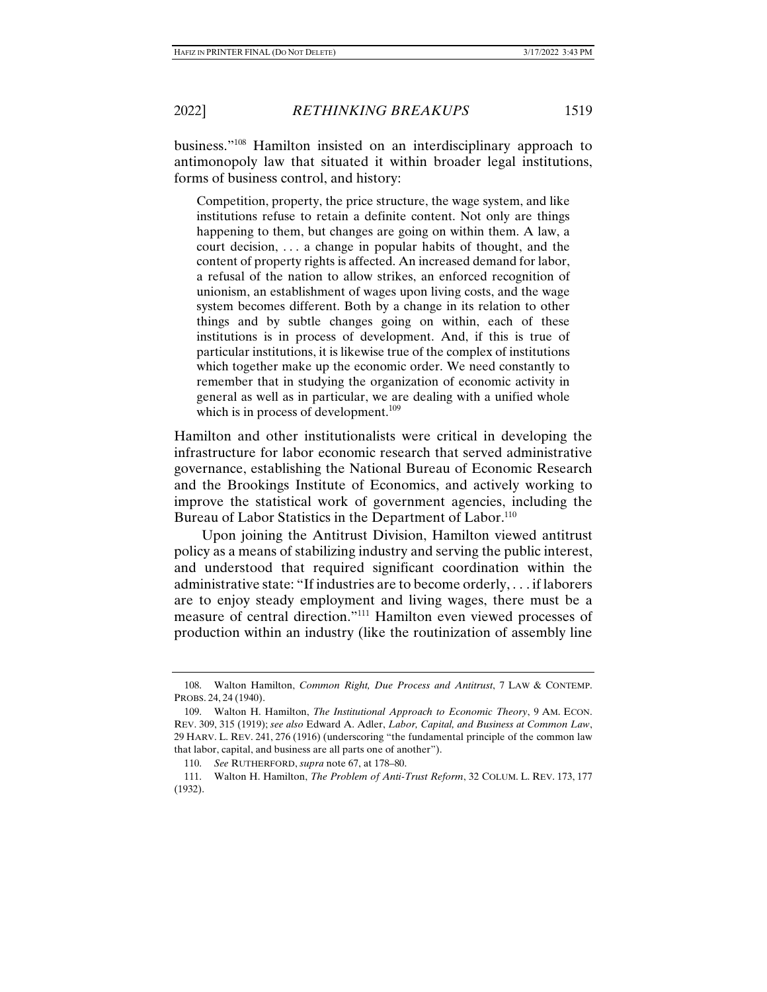business."108 Hamilton insisted on an interdisciplinary approach to antimonopoly law that situated it within broader legal institutions, forms of business control, and history:

Competition, property, the price structure, the wage system, and like institutions refuse to retain a definite content. Not only are things happening to them, but changes are going on within them. A law, a court decision, . . . a change in popular habits of thought, and the content of property rights is affected. An increased demand for labor, a refusal of the nation to allow strikes, an enforced recognition of unionism, an establishment of wages upon living costs, and the wage system becomes different. Both by a change in its relation to other things and by subtle changes going on within, each of these institutions is in process of development. And, if this is true of particular institutions, it is likewise true of the complex of institutions which together make up the economic order. We need constantly to remember that in studying the organization of economic activity in general as well as in particular, we are dealing with a unified whole which is in process of development. $109$ 

Hamilton and other institutionalists were critical in developing the infrastructure for labor economic research that served administrative governance, establishing the National Bureau of Economic Research and the Brookings Institute of Economics, and actively working to improve the statistical work of government agencies, including the Bureau of Labor Statistics in the Department of Labor.<sup>110</sup>

Upon joining the Antitrust Division, Hamilton viewed antitrust policy as a means of stabilizing industry and serving the public interest, and understood that required significant coordination within the administrative state: "If industries are to become orderly, . . . if laborers are to enjoy steady employment and living wages, there must be a measure of central direction."111 Hamilton even viewed processes of production within an industry (like the routinization of assembly line

 <sup>108.</sup> Walton Hamilton, *Common Right, Due Process and Antitrust*, 7 LAW & CONTEMP. PROBS. 24, 24 (1940).

 <sup>109.</sup> Walton H. Hamilton, *The Institutional Approach to Economic Theory*, 9 AM. ECON. REV. 309, 315 (1919); *see also* Edward A. Adler, *Labor, Capital, and Business at Common Law*, 29 HARV. L. REV. 241, 276 (1916) (underscoring "the fundamental principle of the common law that labor, capital, and business are all parts one of another").

 <sup>110.</sup> *See* RUTHERFORD, *supra* note 67, at 178–80.

 <sup>111.</sup> Walton H. Hamilton, *The Problem of Anti-Trust Reform*, 32 COLUM. L. REV. 173, 177 (1932).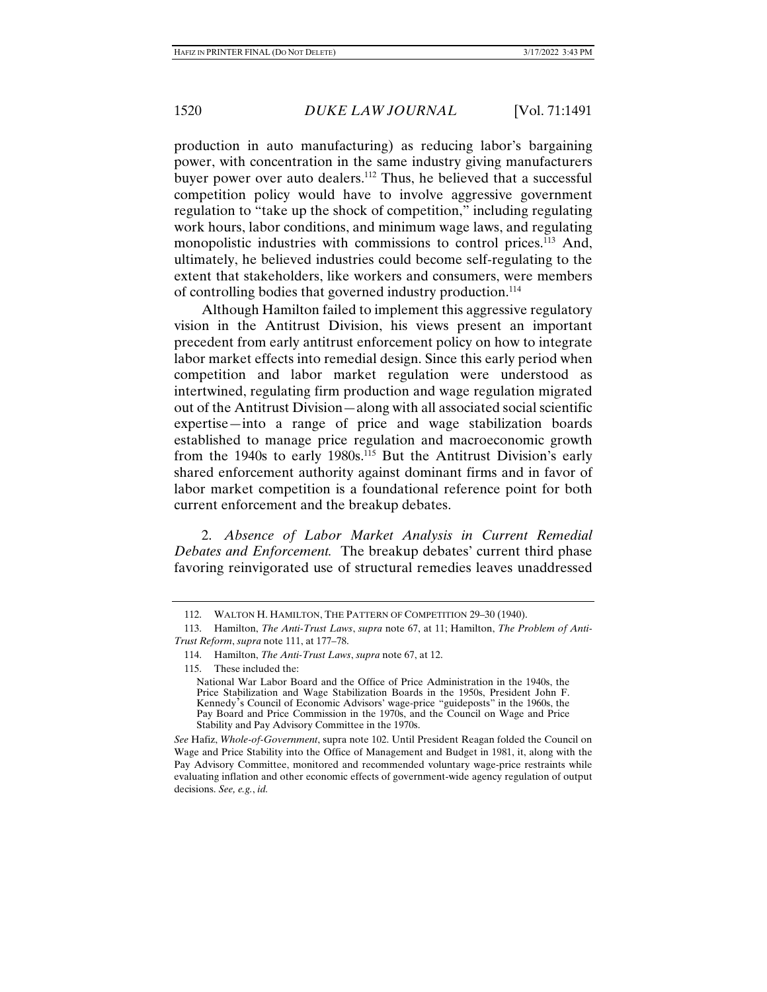production in auto manufacturing) as reducing labor's bargaining power, with concentration in the same industry giving manufacturers buyer power over auto dealers.112 Thus, he believed that a successful competition policy would have to involve aggressive government regulation to "take up the shock of competition," including regulating work hours, labor conditions, and minimum wage laws, and regulating monopolistic industries with commissions to control prices.<sup>113</sup> And, ultimately, he believed industries could become self-regulating to the extent that stakeholders, like workers and consumers, were members of controlling bodies that governed industry production.<sup>114</sup>

Although Hamilton failed to implement this aggressive regulatory vision in the Antitrust Division, his views present an important precedent from early antitrust enforcement policy on how to integrate labor market effects into remedial design. Since this early period when competition and labor market regulation were understood as intertwined, regulating firm production and wage regulation migrated out of the Antitrust Division—along with all associated social scientific expertise—into a range of price and wage stabilization boards established to manage price regulation and macroeconomic growth from the 1940s to early 1980s.<sup>115</sup> But the Antitrust Division's early shared enforcement authority against dominant firms and in favor of labor market competition is a foundational reference point for both current enforcement and the breakup debates.

2. *Absence of Labor Market Analysis in Current Remedial Debates and Enforcement.* The breakup debates' current third phase favoring reinvigorated use of structural remedies leaves unaddressed

 <sup>112.</sup> WALTON H. HAMILTON, THE PATTERN OF COMPETITION 29–30 (1940).

 <sup>113.</sup> Hamilton, *The Anti-Trust Laws*, *supra* note 67, at 11; Hamilton, *The Problem of Anti-Trust Reform*, *supra* note 111, at 177–78.

 <sup>114.</sup> Hamilton, *The Anti-Trust Laws*, *supra* note 67, at 12.

 <sup>115.</sup> These included the:

National War Labor Board and the Office of Price Administration in the 1940s, the Price Stabilization and Wage Stabilization Boards in the 1950s, President John F. Kennedy's Council of Economic Advisors' wage-price "guideposts" in the 1960s, the Pay Board and Price Commission in the 1970s, and the Council on Wage and Price Stability and Pay Advisory Committee in the 1970s.

*See* Hafiz, *Whole-of-Government*, supra note 102. Until President Reagan folded the Council on Wage and Price Stability into the Office of Management and Budget in 1981, it, along with the Pay Advisory Committee, monitored and recommended voluntary wage-price restraints while evaluating inflation and other economic effects of government-wide agency regulation of output decisions. *See, e.g.*, *id.*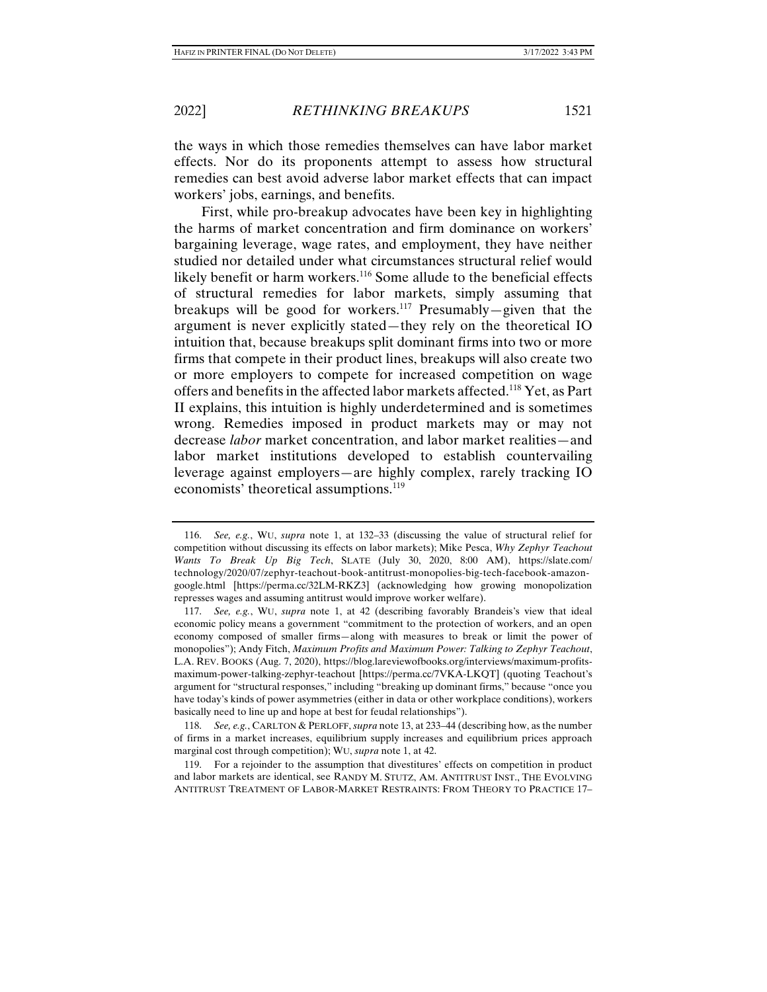the ways in which those remedies themselves can have labor market effects. Nor do its proponents attempt to assess how structural remedies can best avoid adverse labor market effects that can impact workers' jobs, earnings, and benefits.

First, while pro-breakup advocates have been key in highlighting the harms of market concentration and firm dominance on workers' bargaining leverage, wage rates, and employment, they have neither studied nor detailed under what circumstances structural relief would likely benefit or harm workers.<sup>116</sup> Some allude to the beneficial effects of structural remedies for labor markets, simply assuming that breakups will be good for workers.117 Presumably—given that the argument is never explicitly stated—they rely on the theoretical IO intuition that, because breakups split dominant firms into two or more firms that compete in their product lines, breakups will also create two or more employers to compete for increased competition on wage offers and benefits in the affected labor markets affected.<sup>118</sup> Yet, as Part II explains, this intuition is highly underdetermined and is sometimes wrong. Remedies imposed in product markets may or may not decrease *labor* market concentration, and labor market realities—and labor market institutions developed to establish countervailing leverage against employers—are highly complex, rarely tracking IO economists' theoretical assumptions.<sup>119</sup>

 <sup>116.</sup> *See, e.g.*, WU, *supra* note 1, at 132–33 (discussing the value of structural relief for competition without discussing its effects on labor markets); Mike Pesca, *Why Zephyr Teachout Wants To Break Up Big Tech*, SLATE (July 30, 2020, 8:00 AM), https://slate.com/ technology/2020/07/zephyr-teachout-book-antitrust-monopolies-big-tech-facebook-amazongoogle.html [https://perma.cc/32LM-RKZ3] (acknowledging how growing monopolization represses wages and assuming antitrust would improve worker welfare).

 <sup>117.</sup> *See, e.g.*, WU, *supra* note 1, at 42 (describing favorably Brandeis's view that ideal economic policy means a government "commitment to the protection of workers, and an open economy composed of smaller firms—along with measures to break or limit the power of monopolies"); Andy Fitch, *Maximum Profits and Maximum Power: Talking to Zephyr Teachout*, L.A. REV. BOOKS (Aug. 7, 2020), https://blog.lareviewofbooks.org/interviews/maximum-profitsmaximum-power-talking-zephyr-teachout [https://perma.cc/7VKA-LKQT] (quoting Teachout's argument for "structural responses," including "breaking up dominant firms," because "once you have today's kinds of power asymmetries (either in data or other workplace conditions), workers basically need to line up and hope at best for feudal relationships").

 <sup>118.</sup> *See, e.g.*, CARLTON & PERLOFF, *supra* note 13, at 233–44 (describing how, as the number of firms in a market increases, equilibrium supply increases and equilibrium prices approach marginal cost through competition); WU, *supra* note 1, at 42.

 <sup>119.</sup> For a rejoinder to the assumption that divestitures' effects on competition in product and labor markets are identical, see RANDY M. STUTZ, AM. ANTITRUST INST., THE EVOLVING ANTITRUST TREATMENT OF LABOR-MARKET RESTRAINTS: FROM THEORY TO PRACTICE 17–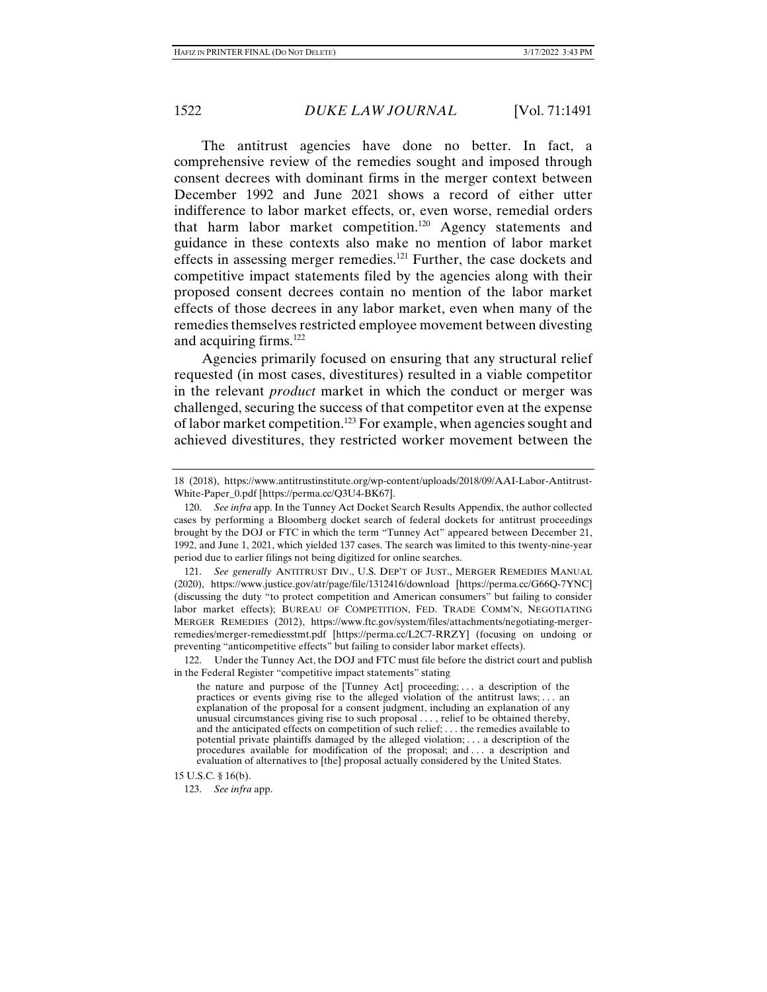The antitrust agencies have done no better. In fact, a comprehensive review of the remedies sought and imposed through consent decrees with dominant firms in the merger context between December 1992 and June 2021 shows a record of either utter indifference to labor market effects, or, even worse, remedial orders that harm labor market competition.120 Agency statements and guidance in these contexts also make no mention of labor market effects in assessing merger remedies.121 Further, the case dockets and competitive impact statements filed by the agencies along with their proposed consent decrees contain no mention of the labor market effects of those decrees in any labor market, even when many of the remedies themselves restricted employee movement between divesting and acquiring firms.122

Agencies primarily focused on ensuring that any structural relief requested (in most cases, divestitures) resulted in a viable competitor in the relevant *product* market in which the conduct or merger was challenged, securing the success of that competitor even at the expense of labor market competition.123 For example, when agencies sought and achieved divestitures, they restricted worker movement between the

<sup>18 (2018),</sup> https://www.antitrustinstitute.org/wp-content/uploads/2018/09/AAI-Labor-Antitrust-White-Paper\_0.pdf [https://perma.cc/Q3U4-BK67].

 <sup>120.</sup> *See infra* app. In the Tunney Act Docket Search Results Appendix, the author collected cases by performing a Bloomberg docket search of federal dockets for antitrust proceedings brought by the DOJ or FTC in which the term "Tunney Act" appeared between December 21, 1992, and June 1, 2021, which yielded 137 cases. The search was limited to this twenty-nine-year period due to earlier filings not being digitized for online searches.

 <sup>121.</sup> *See generally* ANTITRUST DIV., U.S. DEP'T OF JUST., MERGER REMEDIES MANUAL (2020), https://www.justice.gov/atr/page/file/1312416/download [https://perma.cc/G66Q-7YNC] (discussing the duty "to protect competition and American consumers" but failing to consider labor market effects); BUREAU OF COMPETITION, FED. TRADE COMM'N, NEGOTIATING MERGER REMEDIES (2012), https://www.ftc.gov/system/files/attachments/negotiating-mergerremedies/merger-remediesstmt.pdf [https://perma.cc/L2C7-RRZY] (focusing on undoing or preventing "anticompetitive effects" but failing to consider labor market effects).

 <sup>122.</sup> Under the Tunney Act, the DOJ and FTC must file before the district court and publish in the Federal Register "competitive impact statements" stating

the nature and purpose of the [Tunney Act] proceeding; . . . a description of the practices or events giving rise to the alleged violation of the antitrust laws; . . . an explanation of the proposal for a consent judgment, including an explanation of any unusual circumstances giving rise to such proposal . . . , relief to be obtained thereby, and the anticipated effects on competition of such relief; . . . the remedies available to potential private plaintiffs damaged by the alleged violation; . . . a description of the procedures available for modification of the proposal; and . . . a description and evaluation of alternatives to [the] proposal actually considered by the United States.

<sup>15</sup> U.S.C. § 16(b).

 <sup>123.</sup> *See infra* app.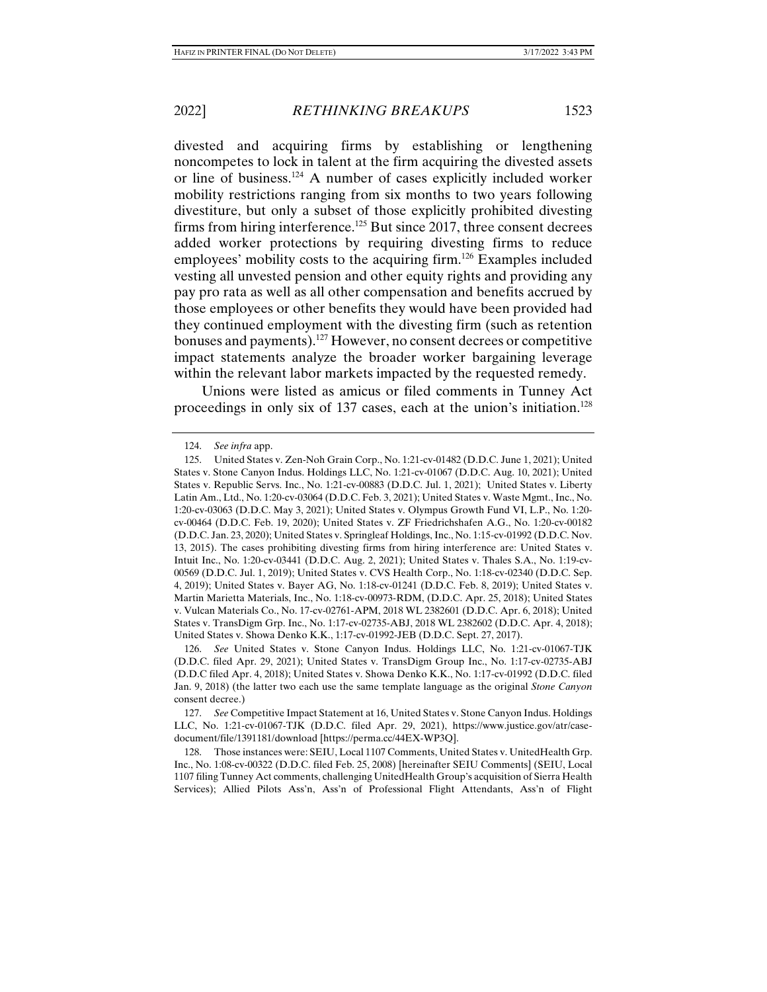divested and acquiring firms by establishing or lengthening noncompetes to lock in talent at the firm acquiring the divested assets or line of business.124 A number of cases explicitly included worker mobility restrictions ranging from six months to two years following divestiture, but only a subset of those explicitly prohibited divesting firms from hiring interference.125 But since 2017, three consent decrees added worker protections by requiring divesting firms to reduce employees' mobility costs to the acquiring firm.<sup>126</sup> Examples included vesting all unvested pension and other equity rights and providing any pay pro rata as well as all other compensation and benefits accrued by those employees or other benefits they would have been provided had they continued employment with the divesting firm (such as retention bonuses and payments).127 However, no consent decrees or competitive impact statements analyze the broader worker bargaining leverage within the relevant labor markets impacted by the requested remedy.

Unions were listed as amicus or filed comments in Tunney Act proceedings in only six of 137 cases, each at the union's initiation.<sup>128</sup>

 <sup>124.</sup> *See infra* app.

 <sup>125.</sup> United States v. Zen-Noh Grain Corp., No. 1:21-cv-01482 (D.D.C. June 1, 2021); United States v. Stone Canyon Indus. Holdings LLC, No. 1:21-cv-01067 (D.D.C. Aug. 10, 2021); United States v. Republic Servs. Inc., No. 1:21-cv-00883 (D.D.C. Jul. 1, 2021); United States v. Liberty Latin Am., Ltd., No. 1:20-cv-03064 (D.D.C. Feb. 3, 2021); United States v. Waste Mgmt., Inc., No. 1:20-cv-03063 (D.D.C. May 3, 2021); United States v. Olympus Growth Fund VI, L.P., No. 1:20 cv-00464 (D.D.C. Feb. 19, 2020); United States v. ZF Friedrichshafen A.G., No. 1:20-cv-00182 (D.D.C. Jan. 23, 2020); United States v. Springleaf Holdings, Inc., No. 1:15-cv-01992 (D.D.C. Nov. 13, 2015). The cases prohibiting divesting firms from hiring interference are: United States v. Intuit Inc., No. 1:20-cv-03441 (D.D.C. Aug. 2, 2021); United States v. Thales S.A., No. 1:19-cv-00569 (D.D.C. Jul. 1, 2019); United States v. CVS Health Corp., No. 1:18-cv-02340 (D.D.C. Sep. 4, 2019); United States v. Bayer AG, No. 1:18-cv-01241 (D.D.C. Feb. 8, 2019); United States v. Martin Marietta Materials, Inc., No. 1:18-cv-00973-RDM, (D.D.C. Apr. 25, 2018); United States v. Vulcan Materials Co., No. 17-cv-02761-APM, 2018 WL 2382601 (D.D.C. Apr. 6, 2018); United States v. TransDigm Grp. Inc., No. 1:17-cv-02735-ABJ, 2018 WL 2382602 (D.D.C. Apr. 4, 2018); United States v. Showa Denko K.K., 1:17-cv-01992-JEB (D.D.C. Sept. 27, 2017).

 <sup>126.</sup> *See* United States v. Stone Canyon Indus. Holdings LLC, No. 1:21-cv-01067-TJK (D.D.C. filed Apr. 29, 2021); United States v. TransDigm Group Inc., No. 1:17-cv-02735-ABJ (D.D.C filed Apr. 4, 2018); United States v. Showa Denko K.K., No. 1:17-cv-01992 (D.D.C. filed Jan. 9, 2018) (the latter two each use the same template language as the original *Stone Canyon*  consent decree.)

 <sup>127.</sup> *See* Competitive Impact Statement at 16, United States v. Stone Canyon Indus. Holdings LLC, No. 1:21-cv-01067-TJK (D.D.C. filed Apr. 29, 2021), https://www.justice.gov/atr/casedocument/file/1391181/download [https://perma.cc/44EX-WP3Q].

 <sup>128.</sup> Those instances were: SEIU, Local 1107 Comments, United States v. UnitedHealth Grp. Inc., No. 1:08-cv-00322 (D.D.C. filed Feb. 25, 2008) [hereinafter SEIU Comments] (SEIU, Local 1107 filing Tunney Act comments, challenging UnitedHealth Group's acquisition of Sierra Health Services); Allied Pilots Ass'n, Ass'n of Professional Flight Attendants, Ass'n of Flight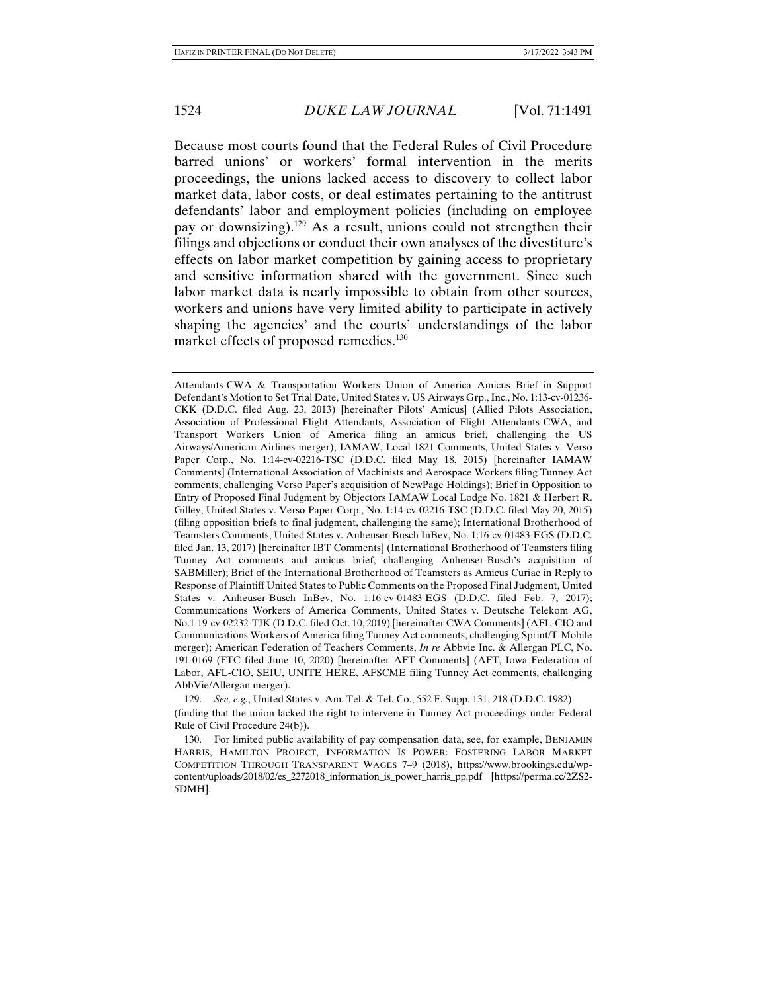Because most courts found that the Federal Rules of Civil Procedure barred unions' or workers' formal intervention in the merits proceedings, the unions lacked access to discovery to collect labor market data, labor costs, or deal estimates pertaining to the antitrust defendants' labor and employment policies (including on employee pay or downsizing).129 As a result, unions could not strengthen their filings and objections or conduct their own analyses of the divestiture's effects on labor market competition by gaining access to proprietary and sensitive information shared with the government. Since such labor market data is nearly impossible to obtain from other sources, workers and unions have very limited ability to participate in actively shaping the agencies' and the courts' understandings of the labor market effects of proposed remedies.<sup>130</sup>

Attendants-CWA & Transportation Workers Union of America Amicus Brief in Support Defendant's Motion to Set Trial Date, United States v. US Airways Grp., Inc., No. 1:13-cv-01236- CKK (D.D.C. filed Aug. 23, 2013) [hereinafter Pilots' Amicus] (Allied Pilots Association, Association of Professional Flight Attendants, Association of Flight Attendants-CWA, and Transport Workers Union of America filing an amicus brief, challenging the US Airways/American Airlines merger); IAMAW, Local 1821 Comments, United States v. Verso Paper Corp., No. 1:14-cv-02216-TSC (D.D.C. filed May 18, 2015) [hereinafter IAMAW Comments] (International Association of Machinists and Aerospace Workers filing Tunney Act comments, challenging Verso Paper's acquisition of NewPage Holdings); Brief in Opposition to Entry of Proposed Final Judgment by Objectors IAMAW Local Lodge No. 1821 & Herbert R. Gilley, United States v. Verso Paper Corp., No. 1:14-cv-02216-TSC (D.D.C. filed May 20, 2015) (filing opposition briefs to final judgment, challenging the same); International Brotherhood of Teamsters Comments, United States v. Anheuser-Busch InBev, No. 1:16-cv-01483-EGS (D.D.C. filed Jan. 13, 2017) [hereinafter IBT Comments] (International Brotherhood of Teamsters filing Tunney Act comments and amicus brief, challenging Anheuser-Busch's acquisition of SABMiller); Brief of the International Brotherhood of Teamsters as Amicus Curiae in Reply to Response of Plaintiff United States to Public Comments on the Proposed Final Judgment, United States v. Anheuser-Busch InBev, No. 1:16-cv-01483-EGS (D.D.C. filed Feb. 7, 2017); Communications Workers of America Comments, United States v. Deutsche Telekom AG, No.1:19-cv-02232-TJK (D.D.C. filed Oct. 10, 2019) [hereinafter CWA Comments] (AFL-CIO and Communications Workers of America filing Tunney Act comments, challenging Sprint/T-Mobile merger); American Federation of Teachers Comments, *In re* Abbvie Inc. & Allergan PLC, No. 191-0169 (FTC filed June 10, 2020) [hereinafter AFT Comments] (AFT, Iowa Federation of Labor, AFL-CIO, SEIU, UNITE HERE, AFSCME filing Tunney Act comments, challenging AbbVie/Allergan merger).

 129. *See, e.g.*, United States v. Am. Tel. & Tel. Co., 552 F. Supp. 131, 218 (D.D.C. 1982) (finding that the union lacked the right to intervene in Tunney Act proceedings under Federal Rule of Civil Procedure 24(b)).

 130. For limited public availability of pay compensation data, see, for example, BENJAMIN HARRIS, HAMILTON PROJECT, INFORMATION IS POWER: FOSTERING LABOR MARKET COMPETITION THROUGH TRANSPARENT WAGES 7–9 (2018), https://www.brookings.edu/wpcontent/uploads/2018/02/es\_2272018\_information\_is\_power\_harris\_pp.pdf [https://perma.cc/2ZS2- 5DMH].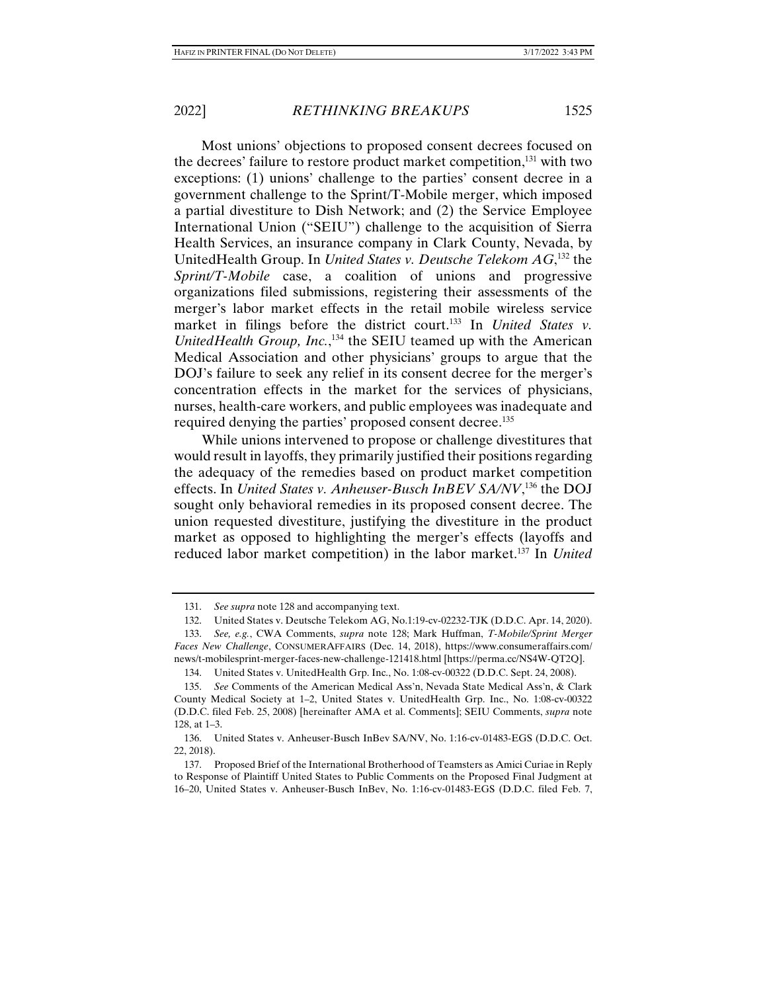Most unions' objections to proposed consent decrees focused on the decrees' failure to restore product market competition,<sup>131</sup> with two exceptions: (1) unions' challenge to the parties' consent decree in a government challenge to the Sprint/T-Mobile merger, which imposed a partial divestiture to Dish Network; and (2) the Service Employee International Union ("SEIU") challenge to the acquisition of Sierra Health Services, an insurance company in Clark County, Nevada, by UnitedHealth Group. In *United States v. Deutsche Telekom AG*, 132 the *Sprint/T-Mobile* case, a coalition of unions and progressive organizations filed submissions, registering their assessments of the merger's labor market effects in the retail mobile wireless service market in filings before the district court.<sup>133</sup> In *United States v. UnitedHealth Group, Inc.*,<sup>134</sup> the SEIU teamed up with the American Medical Association and other physicians' groups to argue that the DOJ's failure to seek any relief in its consent decree for the merger's concentration effects in the market for the services of physicians, nurses, health-care workers, and public employees was inadequate and required denying the parties' proposed consent decree.135

While unions intervened to propose or challenge divestitures that would result in layoffs, they primarily justified their positions regarding the adequacy of the remedies based on product market competition effects. In *United States v. Anheuser-Busch InBEV SA/NV*, 136 the DOJ sought only behavioral remedies in its proposed consent decree. The union requested divestiture, justifying the divestiture in the product market as opposed to highlighting the merger's effects (layoffs and reduced labor market competition) in the labor market.137 In *United* 

 <sup>131.</sup> *See supra* note 128 and accompanying text.

 <sup>132.</sup> United States v. Deutsche Telekom AG, No.1:19-cv-02232-TJK (D.D.C. Apr. 14, 2020).

 <sup>133.</sup> *See, e.g.*, CWA Comments, *supra* note 128; Mark Huffman, *T-Mobile/Sprint Merger Faces New Challenge*, CONSUMERAFFAIRS (Dec. 14, 2018), https://www.consumeraffairs.com/ news/t-mobilesprint-merger-faces-new-challenge-121418.html [https://perma.cc/NS4W-QT2Q].

 <sup>134.</sup> United States v. UnitedHealth Grp. Inc., No. 1:08-cv-00322 (D.D.C. Sept. 24, 2008).

 <sup>135.</sup> *See* Comments of the American Medical Ass'n, Nevada State Medical Ass'n, & Clark County Medical Society at 1–2, United States v. UnitedHealth Grp. Inc., No. 1:08-cv-00322 (D.D.C. filed Feb. 25, 2008) [hereinafter AMA et al. Comments]; SEIU Comments, *supra* note 128, at 1–3.

 <sup>136.</sup> United States v. Anheuser-Busch InBev SA/NV, No. 1:16-cv-01483-EGS (D.D.C. Oct. 22, 2018).

 <sup>137.</sup> Proposed Brief of the International Brotherhood of Teamsters as Amici Curiae in Reply to Response of Plaintiff United States to Public Comments on the Proposed Final Judgment at 16–20, United States v. Anheuser-Busch InBev, No. 1:16-cv-01483-EGS (D.D.C. filed Feb. 7,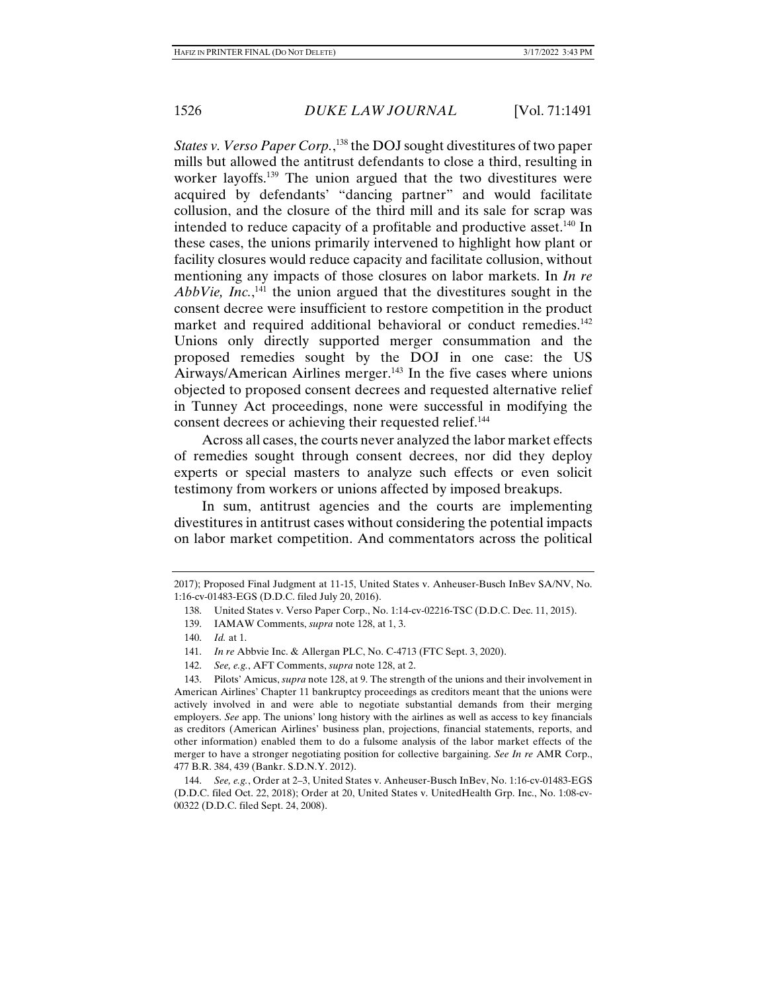*States v. Verso Paper Corp.*, 138 the DOJ sought divestitures of two paper mills but allowed the antitrust defendants to close a third, resulting in worker layoffs.139 The union argued that the two divestitures were acquired by defendants' "dancing partner" and would facilitate collusion, and the closure of the third mill and its sale for scrap was intended to reduce capacity of a profitable and productive asset.<sup>140</sup> In these cases, the unions primarily intervened to highlight how plant or facility closures would reduce capacity and facilitate collusion, without mentioning any impacts of those closures on labor markets. In *In re*  AbbVie, Inc.,<sup>141</sup> the union argued that the divestitures sought in the consent decree were insufficient to restore competition in the product market and required additional behavioral or conduct remedies.<sup>142</sup> Unions only directly supported merger consummation and the proposed remedies sought by the DOJ in one case: the US Airways/American Airlines merger.<sup>143</sup> In the five cases where unions objected to proposed consent decrees and requested alternative relief in Tunney Act proceedings, none were successful in modifying the consent decrees or achieving their requested relief.<sup>144</sup>

Across all cases, the courts never analyzed the labor market effects of remedies sought through consent decrees, nor did they deploy experts or special masters to analyze such effects or even solicit testimony from workers or unions affected by imposed breakups.

In sum, antitrust agencies and the courts are implementing divestitures in antitrust cases without considering the potential impacts on labor market competition. And commentators across the political

<sup>2017);</sup> Proposed Final Judgment at 11-15, United States v. Anheuser-Busch InBev SA/NV, No. 1:16-cv-01483-EGS (D.D.C. filed July 20, 2016).

 <sup>138.</sup> United States v. Verso Paper Corp., No. 1:14-cv-02216-TSC (D.D.C. Dec. 11, 2015).

 <sup>139.</sup> IAMAW Comments, *supra* note 128, at 1, 3.

 <sup>140.</sup> *Id.* at 1.

 <sup>141.</sup> *In re* Abbvie Inc. & Allergan PLC, No. C-4713 (FTC Sept. 3, 2020).

 <sup>142.</sup> *See, e.g.*, AFT Comments, *supra* note 128, at 2.

 <sup>143.</sup> Pilots' Amicus, *supra* note 128, at 9. The strength of the unions and their involvement in American Airlines' Chapter 11 bankruptcy proceedings as creditors meant that the unions were actively involved in and were able to negotiate substantial demands from their merging employers. *See* app. The unions' long history with the airlines as well as access to key financials as creditors (American Airlines' business plan, projections, financial statements, reports, and other information) enabled them to do a fulsome analysis of the labor market effects of the merger to have a stronger negotiating position for collective bargaining. *See In re* AMR Corp., 477 B.R. 384, 439 (Bankr. S.D.N.Y. 2012).

 <sup>144.</sup> *See, e.g.*, Order at 2–3, United States v. Anheuser-Busch InBev, No. 1:16-cv-01483-EGS (D.D.C. filed Oct. 22, 2018); Order at 20, United States v. UnitedHealth Grp. Inc., No. 1:08-cv-00322 (D.D.C. filed Sept. 24, 2008).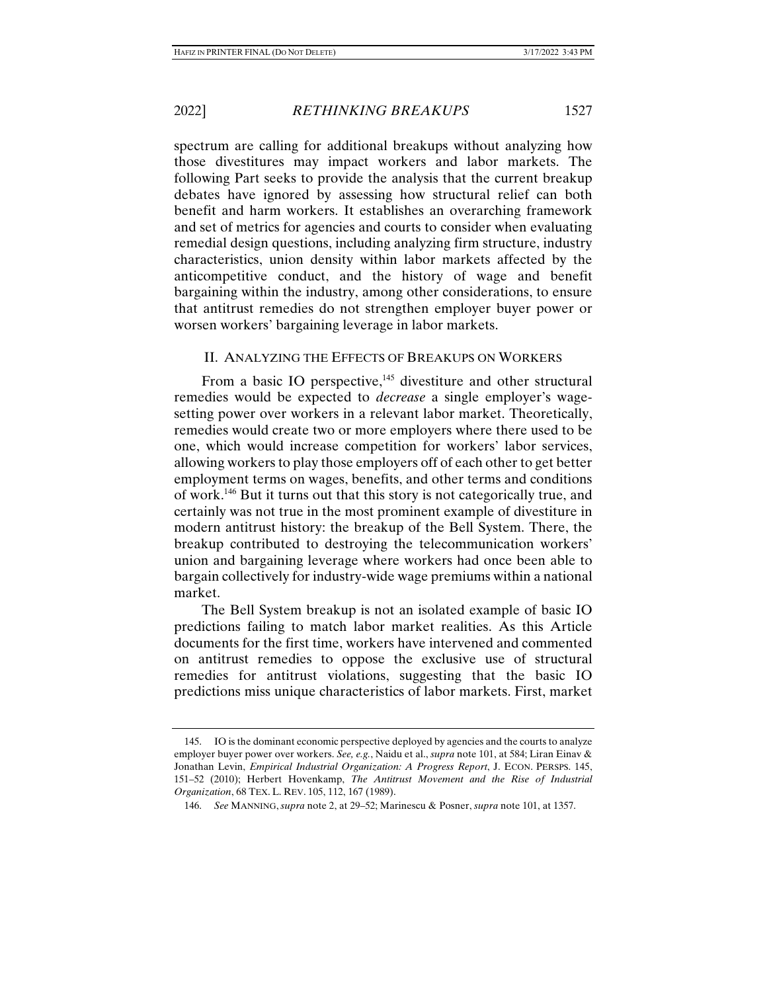spectrum are calling for additional breakups without analyzing how those divestitures may impact workers and labor markets. The following Part seeks to provide the analysis that the current breakup debates have ignored by assessing how structural relief can both benefit and harm workers. It establishes an overarching framework and set of metrics for agencies and courts to consider when evaluating remedial design questions, including analyzing firm structure, industry characteristics, union density within labor markets affected by the anticompetitive conduct, and the history of wage and benefit bargaining within the industry, among other considerations, to ensure that antitrust remedies do not strengthen employer buyer power or worsen workers' bargaining leverage in labor markets.

## II. ANALYZING THE EFFECTS OF BREAKUPS ON WORKERS

From a basic IO perspective,<sup>145</sup> divestiture and other structural remedies would be expected to *decrease* a single employer's wagesetting power over workers in a relevant labor market. Theoretically, remedies would create two or more employers where there used to be one, which would increase competition for workers' labor services, allowing workers to play those employers off of each other to get better employment terms on wages, benefits, and other terms and conditions of work.146 But it turns out that this story is not categorically true, and certainly was not true in the most prominent example of divestiture in modern antitrust history: the breakup of the Bell System. There, the breakup contributed to destroying the telecommunication workers' union and bargaining leverage where workers had once been able to bargain collectively for industry-wide wage premiums within a national market.

The Bell System breakup is not an isolated example of basic IO predictions failing to match labor market realities. As this Article documents for the first time, workers have intervened and commented on antitrust remedies to oppose the exclusive use of structural remedies for antitrust violations, suggesting that the basic IO predictions miss unique characteristics of labor markets. First, market

 <sup>145.</sup> IO is the dominant economic perspective deployed by agencies and the courts to analyze employer buyer power over workers. *See, e.g.*, Naidu et al., *supra* note 101, at 584; Liran Einav & Jonathan Levin, *Empirical Industrial Organization: A Progress Report*, J. ECON. PERSPS. 145, 151–52 (2010); Herbert Hovenkamp, *The Antitrust Movement and the Rise of Industrial Organization*, 68 TEX. L. REV. 105, 112, 167 (1989).

 <sup>146.</sup> *See* MANNING, *supra* note 2, at 29–52; Marinescu & Posner, *supra* note 101, at 1357.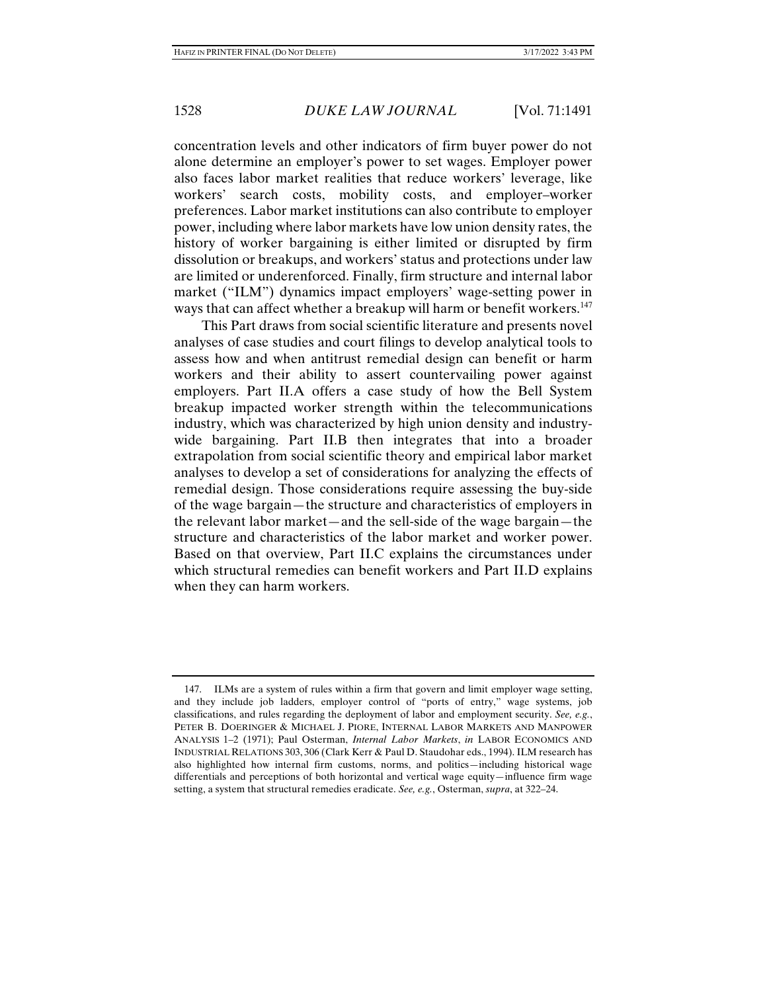concentration levels and other indicators of firm buyer power do not alone determine an employer's power to set wages. Employer power also faces labor market realities that reduce workers' leverage, like workers' search costs, mobility costs, and employer–worker preferences. Labor market institutions can also contribute to employer power, including where labor markets have low union density rates, the history of worker bargaining is either limited or disrupted by firm dissolution or breakups, and workers' status and protections under law are limited or underenforced. Finally, firm structure and internal labor market ("ILM") dynamics impact employers' wage-setting power in ways that can affect whether a breakup will harm or benefit workers.<sup>147</sup>

This Part draws from social scientific literature and presents novel analyses of case studies and court filings to develop analytical tools to assess how and when antitrust remedial design can benefit or harm workers and their ability to assert countervailing power against employers. Part II.A offers a case study of how the Bell System breakup impacted worker strength within the telecommunications industry, which was characterized by high union density and industrywide bargaining. Part II.B then integrates that into a broader extrapolation from social scientific theory and empirical labor market analyses to develop a set of considerations for analyzing the effects of remedial design. Those considerations require assessing the buy-side of the wage bargain—the structure and characteristics of employers in the relevant labor market—and the sell-side of the wage bargain—the structure and characteristics of the labor market and worker power. Based on that overview, Part II.C explains the circumstances under which structural remedies can benefit workers and Part II.D explains when they can harm workers.

 <sup>147.</sup> ILMs are a system of rules within a firm that govern and limit employer wage setting, and they include job ladders, employer control of "ports of entry," wage systems, job classifications, and rules regarding the deployment of labor and employment security. *See, e.g.*, PETER B. DOERINGER & MICHAEL J. PIORE, INTERNAL LABOR MARKETS AND MANPOWER ANALYSIS 1–2 (1971); Paul Osterman, *Internal Labor Markets*, *in* LABOR ECONOMICS AND INDUSTRIAL RELATIONS 303, 306 (Clark Kerr & Paul D. Staudohar eds., 1994). ILM research has also highlighted how internal firm customs, norms, and politics—including historical wage differentials and perceptions of both horizontal and vertical wage equity—influence firm wage setting, a system that structural remedies eradicate. *See, e.g.*, Osterman, *supra*, at 322–24.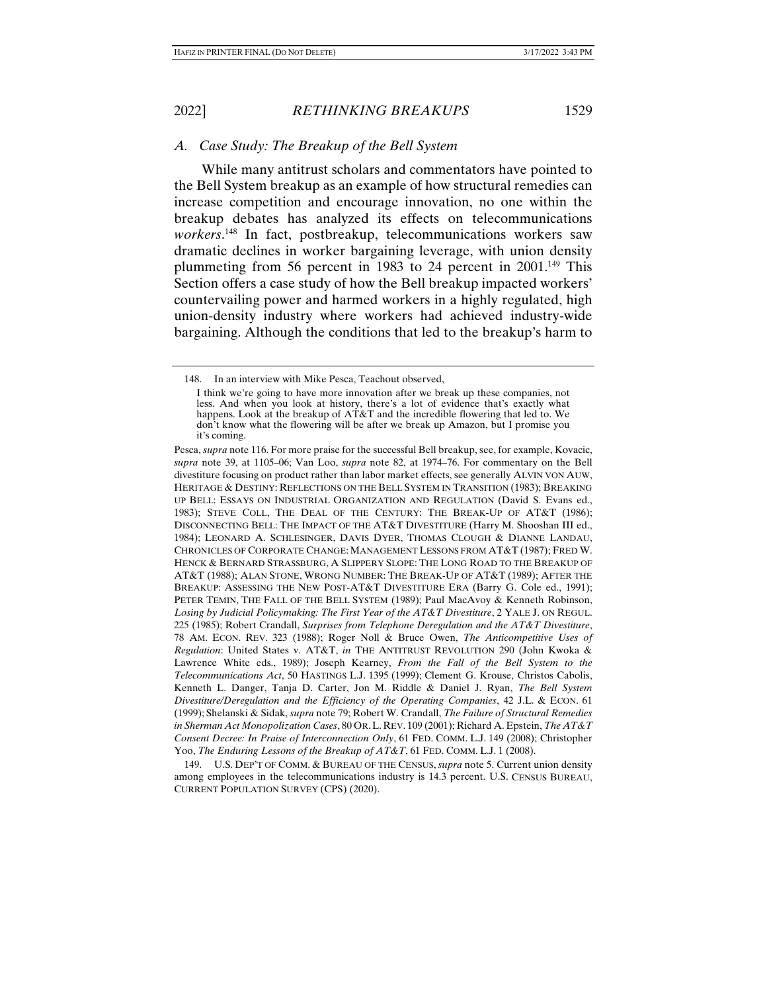## *A. Case Study: The Breakup of the Bell System*

While many antitrust scholars and commentators have pointed to the Bell System breakup as an example of how structural remedies can increase competition and encourage innovation, no one within the breakup debates has analyzed its effects on telecommunications *workers*. 148 In fact, postbreakup, telecommunications workers saw dramatic declines in worker bargaining leverage, with union density plummeting from 56 percent in 1983 to 24 percent in  $2001$ <sup>149</sup> This Section offers a case study of how the Bell breakup impacted workers' countervailing power and harmed workers in a highly regulated, high union-density industry where workers had achieved industry-wide bargaining. Although the conditions that led to the breakup's harm to

 149. U.S. DEP'T OF COMM. & BUREAU OF THE CENSUS, *supra* note 5. Current union density among employees in the telecommunications industry is 14.3 percent. U.S. CENSUS BUREAU, CURRENT POPULATION SURVEY (CPS) (2020).

 <sup>148.</sup> In an interview with Mike Pesca, Teachout observed,

I think we're going to have more innovation after we break up these companies, not less. And when you look at history, there's a lot of evidence that's exactly what happens. Look at the breakup of AT&T and the incredible flowering that led to. We don't know what the flowering will be after we break up Amazon, but I promise you it's coming.

Pesca, *supra* note 116. For more praise for the successful Bell breakup, see, for example, Kovacic, *supra* note 39, at 1105–06; Van Loo, *supra* note 82, at 1974–76. For commentary on the Bell divestiture focusing on product rather than labor market effects, see generally ALVIN VON AUW, HERITAGE & DESTINY: REFLECTIONS ON THE BELL SYSTEM IN TRANSITION (1983); BREAKING UP BELL: ESSAYS ON INDUSTRIAL ORGANIZATION AND REGULATION (David S. Evans ed., 1983); STEVE COLL, THE DEAL OF THE CENTURY: THE BREAK-UP OF AT&T (1986); DISCONNECTING BELL: THE IMPACT OF THE AT&T DIVESTITURE (Harry M. Shooshan III ed., 1984); LEONARD A. SCHLESINGER, DAVIS DYER, THOMAS CLOUGH & DIANNE LANDAU, CHRONICLES OF CORPORATE CHANGE: MANAGEMENT LESSONS FROM AT&T (1987); FRED W. HENCK & BERNARD STRASSBURG, A SLIPPERY SLOPE: THE LONG ROAD TO THE BREAKUP OF AT&T (1988); ALAN STONE, WRONG NUMBER: THE BREAK-UP OF AT&T (1989); AFTER THE BREAKUP: ASSESSING THE NEW POST-AT&T DIVESTITURE ERA (Barry G. Cole ed., 1991); PETER TEMIN, THE FALL OF THE BELL SYSTEM (1989); Paul MacAvoy & Kenneth Robinson, *Losing by Judicial Policymaking: The First Year of the AT&T Divestiture*, 2 YALE J. ON REGUL. 225 (1985); Robert Crandall, *Surprises from Telephone Deregulation and the AT&T Divestiture*, 78 AM. ECON. REV. 323 (1988); Roger Noll & Bruce Owen, *The Anticompetitive Uses of Regulation*: United States v. AT&T, *in* THE ANTITRUST REVOLUTION 290 (John Kwoka & Lawrence White eds., 1989); Joseph Kearney, *From the Fall of the Bell System to the Telecommunications Act*, 50 HASTINGS L.J. 1395 (1999); Clement G. Krouse, Christos Cabolis, Kenneth L. Danger, Tanja D. Carter, Jon M. Riddle & Daniel J. Ryan, *The Bell System Divestiture/Deregulation and the Efficiency of the Operating Companies*, 42 J.L. & ECON. 61 (1999); Shelanski & Sidak, *supra* note 79; Robert W. Crandall, *The Failure of Structural Remedies in Sherman Act Monopolization Cases*, 80 OR.L. REV. 109 (2001); Richard A. Epstein, *The AT&T Consent Decree: In Praise of Interconnection Only*, 61 FED. COMM. L.J. 149 (2008); Christopher Yoo, *The Enduring Lessons of the Breakup of AT&T*, 61 FED. COMM. L.J. 1 (2008).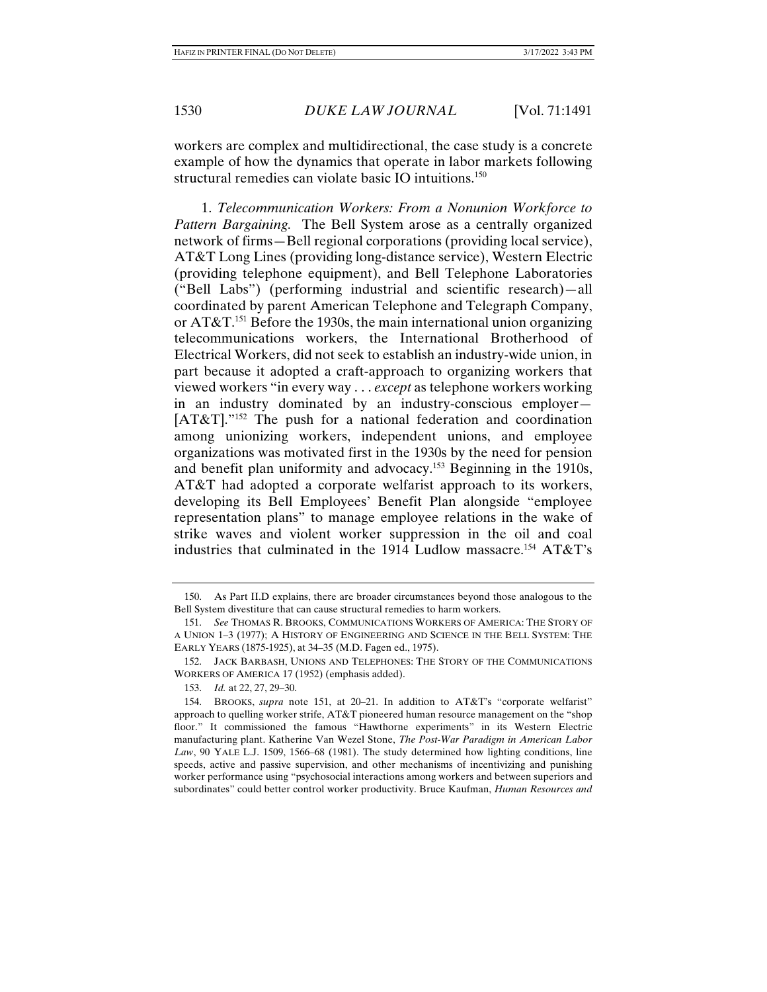workers are complex and multidirectional, the case study is a concrete example of how the dynamics that operate in labor markets following structural remedies can violate basic IO intuitions.<sup>150</sup>

1. *Telecommunication Workers: From a Nonunion Workforce to Pattern Bargaining.* The Bell System arose as a centrally organized network of firms—Bell regional corporations (providing local service), AT&T Long Lines (providing long-distance service), Western Electric (providing telephone equipment), and Bell Telephone Laboratories ("Bell Labs") (performing industrial and scientific research)—all coordinated by parent American Telephone and Telegraph Company, or  $AT&T$ <sup>151</sup> Before the 1930s, the main international union organizing telecommunications workers, the International Brotherhood of Electrical Workers, did not seek to establish an industry-wide union, in part because it adopted a craft-approach to organizing workers that viewed workers "in every way . . . *except* as telephone workers working in an industry dominated by an industry-conscious employer— [AT&T]."152 The push for a national federation and coordination among unionizing workers, independent unions, and employee organizations was motivated first in the 1930s by the need for pension and benefit plan uniformity and advocacy.153 Beginning in the 1910s, AT&T had adopted a corporate welfarist approach to its workers, developing its Bell Employees' Benefit Plan alongside "employee representation plans" to manage employee relations in the wake of strike waves and violent worker suppression in the oil and coal industries that culminated in the 1914 Ludlow massacre.154 AT&T's

 <sup>150.</sup> As Part II.D explains, there are broader circumstances beyond those analogous to the Bell System divestiture that can cause structural remedies to harm workers.

 <sup>151.</sup> *See* THOMAS R. BROOKS, COMMUNICATIONS WORKERS OF AMERICA: THE STORY OF A UNION 1–3 (1977); A HISTORY OF ENGINEERING AND SCIENCE IN THE BELL SYSTEM: THE EARLY YEARS (1875-1925), at 34–35 (M.D. Fagen ed., 1975).

 <sup>152.</sup> JACK BARBASH, UNIONS AND TELEPHONES: THE STORY OF THE COMMUNICATIONS WORKERS OF AMERICA 17 (1952) (emphasis added).

 <sup>153.</sup> *Id.* at 22, 27, 29–30.

 <sup>154.</sup> BROOKS, *supra* note 151, at 20–21. In addition to AT&T's "corporate welfarist" approach to quelling worker strife, AT&T pioneered human resource management on the "shop floor." It commissioned the famous "Hawthorne experiments" in its Western Electric manufacturing plant. Katherine Van Wezel Stone, *The Post-War Paradigm in American Labor Law*, 90 YALE L.J. 1509, 1566–68 (1981). The study determined how lighting conditions, line speeds, active and passive supervision, and other mechanisms of incentivizing and punishing worker performance using "psychosocial interactions among workers and between superiors and subordinates" could better control worker productivity. Bruce Kaufman, *Human Resources and*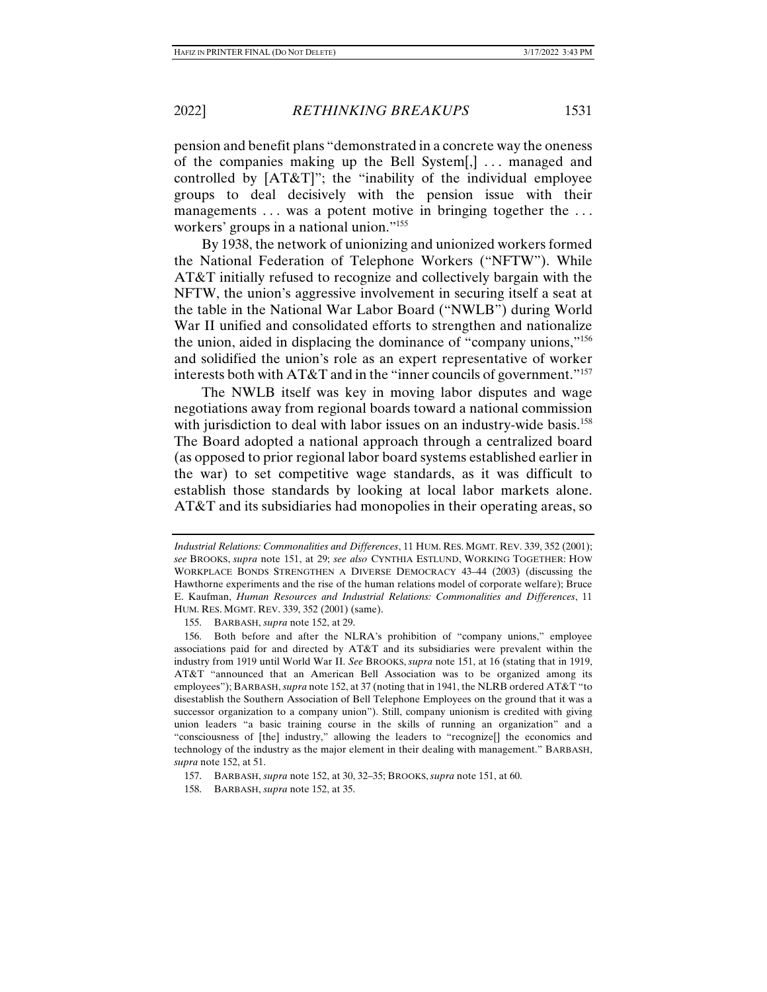pension and benefit plans "demonstrated in a concrete way the oneness of the companies making up the Bell System[,] ... managed and controlled by [AT&T]"; the "inability of the individual employee groups to deal decisively with the pension issue with their managements ... was a potent motive in bringing together the ... workers' groups in a national union."155

By 1938, the network of unionizing and unionized workers formed the National Federation of Telephone Workers ("NFTW"). While AT&T initially refused to recognize and collectively bargain with the NFTW, the union's aggressive involvement in securing itself a seat at the table in the National War Labor Board ("NWLB") during World War II unified and consolidated efforts to strengthen and nationalize the union, aided in displacing the dominance of "company unions,"156 and solidified the union's role as an expert representative of worker interests both with AT&T and in the "inner councils of government."157

The NWLB itself was key in moving labor disputes and wage negotiations away from regional boards toward a national commission with jurisdiction to deal with labor issues on an industry-wide basis.<sup>158</sup> The Board adopted a national approach through a centralized board (as opposed to prior regional labor board systems established earlier in the war) to set competitive wage standards, as it was difficult to establish those standards by looking at local labor markets alone. AT&T and its subsidiaries had monopolies in their operating areas, so

155. BARBASH, *supra* note 152, at 29.

 156. Both before and after the NLRA's prohibition of "company unions," employee associations paid for and directed by AT&T and its subsidiaries were prevalent within the industry from 1919 until World War II. *See* BROOKS, *supra* note 151, at 16 (stating that in 1919, AT&T "announced that an American Bell Association was to be organized among its employees"); BARBASH, *supra* note 152, at 37 (noting that in 1941, the NLRB ordered AT&T "to disestablish the Southern Association of Bell Telephone Employees on the ground that it was a successor organization to a company union"). Still, company unionism is credited with giving union leaders "a basic training course in the skills of running an organization" and a "consciousness of [the] industry," allowing the leaders to "recognize[] the economics and technology of the industry as the major element in their dealing with management." BARBASH, *supra* note 152, at 51.

157. BARBASH, *supra* note 152, at 30, 32–35; BROOKS, *supra* note 151, at 60.

158. BARBASH, *supra* note 152, at 35.

*Industrial Relations: Commonalities and Differences*, 11 HUM. RES. MGMT. REV. 339, 352 (2001); *see* BROOKS, *supra* note 151, at 29; *see also* CYNTHIA ESTLUND, WORKING TOGETHER: HOW WORKPLACE BONDS STRENGTHEN A DIVERSE DEMOCRACY 43–44 (2003) (discussing the Hawthorne experiments and the rise of the human relations model of corporate welfare); Bruce E. Kaufman, *Human Resources and Industrial Relations: Commonalities and Differences*, 11 HUM. RES. MGMT. REV. 339, 352 (2001) (same).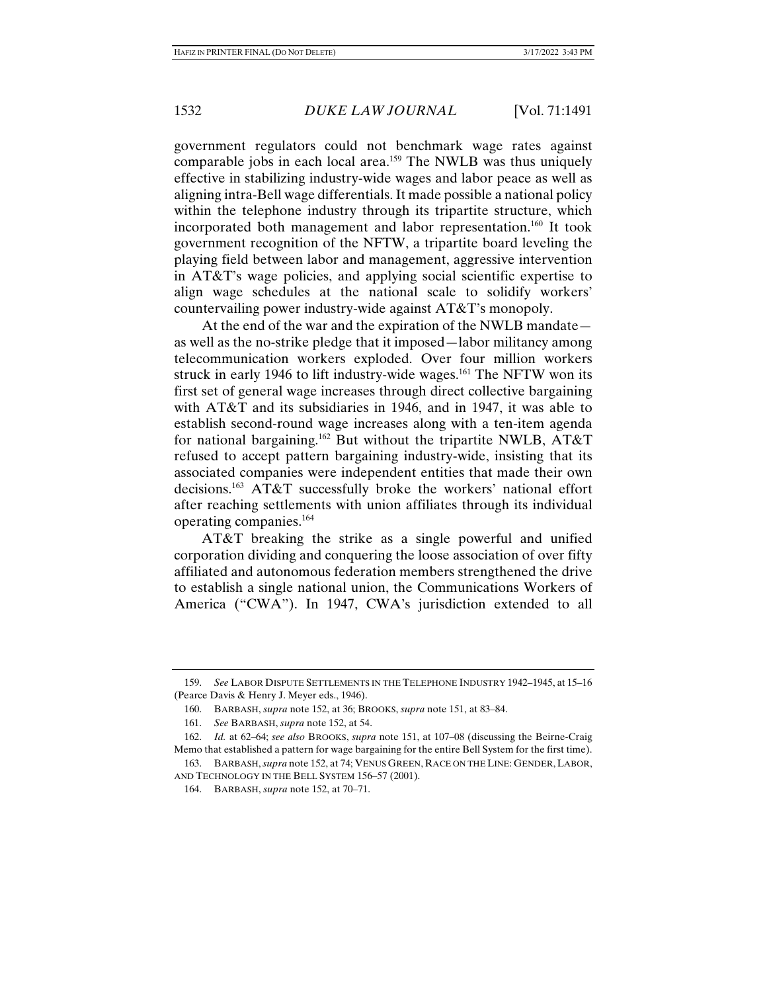government regulators could not benchmark wage rates against comparable jobs in each local area.<sup>159</sup> The NWLB was thus uniquely effective in stabilizing industry-wide wages and labor peace as well as aligning intra-Bell wage differentials. It made possible a national policy within the telephone industry through its tripartite structure, which incorporated both management and labor representation.160 It took government recognition of the NFTW, a tripartite board leveling the playing field between labor and management, aggressive intervention in AT&T's wage policies, and applying social scientific expertise to align wage schedules at the national scale to solidify workers' countervailing power industry-wide against AT&T's monopoly.

At the end of the war and the expiration of the NWLB mandate as well as the no-strike pledge that it imposed—labor militancy among telecommunication workers exploded. Over four million workers struck in early 1946 to lift industry-wide wages.<sup>161</sup> The NFTW won its first set of general wage increases through direct collective bargaining with AT&T and its subsidiaries in 1946, and in 1947, it was able to establish second-round wage increases along with a ten-item agenda for national bargaining.162 But without the tripartite NWLB, AT&T refused to accept pattern bargaining industry-wide, insisting that its associated companies were independent entities that made their own decisions.163 AT&T successfully broke the workers' national effort after reaching settlements with union affiliates through its individual operating companies.164

AT&T breaking the strike as a single powerful and unified corporation dividing and conquering the loose association of over fifty affiliated and autonomous federation members strengthened the drive to establish a single national union, the Communications Workers of America ("CWA"). In 1947, CWA's jurisdiction extended to all

 <sup>159.</sup> *See* LABOR DISPUTE SETTLEMENTS IN THE TELEPHONE INDUSTRY 1942–1945, at 15–16 (Pearce Davis & Henry J. Meyer eds., 1946).

 <sup>160.</sup> BARBASH, *supra* note 152, at 36; BROOKS, *supra* note 151, at 83–84.

 <sup>161.</sup> *See* BARBASH, *supra* note 152, at 54.

 <sup>162.</sup> *Id.* at 62–64; *see also* BROOKS, *supra* note 151, at 107–08 (discussing the Beirne-Craig Memo that established a pattern for wage bargaining for the entire Bell System for the first time).

 <sup>163.</sup> BARBASH, *supra* note 152, at 74; VENUS GREEN, RACE ON THE LINE: GENDER,LABOR, AND TECHNOLOGY IN THE BELL SYSTEM 156–57 (2001).

 <sup>164.</sup> BARBASH, *supra* note 152, at 70–71.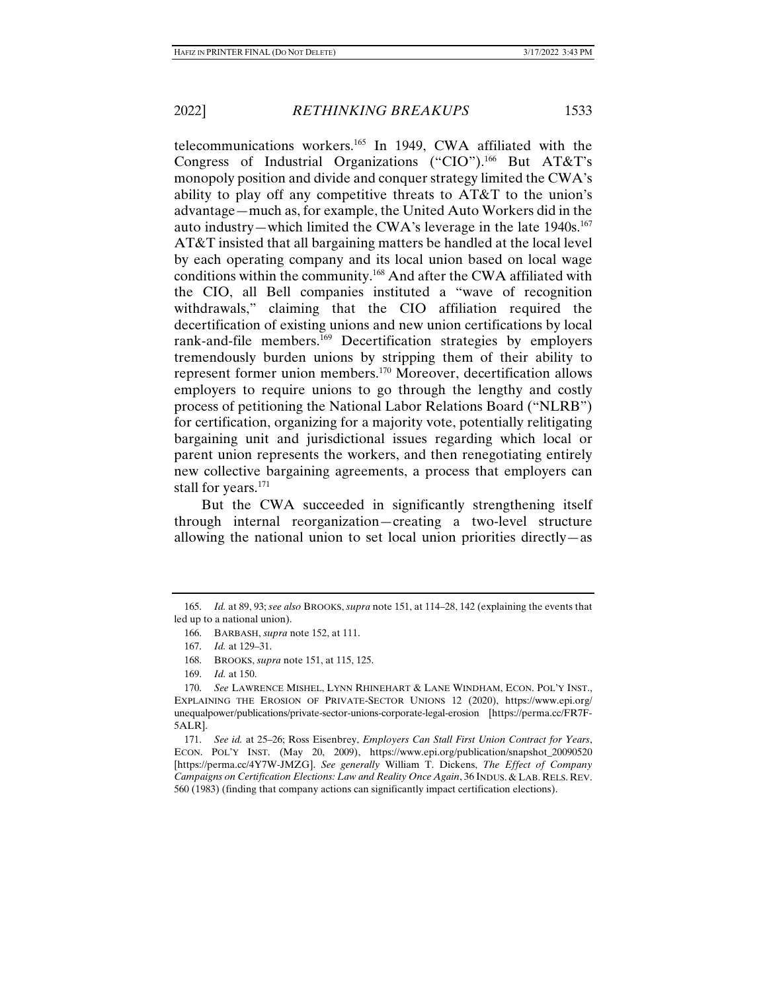telecommunications workers.165 In 1949, CWA affiliated with the Congress of Industrial Organizations ("CIO").166 But AT&T's monopoly position and divide and conquer strategy limited the CWA's ability to play off any competitive threats to AT&T to the union's advantage—much as, for example, the United Auto Workers did in the auto industry—which limited the CWA's leverage in the late  $1940s$ <sup>167</sup> AT&T insisted that all bargaining matters be handled at the local level by each operating company and its local union based on local wage conditions within the community.168 And after the CWA affiliated with the CIO, all Bell companies instituted a "wave of recognition withdrawals," claiming that the CIO affiliation required the decertification of existing unions and new union certifications by local rank-and-file members.169 Decertification strategies by employers tremendously burden unions by stripping them of their ability to represent former union members.170 Moreover, decertification allows employers to require unions to go through the lengthy and costly process of petitioning the National Labor Relations Board ("NLRB") for certification, organizing for a majority vote, potentially relitigating bargaining unit and jurisdictional issues regarding which local or parent union represents the workers, and then renegotiating entirely new collective bargaining agreements, a process that employers can stall for years.<sup>171</sup>

But the CWA succeeded in significantly strengthening itself through internal reorganization—creating a two-level structure allowing the national union to set local union priorities directly—as

 <sup>165.</sup> *Id.* at 89, 93; *see also* BROOKS, *supra* note 151, at 114–28, 142 (explaining the events that led up to a national union).

 <sup>166.</sup> BARBASH, *supra* note 152, at 111.

 <sup>167.</sup> *Id.* at 129–31.

 <sup>168.</sup> BROOKS, *supra* note 151, at 115, 125.

 <sup>169.</sup> *Id.* at 150.

 <sup>170.</sup> *See* LAWRENCE MISHEL, LYNN RHINEHART & LANE WINDHAM, ECON. POL'Y INST., EXPLAINING THE EROSION OF PRIVATE-SECTOR UNIONS 12 (2020), https://www.epi.org/ unequalpower/publications/private-sector-unions-corporate-legal-erosion [https://perma.cc/FR7F-5ALR].

 <sup>171.</sup> *See id.* at 25–26; Ross Eisenbrey, *Employers Can Stall First Union Contract for Years*, ECON. POL'Y INST. (May 20, 2009), https://www.epi.org/publication/snapshot\_20090520 [https://perma.cc/4Y7W-JMZG]. *See generally* William T. Dickens, *The Effect of Company Campaigns on Certification Elections: Law and Reality Once Again*, 36 INDUS. & LAB. RELS. REV. 560 (1983) (finding that company actions can significantly impact certification elections).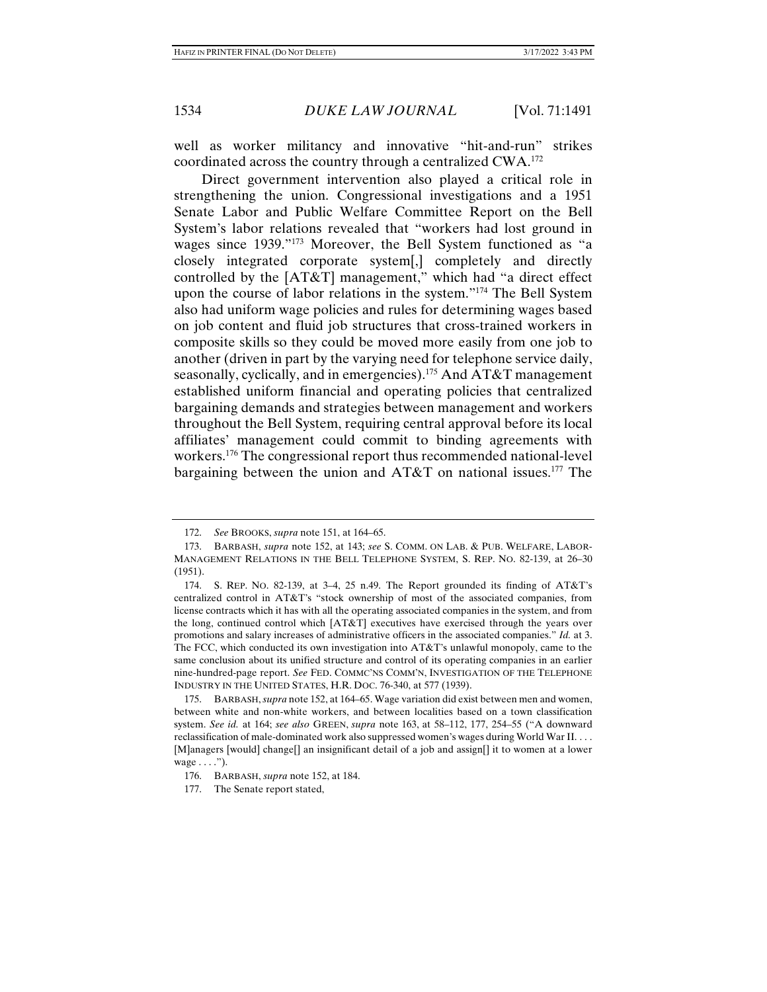well as worker militancy and innovative "hit-and-run" strikes coordinated across the country through a centralized CWA.172

Direct government intervention also played a critical role in strengthening the union. Congressional investigations and a 1951 Senate Labor and Public Welfare Committee Report on the Bell System's labor relations revealed that "workers had lost ground in wages since 1939."173 Moreover, the Bell System functioned as "a closely integrated corporate system[,] completely and directly controlled by the [AT&T] management," which had "a direct effect upon the course of labor relations in the system."174 The Bell System also had uniform wage policies and rules for determining wages based on job content and fluid job structures that cross-trained workers in composite skills so they could be moved more easily from one job to another (driven in part by the varying need for telephone service daily, seasonally, cyclically, and in emergencies).<sup>175</sup> And  $AT&T$  management established uniform financial and operating policies that centralized bargaining demands and strategies between management and workers throughout the Bell System, requiring central approval before its local affiliates' management could commit to binding agreements with workers.176 The congressional report thus recommended national-level bargaining between the union and  $AT&T$  on national issues.<sup>177</sup> The

 <sup>172.</sup> *See* BROOKS, *supra* note 151, at 164–65.

 <sup>173.</sup> BARBASH, *supra* note 152, at 143; *see* S. COMM. ON LAB. & PUB. WELFARE, LABOR-MANAGEMENT RELATIONS IN THE BELL TELEPHONE SYSTEM, S. REP. NO. 82-139, at 26–30 (1951).

 <sup>174.</sup> S. REP. NO. 82-139, at 3–4, 25 n.49. The Report grounded its finding of AT&T's centralized control in AT&T's "stock ownership of most of the associated companies, from license contracts which it has with all the operating associated companies in the system, and from the long, continued control which [AT&T] executives have exercised through the years over promotions and salary increases of administrative officers in the associated companies." *Id.* at 3. The FCC, which conducted its own investigation into AT&T's unlawful monopoly, came to the same conclusion about its unified structure and control of its operating companies in an earlier nine-hundred-page report. *See* FED. COMMC'NS COMM'N, INVESTIGATION OF THE TELEPHONE INDUSTRY IN THE UNITED STATES, H.R. DOC. 76-340, at 577 (1939).

 <sup>175.</sup> BARBASH, *supra* note 152, at 164–65. Wage variation did exist between men and women, between white and non-white workers, and between localities based on a town classification system. *See id.* at 164; *see also* GREEN, *supra* note 163, at 58–112, 177, 254–55 ("A downward reclassification of male-dominated work also suppressed women's wages during World War II. . . . [M]anagers [would] change[] an insignificant detail of a job and assign[] it to women at a lower wage . . . .").

 <sup>176.</sup> BARBASH, *supra* note 152, at 184.

 <sup>177.</sup> The Senate report stated,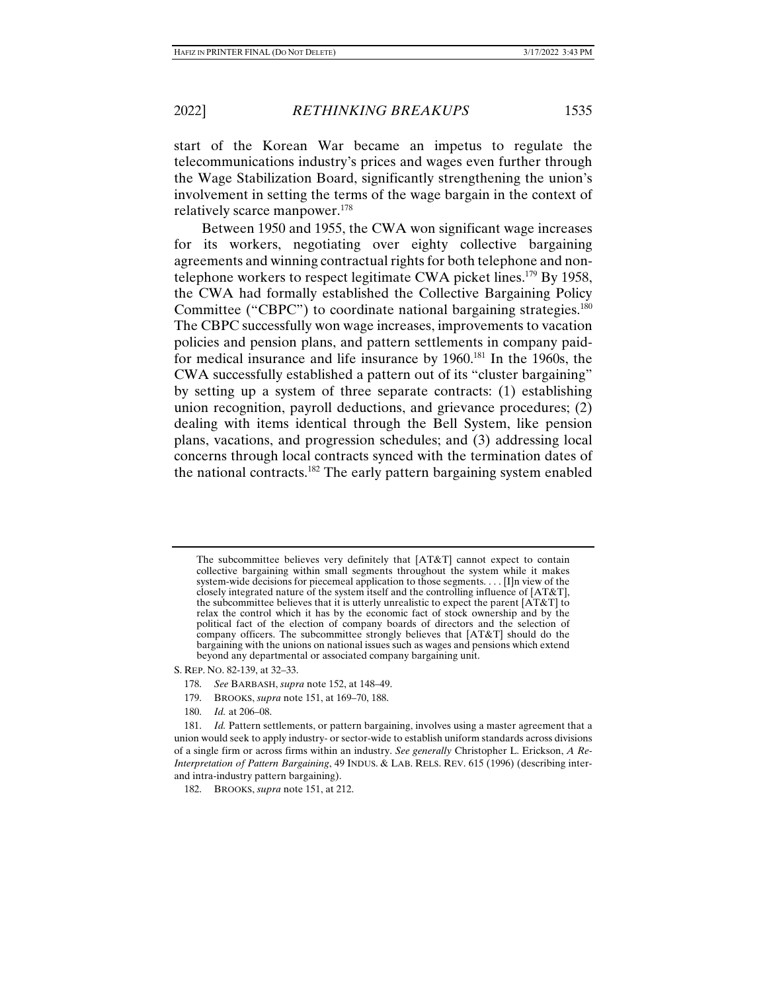start of the Korean War became an impetus to regulate the telecommunications industry's prices and wages even further through the Wage Stabilization Board, significantly strengthening the union's involvement in setting the terms of the wage bargain in the context of relatively scarce manpower.178

Between 1950 and 1955, the CWA won significant wage increases for its workers, negotiating over eighty collective bargaining agreements and winning contractual rights for both telephone and nontelephone workers to respect legitimate CWA picket lines.<sup>179</sup> By 1958, the CWA had formally established the Collective Bargaining Policy Committee ("CBPC") to coordinate national bargaining strategies.<sup>180</sup> The CBPC successfully won wage increases, improvements to vacation policies and pension plans, and pattern settlements in company paidfor medical insurance and life insurance by 1960.181 In the 1960s, the CWA successfully established a pattern out of its "cluster bargaining" by setting up a system of three separate contracts: (1) establishing union recognition, payroll deductions, and grievance procedures; (2) dealing with items identical through the Bell System, like pension plans, vacations, and progression schedules; and (3) addressing local concerns through local contracts synced with the termination dates of the national contracts.<sup>182</sup> The early pattern bargaining system enabled

S. REP. NO. 82-139, at 32–33.

- 178. *See* BARBASH, *supra* note 152, at 148–49.
- 179. BROOKS, *supra* note 151, at 169–70, 188.
- 180. *Id.* at 206–08.

The subcommittee believes very definitely that [AT&T] cannot expect to contain collective bargaining within small segments throughout the system while it makes system-wide decisions for piecemeal application to those segments. . . . [I]n view of the closely integrated nature of the system itself and the controlling influence of [AT&T], the subcommittee believes that it is utterly unrealistic to expect the parent [AT&T] to relax the control which it has by the economic fact of stock ownership and by the political fact of the election of company boards of directors and the selection of company officers. The subcommittee strongly believes that [AT&T] should do the bargaining with the unions on national issues such as wages and pensions which extend beyond any departmental or associated company bargaining unit.

 <sup>181.</sup> *Id.* Pattern settlements, or pattern bargaining, involves using a master agreement that a union would seek to apply industry- or sector-wide to establish uniform standards across divisions of a single firm or across firms within an industry. *See generally* Christopher L. Erickson, *A Re-Interpretation of Pattern Bargaining*, 49 INDUS. & LAB. RELS. REV. 615 (1996) (describing interand intra-industry pattern bargaining).

 <sup>182.</sup> BROOKS, *supra* note 151, at 212.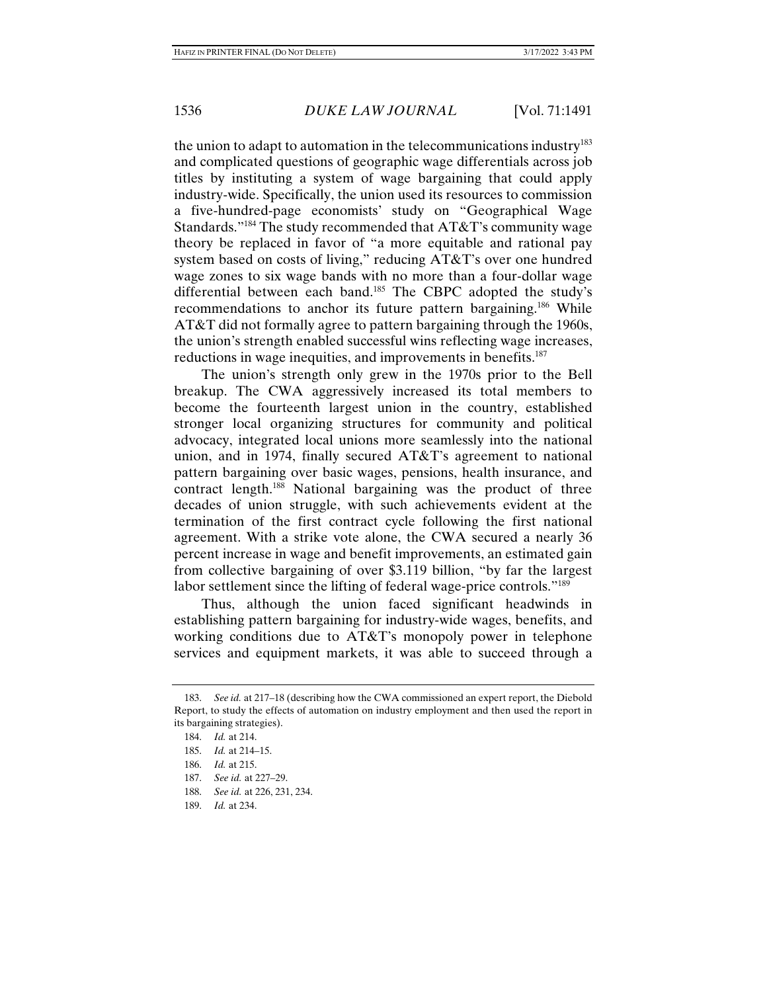the union to adapt to automation in the telecommunications industry $183$ and complicated questions of geographic wage differentials across job titles by instituting a system of wage bargaining that could apply industry-wide. Specifically, the union used its resources to commission a five-hundred-page economists' study on "Geographical Wage Standards."184 The study recommended that AT&T's community wage theory be replaced in favor of "a more equitable and rational pay system based on costs of living," reducing AT&T's over one hundred wage zones to six wage bands with no more than a four-dollar wage differential between each band.<sup>185</sup> The CBPC adopted the study's recommendations to anchor its future pattern bargaining.<sup>186</sup> While AT&T did not formally agree to pattern bargaining through the 1960s, the union's strength enabled successful wins reflecting wage increases, reductions in wage inequities, and improvements in benefits.<sup>187</sup>

The union's strength only grew in the 1970s prior to the Bell breakup. The CWA aggressively increased its total members to become the fourteenth largest union in the country, established stronger local organizing structures for community and political advocacy, integrated local unions more seamlessly into the national union, and in 1974, finally secured AT&T's agreement to national pattern bargaining over basic wages, pensions, health insurance, and contract length.<sup>188</sup> National bargaining was the product of three decades of union struggle, with such achievements evident at the termination of the first contract cycle following the first national agreement. With a strike vote alone, the CWA secured a nearly 36 percent increase in wage and benefit improvements, an estimated gain from collective bargaining of over \$3.119 billion, "by far the largest labor settlement since the lifting of federal wage-price controls."<sup>189</sup>

Thus, although the union faced significant headwinds in establishing pattern bargaining for industry-wide wages, benefits, and working conditions due to AT&T's monopoly power in telephone services and equipment markets, it was able to succeed through a

- 188. *See id.* at 226, 231, 234.
- 189. *Id.* at 234.

 <sup>183.</sup> *See id.* at 217–18 (describing how the CWA commissioned an expert report, the Diebold Report, to study the effects of automation on industry employment and then used the report in its bargaining strategies).

 <sup>184.</sup> *Id.* at 214.

 <sup>185.</sup> *Id.* at 214–15.

 <sup>186.</sup> *Id.* at 215.

 <sup>187.</sup> *See id.* at 227–29.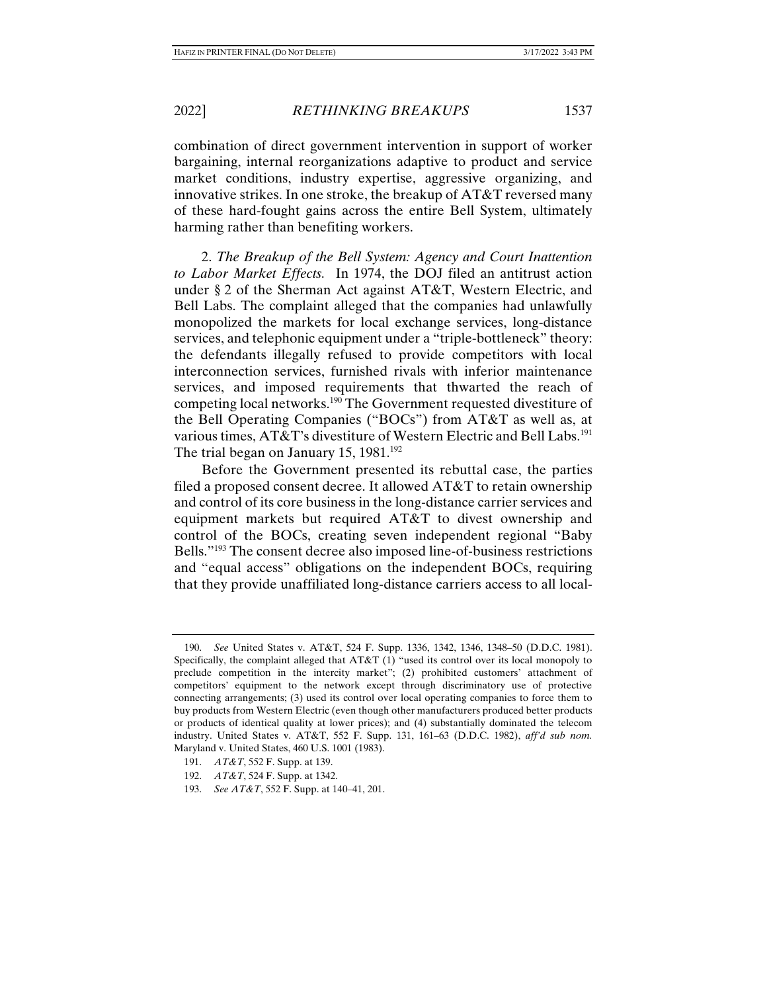combination of direct government intervention in support of worker bargaining, internal reorganizations adaptive to product and service market conditions, industry expertise, aggressive organizing, and innovative strikes. In one stroke, the breakup of AT&T reversed many of these hard-fought gains across the entire Bell System, ultimately harming rather than benefiting workers.

2. *The Breakup of the Bell System: Agency and Court Inattention to Labor Market Effects.* In 1974, the DOJ filed an antitrust action under § 2 of the Sherman Act against AT&T, Western Electric, and Bell Labs. The complaint alleged that the companies had unlawfully monopolized the markets for local exchange services, long-distance services, and telephonic equipment under a "triple-bottleneck" theory: the defendants illegally refused to provide competitors with local interconnection services, furnished rivals with inferior maintenance services, and imposed requirements that thwarted the reach of competing local networks.190 The Government requested divestiture of the Bell Operating Companies ("BOCs") from AT&T as well as, at various times, AT&T's divestiture of Western Electric and Bell Labs.<sup>191</sup> The trial began on January 15, 1981.<sup>192</sup>

Before the Government presented its rebuttal case, the parties filed a proposed consent decree. It allowed AT&T to retain ownership and control of its core business in the long-distance carrier services and equipment markets but required AT&T to divest ownership and control of the BOCs, creating seven independent regional "Baby Bells."193 The consent decree also imposed line-of-business restrictions and "equal access" obligations on the independent BOCs, requiring that they provide unaffiliated long-distance carriers access to all local-

 <sup>190.</sup> *See* United States v. AT&T, 524 F. Supp. 1336, 1342, 1346, 1348–50 (D.D.C. 1981). Specifically, the complaint alleged that AT&T (1) "used its control over its local monopoly to preclude competition in the intercity market"; (2) prohibited customers' attachment of competitors' equipment to the network except through discriminatory use of protective connecting arrangements; (3) used its control over local operating companies to force them to buy products from Western Electric (even though other manufacturers produced better products or products of identical quality at lower prices); and (4) substantially dominated the telecom industry. United States v. AT&T, 552 F. Supp. 131, 161–63 (D.D.C. 1982), *aff'd sub nom.* Maryland v. United States, 460 U.S. 1001 (1983).

 <sup>191.</sup> *AT&T*, 552 F. Supp. at 139.

 <sup>192.</sup> *AT&T*, 524 F. Supp. at 1342.

 <sup>193.</sup> *See AT&T*, 552 F. Supp. at 140–41, 201.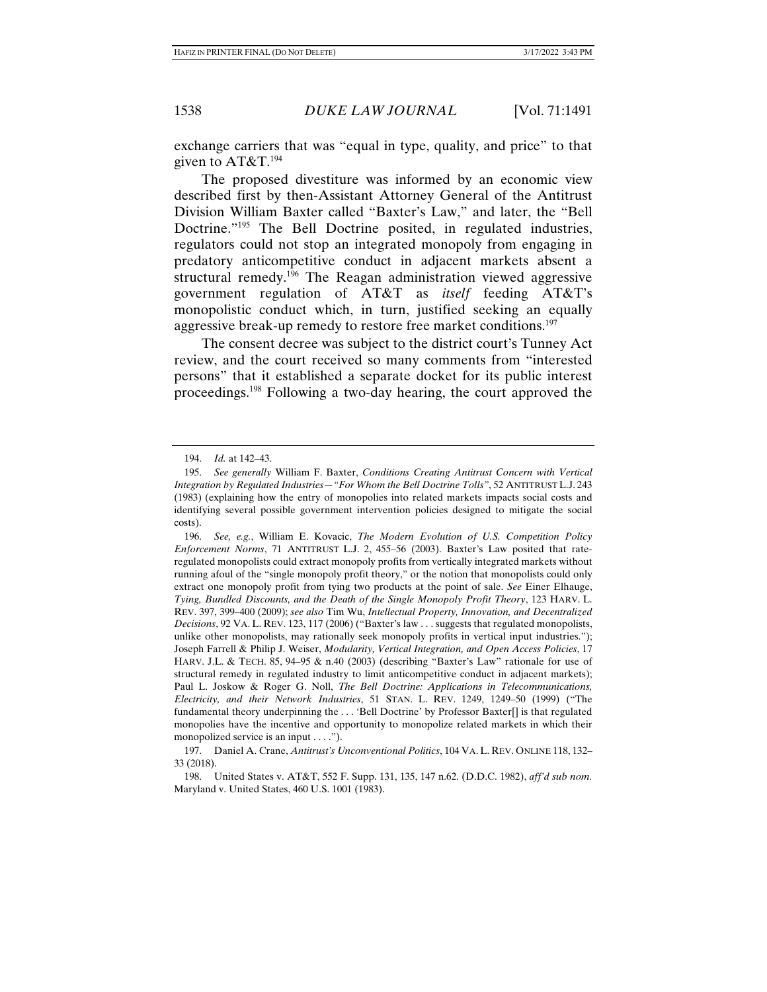exchange carriers that was "equal in type, quality, and price" to that given to  $AT&T.^{194}$ 

The proposed divestiture was informed by an economic view described first by then-Assistant Attorney General of the Antitrust Division William Baxter called "Baxter's Law," and later, the "Bell Doctrine.<sup>"195</sup> The Bell Doctrine posited, in regulated industries, regulators could not stop an integrated monopoly from engaging in predatory anticompetitive conduct in adjacent markets absent a structural remedy.196 The Reagan administration viewed aggressive government regulation of AT&T as *itself* feeding AT&T's monopolistic conduct which, in turn, justified seeking an equally aggressive break-up remedy to restore free market conditions.<sup>197</sup>

The consent decree was subject to the district court's Tunney Act review, and the court received so many comments from "interested persons" that it established a separate docket for its public interest proceedings.198 Following a two-day hearing, the court approved the

 197. Daniel A. Crane, *Antitrust's Unconventional Politics*, 104 VA. L. REV. ONLINE 118, 132– 33 (2018).

 198. United States v. AT&T, 552 F. Supp. 131, 135, 147 n.62. (D.D.C. 1982), *aff'd sub nom.* Maryland v. United States, 460 U.S. 1001 (1983).

 <sup>194.</sup> *Id.* at 142–43.

 <sup>195.</sup> *See generally* William F. Baxter, *Conditions Creating Antitrust Concern with Vertical Integration by Regulated Industries—"For Whom the Bell Doctrine Tolls"*, 52 ANTITRUST L.J. 243 (1983) (explaining how the entry of monopolies into related markets impacts social costs and identifying several possible government intervention policies designed to mitigate the social costs).

 <sup>196.</sup> *See, e.g.*, William E. Kovacic, *The Modern Evolution of U.S. Competition Policy Enforcement Norms*, 71 ANTITRUST L.J. 2, 455–56 (2003). Baxter's Law posited that rateregulated monopolists could extract monopoly profits from vertically integrated markets without running afoul of the "single monopoly profit theory," or the notion that monopolists could only extract one monopoly profit from tying two products at the point of sale. *See* Einer Elhauge, *Tying, Bundled Discounts, and the Death of the Single Monopoly Profit Theory*, 123 HARV. L. REV. 397, 399–400 (2009); *see also* Tim Wu, *Intellectual Property, Innovation, and Decentralized Decisions*, 92 VA. L. REV. 123, 117 (2006) ("Baxter's law . . . suggests that regulated monopolists, unlike other monopolists, may rationally seek monopoly profits in vertical input industries."); Joseph Farrell & Philip J. Weiser, *Modularity, Vertical Integration, and Open Access Policies*, 17 HARV. J.L. & TECH. 85, 94–95 & n.40 (2003) (describing "Baxter's Law" rationale for use of structural remedy in regulated industry to limit anticompetitive conduct in adjacent markets); Paul L. Joskow & Roger G. Noll, *The Bell Doctrine: Applications in Telecommunications, Electricity, and their Network Industries*, 51 STAN. L. REV. 1249, 1249–50 (1999) ("The fundamental theory underpinning the . . . 'Bell Doctrine' by Professor Baxter[] is that regulated monopolies have the incentive and opportunity to monopolize related markets in which their monopolized service is an input  $\dots$ .").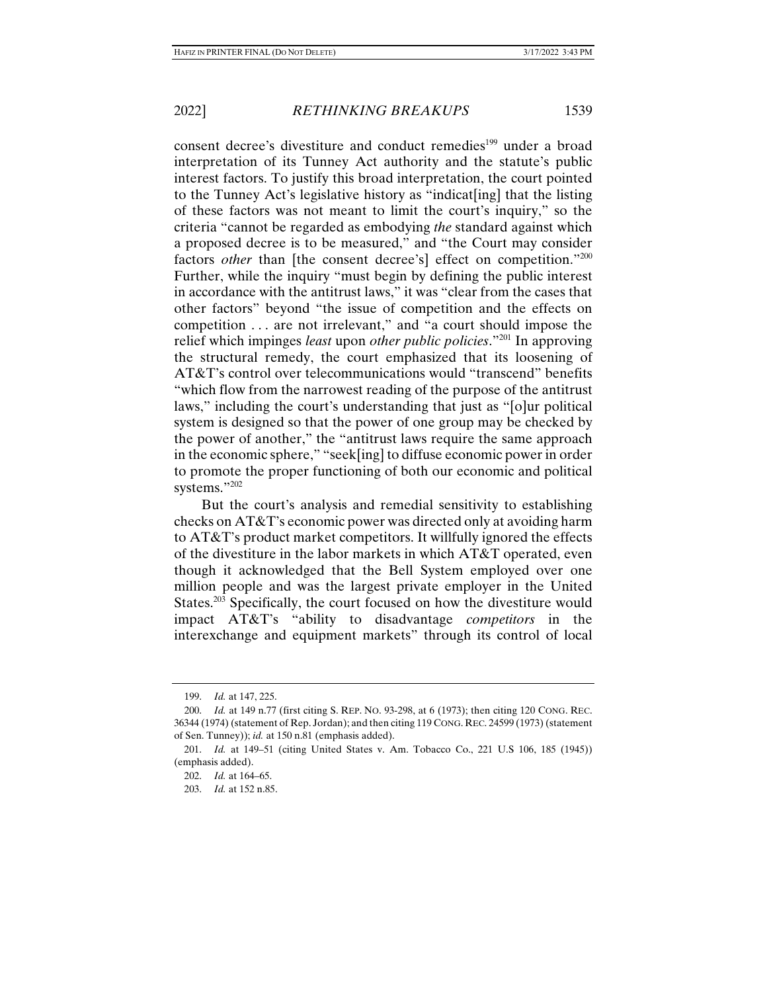consent decree's divestiture and conduct remedies<sup>199</sup> under a broad interpretation of its Tunney Act authority and the statute's public interest factors. To justify this broad interpretation, the court pointed to the Tunney Act's legislative history as "indicat[ing] that the listing of these factors was not meant to limit the court's inquiry," so the criteria "cannot be regarded as embodying *the* standard against which a proposed decree is to be measured," and "the Court may consider factors *other* than [the consent decree's] effect on competition."<sup>200</sup> Further, while the inquiry "must begin by defining the public interest in accordance with the antitrust laws," it was "clear from the cases that other factors" beyond "the issue of competition and the effects on competition . . . are not irrelevant," and "a court should impose the relief which impinges *least* upon *other public policies*."201 In approving the structural remedy, the court emphasized that its loosening of AT&T's control over telecommunications would "transcend" benefits "which flow from the narrowest reading of the purpose of the antitrust laws," including the court's understanding that just as "[o]ur political system is designed so that the power of one group may be checked by the power of another," the "antitrust laws require the same approach in the economic sphere," "seek[ing] to diffuse economic power in order to promote the proper functioning of both our economic and political systems."202

But the court's analysis and remedial sensitivity to establishing checks on AT&T's economic power was directed only at avoiding harm to AT&T's product market competitors. It willfully ignored the effects of the divestiture in the labor markets in which AT&T operated, even though it acknowledged that the Bell System employed over one million people and was the largest private employer in the United States. $203$  Specifically, the court focused on how the divestiture would impact AT&T's "ability to disadvantage *competitors* in the interexchange and equipment markets" through its control of local

 <sup>199.</sup> *Id.* at 147, 225.

 <sup>200.</sup> *Id.* at 149 n.77 (first citing S. REP. NO. 93-298, at 6 (1973); then citing 120 CONG. REC. 36344 (1974) (statement of Rep. Jordan); and then citing 119 CONG. REC. 24599 (1973) (statement of Sen. Tunney)); *id.* at 150 n.81 (emphasis added).

 <sup>201.</sup> *Id.* at 149–51 (citing United States v. Am. Tobacco Co., 221 U.S 106, 185 (1945)) (emphasis added).

 <sup>202.</sup> *Id.* at 164–65.

 <sup>203.</sup> *Id.* at 152 n.85.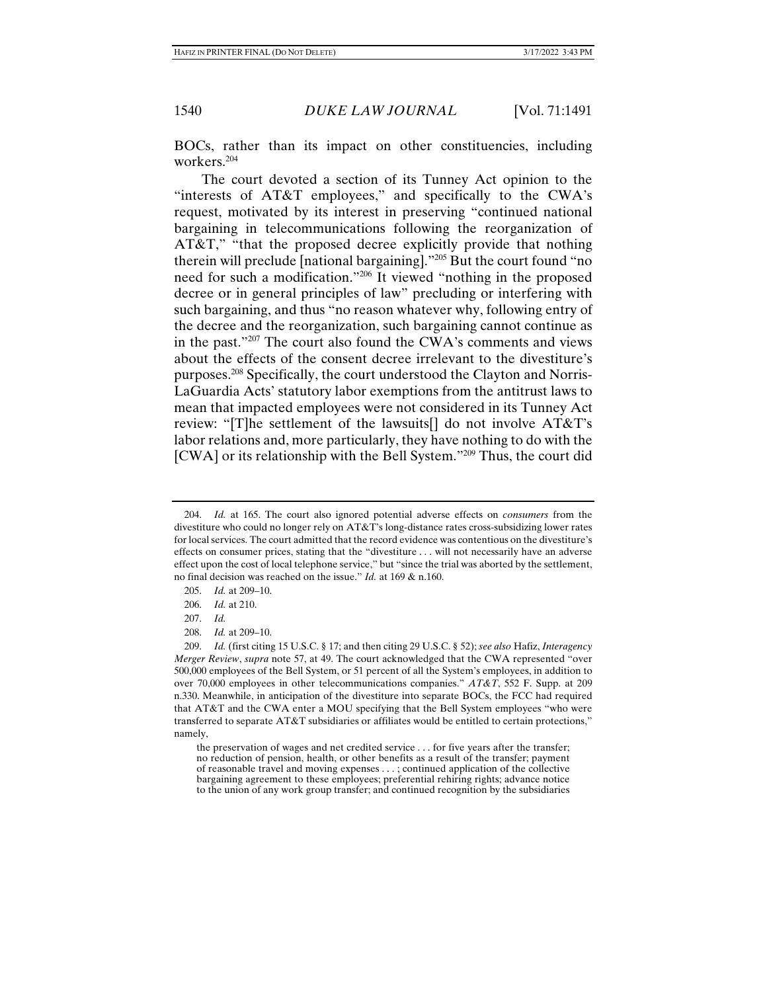BOCs, rather than its impact on other constituencies, including workers.204

The court devoted a section of its Tunney Act opinion to the "interests of AT&T employees," and specifically to the CWA's request, motivated by its interest in preserving "continued national bargaining in telecommunications following the reorganization of AT&T," "that the proposed decree explicitly provide that nothing therein will preclude [national bargaining]."205 But the court found "no need for such a modification."206 It viewed "nothing in the proposed decree or in general principles of law" precluding or interfering with such bargaining, and thus "no reason whatever why, following entry of the decree and the reorganization, such bargaining cannot continue as in the past."207 The court also found the CWA's comments and views about the effects of the consent decree irrelevant to the divestiture's purposes.208 Specifically, the court understood the Clayton and Norris-LaGuardia Acts' statutory labor exemptions from the antitrust laws to mean that impacted employees were not considered in its Tunney Act review: "[T]he settlement of the lawsuits[] do not involve AT&T's labor relations and, more particularly, they have nothing to do with the [CWA] or its relationship with the Bell System."<sup>209</sup> Thus, the court did

208. *Id.* at 209–10.

 <sup>204.</sup> *Id.* at 165. The court also ignored potential adverse effects on *consumers* from the divestiture who could no longer rely on AT&T's long-distance rates cross-subsidizing lower rates for local services. The court admitted that the record evidence was contentious on the divestiture's effects on consumer prices, stating that the "divestiture . . . will not necessarily have an adverse effect upon the cost of local telephone service," but "since the trial was aborted by the settlement, no final decision was reached on the issue." *Id.* at 169 & n.160.

 <sup>205.</sup> *Id.* at 209–10.

 <sup>206.</sup> *Id.* at 210.

 <sup>207.</sup> *Id.*

 <sup>209.</sup> *Id.* (first citing 15 U.S.C. § 17; and then citing 29 U.S.C. § 52); *see also* Hafiz, *Interagency Merger Review*, *supra* note 57, at 49. The court acknowledged that the CWA represented "over 500,000 employees of the Bell System, or 51 percent of all the System's employees, in addition to over 70,000 employees in other telecommunications companies." *AT&T*, 552 F. Supp. at 209 n.330. Meanwhile, in anticipation of the divestiture into separate BOCs, the FCC had required that AT&T and the CWA enter a MOU specifying that the Bell System employees "who were transferred to separate AT&T subsidiaries or affiliates would be entitled to certain protections," namely,

the preservation of wages and net credited service . . . for five years after the transfer; no reduction of pension, health, or other benefits as a result of the transfer; payment of reasonable travel and moving expenses . . . ; continued application of the collective bargaining agreement to these employees; preferential rehiring rights; advance notice to the union of any work group transfer; and continued recognition by the subsidiaries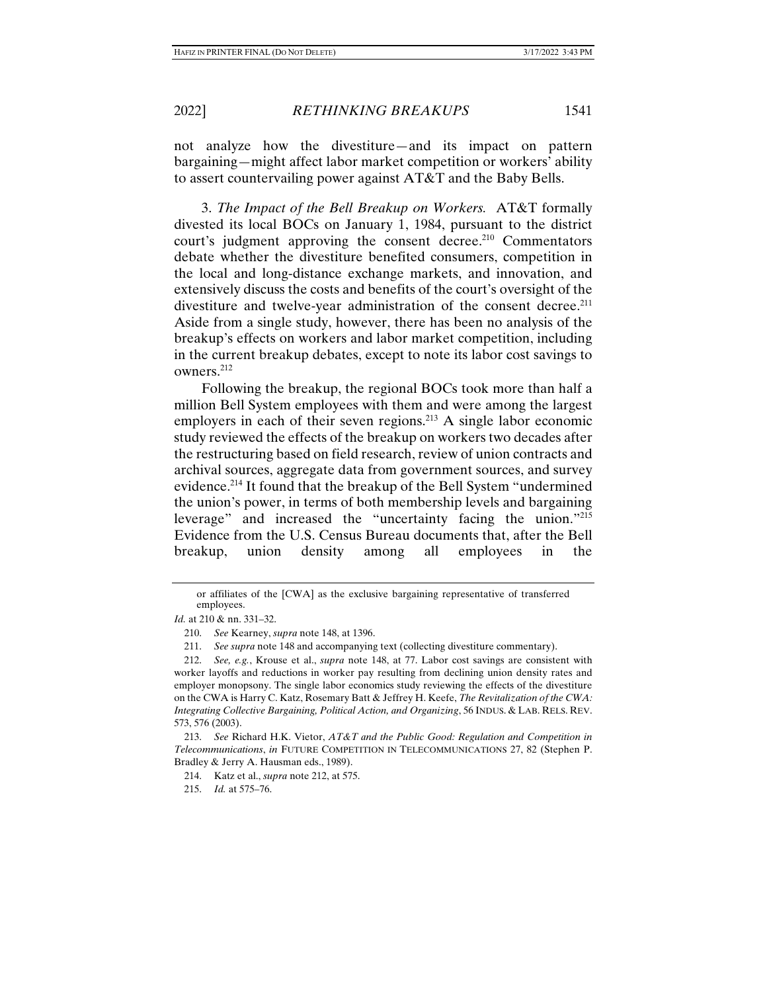not analyze how the divestiture—and its impact on pattern bargaining—might affect labor market competition or workers' ability to assert countervailing power against AT&T and the Baby Bells.

3. *The Impact of the Bell Breakup on Workers.* AT&T formally divested its local BOCs on January 1, 1984, pursuant to the district court's judgment approving the consent decree.<sup>210</sup> Commentators debate whether the divestiture benefited consumers, competition in the local and long-distance exchange markets, and innovation, and extensively discuss the costs and benefits of the court's oversight of the divestiture and twelve-year administration of the consent decree.<sup>211</sup> Aside from a single study, however, there has been no analysis of the breakup's effects on workers and labor market competition, including in the current breakup debates, except to note its labor cost savings to owners.212

Following the breakup, the regional BOCs took more than half a million Bell System employees with them and were among the largest employers in each of their seven regions.<sup>213</sup> A single labor economic study reviewed the effects of the breakup on workers two decades after the restructuring based on field research, review of union contracts and archival sources, aggregate data from government sources, and survey evidence.214 It found that the breakup of the Bell System "undermined the union's power, in terms of both membership levels and bargaining leverage" and increased the "uncertainty facing the union."215 Evidence from the U.S. Census Bureau documents that, after the Bell breakup, union density among all employees in the

or affiliates of the [CWA] as the exclusive bargaining representative of transferred employees.

*Id.* at 210 & nn. 331–32.

 <sup>210.</sup> *See* Kearney, *supra* note 148, at 1396.

 <sup>211.</sup> *See supra* note 148 and accompanying text (collecting divestiture commentary).

 <sup>212.</sup> *See, e.g.*, Krouse et al., *supra* note 148, at 77. Labor cost savings are consistent with worker layoffs and reductions in worker pay resulting from declining union density rates and employer monopsony. The single labor economics study reviewing the effects of the divestiture on the CWA is Harry C. Katz, Rosemary Batt & Jeffrey H. Keefe, *The Revitalization of the CWA: Integrating Collective Bargaining, Political Action, and Organizing*, 56 INDUS. & LAB. RELS. REV. 573, 576 (2003).

 <sup>213.</sup> *See* Richard H.K. Vietor, *AT&T and the Public Good: Regulation and Competition in Telecommunications*, *in* FUTURE COMPETITION IN TELECOMMUNICATIONS 27, 82 (Stephen P. Bradley & Jerry A. Hausman eds., 1989).

 <sup>214.</sup> Katz et al., *supra* note 212, at 575.

 <sup>215.</sup> *Id.* at 575–76.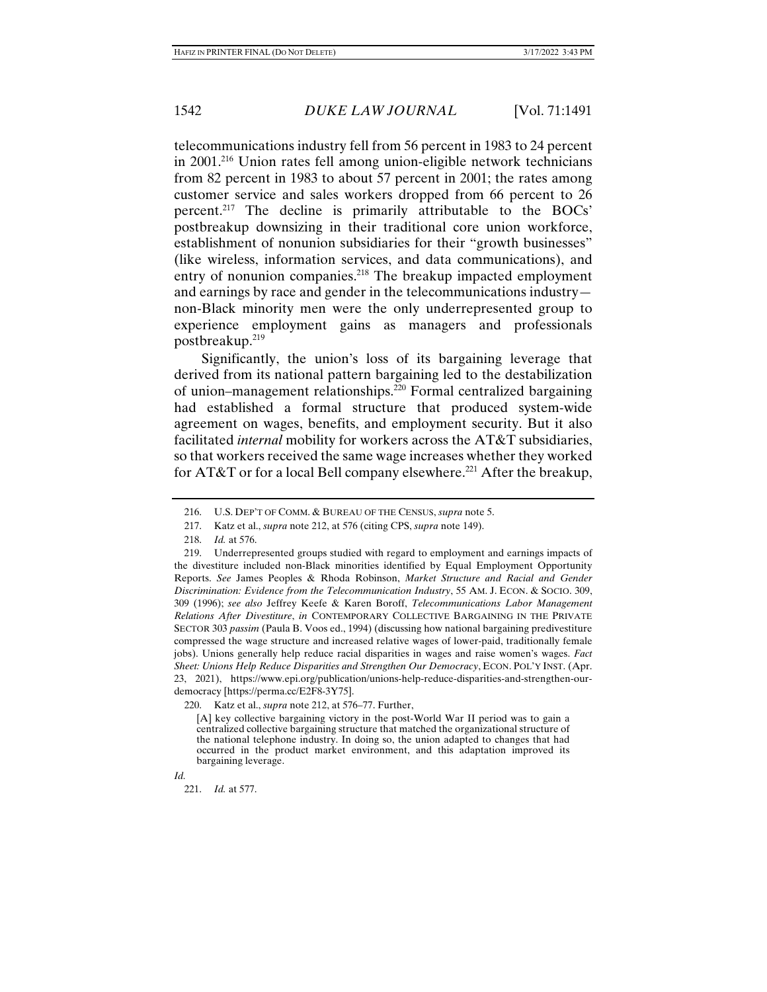telecommunications industry fell from 56 percent in 1983 to 24 percent in 2001.216 Union rates fell among union-eligible network technicians from 82 percent in 1983 to about 57 percent in 2001; the rates among customer service and sales workers dropped from 66 percent to 26 percent.217 The decline is primarily attributable to the BOCs' postbreakup downsizing in their traditional core union workforce, establishment of nonunion subsidiaries for their "growth businesses" (like wireless, information services, and data communications), and entry of nonunion companies.<sup>218</sup> The breakup impacted employment and earnings by race and gender in the telecommunications industry non-Black minority men were the only underrepresented group to experience employment gains as managers and professionals postbreakup.219

Significantly, the union's loss of its bargaining leverage that derived from its national pattern bargaining led to the destabilization of union–management relationships.220 Formal centralized bargaining had established a formal structure that produced system-wide agreement on wages, benefits, and employment security. But it also facilitated *internal* mobility for workers across the AT&T subsidiaries, so that workers received the same wage increases whether they worked for AT&T or for a local Bell company elsewhere.<sup>221</sup> After the breakup,

220. Katz et al., *supra* note 212, at 576–77. Further,

[A] key collective bargaining victory in the post-World War II period was to gain a centralized collective bargaining structure that matched the organizational structure of the national telephone industry. In doing so, the union adapted to changes that had occurred in the product market environment, and this adaptation improved its bargaining leverage.

*Id.*

221. *Id.* at 577.

 <sup>216.</sup> U.S. DEP'T OF COMM. & BUREAU OF THE CENSUS, *supra* note 5.

 <sup>217.</sup> Katz et al., *supra* note 212, at 576 (citing CPS, *supra* note 149).

 <sup>218.</sup> *Id.* at 576.

 <sup>219.</sup> Underrepresented groups studied with regard to employment and earnings impacts of the divestiture included non-Black minorities identified by Equal Employment Opportunity Reports. *See* James Peoples & Rhoda Robinson, *Market Structure and Racial and Gender Discrimination: Evidence from the Telecommunication Industry*, 55 AM. J. ECON. & SOCIO. 309, 309 (1996); *see also* Jeffrey Keefe & Karen Boroff, *Telecommunications Labor Management Relations After Divestiture*, *in* CONTEMPORARY COLLECTIVE BARGAINING IN THE PRIVATE SECTOR 303 *passim* (Paula B. Voos ed., 1994) (discussing how national bargaining predivestiture compressed the wage structure and increased relative wages of lower-paid, traditionally female jobs). Unions generally help reduce racial disparities in wages and raise women's wages. *Fact Sheet: Unions Help Reduce Disparities and Strengthen Our Democracy*, ECON. POL'Y INST. (Apr. 23, 2021), https://www.epi.org/publication/unions-help-reduce-disparities-and-strengthen-ourdemocracy [https://perma.cc/E2F8-3Y75].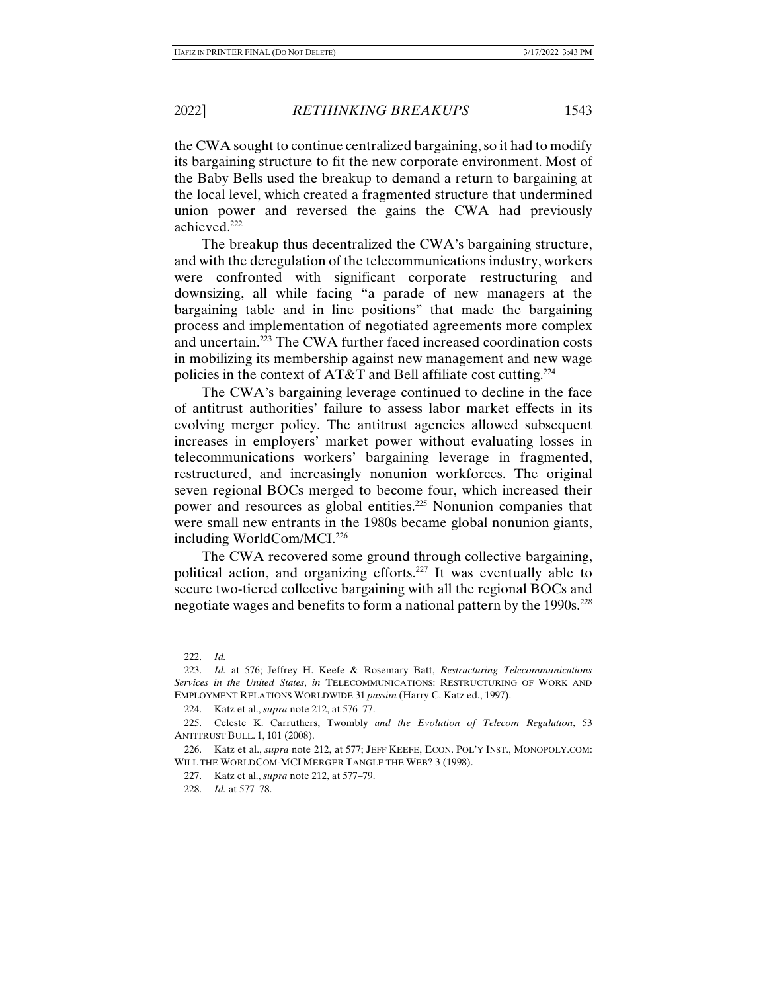the CWA sought to continue centralized bargaining, so it had to modify its bargaining structure to fit the new corporate environment. Most of the Baby Bells used the breakup to demand a return to bargaining at the local level, which created a fragmented structure that undermined union power and reversed the gains the CWA had previously achieved.222

The breakup thus decentralized the CWA's bargaining structure, and with the deregulation of the telecommunications industry, workers were confronted with significant corporate restructuring and downsizing, all while facing "a parade of new managers at the bargaining table and in line positions" that made the bargaining process and implementation of negotiated agreements more complex and uncertain.223 The CWA further faced increased coordination costs in mobilizing its membership against new management and new wage policies in the context of AT&T and Bell affiliate cost cutting.<sup>224</sup>

The CWA's bargaining leverage continued to decline in the face of antitrust authorities' failure to assess labor market effects in its evolving merger policy. The antitrust agencies allowed subsequent increases in employers' market power without evaluating losses in telecommunications workers' bargaining leverage in fragmented, restructured, and increasingly nonunion workforces. The original seven regional BOCs merged to become four, which increased their power and resources as global entities.225 Nonunion companies that were small new entrants in the 1980s became global nonunion giants, including WorldCom/MCI.226

The CWA recovered some ground through collective bargaining, political action, and organizing efforts.227 It was eventually able to secure two-tiered collective bargaining with all the regional BOCs and negotiate wages and benefits to form a national pattern by the 1990s.<sup>228</sup>

 <sup>222.</sup> *Id.*

 <sup>223.</sup> *Id.* at 576; Jeffrey H. Keefe & Rosemary Batt, *Restructuring Telecommunications Services in the United States*, *in* TELECOMMUNICATIONS: RESTRUCTURING OF WORK AND EMPLOYMENT RELATIONS WORLDWIDE 31 *passim* (Harry C. Katz ed., 1997).

 <sup>224.</sup> Katz et al., *supra* note 212, at 576–77.

 <sup>225.</sup> Celeste K. Carruthers, Twombly *and the Evolution of Telecom Regulation*, 53 ANTITRUST BULL. 1, 101 (2008).

 <sup>226.</sup> Katz et al., *supra* note 212, at 577; JEFF KEEFE, ECON. POL'Y INST., MONOPOLY.COM: WILL THE WORLDCOM-MCI MERGER TANGLE THE WEB? 3 (1998).

 <sup>227.</sup> Katz et al., *supra* note 212, at 577–79.

 <sup>228.</sup> *Id.* at 577–78.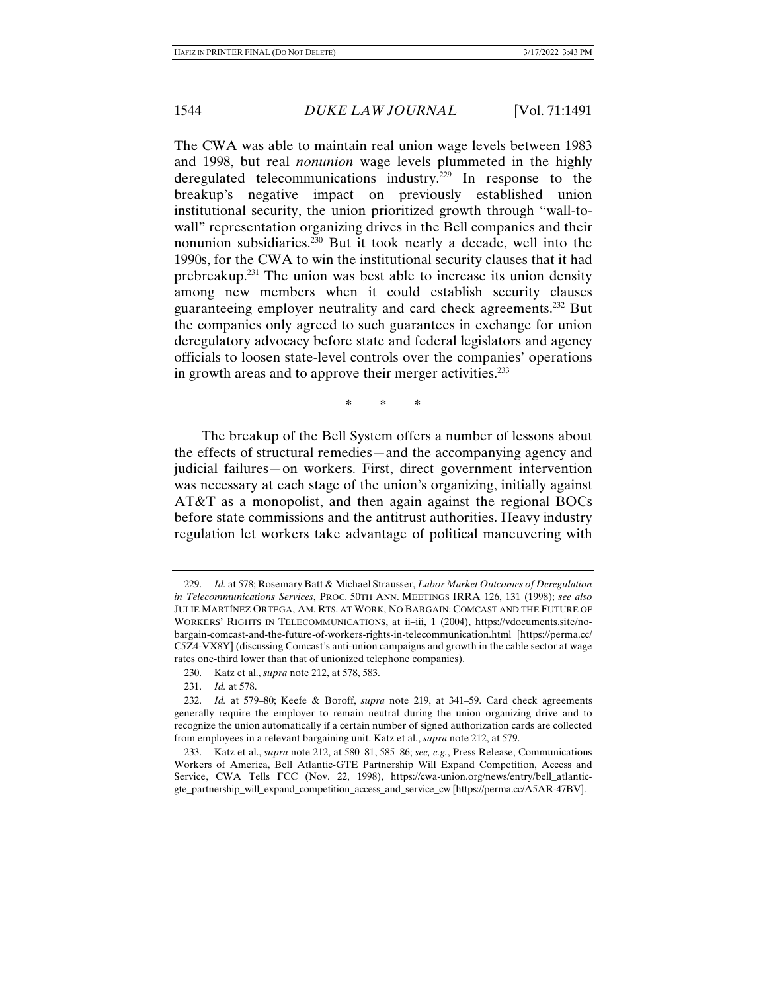The CWA was able to maintain real union wage levels between 1983 and 1998, but real *nonunion* wage levels plummeted in the highly deregulated telecommunications industry.<sup>229</sup> In response to the breakup's negative impact on previously established union institutional security, the union prioritized growth through "wall-towall" representation organizing drives in the Bell companies and their nonunion subsidiaries.230 But it took nearly a decade, well into the 1990s, for the CWA to win the institutional security clauses that it had prebreakup.231 The union was best able to increase its union density among new members when it could establish security clauses guaranteeing employer neutrality and card check agreements.232 But the companies only agreed to such guarantees in exchange for union deregulatory advocacy before state and federal legislators and agency officials to loosen state-level controls over the companies' operations in growth areas and to approve their merger activities.<sup>233</sup>

\* \* \*

The breakup of the Bell System offers a number of lessons about the effects of structural remedies—and the accompanying agency and judicial failures—on workers. First, direct government intervention was necessary at each stage of the union's organizing, initially against AT&T as a monopolist, and then again against the regional BOCs before state commissions and the antitrust authorities. Heavy industry regulation let workers take advantage of political maneuvering with

 <sup>229.</sup> *Id.* at 578; Rosemary Batt & Michael Strausser, *Labor Market Outcomes of Deregulation in Telecommunications Services*, PROC. 50TH ANN. MEETINGS IRRA 126, 131 (1998); *see also* JULIE MARTÍNEZ ORTEGA, AM. RTS. AT WORK, NO BARGAIN: COMCAST AND THE FUTURE OF WORKERS' RIGHTS IN TELECOMMUNICATIONS, at ii–iii, 1 (2004), https://vdocuments.site/nobargain-comcast-and-the-future-of-workers-rights-in-telecommunication.html [https://perma.cc/ C5Z4-VX8Y] (discussing Comcast's anti-union campaigns and growth in the cable sector at wage rates one-third lower than that of unionized telephone companies).

 <sup>230.</sup> Katz et al., *supra* note 212, at 578, 583.

 <sup>231.</sup> *Id.* at 578.

 <sup>232.</sup> *Id.* at 579–80; Keefe & Boroff, *supra* note 219, at 341–59. Card check agreements generally require the employer to remain neutral during the union organizing drive and to recognize the union automatically if a certain number of signed authorization cards are collected from employees in a relevant bargaining unit. Katz et al., *supra* note 212, at 579.

 <sup>233.</sup> Katz et al., *supra* note 212, at 580–81, 585–86; *see, e.g.*, Press Release, Communications Workers of America, Bell Atlantic-GTE Partnership Will Expand Competition, Access and Service, CWA Tells FCC (Nov. 22, 1998), https://cwa-union.org/news/entry/bell\_atlanticgte\_partnership\_will\_expand\_competition\_access\_and\_service\_cw [https://perma.cc/A5AR-47BV].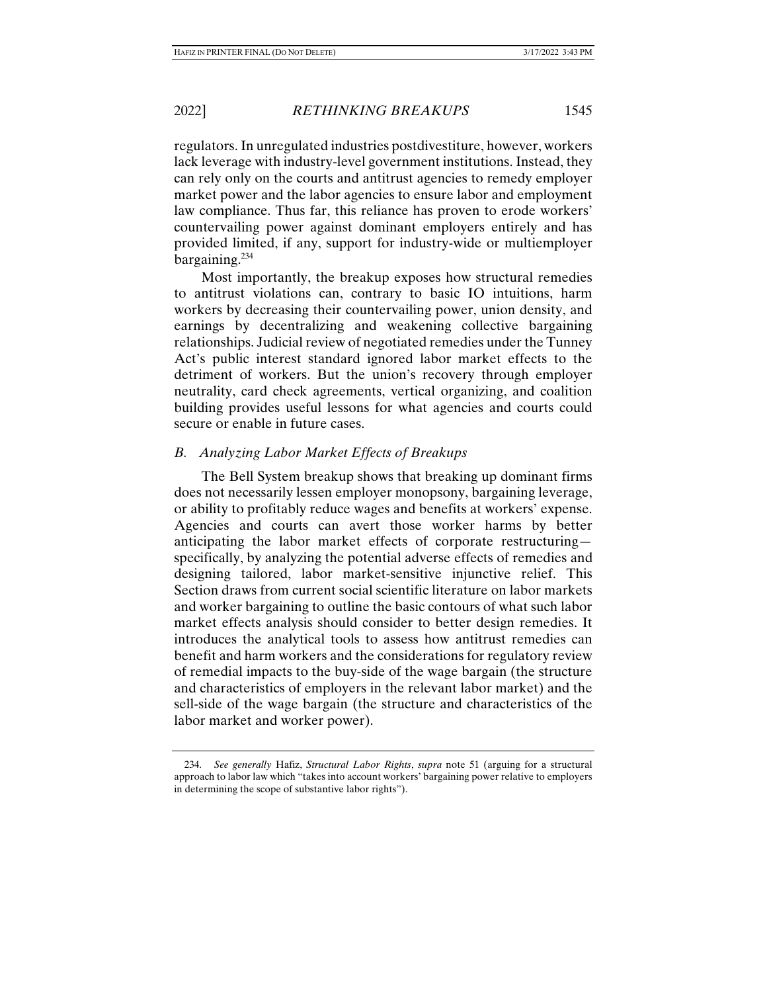regulators. In unregulated industries postdivestiture, however, workers lack leverage with industry-level government institutions. Instead, they can rely only on the courts and antitrust agencies to remedy employer market power and the labor agencies to ensure labor and employment law compliance. Thus far, this reliance has proven to erode workers' countervailing power against dominant employers entirely and has provided limited, if any, support for industry-wide or multiemployer bargaining. $234$ 

Most importantly, the breakup exposes how structural remedies to antitrust violations can, contrary to basic IO intuitions, harm workers by decreasing their countervailing power, union density, and earnings by decentralizing and weakening collective bargaining relationships. Judicial review of negotiated remedies under the Tunney Act's public interest standard ignored labor market effects to the detriment of workers. But the union's recovery through employer neutrality, card check agreements, vertical organizing, and coalition building provides useful lessons for what agencies and courts could secure or enable in future cases.

## *B. Analyzing Labor Market Effects of Breakups*

The Bell System breakup shows that breaking up dominant firms does not necessarily lessen employer monopsony, bargaining leverage, or ability to profitably reduce wages and benefits at workers' expense. Agencies and courts can avert those worker harms by better anticipating the labor market effects of corporate restructuring specifically, by analyzing the potential adverse effects of remedies and designing tailored, labor market-sensitive injunctive relief. This Section draws from current social scientific literature on labor markets and worker bargaining to outline the basic contours of what such labor market effects analysis should consider to better design remedies. It introduces the analytical tools to assess how antitrust remedies can benefit and harm workers and the considerations for regulatory review of remedial impacts to the buy-side of the wage bargain (the structure and characteristics of employers in the relevant labor market) and the sell-side of the wage bargain (the structure and characteristics of the labor market and worker power).

 <sup>234.</sup> *See generally* Hafiz, *Structural Labor Rights*, *supra* note 51 (arguing for a structural approach to labor law which "takes into account workers' bargaining power relative to employers in determining the scope of substantive labor rights").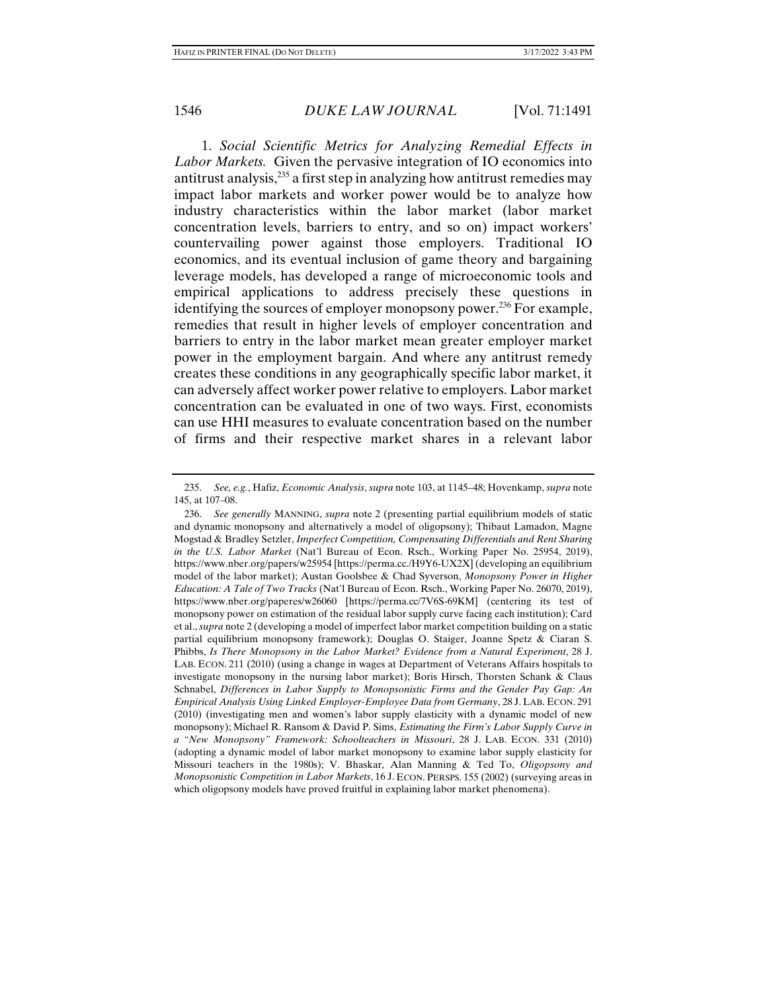1. *Social Scientific Metrics for Analyzing Remedial Effects in Labor Markets.* Given the pervasive integration of IO economics into antitrust analysis,<sup>235</sup> a first step in analyzing how antitrust remedies may impact labor markets and worker power would be to analyze how industry characteristics within the labor market (labor market concentration levels, barriers to entry, and so on) impact workers' countervailing power against those employers. Traditional IO economics, and its eventual inclusion of game theory and bargaining leverage models, has developed a range of microeconomic tools and empirical applications to address precisely these questions in identifying the sources of employer monopsony power.<sup>236</sup> For example, remedies that result in higher levels of employer concentration and barriers to entry in the labor market mean greater employer market power in the employment bargain. And where any antitrust remedy creates these conditions in any geographically specific labor market, it can adversely affect worker power relative to employers. Labor market concentration can be evaluated in one of two ways. First, economists can use HHI measures to evaluate concentration based on the number of firms and their respective market shares in a relevant labor

 <sup>235.</sup> *See, e.g.*, Hafiz, *Economic Analysis*, *supra* note 103, at 1145–48; Hovenkamp, *supra* note 145, at 107–08.

 <sup>236.</sup> *See generally* MANNING, *supra* note 2 (presenting partial equilibrium models of static and dynamic monopsony and alternatively a model of oligopsony); Thibaut Lamadon, Magne Mogstad & Bradley Setzler, *Imperfect Competition, Compensating Differentials and Rent Sharing in the U.S. Labor Market* (Nat'l Bureau of Econ. Rsch., Working Paper No. 25954, 2019), https://www.nber.org/papers/w25954 [https://perma.cc./H9Y6-UX2X] (developing an equilibrium model of the labor market); Austan Goolsbee & Chad Syverson, *Monopsony Power in Higher Education: A Tale of Two Tracks* (Nat'l Bureau of Econ. Rsch., Working Paper No. 26070, 2019), https://www.nber.org/paperes/w26060 [https://perma.cc/7V6S-69KM] (centering its test of monopsony power on estimation of the residual labor supply curve facing each institution); Card et al., *supra* note 2 (developing a model of imperfect labor market competition building on a static partial equilibrium monopsony framework); Douglas O. Staiger, Joanne Spetz & Ciaran S. Phibbs, *Is There Monopsony in the Labor Market? Evidence from a Natural Experiment*, 28 J. LAB. ECON. 211 (2010) (using a change in wages at Department of Veterans Affairs hospitals to investigate monopsony in the nursing labor market); Boris Hirsch, Thorsten Schank & Claus Schnabel, *Differences in Labor Supply to Monopsonistic Firms and the Gender Pay Gap: An Empirical Analysis Using Linked Employer-Employee Data from Germany*, 28 J. LAB. ECON. 291 (2010) (investigating men and women's labor supply elasticity with a dynamic model of new monopsony); Michael R. Ransom & David P. Sims, *Estimating the Firm's Labor Supply Curve in a "New Monopsony" Framework: Schoolteachers in Missouri*, 28 J. LAB. ECON. 331 (2010) (adopting a dynamic model of labor market monopsony to examine labor supply elasticity for Missouri teachers in the 1980s); V. Bhaskar, Alan Manning & Ted To, *Oligopsony and Monopsonistic Competition in Labor Markets*, 16 J. ECON. PERSPS. 155 (2002) (surveying areas in which oligopsony models have proved fruitful in explaining labor market phenomena).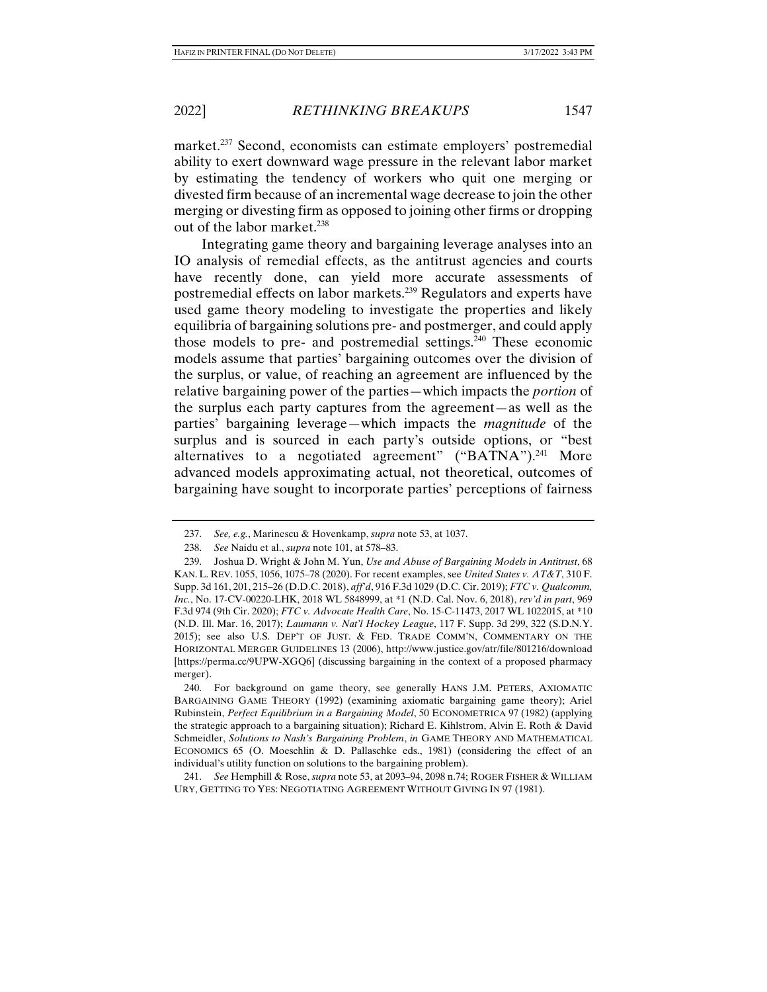market.<sup>237</sup> Second, economists can estimate employers' postremedial ability to exert downward wage pressure in the relevant labor market by estimating the tendency of workers who quit one merging or divested firm because of an incremental wage decrease to join the other merging or divesting firm as opposed to joining other firms or dropping out of the labor market.<sup>238</sup>

Integrating game theory and bargaining leverage analyses into an IO analysis of remedial effects, as the antitrust agencies and courts have recently done, can yield more accurate assessments of postremedial effects on labor markets.239 Regulators and experts have used game theory modeling to investigate the properties and likely equilibria of bargaining solutions pre- and postmerger, and could apply those models to pre- and postremedial settings.240 These economic models assume that parties' bargaining outcomes over the division of the surplus, or value, of reaching an agreement are influenced by the relative bargaining power of the parties—which impacts the *portion* of the surplus each party captures from the agreement—as well as the parties' bargaining leverage—which impacts the *magnitude* of the surplus and is sourced in each party's outside options, or "best alternatives to a negotiated agreement" ("BATNA").<sup>241</sup> More advanced models approximating actual, not theoretical, outcomes of bargaining have sought to incorporate parties' perceptions of fairness

 240. For background on game theory, see generally HANS J.M. PETERS, AXIOMATIC BARGAINING GAME THEORY (1992) (examining axiomatic bargaining game theory); Ariel Rubinstein, *Perfect Equilibrium in a Bargaining Model*, 50 ECONOMETRICA 97 (1982) (applying the strategic approach to a bargaining situation); Richard E. Kihlstrom, Alvin E. Roth & David Schmeidler, *Solutions to Nash's Bargaining Problem*, *in* GAME THEORY AND MATHEMATICAL ECONOMICS 65 (O. Moeschlin & D. Pallaschke eds., 1981) (considering the effect of an individual's utility function on solutions to the bargaining problem).

 241. *See* Hemphill & Rose, *supra* note 53, at 2093–94, 2098 n.74; ROGER FISHER & WILLIAM URY, GETTING TO YES: NEGOTIATING AGREEMENT WITHOUT GIVING IN 97 (1981).

 <sup>237.</sup> *See, e.g.*, Marinescu & Hovenkamp, *supra* note 53, at 1037.

 <sup>238.</sup> *See* Naidu et al., *supra* note 101, at 578–83.

 <sup>239.</sup> Joshua D. Wright & John M. Yun, *Use and Abuse of Bargaining Models in Antitrust*, 68 KAN. L. REV. 1055, 1056, 1075–78 (2020). For recent examples, see *United States v. AT&T*, 310 F. Supp. 3d 161, 201, 215–26 (D.D.C. 2018), *aff'd*, 916 F.3d 1029 (D.C. Cir. 2019); *FTC v. Qualcomm, Inc.*, No. 17-CV-00220-LHK, 2018 WL 5848999, at \*1 (N.D. Cal. Nov. 6, 2018), *rev'd in part*, 969 F.3d 974 (9th Cir. 2020); *FTC v. Advocate Health Care*, No. 15-C-11473, 2017 WL 1022015, at \*10 (N.D. Ill. Mar. 16, 2017); *Laumann v. Nat'l Hockey League*, 117 F. Supp. 3d 299, 322 (S.D.N.Y. 2015); see also U.S. DEP'T OF JUST. & FED. TRADE COMM'N, COMMENTARY ON THE HORIZONTAL MERGER GUIDELINES 13 (2006), http://www.justice.gov/atr/file/801216/download [https://perma.cc/9UPW-XGQ6] (discussing bargaining in the context of a proposed pharmacy merger).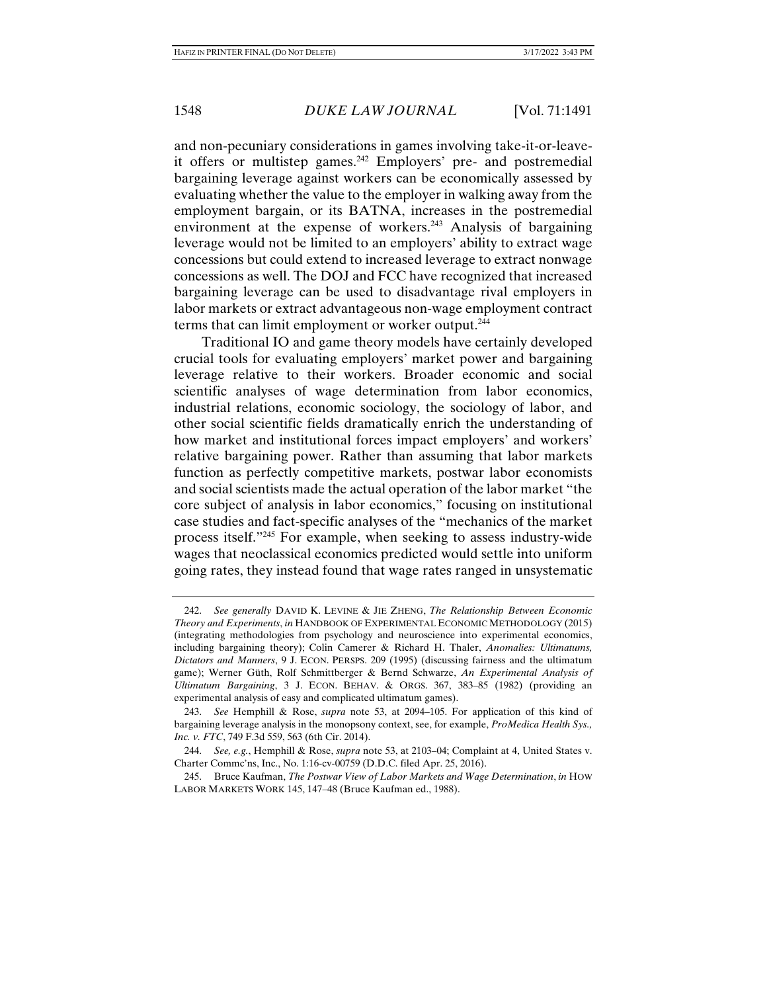and non-pecuniary considerations in games involving take-it-or-leaveit offers or multistep games.<sup>242</sup> Employers' pre- and postremedial bargaining leverage against workers can be economically assessed by evaluating whether the value to the employer in walking away from the employment bargain, or its BATNA, increases in the postremedial environment at the expense of workers.<sup>243</sup> Analysis of bargaining leverage would not be limited to an employers' ability to extract wage concessions but could extend to increased leverage to extract nonwage concessions as well. The DOJ and FCC have recognized that increased bargaining leverage can be used to disadvantage rival employers in labor markets or extract advantageous non-wage employment contract terms that can limit employment or worker output.244

Traditional IO and game theory models have certainly developed crucial tools for evaluating employers' market power and bargaining leverage relative to their workers. Broader economic and social scientific analyses of wage determination from labor economics, industrial relations, economic sociology, the sociology of labor, and other social scientific fields dramatically enrich the understanding of how market and institutional forces impact employers' and workers' relative bargaining power. Rather than assuming that labor markets function as perfectly competitive markets, postwar labor economists and social scientists made the actual operation of the labor market "the core subject of analysis in labor economics," focusing on institutional case studies and fact-specific analyses of the "mechanics of the market process itself."245 For example, when seeking to assess industry-wide wages that neoclassical economics predicted would settle into uniform going rates, they instead found that wage rates ranged in unsystematic

 <sup>242.</sup> *See generally* DAVID K. LEVINE & JIE ZHENG, *The Relationship Between Economic Theory and Experiments*, *in* HANDBOOK OF EXPERIMENTAL ECONOMIC METHODOLOGY (2015) (integrating methodologies from psychology and neuroscience into experimental economics, including bargaining theory); Colin Camerer & Richard H. Thaler, *Anomalies: Ultimatums, Dictators and Manners*, 9 J. ECON. PERSPS. 209 (1995) (discussing fairness and the ultimatum game); Werner Güth, Rolf Schmittberger & Bernd Schwarze, *An Experimental Analysis of Ultimatum Bargaining*, 3 J. ECON. BEHAV. & ORGS. 367, 383–85 (1982) (providing an experimental analysis of easy and complicated ultimatum games).

 <sup>243.</sup> *See* Hemphill & Rose, *supra* note 53, at 2094–105. For application of this kind of bargaining leverage analysis in the monopsony context, see, for example, *ProMedica Health Sys., Inc. v. FTC*, 749 F.3d 559, 563 (6th Cir. 2014).

 <sup>244.</sup> *See, e.g.*, Hemphill & Rose, *supra* note 53, at 2103–04; Complaint at 4, United States v. Charter Commc'ns, Inc., No. 1:16-cv-00759 (D.D.C. filed Apr. 25, 2016).

 <sup>245.</sup> Bruce Kaufman, *The Postwar View of Labor Markets and Wage Determination*, *in* HOW LABOR MARKETS WORK 145, 147–48 (Bruce Kaufman ed., 1988).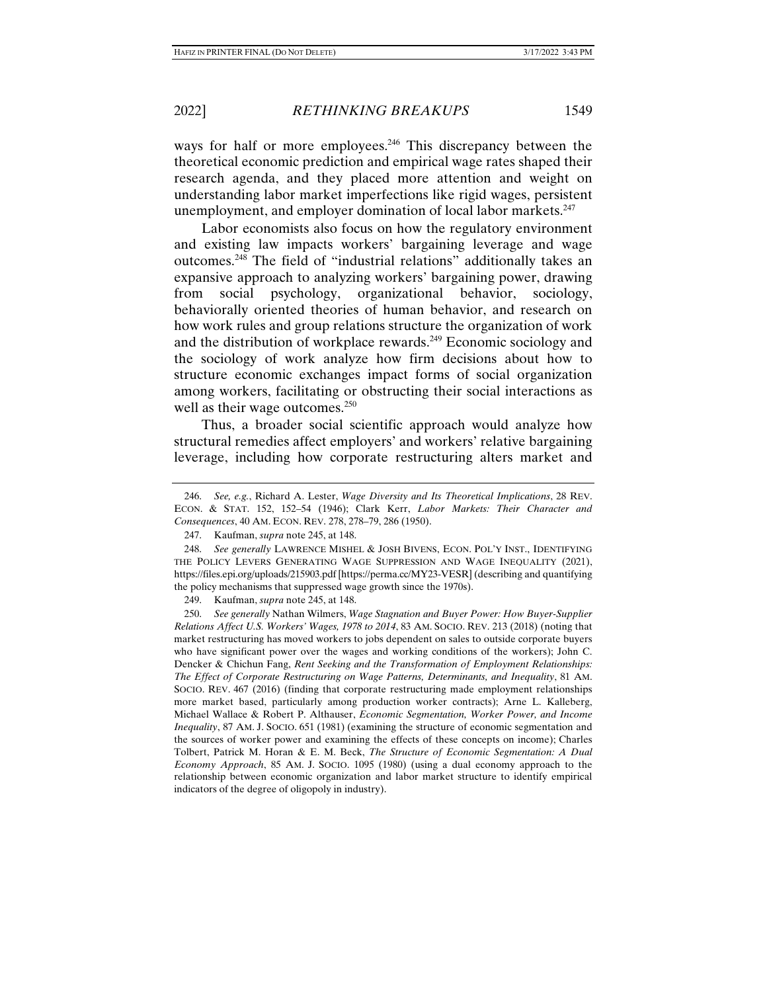ways for half or more employees.<sup>246</sup> This discrepancy between the theoretical economic prediction and empirical wage rates shaped their research agenda, and they placed more attention and weight on understanding labor market imperfections like rigid wages, persistent unemployment, and employer domination of local labor markets.<sup>247</sup>

Labor economists also focus on how the regulatory environment and existing law impacts workers' bargaining leverage and wage outcomes.248 The field of "industrial relations" additionally takes an expansive approach to analyzing workers' bargaining power, drawing from social psychology, organizational behavior, sociology, behaviorally oriented theories of human behavior, and research on how work rules and group relations structure the organization of work and the distribution of workplace rewards.<sup>249</sup> Economic sociology and the sociology of work analyze how firm decisions about how to structure economic exchanges impact forms of social organization among workers, facilitating or obstructing their social interactions as well as their wage outcomes.<sup>250</sup>

Thus, a broader social scientific approach would analyze how structural remedies affect employers' and workers' relative bargaining leverage, including how corporate restructuring alters market and

 <sup>246.</sup> *See, e.g.*, Richard A. Lester, *Wage Diversity and Its Theoretical Implications*, 28 REV. ECON. & STAT. 152, 152–54 (1946); Clark Kerr, *Labor Markets: Their Character and Consequences*, 40 AM. ECON. REV. 278, 278–79, 286 (1950).

 <sup>247.</sup> Kaufman, *supra* note 245, at 148.

 <sup>248.</sup> *See generally* LAWRENCE MISHEL & JOSH BIVENS, ECON. POL'Y INST., IDENTIFYING THE POLICY LEVERS GENERATING WAGE SUPPRESSION AND WAGE INEQUALITY (2021), https://files.epi.org/uploads/215903.pdf [https://perma.cc/MY23-VESR] (describing and quantifying the policy mechanisms that suppressed wage growth since the 1970s).

 <sup>249.</sup> Kaufman, *supra* note 245, at 148.

 <sup>250.</sup> *See generally* Nathan Wilmers, *Wage Stagnation and Buyer Power: How Buyer-Supplier Relations Affect U.S. Workers' Wages, 1978 to 2014*, 83 AM. SOCIO. REV. 213 (2018) (noting that market restructuring has moved workers to jobs dependent on sales to outside corporate buyers who have significant power over the wages and working conditions of the workers); John C. Dencker & Chichun Fang, *Rent Seeking and the Transformation of Employment Relationships: The Effect of Corporate Restructuring on Wage Patterns, Determinants, and Inequality*, 81 AM. SOCIO. REV. 467 (2016) (finding that corporate restructuring made employment relationships more market based, particularly among production worker contracts); Arne L. Kalleberg, Michael Wallace & Robert P. Althauser, *Economic Segmentation, Worker Power, and Income Inequality*, 87 AM. J. SOCIO. 651 (1981) (examining the structure of economic segmentation and the sources of worker power and examining the effects of these concepts on income); Charles Tolbert, Patrick M. Horan & E. M. Beck, *The Structure of Economic Segmentation: A Dual Economy Approach*, 85 AM. J. SOCIO. 1095 (1980) (using a dual economy approach to the relationship between economic organization and labor market structure to identify empirical indicators of the degree of oligopoly in industry).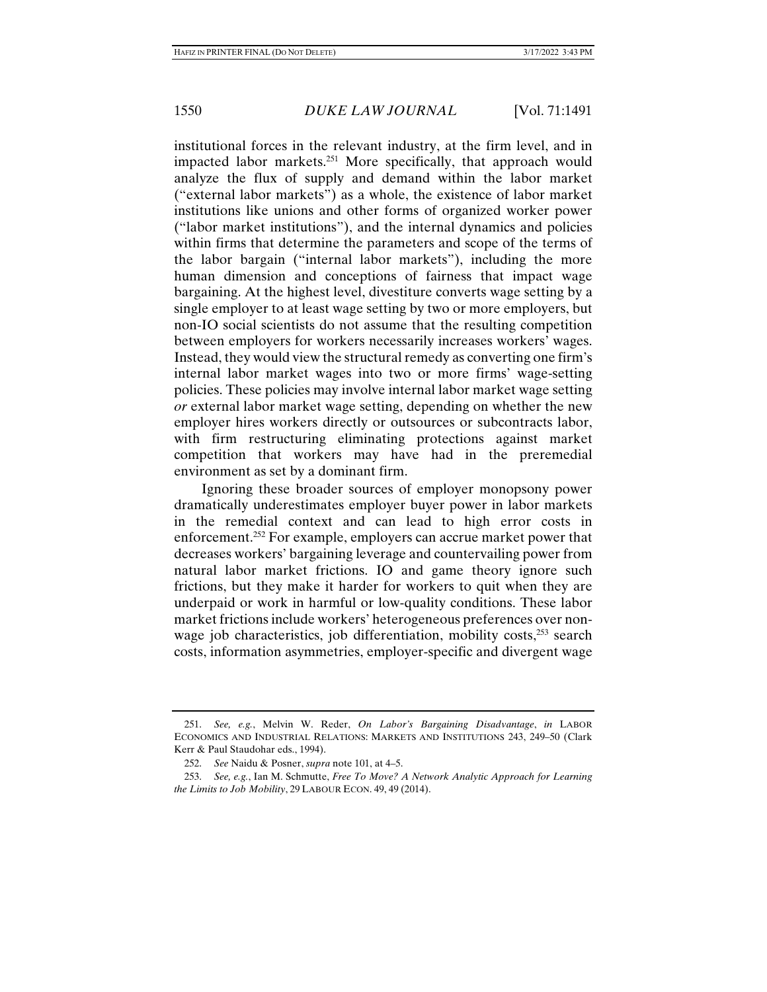institutional forces in the relevant industry, at the firm level, and in impacted labor markets.251 More specifically, that approach would analyze the flux of supply and demand within the labor market ("external labor markets") as a whole, the existence of labor market institutions like unions and other forms of organized worker power ("labor market institutions"), and the internal dynamics and policies within firms that determine the parameters and scope of the terms of the labor bargain ("internal labor markets"), including the more human dimension and conceptions of fairness that impact wage bargaining. At the highest level, divestiture converts wage setting by a single employer to at least wage setting by two or more employers, but non-IO social scientists do not assume that the resulting competition between employers for workers necessarily increases workers' wages. Instead, they would view the structural remedy as converting one firm's internal labor market wages into two or more firms' wage-setting policies. These policies may involve internal labor market wage setting *or* external labor market wage setting, depending on whether the new employer hires workers directly or outsources or subcontracts labor, with firm restructuring eliminating protections against market competition that workers may have had in the preremedial environment as set by a dominant firm.

Ignoring these broader sources of employer monopsony power dramatically underestimates employer buyer power in labor markets in the remedial context and can lead to high error costs in enforcement.<sup>252</sup> For example, employers can accrue market power that decreases workers' bargaining leverage and countervailing power from natural labor market frictions. IO and game theory ignore such frictions, but they make it harder for workers to quit when they are underpaid or work in harmful or low-quality conditions. These labor market frictions include workers' heterogeneous preferences over nonwage job characteristics, job differentiation, mobility costs,<sup>253</sup> search costs, information asymmetries, employer-specific and divergent wage

 <sup>251.</sup> *See, e.g.*, Melvin W. Reder, *On Labor's Bargaining Disadvantage*, *in* LABOR ECONOMICS AND INDUSTRIAL RELATIONS: MARKETS AND INSTITUTIONS 243, 249–50 (Clark Kerr & Paul Staudohar eds., 1994).

 <sup>252.</sup> *See* Naidu & Posner, *supra* note 101, at 4–5.

 <sup>253.</sup> *See, e.g.*, Ian M. Schmutte, *Free To Move? A Network Analytic Approach for Learning the Limits to Job Mobility*, 29 LABOUR ECON. 49, 49 (2014).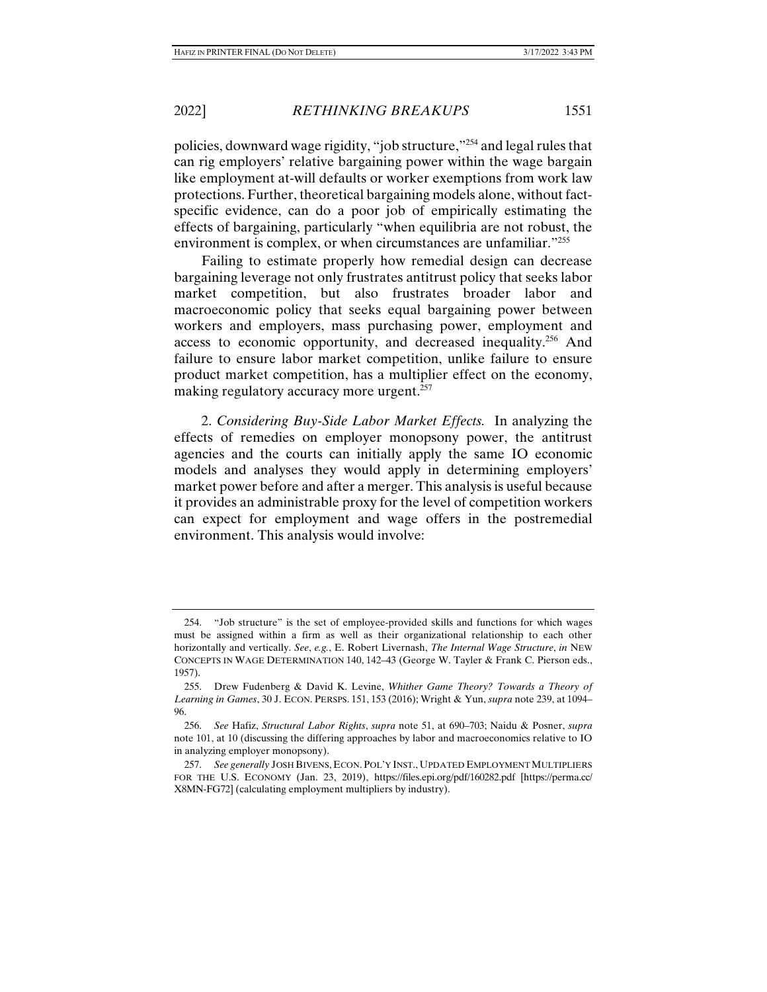policies, downward wage rigidity, "job structure,"254 and legal rules that

can rig employers' relative bargaining power within the wage bargain like employment at-will defaults or worker exemptions from work law protections. Further, theoretical bargaining models alone, without factspecific evidence, can do a poor job of empirically estimating the effects of bargaining, particularly "when equilibria are not robust, the environment is complex, or when circumstances are unfamiliar."<sup>255</sup>

Failing to estimate properly how remedial design can decrease bargaining leverage not only frustrates antitrust policy that seeks labor market competition, but also frustrates broader labor and macroeconomic policy that seeks equal bargaining power between workers and employers, mass purchasing power, employment and access to economic opportunity, and decreased inequality.256 And failure to ensure labor market competition, unlike failure to ensure product market competition, has a multiplier effect on the economy, making regulatory accuracy more urgent.<sup>257</sup>

2. *Considering Buy-Side Labor Market Effects.* In analyzing the effects of remedies on employer monopsony power, the antitrust agencies and the courts can initially apply the same IO economic models and analyses they would apply in determining employers' market power before and after a merger. This analysis is useful because it provides an administrable proxy for the level of competition workers can expect for employment and wage offers in the postremedial environment. This analysis would involve:

 <sup>254. &</sup>quot;Job structure" is the set of employee-provided skills and functions for which wages must be assigned within a firm as well as their organizational relationship to each other horizontally and vertically. *See*, *e.g.*, E. Robert Livernash, *The Internal Wage Structure*, *in* NEW CONCEPTS IN WAGE DETERMINATION 140, 142–43 (George W. Tayler & Frank C. Pierson eds., 1957).

 <sup>255.</sup> Drew Fudenberg & David K. Levine, *Whither Game Theory? Towards a Theory of Learning in Games*, 30 J. ECON. PERSPS. 151, 153 (2016); Wright & Yun, *supra* note 239, at 1094– 96.

 <sup>256.</sup> *See* Hafiz, *Structural Labor Rights*, *supra* note 51, at 690–703; Naidu & Posner, *supra* note 101, at 10 (discussing the differing approaches by labor and macroeconomics relative to IO in analyzing employer monopsony).

 <sup>257.</sup> *See generally* JOSH BIVENS, ECON. POL'Y INST., UPDATED EMPLOYMENT MULTIPLIERS FOR THE U.S. ECONOMY (Jan. 23, 2019), https://files.epi.org/pdf/160282.pdf [https://perma.cc/ X8MN-FG72] (calculating employment multipliers by industry).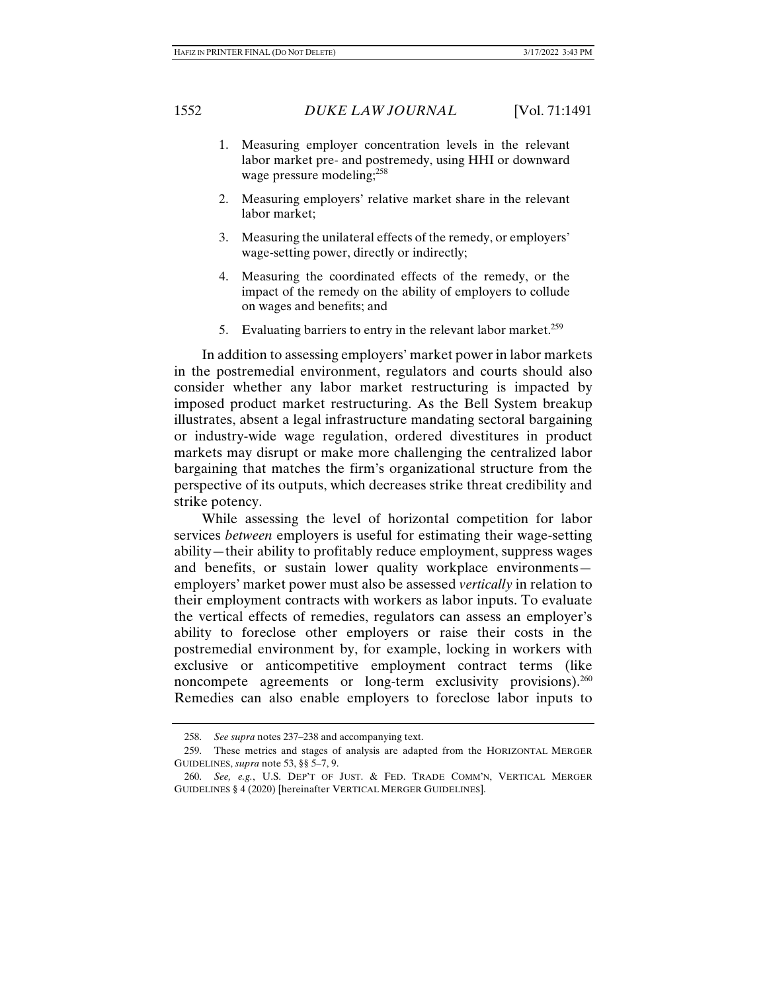- 1. Measuring employer concentration levels in the relevant labor market pre- and postremedy, using HHI or downward wage pressure modeling;<sup>258</sup>
- 2. Measuring employers' relative market share in the relevant labor market;
- 3. Measuring the unilateral effects of the remedy, or employers' wage-setting power, directly or indirectly;
- 4. Measuring the coordinated effects of the remedy, or the impact of the remedy on the ability of employers to collude on wages and benefits; and
- 5. Evaluating barriers to entry in the relevant labor market.<sup>259</sup>

In addition to assessing employers' market power in labor markets in the postremedial environment, regulators and courts should also consider whether any labor market restructuring is impacted by imposed product market restructuring. As the Bell System breakup illustrates, absent a legal infrastructure mandating sectoral bargaining or industry-wide wage regulation, ordered divestitures in product markets may disrupt or make more challenging the centralized labor bargaining that matches the firm's organizational structure from the perspective of its outputs, which decreases strike threat credibility and strike potency.

While assessing the level of horizontal competition for labor services *between* employers is useful for estimating their wage-setting ability—their ability to profitably reduce employment, suppress wages and benefits, or sustain lower quality workplace environments employers' market power must also be assessed *vertically* in relation to their employment contracts with workers as labor inputs. To evaluate the vertical effects of remedies, regulators can assess an employer's ability to foreclose other employers or raise their costs in the postremedial environment by, for example, locking in workers with exclusive or anticompetitive employment contract terms (like noncompete agreements or long-term exclusivity provisions).<sup>260</sup> Remedies can also enable employers to foreclose labor inputs to

 <sup>258.</sup> *See supra* notes 237–238 and accompanying text.

 <sup>259.</sup> These metrics and stages of analysis are adapted from the HORIZONTAL MERGER GUIDELINES, *supra* note 53, §§ 5–7, 9.

 <sup>260.</sup> *See, e.g.*, U.S. DEP'T OF JUST. & FED. TRADE COMM'N, VERTICAL MERGER GUIDELINES § 4 (2020) [hereinafter VERTICAL MERGER GUIDELINES].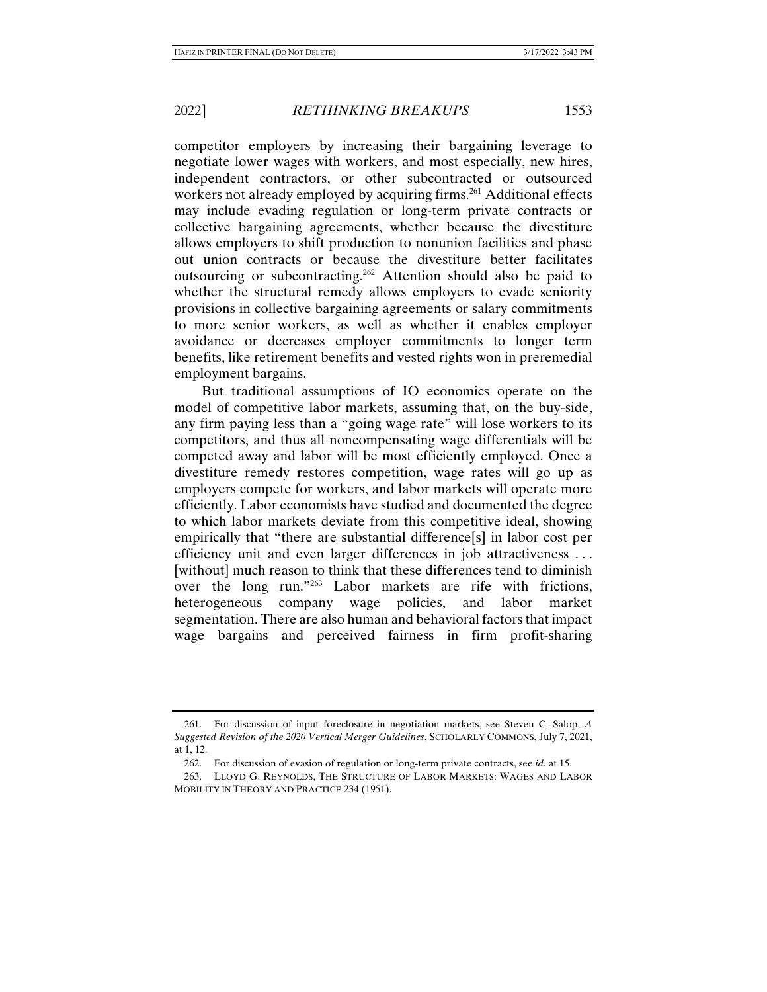competitor employers by increasing their bargaining leverage to negotiate lower wages with workers, and most especially, new hires, independent contractors, or other subcontracted or outsourced workers not already employed by acquiring firms.<sup>261</sup> Additional effects may include evading regulation or long-term private contracts or collective bargaining agreements, whether because the divestiture allows employers to shift production to nonunion facilities and phase out union contracts or because the divestiture better facilitates outsourcing or subcontracting.262 Attention should also be paid to whether the structural remedy allows employers to evade seniority provisions in collective bargaining agreements or salary commitments to more senior workers, as well as whether it enables employer avoidance or decreases employer commitments to longer term benefits, like retirement benefits and vested rights won in preremedial employment bargains.

But traditional assumptions of IO economics operate on the model of competitive labor markets, assuming that, on the buy-side, any firm paying less than a "going wage rate" will lose workers to its competitors, and thus all noncompensating wage differentials will be competed away and labor will be most efficiently employed. Once a divestiture remedy restores competition, wage rates will go up as employers compete for workers, and labor markets will operate more efficiently. Labor economists have studied and documented the degree to which labor markets deviate from this competitive ideal, showing empirically that "there are substantial difference[s] in labor cost per efficiency unit and even larger differences in job attractiveness . . . [without] much reason to think that these differences tend to diminish over the long run."263 Labor markets are rife with frictions, heterogeneous company wage policies, and labor market segmentation. There are also human and behavioral factors that impact wage bargains and perceived fairness in firm profit-sharing

 <sup>261.</sup> For discussion of input foreclosure in negotiation markets, see Steven C. Salop, *A Suggested Revision of the 2020 Vertical Merger Guidelines*, SCHOLARLY COMMONS, July 7, 2021, at 1, 12.

 <sup>262.</sup> For discussion of evasion of regulation or long-term private contracts, see *id.* at 15.

 <sup>263.</sup> LLOYD G. REYNOLDS, THE STRUCTURE OF LABOR MARKETS: WAGES AND LABOR MOBILITY IN THEORY AND PRACTICE 234 (1951).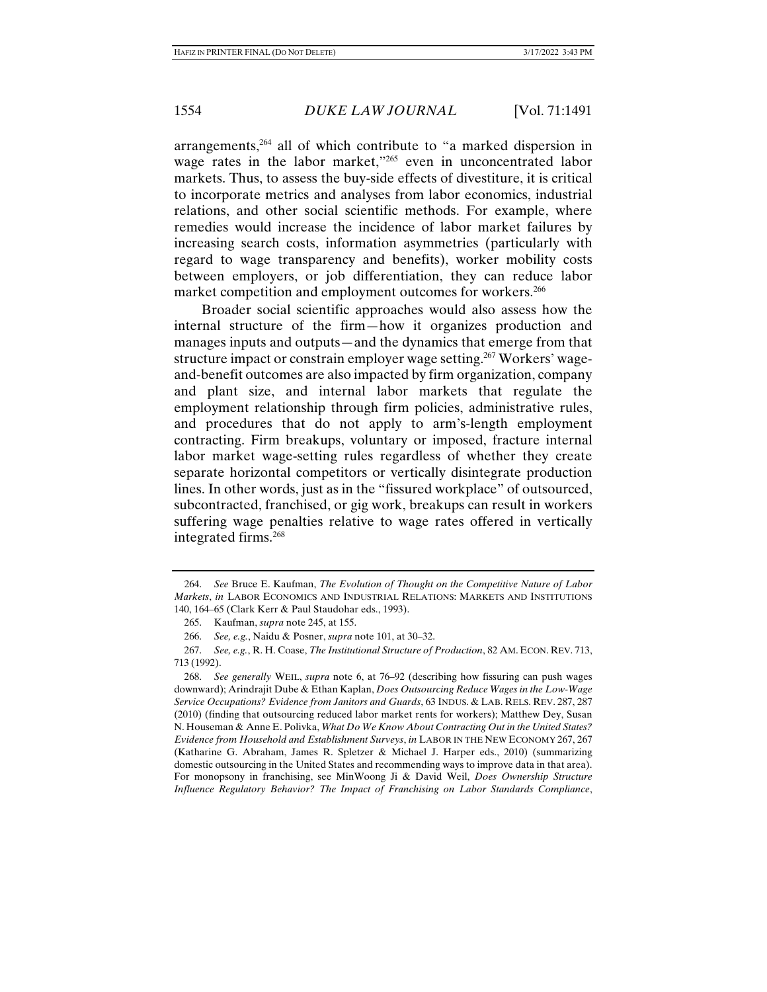arrangements,<sup>264</sup> all of which contribute to "a marked dispersion in wage rates in the labor market,"<sup>265</sup> even in unconcentrated labor markets. Thus, to assess the buy-side effects of divestiture, it is critical to incorporate metrics and analyses from labor economics, industrial relations, and other social scientific methods. For example, where remedies would increase the incidence of labor market failures by increasing search costs, information asymmetries (particularly with regard to wage transparency and benefits), worker mobility costs between employers, or job differentiation, they can reduce labor market competition and employment outcomes for workers.<sup>266</sup>

Broader social scientific approaches would also assess how the internal structure of the firm—how it organizes production and manages inputs and outputs—and the dynamics that emerge from that structure impact or constrain employer wage setting.<sup>267</sup> Workers' wageand-benefit outcomes are also impacted by firm organization, company and plant size, and internal labor markets that regulate the employment relationship through firm policies, administrative rules, and procedures that do not apply to arm's-length employment contracting. Firm breakups, voluntary or imposed, fracture internal labor market wage-setting rules regardless of whether they create separate horizontal competitors or vertically disintegrate production lines. In other words, just as in the "fissured workplace" of outsourced, subcontracted, franchised, or gig work, breakups can result in workers suffering wage penalties relative to wage rates offered in vertically integrated firms.268

 <sup>264.</sup> *See* Bruce E. Kaufman, *The Evolution of Thought on the Competitive Nature of Labor Markets*, *in* LABOR ECONOMICS AND INDUSTRIAL RELATIONS: MARKETS AND INSTITUTIONS 140, 164–65 (Clark Kerr & Paul Staudohar eds., 1993).

 <sup>265.</sup> Kaufman, *supra* note 245, at 155.

 <sup>266.</sup> *See, e.g.*, Naidu & Posner, *supra* note 101, at 30–32.

 <sup>267.</sup> *See, e.g.*, R. H. Coase, *The Institutional Structure of Production*, 82 AM. ECON. REV. 713, 713 (1992).

 <sup>268.</sup> *See generally* WEIL, *supra* note 6, at 76–92 (describing how fissuring can push wages downward); Arindrajit Dube & Ethan Kaplan, *Does Outsourcing Reduce Wages in the Low-Wage Service Occupations? Evidence from Janitors and Guards*, 63 INDUS. & LAB. RELS. REV. 287, 287 (2010) (finding that outsourcing reduced labor market rents for workers); Matthew Dey, Susan N. Houseman & Anne E. Polivka, *What Do We Know About Contracting Out in the United States? Evidence from Household and Establishment Surveys*, *in* LABOR IN THE NEW ECONOMY 267, 267 (Katharine G. Abraham, James R. Spletzer & Michael J. Harper eds., 2010) (summarizing domestic outsourcing in the United States and recommending ways to improve data in that area). For monopsony in franchising, see MinWoong Ji & David Weil, *Does Ownership Structure Influence Regulatory Behavior? The Impact of Franchising on Labor Standards Compliance*,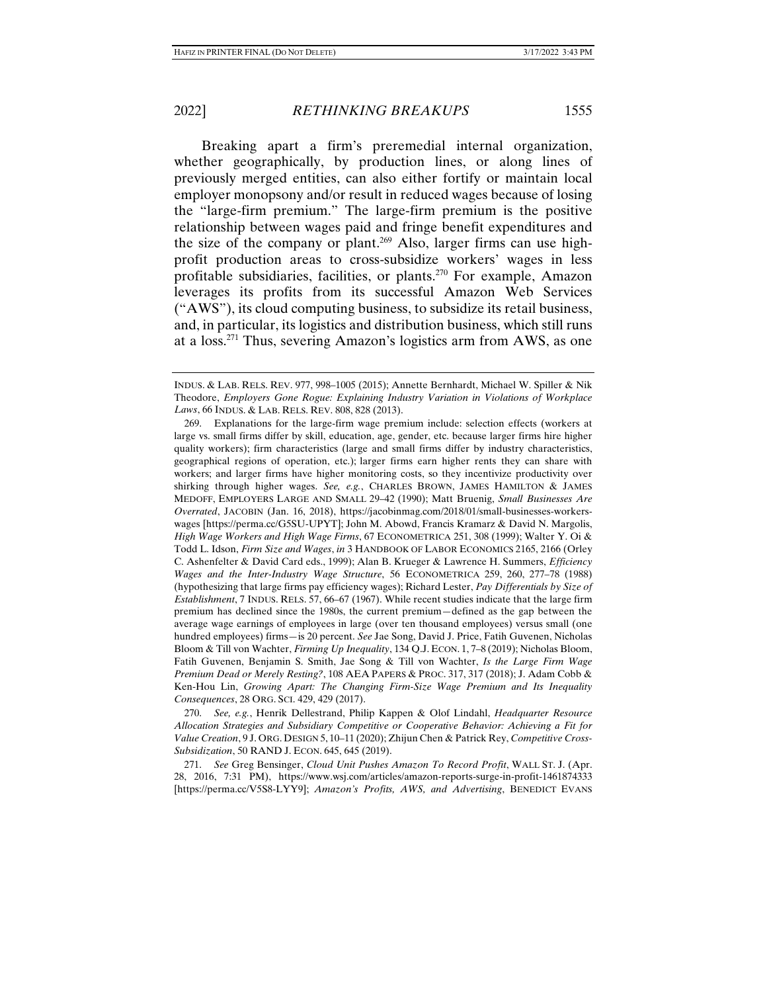Breaking apart a firm's preremedial internal organization, whether geographically, by production lines, or along lines of previously merged entities, can also either fortify or maintain local employer monopsony and/or result in reduced wages because of losing the "large-firm premium." The large-firm premium is the positive relationship between wages paid and fringe benefit expenditures and the size of the company or plant.<sup>269</sup> Also, larger firms can use highprofit production areas to cross-subsidize workers' wages in less profitable subsidiaries, facilities, or plants.270 For example, Amazon leverages its profits from its successful Amazon Web Services ("AWS"), its cloud computing business, to subsidize its retail business, and, in particular, its logistics and distribution business, which still runs at a loss.271 Thus, severing Amazon's logistics arm from AWS, as one

 269. Explanations for the large-firm wage premium include: selection effects (workers at large vs. small firms differ by skill, education, age, gender, etc. because larger firms hire higher quality workers); firm characteristics (large and small firms differ by industry characteristics, geographical regions of operation, etc.); larger firms earn higher rents they can share with workers; and larger firms have higher monitoring costs, so they incentivize productivity over shirking through higher wages. *See, e.g.*, CHARLES BROWN, JAMES HAMILTON & JAMES MEDOFF, EMPLOYERS LARGE AND SMALL 29–42 (1990); Matt Bruenig, *Small Businesses Are Overrated*, JACOBIN (Jan. 16, 2018), https://jacobinmag.com/2018/01/small-businesses-workerswages [https://perma.cc/G5SU-UPYT]; John M. Abowd, Francis Kramarz & David N. Margolis, *High Wage Workers and High Wage Firms*, 67 ECONOMETRICA 251, 308 (1999); Walter Y. Oi & Todd L. Idson, *Firm Size and Wages*, *in* 3 HANDBOOK OF LABOR ECONOMICS 2165, 2166 (Orley C. Ashenfelter & David Card eds., 1999); Alan B. Krueger & Lawrence H. Summers, *Efficiency Wages and the Inter-Industry Wage Structure*, 56 ECONOMETRICA 259, 260, 277–78 (1988) (hypothesizing that large firms pay efficiency wages); Richard Lester, *Pay Differentials by Size of Establishment*, 7 INDUS. RELS. 57, 66–67 (1967). While recent studies indicate that the large firm premium has declined since the 1980s, the current premium—defined as the gap between the average wage earnings of employees in large (over ten thousand employees) versus small (one hundred employees) firms—is 20 percent. *See* Jae Song, David J. Price, Fatih Guvenen, Nicholas Bloom & Till von Wachter, *Firming Up Inequality*, 134 Q.J. ECON. 1, 7–8 (2019); Nicholas Bloom, Fatih Guvenen, Benjamin S. Smith, Jae Song & Till von Wachter, *Is the Large Firm Wage Premium Dead or Merely Resting?*, 108 AEA PAPERS & PROC. 317, 317 (2018); J. Adam Cobb & Ken-Hou Lin, *Growing Apart: The Changing Firm-Size Wage Premium and Its Inequality Consequences*, 28 ORG. SCI. 429, 429 (2017).

 270. *See, e.g.*, Henrik Dellestrand, Philip Kappen & Olof Lindahl, *Headquarter Resource Allocation Strategies and Subsidiary Competitive or Cooperative Behavior: Achieving a Fit for Value Creation*, 9 J. ORG. DESIGN 5, 10–11 (2020); Zhijun Chen & Patrick Rey, *Competitive Cross-Subsidization*, 50 RAND J. ECON. 645, 645 (2019).

 271. *See* Greg Bensinger, *Cloud Unit Pushes Amazon To Record Profit*, WALL ST. J. (Apr. 28, 2016, 7:31 PM), https://www.wsj.com/articles/amazon-reports-surge-in-profit-1461874333 [https://perma.cc/V5S8-LYY9]; *Amazon's Profits, AWS, and Advertising*, BENEDICT EVANS

INDUS. & LAB. RELS. REV. 977, 998–1005 (2015); Annette Bernhardt, Michael W. Spiller & Nik Theodore, *Employers Gone Rogue: Explaining Industry Variation in Violations of Workplace Laws*, 66 INDUS. & LAB. RELS. REV. 808, 828 (2013).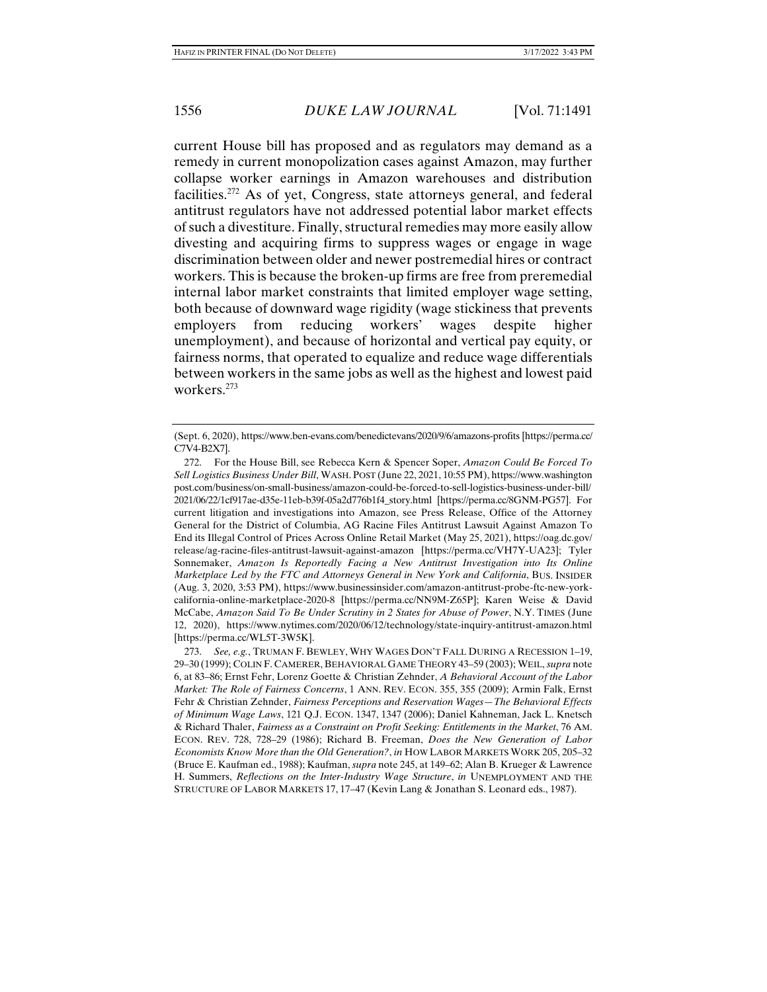current House bill has proposed and as regulators may demand as a remedy in current monopolization cases against Amazon, may further collapse worker earnings in Amazon warehouses and distribution facilities.272 As of yet, Congress, state attorneys general, and federal antitrust regulators have not addressed potential labor market effects of such a divestiture. Finally, structural remedies may more easily allow divesting and acquiring firms to suppress wages or engage in wage discrimination between older and newer postremedial hires or contract workers. This is because the broken-up firms are free from preremedial internal labor market constraints that limited employer wage setting, both because of downward wage rigidity (wage stickiness that prevents employers from reducing workers' wages despite higher unemployment), and because of horizontal and vertical pay equity, or fairness norms, that operated to equalize and reduce wage differentials between workers in the same jobs as well as the highest and lowest paid workers.273

<sup>(</sup>Sept. 6, 2020), https://www.ben-evans.com/benedictevans/2020/9/6/amazons-profits [https://perma.cc/ C7V4-B2X7].

 <sup>272.</sup> For the House Bill, see Rebecca Kern & Spencer Soper, *Amazon Could Be Forced To Sell Logistics Business Under Bill*, WASH. POST (June 22, 2021, 10:55 PM), https://www.washington post.com/business/on-small-business/amazon-could-be-forced-to-sell-logistics-business-under-bill/ 2021/06/22/1cf917ae-d35e-11eb-b39f-05a2d776b1f4\_story.html [https://perma.cc/8GNM-PG57]. For current litigation and investigations into Amazon, see Press Release, Office of the Attorney General for the District of Columbia, AG Racine Files Antitrust Lawsuit Against Amazon To End its Illegal Control of Prices Across Online Retail Market (May 25, 2021), https://oag.dc.gov/ release/ag-racine-files-antitrust-lawsuit-against-amazon [https://perma.cc/VH7Y-UA23]; Tyler Sonnemaker, *Amazon Is Reportedly Facing a New Antitrust Investigation into Its Online Marketplace Led by the FTC and Attorneys General in New York and California*, BUS. INSIDER (Aug. 3, 2020, 3:53 PM), https://www.businessinsider.com/amazon-antitrust-probe-ftc-new-yorkcalifornia-online-marketplace-2020-8 [https://perma.cc/NN9M-Z65P]; Karen Weise & David McCabe, *Amazon Said To Be Under Scrutiny in 2 States for Abuse of Power*, N.Y. TIMES (June 12, 2020), https://www.nytimes.com/2020/06/12/technology/state-inquiry-antitrust-amazon.html [https://perma.cc/WL5T-3W5K].

 <sup>273.</sup> *See, e.g.*, TRUMAN F. BEWLEY, WHY WAGES DON'T FALL DURING A RECESSION 1–19, 29–30 (1999); COLIN F. CAMERER, BEHAVIORAL GAME THEORY 43–59 (2003); WEIL, *supra* note 6, at 83–86; Ernst Fehr, Lorenz Goette & Christian Zehnder, *A Behavioral Account of the Labor Market: The Role of Fairness Concerns*, 1 ANN. REV. ECON. 355, 355 (2009); Armin Falk, Ernst Fehr & Christian Zehnder, *Fairness Perceptions and Reservation Wages—The Behavioral Effects of Minimum Wage Laws*, 121 Q.J. ECON. 1347, 1347 (2006); Daniel Kahneman, Jack L. Knetsch & Richard Thaler, *Fairness as a Constraint on Profit Seeking: Entitlements in the Market*, 76 AM. ECON. REV. 728, 728–29 (1986); Richard B. Freeman, *Does the New Generation of Labor Economists Know More than the Old Generation?*, *in* HOW LABOR MARKETS WORK 205, 205–32 (Bruce E. Kaufman ed., 1988); Kaufman, *supra* note 245, at 149–62; Alan B. Krueger & Lawrence H. Summers, *Reflections on the Inter-Industry Wage Structure*, *in* UNEMPLOYMENT AND THE STRUCTURE OF LABOR MARKETS 17, 17–47 (Kevin Lang & Jonathan S. Leonard eds., 1987).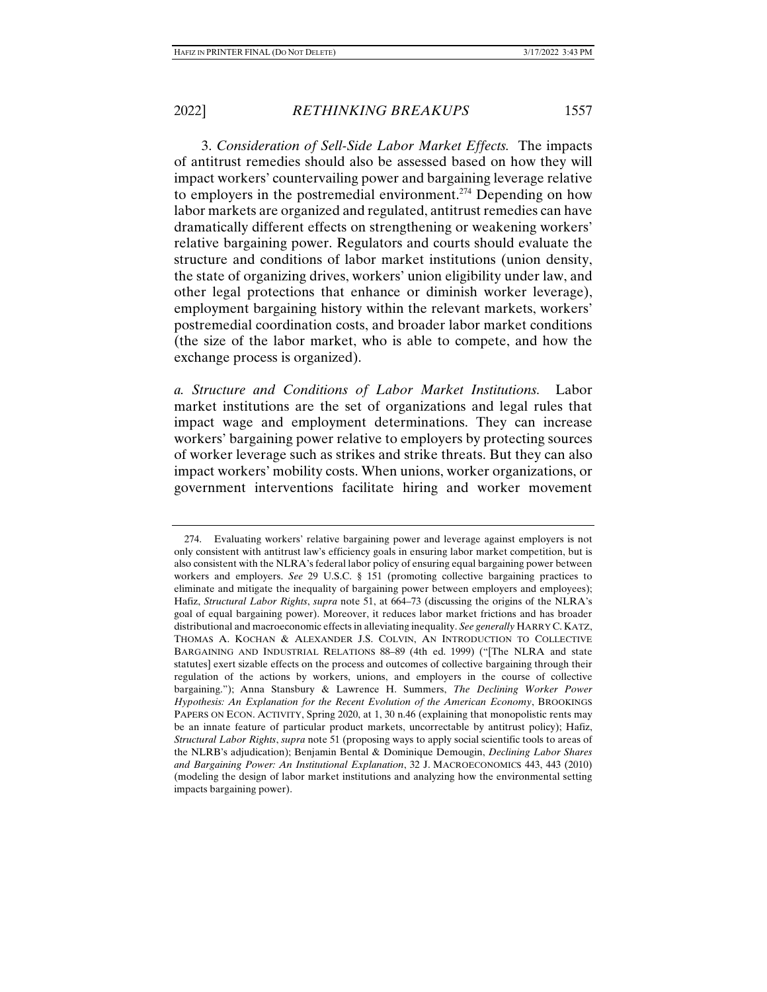3. *Consideration of Sell-Side Labor Market Effects.* The impacts of antitrust remedies should also be assessed based on how they will impact workers' countervailing power and bargaining leverage relative to employers in the postremedial environment.<sup>274</sup> Depending on how labor markets are organized and regulated, antitrust remedies can have dramatically different effects on strengthening or weakening workers' relative bargaining power. Regulators and courts should evaluate the structure and conditions of labor market institutions (union density, the state of organizing drives, workers' union eligibility under law, and other legal protections that enhance or diminish worker leverage), employment bargaining history within the relevant markets, workers' postremedial coordination costs, and broader labor market conditions (the size of the labor market, who is able to compete, and how the exchange process is organized).

*a. Structure and Conditions of Labor Market Institutions.* Labor market institutions are the set of organizations and legal rules that impact wage and employment determinations. They can increase workers' bargaining power relative to employers by protecting sources of worker leverage such as strikes and strike threats. But they can also impact workers' mobility costs. When unions, worker organizations, or government interventions facilitate hiring and worker movement

 <sup>274.</sup> Evaluating workers' relative bargaining power and leverage against employers is not only consistent with antitrust law's efficiency goals in ensuring labor market competition, but is also consistent with the NLRA's federal labor policy of ensuring equal bargaining power between workers and employers. *See* 29 U.S.C. § 151 (promoting collective bargaining practices to eliminate and mitigate the inequality of bargaining power between employers and employees); Hafiz, *Structural Labor Rights*, *supra* note 51, at 664–73 (discussing the origins of the NLRA's goal of equal bargaining power). Moreover, it reduces labor market frictions and has broader distributional and macroeconomic effects in alleviating inequality. *See generally* HARRY C. KATZ, THOMAS A. KOCHAN & ALEXANDER J.S. COLVIN, AN INTRODUCTION TO COLLECTIVE BARGAINING AND INDUSTRIAL RELATIONS 88–89 (4th ed. 1999) ("[The NLRA and state statutes] exert sizable effects on the process and outcomes of collective bargaining through their regulation of the actions by workers, unions, and employers in the course of collective bargaining."); Anna Stansbury & Lawrence H. Summers, *The Declining Worker Power Hypothesis: An Explanation for the Recent Evolution of the American Economy*, BROOKINGS PAPERS ON ECON. ACTIVITY, Spring 2020, at 1, 30 n.46 (explaining that monopolistic rents may be an innate feature of particular product markets, uncorrectable by antitrust policy); Hafiz, *Structural Labor Rights*, *supra* note 51 (proposing ways to apply social scientific tools to areas of the NLRB's adjudication); Benjamin Bental & Dominique Demougin, *Declining Labor Shares and Bargaining Power: An Institutional Explanation*, 32 J. MACROECONOMICS 443, 443 (2010) (modeling the design of labor market institutions and analyzing how the environmental setting impacts bargaining power).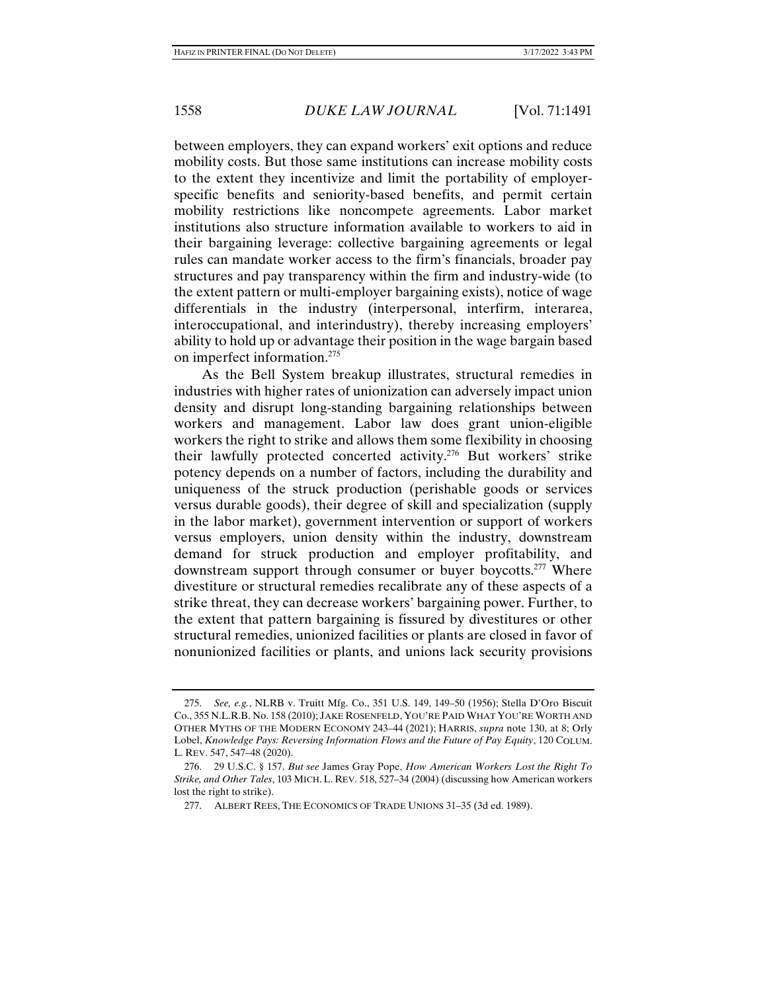between employers, they can expand workers' exit options and reduce mobility costs. But those same institutions can increase mobility costs to the extent they incentivize and limit the portability of employerspecific benefits and seniority-based benefits, and permit certain mobility restrictions like noncompete agreements. Labor market institutions also structure information available to workers to aid in their bargaining leverage: collective bargaining agreements or legal rules can mandate worker access to the firm's financials, broader pay structures and pay transparency within the firm and industry-wide (to the extent pattern or multi-employer bargaining exists), notice of wage differentials in the industry (interpersonal, interfirm, interarea, interoccupational, and interindustry), thereby increasing employers' ability to hold up or advantage their position in the wage bargain based on imperfect information.275

As the Bell System breakup illustrates, structural remedies in industries with higher rates of unionization can adversely impact union density and disrupt long-standing bargaining relationships between workers and management. Labor law does grant union-eligible workers the right to strike and allows them some flexibility in choosing their lawfully protected concerted activity.276 But workers' strike potency depends on a number of factors, including the durability and uniqueness of the struck production (perishable goods or services versus durable goods), their degree of skill and specialization (supply in the labor market), government intervention or support of workers versus employers, union density within the industry, downstream demand for struck production and employer profitability, and downstream support through consumer or buyer boycotts.<sup>277</sup> Where divestiture or structural remedies recalibrate any of these aspects of a strike threat, they can decrease workers' bargaining power. Further, to the extent that pattern bargaining is fissured by divestitures or other structural remedies, unionized facilities or plants are closed in favor of nonunionized facilities or plants, and unions lack security provisions

 <sup>275.</sup> *See, e.g.*, NLRB v. Truitt Mfg. Co., 351 U.S. 149, 149–50 (1956); Stella D'Oro Biscuit Co., 355 N.L.R.B. No. 158 (2010); JAKE ROSENFELD, YOU'RE PAID WHAT YOU'RE WORTH AND OTHER MYTHS OF THE MODERN ECONOMY 243–44 (2021); HARRIS, *supra* note 130, at 8; Orly Lobel, *Knowledge Pays: Reversing Information Flows and the Future of Pay Equity*, 120 COLUM. L. REV. 547, 547–48 (2020).

 <sup>276. 29</sup> U.S.C. § 157. *But see* James Gray Pope, *How American Workers Lost the Right To Strike, and Other Tales*, 103 MICH. L. REV. 518, 527–34 (2004) (discussing how American workers lost the right to strike).

 <sup>277.</sup> ALBERT REES, THE ECONOMICS OF TRADE UNIONS 31–35 (3d ed. 1989).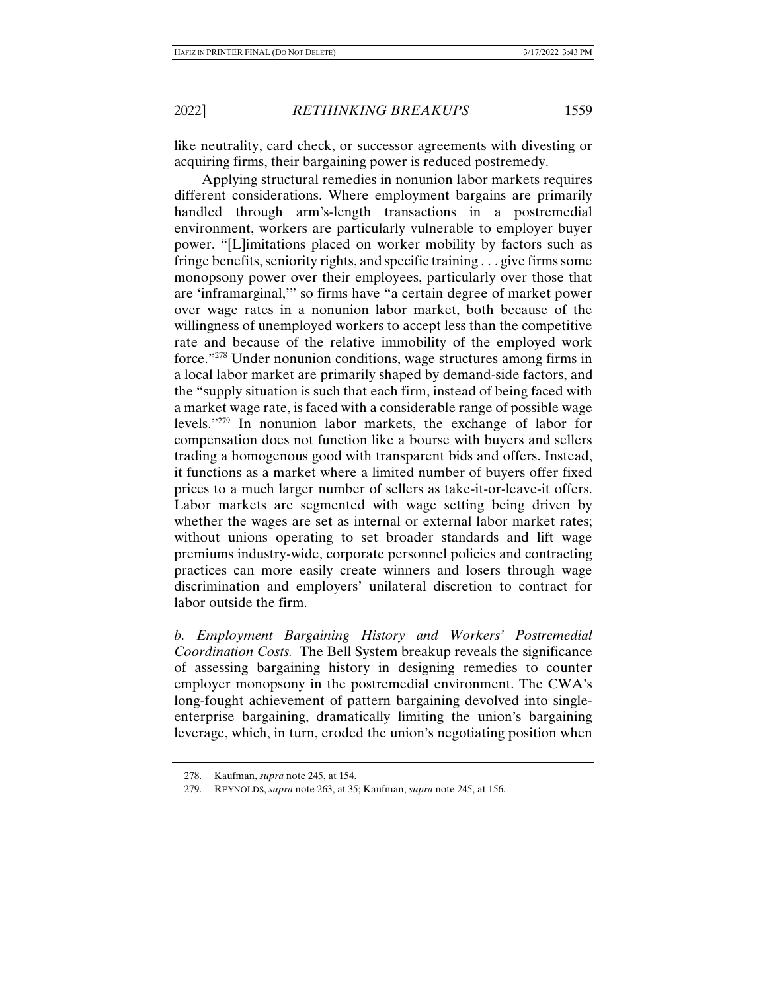like neutrality, card check, or successor agreements with divesting or acquiring firms, their bargaining power is reduced postremedy.

Applying structural remedies in nonunion labor markets requires different considerations. Where employment bargains are primarily handled through arm's-length transactions in a postremedial environment, workers are particularly vulnerable to employer buyer power. "[L]imitations placed on worker mobility by factors such as fringe benefits, seniority rights, and specific training . . . give firms some monopsony power over their employees, particularly over those that are 'inframarginal,'" so firms have "a certain degree of market power over wage rates in a nonunion labor market, both because of the willingness of unemployed workers to accept less than the competitive rate and because of the relative immobility of the employed work force."278 Under nonunion conditions, wage structures among firms in a local labor market are primarily shaped by demand-side factors, and the "supply situation is such that each firm, instead of being faced with a market wage rate, is faced with a considerable range of possible wage levels."279 In nonunion labor markets, the exchange of labor for compensation does not function like a bourse with buyers and sellers trading a homogenous good with transparent bids and offers. Instead, it functions as a market where a limited number of buyers offer fixed prices to a much larger number of sellers as take-it-or-leave-it offers. Labor markets are segmented with wage setting being driven by whether the wages are set as internal or external labor market rates; without unions operating to set broader standards and lift wage premiums industry-wide, corporate personnel policies and contracting practices can more easily create winners and losers through wage discrimination and employers' unilateral discretion to contract for labor outside the firm.

*b. Employment Bargaining History and Workers' Postremedial Coordination Costs.* The Bell System breakup reveals the significance of assessing bargaining history in designing remedies to counter employer monopsony in the postremedial environment. The CWA's long-fought achievement of pattern bargaining devolved into singleenterprise bargaining, dramatically limiting the union's bargaining leverage, which, in turn, eroded the union's negotiating position when

 <sup>278.</sup> Kaufman, *supra* note 245, at 154.

 <sup>279.</sup> REYNOLDS, *supra* note 263, at 35; Kaufman, *supra* note 245, at 156.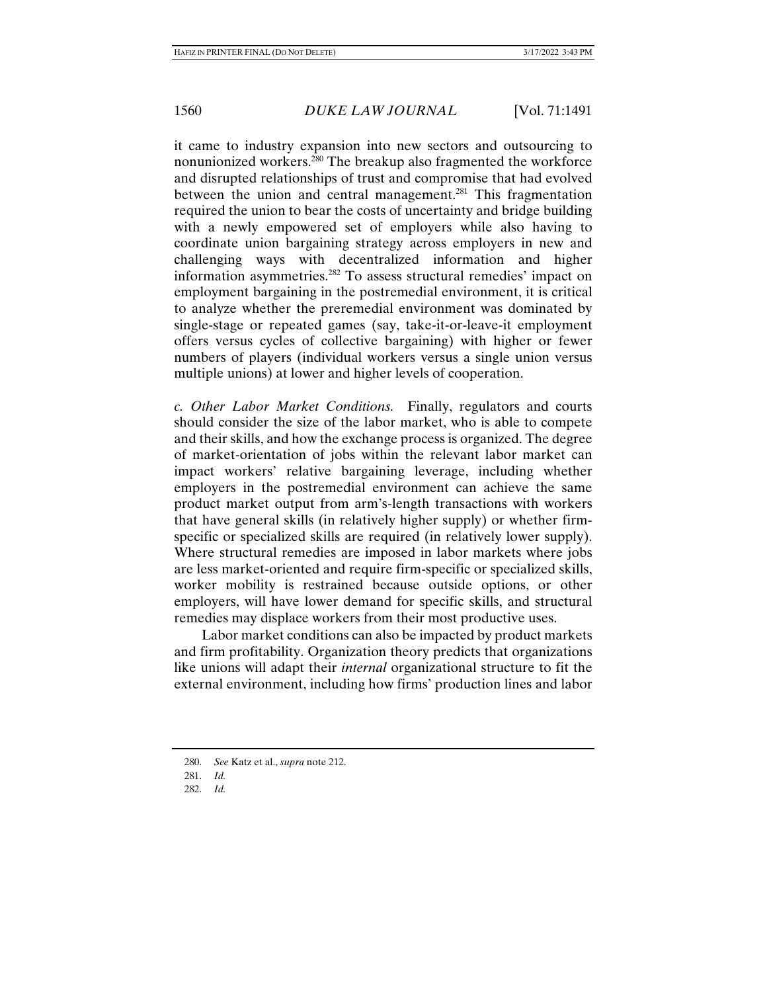it came to industry expansion into new sectors and outsourcing to nonunionized workers.280 The breakup also fragmented the workforce and disrupted relationships of trust and compromise that had evolved between the union and central management.<sup>281</sup> This fragmentation required the union to bear the costs of uncertainty and bridge building with a newly empowered set of employers while also having to coordinate union bargaining strategy across employers in new and challenging ways with decentralized information and higher information asymmetries.282 To assess structural remedies' impact on employment bargaining in the postremedial environment, it is critical to analyze whether the preremedial environment was dominated by single-stage or repeated games (say, take-it-or-leave-it employment offers versus cycles of collective bargaining) with higher or fewer numbers of players (individual workers versus a single union versus multiple unions) at lower and higher levels of cooperation.

*c. Other Labor Market Conditions.* Finally, regulators and courts should consider the size of the labor market, who is able to compete and their skills, and how the exchange process is organized. The degree of market-orientation of jobs within the relevant labor market can impact workers' relative bargaining leverage, including whether employers in the postremedial environment can achieve the same product market output from arm's-length transactions with workers that have general skills (in relatively higher supply) or whether firmspecific or specialized skills are required (in relatively lower supply). Where structural remedies are imposed in labor markets where jobs are less market-oriented and require firm-specific or specialized skills, worker mobility is restrained because outside options, or other employers, will have lower demand for specific skills, and structural remedies may displace workers from their most productive uses.

Labor market conditions can also be impacted by product markets and firm profitability. Organization theory predicts that organizations like unions will adapt their *internal* organizational structure to fit the external environment, including how firms' production lines and labor

 <sup>280.</sup> *See* Katz et al., *supra* note 212.

 <sup>281.</sup> *Id.*

 <sup>282.</sup> *Id.*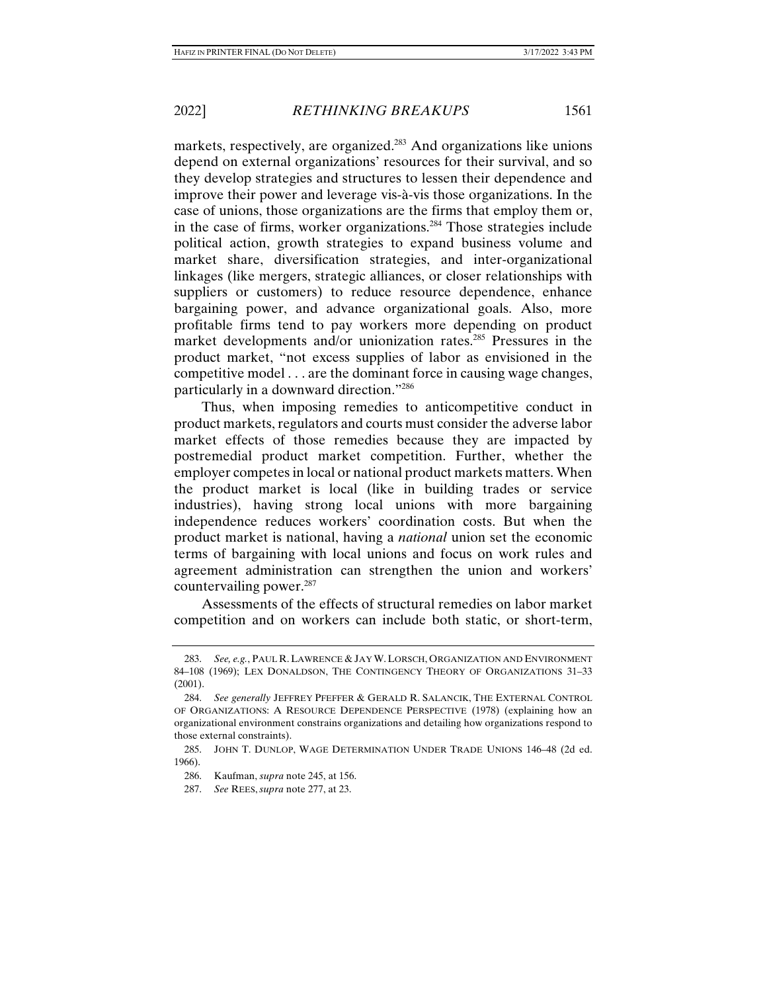markets, respectively, are organized.<sup>283</sup> And organizations like unions depend on external organizations' resources for their survival, and so they develop strategies and structures to lessen their dependence and improve their power and leverage vis-à-vis those organizations. In the case of unions, those organizations are the firms that employ them or, in the case of firms, worker organizations.284 Those strategies include political action, growth strategies to expand business volume and market share, diversification strategies, and inter-organizational linkages (like mergers, strategic alliances, or closer relationships with suppliers or customers) to reduce resource dependence, enhance bargaining power, and advance organizational goals. Also, more profitable firms tend to pay workers more depending on product market developments and/or unionization rates.<sup>285</sup> Pressures in the product market, "not excess supplies of labor as envisioned in the competitive model . . . are the dominant force in causing wage changes, particularly in a downward direction."286

Thus, when imposing remedies to anticompetitive conduct in product markets, regulators and courts must consider the adverse labor market effects of those remedies because they are impacted by postremedial product market competition. Further, whether the employer competes in local or national product markets matters. When the product market is local (like in building trades or service industries), having strong local unions with more bargaining independence reduces workers' coordination costs. But when the product market is national, having a *national* union set the economic terms of bargaining with local unions and focus on work rules and agreement administration can strengthen the union and workers' countervailing power. $287$ 

Assessments of the effects of structural remedies on labor market competition and on workers can include both static, or short-term,

 <sup>283.</sup> *See, e.g.*, PAUL R.LAWRENCE & JAY W.LORSCH, ORGANIZATION AND ENVIRONMENT 84–108 (1969); LEX DONALDSON, THE CONTINGENCY THEORY OF ORGANIZATIONS 31–33 (2001).

 <sup>284.</sup> *See generally* JEFFREY PFEFFER & GERALD R. SALANCIK, THE EXTERNAL CONTROL OF ORGANIZATIONS: A RESOURCE DEPENDENCE PERSPECTIVE (1978) (explaining how an organizational environment constrains organizations and detailing how organizations respond to those external constraints).

 <sup>285.</sup> JOHN T. DUNLOP, WAGE DETERMINATION UNDER TRADE UNIONS 146–48 (2d ed. 1966).

 <sup>286.</sup> Kaufman, *supra* note 245, at 156.

 <sup>287.</sup> *See* REES, *supra* note 277, at 23.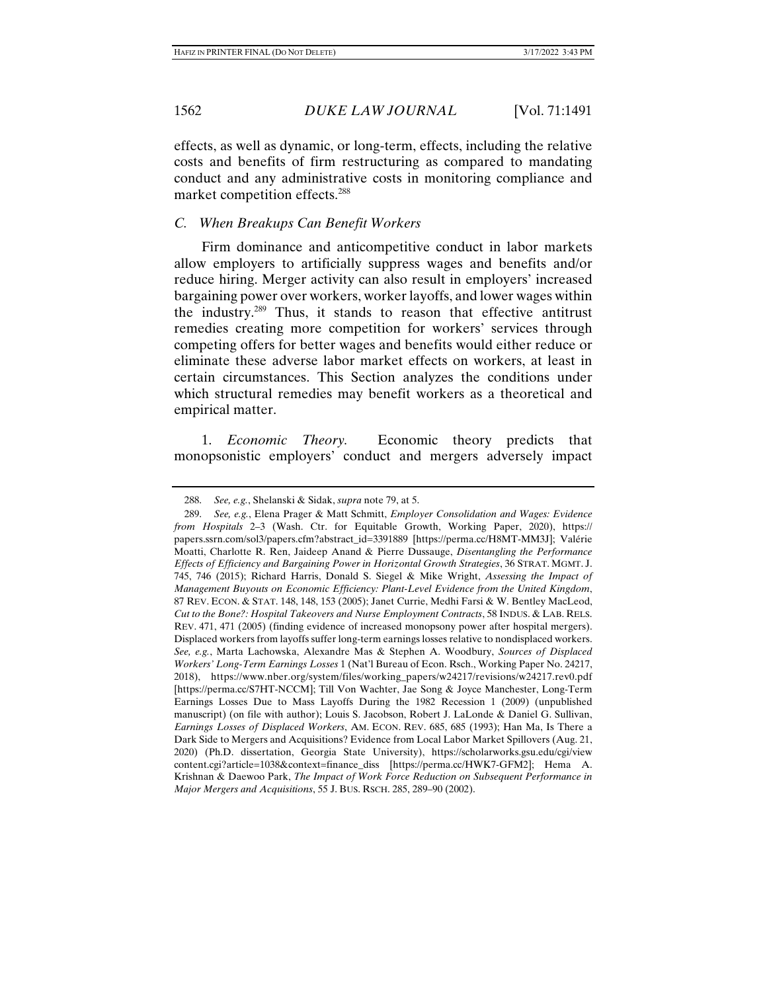effects, as well as dynamic, or long-term, effects, including the relative costs and benefits of firm restructuring as compared to mandating conduct and any administrative costs in monitoring compliance and market competition effects.288

## *C. When Breakups Can Benefit Workers*

Firm dominance and anticompetitive conduct in labor markets allow employers to artificially suppress wages and benefits and/or reduce hiring. Merger activity can also result in employers' increased bargaining power over workers, worker layoffs, and lower wages within the industry.289 Thus, it stands to reason that effective antitrust remedies creating more competition for workers' services through competing offers for better wages and benefits would either reduce or eliminate these adverse labor market effects on workers, at least in certain circumstances. This Section analyzes the conditions under which structural remedies may benefit workers as a theoretical and empirical matter.

1. *Economic Theory.* Economic theory predicts that monopsonistic employers' conduct and mergers adversely impact

 <sup>288.</sup> *See, e.g.*, Shelanski & Sidak, *supra* note 79, at 5.

 <sup>289.</sup> *See, e.g.*, Elena Prager & Matt Schmitt, *Employer Consolidation and Wages: Evidence from Hospitals* 2–3 (Wash. Ctr. for Equitable Growth, Working Paper, 2020), https:// papers.ssrn.com/sol3/papers.cfm?abstract\_id=3391889 [https://perma.cc/H8MT-MM3J]; Valérie Moatti, Charlotte R. Ren, Jaideep Anand & Pierre Dussauge, *Disentangling the Performance Effects of Efficiency and Bargaining Power in Horizontal Growth Strategies*, 36 STRAT. MGMT. J. 745, 746 (2015); Richard Harris, Donald S. Siegel & Mike Wright, *Assessing the Impact of Management Buyouts on Economic Efficiency: Plant-Level Evidence from the United Kingdom*, 87 REV. ECON. & STAT. 148, 148, 153 (2005); Janet Currie, Medhi Farsi & W. Bentley MacLeod, *Cut to the Bone?: Hospital Takeovers and Nurse Employment Contracts*, 58 INDUS. & LAB. RELS. REV. 471, 471 (2005) (finding evidence of increased monopsony power after hospital mergers). Displaced workers from layoffs suffer long-term earnings losses relative to nondisplaced workers. *See, e.g.*, Marta Lachowska, Alexandre Mas & Stephen A. Woodbury, *Sources of Displaced Workers' Long-Term Earnings Losses* 1 (Nat'l Bureau of Econ. Rsch., Working Paper No. 24217, 2018), https://www.nber.org/system/files/working\_papers/w24217/revisions/w24217.rev0.pdf [https://perma.cc/S7HT-NCCM]; Till Von Wachter, Jae Song & Joyce Manchester, Long-Term Earnings Losses Due to Mass Layoffs During the 1982 Recession 1 (2009) (unpublished manuscript) (on file with author); Louis S. Jacobson, Robert J. LaLonde & Daniel G. Sullivan, *Earnings Losses of Displaced Workers*, AM. ECON. REV. 685, 685 (1993); Han Ma, Is There a Dark Side to Mergers and Acquisitions? Evidence from Local Labor Market Spillovers (Aug. 21, 2020) (Ph.D. dissertation, Georgia State University), https://scholarworks.gsu.edu/cgi/view content.cgi?article=1038&context=finance\_diss [https://perma.cc/HWK7-GFM2]; Hema A. Krishnan & Daewoo Park, *The Impact of Work Force Reduction on Subsequent Performance in Major Mergers and Acquisitions*, 55 J. BUS. RSCH. 285, 289–90 (2002).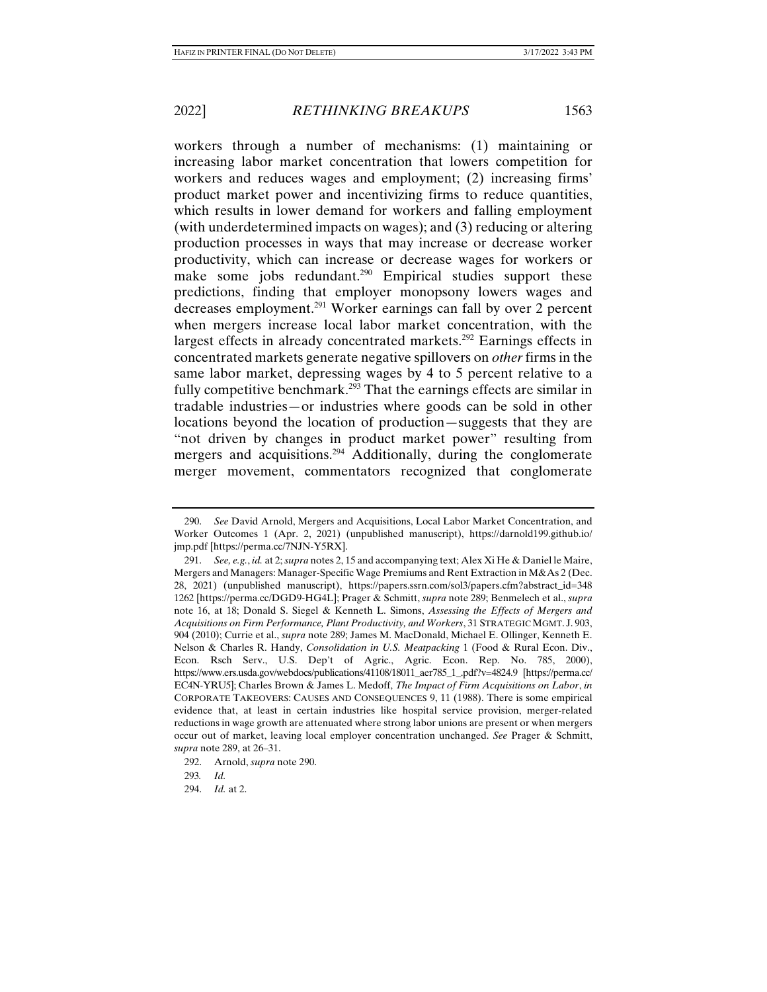workers through a number of mechanisms: (1) maintaining or increasing labor market concentration that lowers competition for workers and reduces wages and employment; (2) increasing firms' product market power and incentivizing firms to reduce quantities, which results in lower demand for workers and falling employment (with underdetermined impacts on wages); and (3) reducing or altering production processes in ways that may increase or decrease worker productivity, which can increase or decrease wages for workers or make some jobs redundant.<sup>290</sup> Empirical studies support these predictions, finding that employer monopsony lowers wages and decreases employment.291 Worker earnings can fall by over 2 percent when mergers increase local labor market concentration, with the largest effects in already concentrated markets.<sup>292</sup> Earnings effects in concentrated markets generate negative spillovers on *other* firms in the same labor market, depressing wages by 4 to 5 percent relative to a fully competitive benchmark.<sup>293</sup> That the earnings effects are similar in tradable industries—or industries where goods can be sold in other locations beyond the location of production—suggests that they are "not driven by changes in product market power" resulting from mergers and acquisitions.294 Additionally, during the conglomerate merger movement, commentators recognized that conglomerate

 <sup>290.</sup> *See* David Arnold, Mergers and Acquisitions, Local Labor Market Concentration, and Worker Outcomes 1 (Apr. 2, 2021) (unpublished manuscript), https://darnold199.github.io/ jmp.pdf [https://perma.cc/7NJN-Y5RX].

 <sup>291.</sup> *See, e.g.*, *id.* at 2; *supra* notes 2, 15 and accompanying text; Alex Xi He & Daniel le Maire, Mergers and Managers: Manager-Specific Wage Premiums and Rent Extraction in M&As 2 (Dec. 28, 2021) (unpublished manuscript), https://papers.ssrn.com/sol3/papers.cfm?abstract\_id=348 1262 [https://perma.cc/DGD9-HG4L]; Prager & Schmitt, *supra* note 289; Benmelech et al., *supra*  note 16, at 18; Donald S. Siegel & Kenneth L. Simons, *Assessing the Effects of Mergers and Acquisitions on Firm Performance, Plant Productivity, and Workers*, 31 STRATEGIC MGMT. J. 903, 904 (2010); Currie et al., *supra* note 289; James M. MacDonald, Michael E. Ollinger, Kenneth E. Nelson & Charles R. Handy, *Consolidation in U.S. Meatpacking* 1 (Food & Rural Econ. Div., Econ. Rsch Serv., U.S. Dep't of Agric., Agric. Econ. Rep. No. 785, 2000), https://www.ers.usda.gov/webdocs/publications/41108/18011\_aer785\_1\_.pdf?v=4824.9 [https://perma.cc/ EC4N-YRU5]; Charles Brown & James L. Medoff, *The Impact of Firm Acquisitions on Labor*, *in*  CORPORATE TAKEOVERS: CAUSES AND CONSEQUENCES 9, 11 (1988). There is some empirical evidence that, at least in certain industries like hospital service provision, merger-related reductions in wage growth are attenuated where strong labor unions are present or when mergers occur out of market, leaving local employer concentration unchanged. *See* Prager & Schmitt, *supra* note 289, at 26–31.

 <sup>292.</sup> Arnold, *supra* note 290.

<sup>293</sup>*. Id.*

 <sup>294.</sup> *Id.* at 2.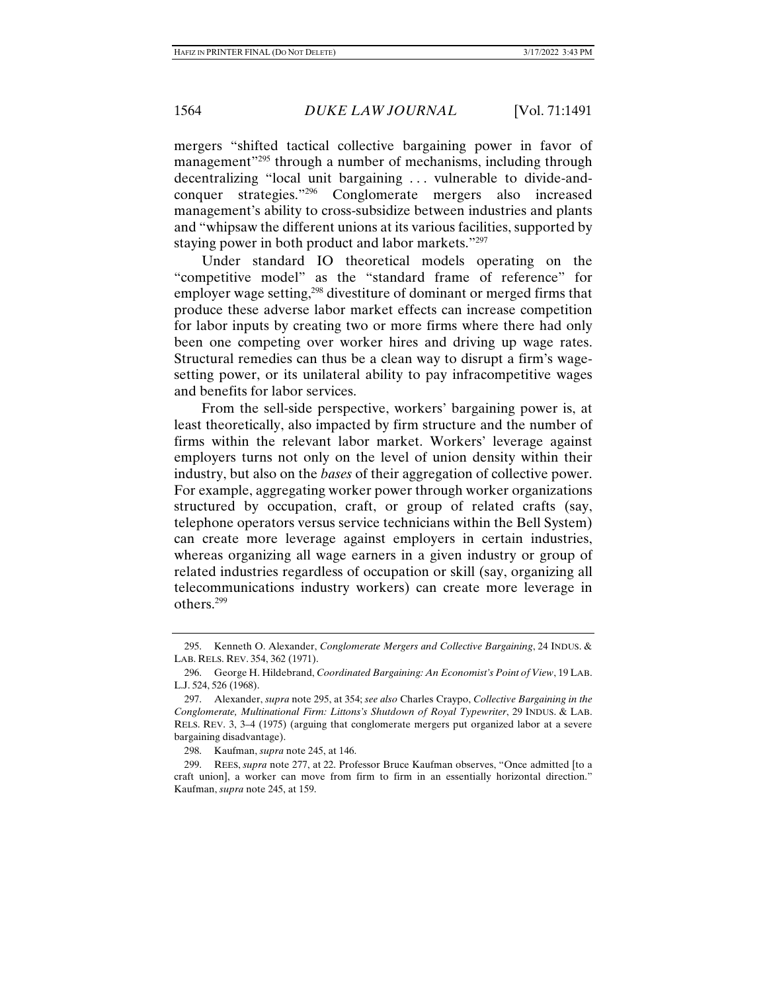mergers "shifted tactical collective bargaining power in favor of management<sup>"295</sup> through a number of mechanisms, including through decentralizing "local unit bargaining . . . vulnerable to divide-andconquer strategies."296 Conglomerate mergers also increased management's ability to cross-subsidize between industries and plants and "whipsaw the different unions at its various facilities, supported by staying power in both product and labor markets."297

Under standard IO theoretical models operating on the "competitive model" as the "standard frame of reference" for employer wage setting,<sup>298</sup> divestiture of dominant or merged firms that produce these adverse labor market effects can increase competition for labor inputs by creating two or more firms where there had only been one competing over worker hires and driving up wage rates. Structural remedies can thus be a clean way to disrupt a firm's wagesetting power, or its unilateral ability to pay infracompetitive wages and benefits for labor services.

From the sell-side perspective, workers' bargaining power is, at least theoretically, also impacted by firm structure and the number of firms within the relevant labor market. Workers' leverage against employers turns not only on the level of union density within their industry, but also on the *bases* of their aggregation of collective power. For example, aggregating worker power through worker organizations structured by occupation, craft, or group of related crafts (say, telephone operators versus service technicians within the Bell System) can create more leverage against employers in certain industries, whereas organizing all wage earners in a given industry or group of related industries regardless of occupation or skill (say, organizing all telecommunications industry workers) can create more leverage in others.299

 <sup>295.</sup> Kenneth O. Alexander, *Conglomerate Mergers and Collective Bargaining*, 24 INDUS. & LAB. RELS. REV. 354, 362 (1971).

 <sup>296.</sup> George H. Hildebrand, *Coordinated Bargaining: An Economist's Point of View*, 19 LAB. L.J. 524, 526 (1968).

 <sup>297.</sup> Alexander, *supra* note 295, at 354; *see also* Charles Craypo, *Collective Bargaining in the Conglomerate, Multinational Firm: Littons's Shutdown of Royal Typewriter*, 29 INDUS. & LAB. RELS. REV. 3, 3–4 (1975) (arguing that conglomerate mergers put organized labor at a severe bargaining disadvantage).

 <sup>298.</sup> Kaufman, *supra* note 245, at 146.

 <sup>299.</sup> REES, *supra* note 277, at 22. Professor Bruce Kaufman observes, "Once admitted [to a craft union], a worker can move from firm to firm in an essentially horizontal direction." Kaufman, *supra* note 245, at 159.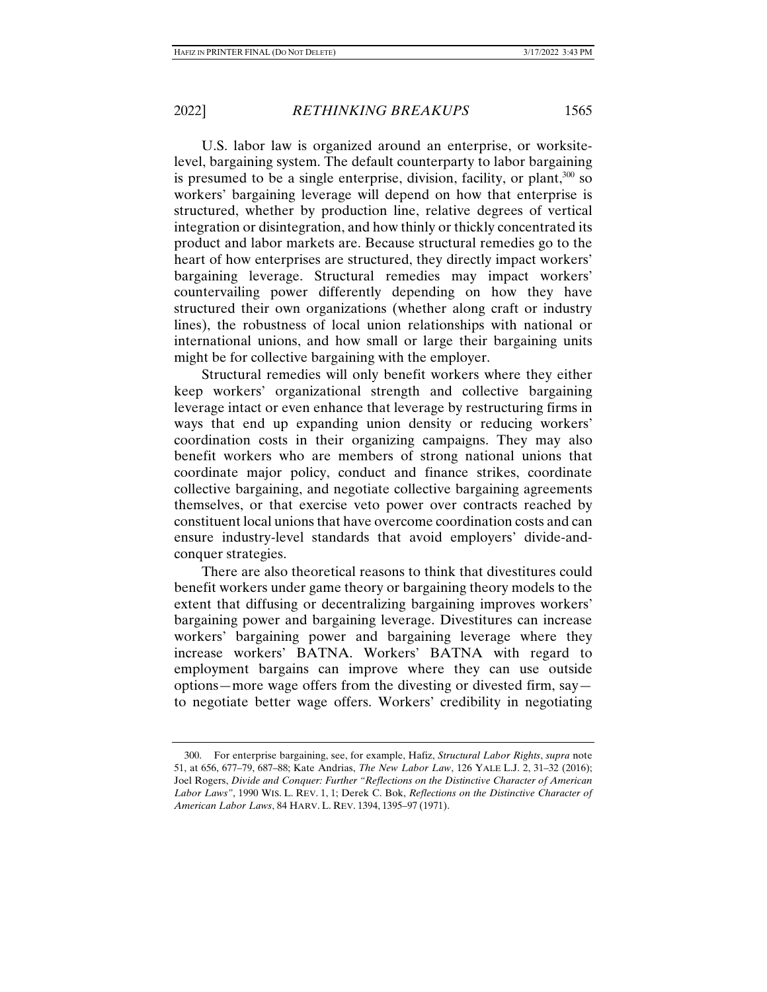U.S. labor law is organized around an enterprise, or worksitelevel, bargaining system. The default counterparty to labor bargaining is presumed to be a single enterprise, division, facility, or plant,  $300$  so workers' bargaining leverage will depend on how that enterprise is structured, whether by production line, relative degrees of vertical integration or disintegration, and how thinly or thickly concentrated its product and labor markets are. Because structural remedies go to the heart of how enterprises are structured, they directly impact workers' bargaining leverage. Structural remedies may impact workers' countervailing power differently depending on how they have structured their own organizations (whether along craft or industry lines), the robustness of local union relationships with national or international unions, and how small or large their bargaining units might be for collective bargaining with the employer.

Structural remedies will only benefit workers where they either keep workers' organizational strength and collective bargaining leverage intact or even enhance that leverage by restructuring firms in ways that end up expanding union density or reducing workers' coordination costs in their organizing campaigns. They may also benefit workers who are members of strong national unions that coordinate major policy, conduct and finance strikes, coordinate collective bargaining, and negotiate collective bargaining agreements themselves, or that exercise veto power over contracts reached by constituent local unions that have overcome coordination costs and can ensure industry-level standards that avoid employers' divide-andconquer strategies.

There are also theoretical reasons to think that divestitures could benefit workers under game theory or bargaining theory models to the extent that diffusing or decentralizing bargaining improves workers' bargaining power and bargaining leverage. Divestitures can increase workers' bargaining power and bargaining leverage where they increase workers' BATNA. Workers' BATNA with regard to employment bargains can improve where they can use outside options—more wage offers from the divesting or divested firm, say to negotiate better wage offers. Workers' credibility in negotiating

 <sup>300.</sup> For enterprise bargaining, see, for example, Hafiz, *Structural Labor Rights*, *supra* note 51, at 656, 677–79, 687–88; Kate Andrias, *The New Labor Law*, 126 YALE L.J. 2, 31–32 (2016); Joel Rogers, *Divide and Conquer: Further "Reflections on the Distinctive Character of American Labor Laws"*, 1990 WIS. L. REV. 1, 1; Derek C. Bok, *Reflections on the Distinctive Character of American Labor Laws*, 84 HARV. L. REV. 1394, 1395–97 (1971).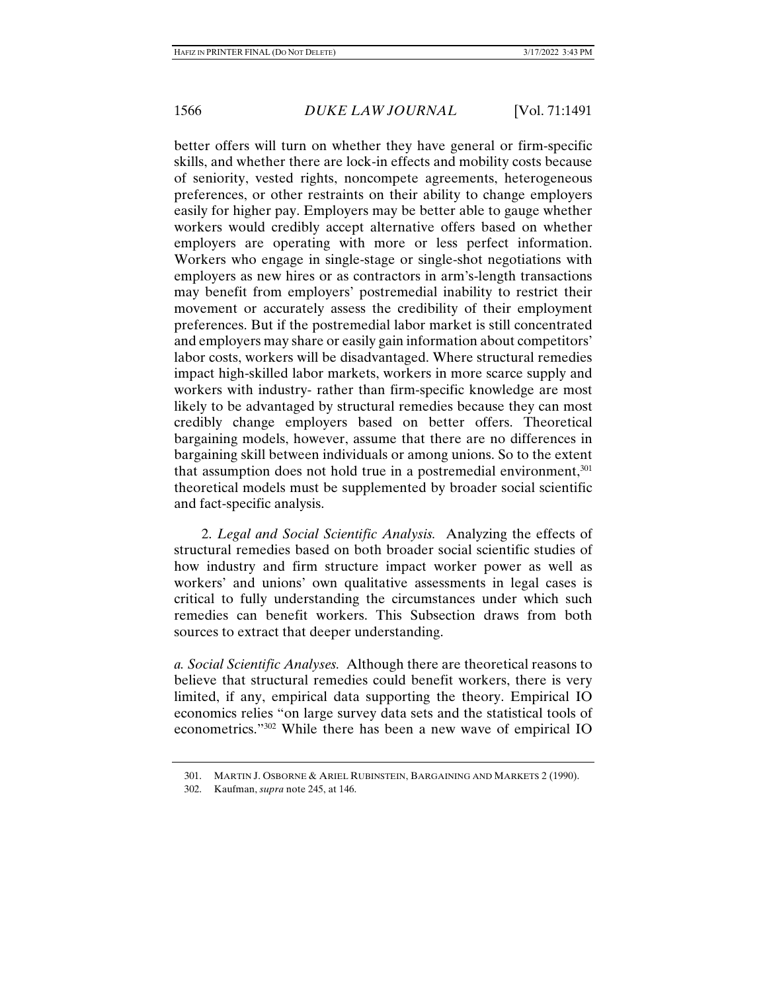better offers will turn on whether they have general or firm-specific skills, and whether there are lock-in effects and mobility costs because of seniority, vested rights, noncompete agreements, heterogeneous preferences, or other restraints on their ability to change employers easily for higher pay. Employers may be better able to gauge whether workers would credibly accept alternative offers based on whether employers are operating with more or less perfect information. Workers who engage in single-stage or single-shot negotiations with employers as new hires or as contractors in arm's-length transactions may benefit from employers' postremedial inability to restrict their movement or accurately assess the credibility of their employment preferences. But if the postremedial labor market is still concentrated and employers may share or easily gain information about competitors' labor costs, workers will be disadvantaged. Where structural remedies impact high-skilled labor markets, workers in more scarce supply and workers with industry- rather than firm-specific knowledge are most likely to be advantaged by structural remedies because they can most credibly change employers based on better offers. Theoretical bargaining models, however, assume that there are no differences in bargaining skill between individuals or among unions. So to the extent that assumption does not hold true in a postremedial environment,  $301$ theoretical models must be supplemented by broader social scientific and fact-specific analysis.

2. *Legal and Social Scientific Analysis.* Analyzing the effects of structural remedies based on both broader social scientific studies of how industry and firm structure impact worker power as well as workers' and unions' own qualitative assessments in legal cases is critical to fully understanding the circumstances under which such remedies can benefit workers. This Subsection draws from both sources to extract that deeper understanding.

*a. Social Scientific Analyses.* Although there are theoretical reasons to believe that structural remedies could benefit workers, there is very limited, if any, empirical data supporting the theory. Empirical IO economics relies "on large survey data sets and the statistical tools of econometrics."302 While there has been a new wave of empirical IO

 <sup>301.</sup> MARTIN J. OSBORNE & ARIEL RUBINSTEIN, BARGAINING AND MARKETS 2 (1990).

 <sup>302.</sup> Kaufman, *supra* note 245, at 146.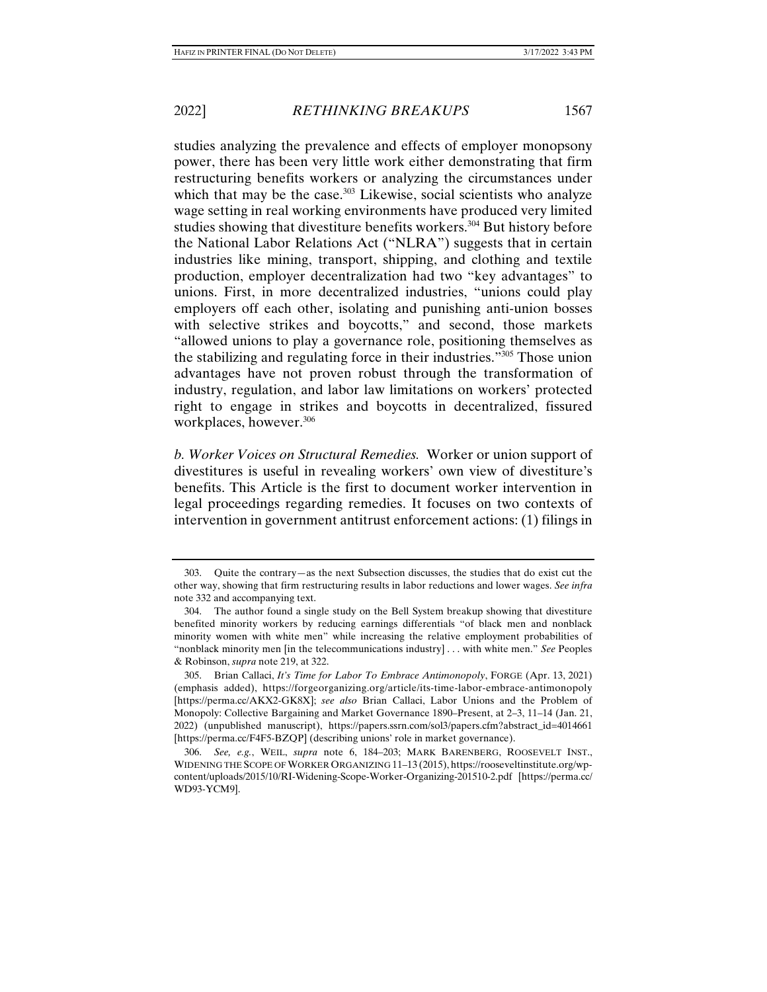studies analyzing the prevalence and effects of employer monopsony power, there has been very little work either demonstrating that firm restructuring benefits workers or analyzing the circumstances under which that may be the case. $303$  Likewise, social scientists who analyze wage setting in real working environments have produced very limited studies showing that divestiture benefits workers.<sup>304</sup> But history before the National Labor Relations Act ("NLRA") suggests that in certain industries like mining, transport, shipping, and clothing and textile production, employer decentralization had two "key advantages" to unions. First, in more decentralized industries, "unions could play employers off each other, isolating and punishing anti-union bosses with selective strikes and boycotts," and second, those markets "allowed unions to play a governance role, positioning themselves as the stabilizing and regulating force in their industries."305 Those union advantages have not proven robust through the transformation of industry, regulation, and labor law limitations on workers' protected right to engage in strikes and boycotts in decentralized, fissured workplaces, however.<sup>306</sup>

*b. Worker Voices on Structural Remedies.* Worker or union support of divestitures is useful in revealing workers' own view of divestiture's benefits. This Article is the first to document worker intervention in legal proceedings regarding remedies. It focuses on two contexts of intervention in government antitrust enforcement actions: (1) filings in

 <sup>303.</sup> Quite the contrary—as the next Subsection discusses, the studies that do exist cut the other way, showing that firm restructuring results in labor reductions and lower wages. *See infra*  note 332 and accompanying text.

 <sup>304.</sup> The author found a single study on the Bell System breakup showing that divestiture benefited minority workers by reducing earnings differentials "of black men and nonblack minority women with white men" while increasing the relative employment probabilities of "nonblack minority men [in the telecommunications industry] . . . with white men." *See* Peoples & Robinson, *supra* note 219, at 322.

 <sup>305.</sup> Brian Callaci, *It's Time for Labor To Embrace Antimonopoly*, FORGE (Apr. 13, 2021) (emphasis added), https://forgeorganizing.org/article/its-time-labor-embrace-antimonopoly [https://perma.cc/AKX2-GK8X]; *see also* Brian Callaci, Labor Unions and the Problem of Monopoly: Collective Bargaining and Market Governance 1890–Present, at 2–3, 11–14 (Jan. 21, 2022) (unpublished manuscript), https://papers.ssrn.com/sol3/papers.cfm?abstract\_id=4014661 [https://perma.cc/F4F5-BZQP] (describing unions' role in market governance).

 <sup>306.</sup> *See, e.g.*, WEIL, *supra* note 6, 184–203; MARK BARENBERG, ROOSEVELT INST., WIDENING THE SCOPE OF WORKER ORGANIZING 11–13 (2015), https://rooseveltinstitute.org/wpcontent/uploads/2015/10/RI-Widening-Scope-Worker-Organizing-201510-2.pdf [https://perma.cc/ WD93-YCM9].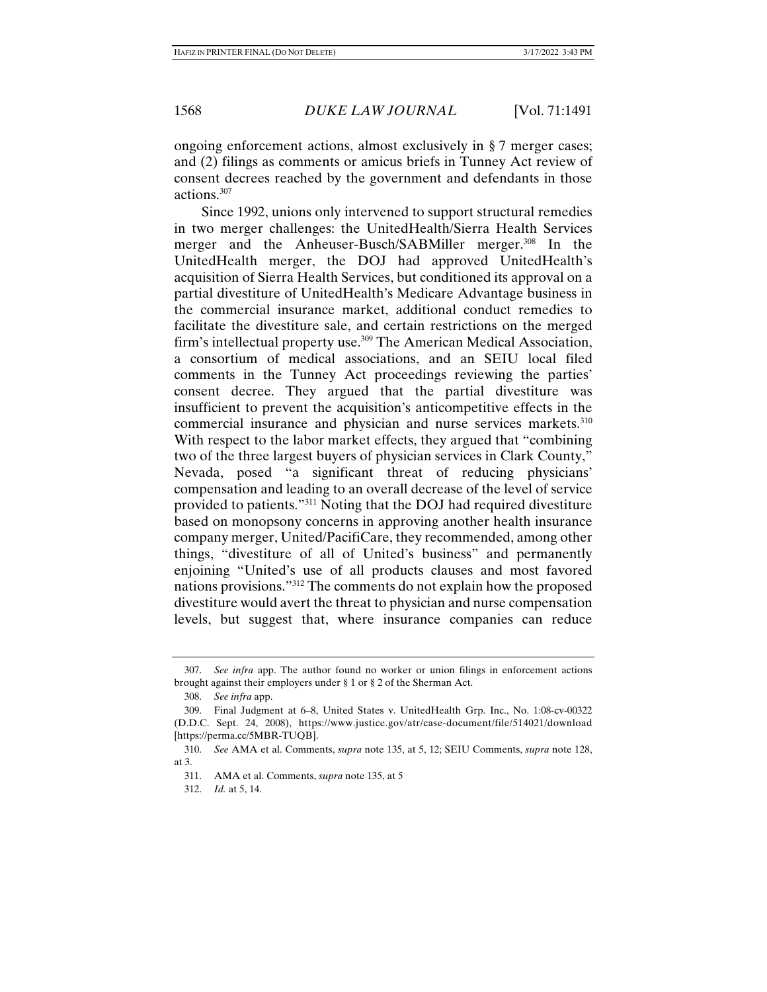ongoing enforcement actions, almost exclusively in § 7 merger cases; and (2) filings as comments or amicus briefs in Tunney Act review of consent decrees reached by the government and defendants in those actions.307

Since 1992, unions only intervened to support structural remedies in two merger challenges: the UnitedHealth/Sierra Health Services merger and the Anheuser-Busch/SABMiller merger.<sup>308</sup> In the UnitedHealth merger, the DOJ had approved UnitedHealth's acquisition of Sierra Health Services, but conditioned its approval on a partial divestiture of UnitedHealth's Medicare Advantage business in the commercial insurance market, additional conduct remedies to facilitate the divestiture sale, and certain restrictions on the merged firm's intellectual property use.<sup>309</sup> The American Medical Association, a consortium of medical associations, and an SEIU local filed comments in the Tunney Act proceedings reviewing the parties' consent decree. They argued that the partial divestiture was insufficient to prevent the acquisition's anticompetitive effects in the commercial insurance and physician and nurse services markets.<sup>310</sup> With respect to the labor market effects, they argued that "combining two of the three largest buyers of physician services in Clark County," Nevada, posed "a significant threat of reducing physicians' compensation and leading to an overall decrease of the level of service provided to patients."311 Noting that the DOJ had required divestiture based on monopsony concerns in approving another health insurance company merger, United/PacifiCare, they recommended, among other things, "divestiture of all of United's business" and permanently enjoining "United's use of all products clauses and most favored nations provisions."312 The comments do not explain how the proposed divestiture would avert the threat to physician and nurse compensation levels, but suggest that, where insurance companies can reduce

 <sup>307.</sup> *See infra* app. The author found no worker or union filings in enforcement actions brought against their employers under § 1 or § 2 of the Sherman Act.

 <sup>308.</sup> *See infra* app.

 <sup>309.</sup> Final Judgment at 6–8, United States v. UnitedHealth Grp. Inc., No. 1:08-cv-00322 (D.D.C. Sept. 24, 2008), https://www.justice.gov/atr/case-document/file/514021/download [https://perma.cc/5MBR-TUQB].

 <sup>310.</sup> *See* AMA et al. Comments, *supra* note 135, at 5, 12; SEIU Comments, *supra* note 128, at 3.

 <sup>311.</sup> AMA et al. Comments, *supra* note 135, at 5

 <sup>312.</sup> *Id.* at 5, 14.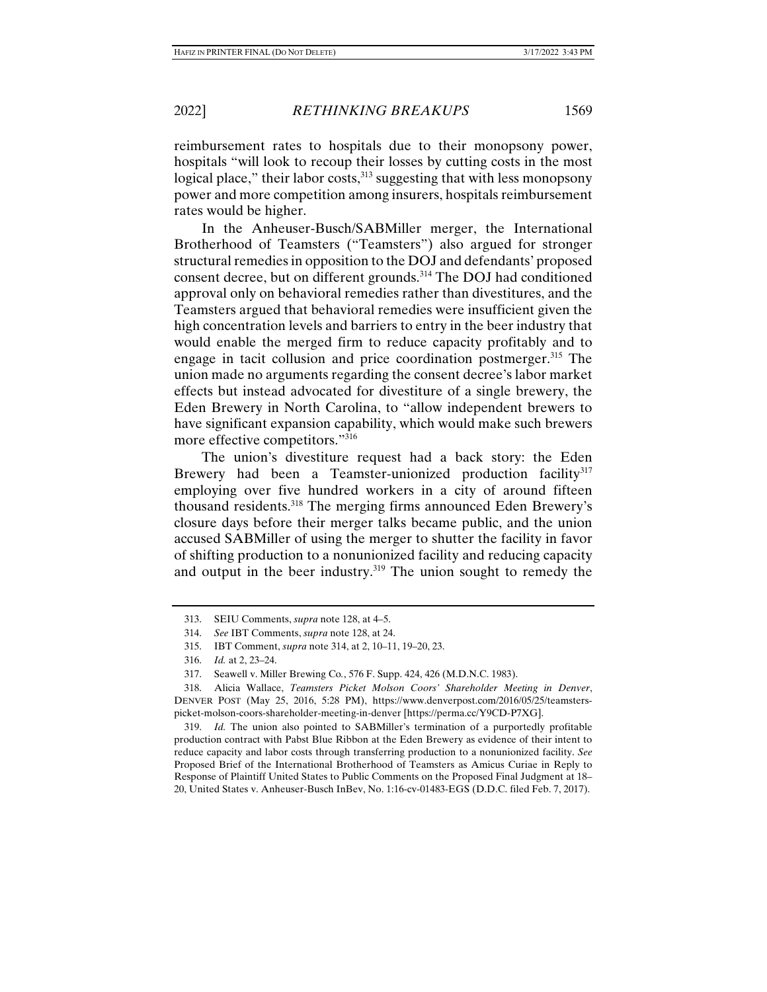reimbursement rates to hospitals due to their monopsony power, hospitals "will look to recoup their losses by cutting costs in the most logical place," their labor costs,<sup>313</sup> suggesting that with less monopsony power and more competition among insurers, hospitals reimbursement rates would be higher.

In the Anheuser-Busch/SABMiller merger, the International Brotherhood of Teamsters ("Teamsters") also argued for stronger structural remedies in opposition to the DOJ and defendants' proposed consent decree, but on different grounds.<sup>314</sup> The DOJ had conditioned approval only on behavioral remedies rather than divestitures, and the Teamsters argued that behavioral remedies were insufficient given the high concentration levels and barriers to entry in the beer industry that would enable the merged firm to reduce capacity profitably and to engage in tacit collusion and price coordination postmerger.<sup>315</sup> The union made no arguments regarding the consent decree's labor market effects but instead advocated for divestiture of a single brewery, the Eden Brewery in North Carolina, to "allow independent brewers to have significant expansion capability, which would make such brewers more effective competitors."<sup>316</sup>

The union's divestiture request had a back story: the Eden Brewery had been a Teamster-unionized production facility<sup>317</sup> employing over five hundred workers in a city of around fifteen thousand residents.318 The merging firms announced Eden Brewery's closure days before their merger talks became public, and the union accused SABMiller of using the merger to shutter the facility in favor of shifting production to a nonunionized facility and reducing capacity and output in the beer industry.<sup>319</sup> The union sought to remedy the

 319. *Id.* The union also pointed to SABMiller's termination of a purportedly profitable production contract with Pabst Blue Ribbon at the Eden Brewery as evidence of their intent to reduce capacity and labor costs through transferring production to a nonunionized facility. *See*  Proposed Brief of the International Brotherhood of Teamsters as Amicus Curiae in Reply to Response of Plaintiff United States to Public Comments on the Proposed Final Judgment at 18– 20, United States v. Anheuser-Busch InBev, No. 1:16-cv-01483-EGS (D.D.C. filed Feb. 7, 2017).

 <sup>313.</sup> SEIU Comments, *supra* note 128, at 4–5.

 <sup>314.</sup> *See* IBT Comments, *supra* note 128, at 24.

 <sup>315.</sup> IBT Comment, *supra* note 314, at 2, 10–11, 19–20, 23.

 <sup>316.</sup> *Id.* at 2, 23–24.

 <sup>317.</sup> Seawell v. Miller Brewing Co*.*, 576 F. Supp. 424, 426 (M.D.N.C. 1983).

 <sup>318.</sup> Alicia Wallace, *Teamsters Picket Molson Coors' Shareholder Meeting in Denver*, DENVER POST (May 25, 2016, 5:28 PM), https://www.denverpost.com/2016/05/25/teamsterspicket-molson-coors-shareholder-meeting-in-denver [https://perma.cc/Y9CD-P7XG].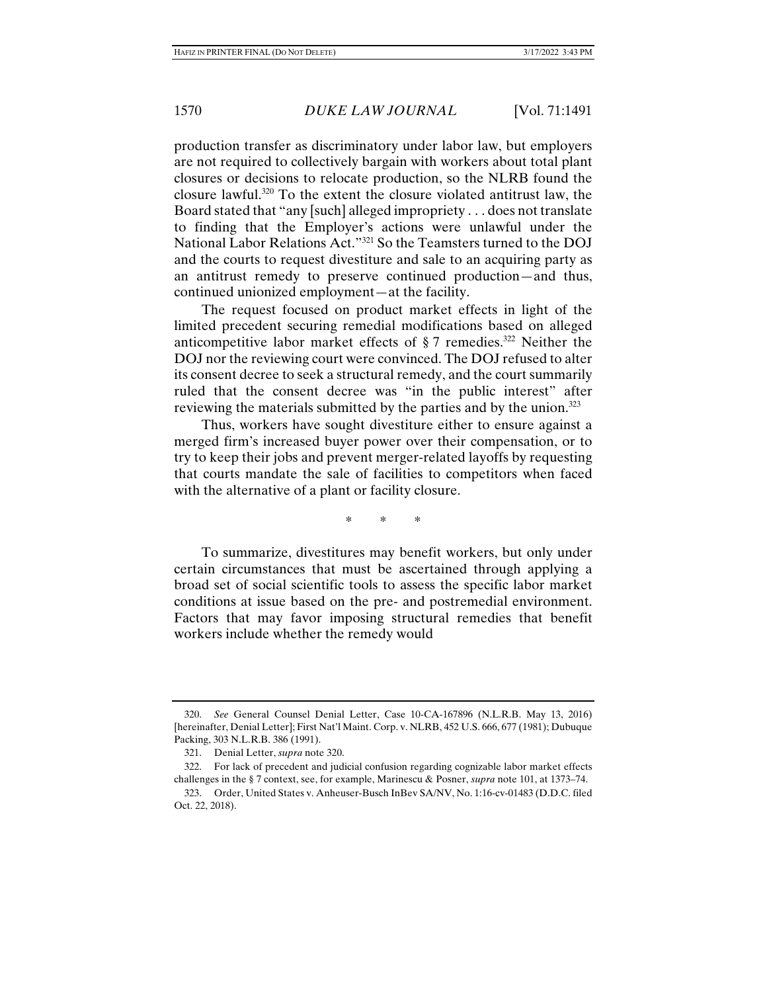production transfer as discriminatory under labor law, but employers are not required to collectively bargain with workers about total plant closures or decisions to relocate production, so the NLRB found the closure lawful.320 To the extent the closure violated antitrust law, the Board stated that "any [such] alleged impropriety . . . does not translate to finding that the Employer's actions were unlawful under the National Labor Relations Act."321 So the Teamsters turned to the DOJ and the courts to request divestiture and sale to an acquiring party as an antitrust remedy to preserve continued production—and thus, continued unionized employment—at the facility.

The request focused on product market effects in light of the limited precedent securing remedial modifications based on alleged anticompetitive labor market effects of  $\S 7$  remedies.<sup>322</sup> Neither the DOJ nor the reviewing court were convinced. The DOJ refused to alter its consent decree to seek a structural remedy, and the court summarily ruled that the consent decree was "in the public interest" after reviewing the materials submitted by the parties and by the union.323

Thus, workers have sought divestiture either to ensure against a merged firm's increased buyer power over their compensation, or to try to keep their jobs and prevent merger-related layoffs by requesting that courts mandate the sale of facilities to competitors when faced with the alternative of a plant or facility closure.

\* \* \*

To summarize, divestitures may benefit workers, but only under certain circumstances that must be ascertained through applying a broad set of social scientific tools to assess the specific labor market conditions at issue based on the pre- and postremedial environment. Factors that may favor imposing structural remedies that benefit workers include whether the remedy would

 <sup>320.</sup> *See* General Counsel Denial Letter, Case 10-CA-167896 (N.L.R.B. May 13, 2016) [hereinafter, Denial Letter]; First Nat'l Maint. Corp. v. NLRB, 452 U.S. 666, 677 (1981); Dubuque Packing, 303 N.L.R.B. 386 (1991).

 <sup>321.</sup> Denial Letter, *supra* note 320.

 <sup>322.</sup> For lack of precedent and judicial confusion regarding cognizable labor market effects challenges in the § 7 context, see, for example, Marinescu & Posner, *supra* note 101, at 1373–74.

 <sup>323.</sup> Order, United States v. Anheuser-Busch InBev SA/NV, No. 1:16-cv-01483 (D.D.C. filed Oct. 22, 2018).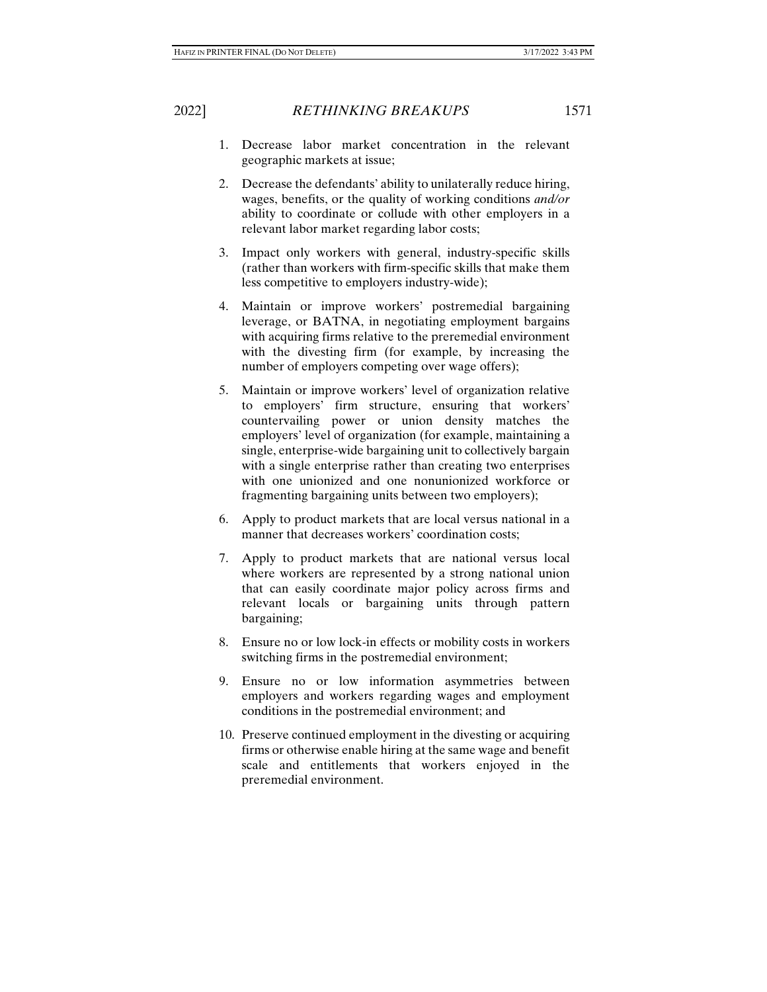- 1. Decrease labor market concentration in the relevant geographic markets at issue;
- 2. Decrease the defendants' ability to unilaterally reduce hiring, wages, benefits, or the quality of working conditions *and/or* ability to coordinate or collude with other employers in a relevant labor market regarding labor costs;
- 3. Impact only workers with general, industry-specific skills (rather than workers with firm-specific skills that make them less competitive to employers industry-wide);
- 4. Maintain or improve workers' postremedial bargaining leverage, or BATNA, in negotiating employment bargains with acquiring firms relative to the preremedial environment with the divesting firm (for example, by increasing the number of employers competing over wage offers);
- 5. Maintain or improve workers' level of organization relative to employers' firm structure, ensuring that workers' countervailing power or union density matches the employers' level of organization (for example, maintaining a single, enterprise-wide bargaining unit to collectively bargain with a single enterprise rather than creating two enterprises with one unionized and one nonunionized workforce or fragmenting bargaining units between two employers);
- 6. Apply to product markets that are local versus national in a manner that decreases workers' coordination costs;
- 7. Apply to product markets that are national versus local where workers are represented by a strong national union that can easily coordinate major policy across firms and relevant locals or bargaining units through pattern bargaining;
- 8. Ensure no or low lock-in effects or mobility costs in workers switching firms in the postremedial environment;
- 9. Ensure no or low information asymmetries between employers and workers regarding wages and employment conditions in the postremedial environment; and
- 10. Preserve continued employment in the divesting or acquiring firms or otherwise enable hiring at the same wage and benefit scale and entitlements that workers enjoyed in the preremedial environment.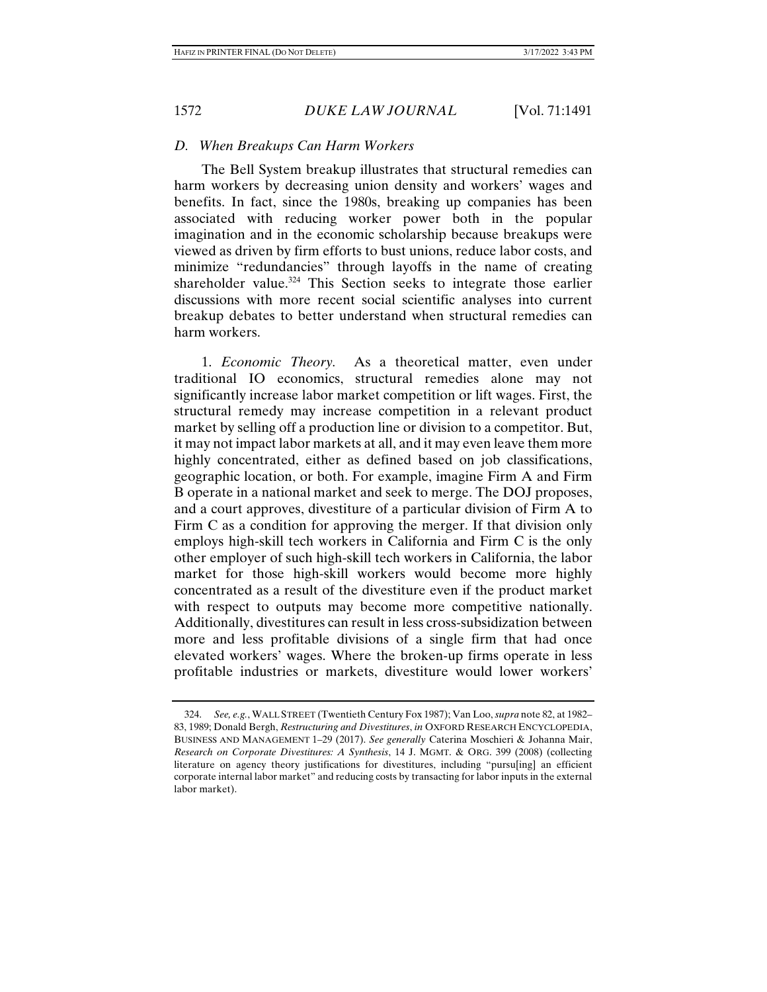## *D. When Breakups Can Harm Workers*

The Bell System breakup illustrates that structural remedies can harm workers by decreasing union density and workers' wages and benefits. In fact, since the 1980s, breaking up companies has been associated with reducing worker power both in the popular imagination and in the economic scholarship because breakups were viewed as driven by firm efforts to bust unions, reduce labor costs, and minimize "redundancies" through layoffs in the name of creating shareholder value.<sup>324</sup> This Section seeks to integrate those earlier discussions with more recent social scientific analyses into current breakup debates to better understand when structural remedies can harm workers.

1. *Economic Theory.* As a theoretical matter, even under traditional IO economics, structural remedies alone may not significantly increase labor market competition or lift wages. First, the structural remedy may increase competition in a relevant product market by selling off a production line or division to a competitor. But, it may not impact labor markets at all, and it may even leave them more highly concentrated, either as defined based on job classifications, geographic location, or both. For example, imagine Firm A and Firm B operate in a national market and seek to merge. The DOJ proposes, and a court approves, divestiture of a particular division of Firm A to Firm C as a condition for approving the merger. If that division only employs high-skill tech workers in California and Firm C is the only other employer of such high-skill tech workers in California, the labor market for those high-skill workers would become more highly concentrated as a result of the divestiture even if the product market with respect to outputs may become more competitive nationally. Additionally, divestitures can result in less cross-subsidization between more and less profitable divisions of a single firm that had once elevated workers' wages. Where the broken-up firms operate in less profitable industries or markets, divestiture would lower workers'

 <sup>324.</sup> *See, e.g.*, WALL STREET (Twentieth Century Fox 1987); Van Loo, *supra* note 82, at 1982– 83, 1989; Donald Bergh, *Restructuring and Divestitures*, *in* OXFORD RESEARCH ENCYCLOPEDIA, BUSINESS AND MANAGEMENT 1–29 (2017). *See generally* Caterina Moschieri & Johanna Mair, *Research on Corporate Divestitures: A Synthesis*, 14 J. MGMT. & ORG. 399 (2008) (collecting literature on agency theory justifications for divestitures, including "pursu[ing] an efficient corporate internal labor market" and reducing costs by transacting for labor inputs in the external labor market).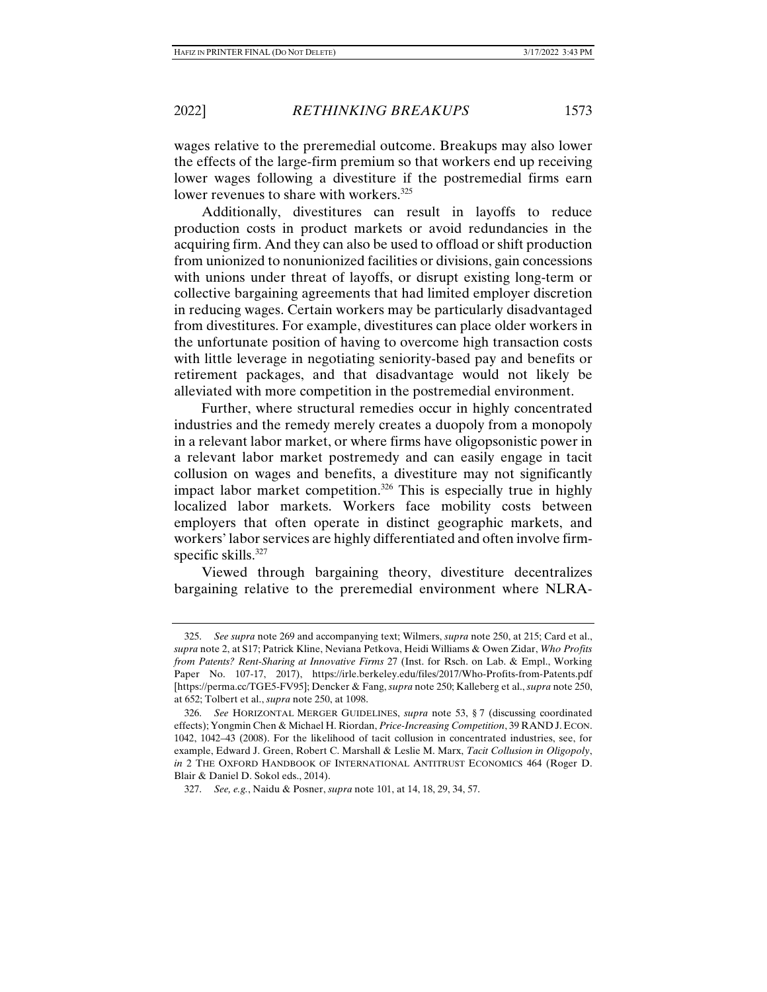wages relative to the preremedial outcome. Breakups may also lower the effects of the large-firm premium so that workers end up receiving lower wages following a divestiture if the postremedial firms earn lower revenues to share with workers.<sup>325</sup>

Additionally, divestitures can result in layoffs to reduce production costs in product markets or avoid redundancies in the acquiring firm. And they can also be used to offload or shift production from unionized to nonunionized facilities or divisions, gain concessions with unions under threat of layoffs, or disrupt existing long-term or collective bargaining agreements that had limited employer discretion in reducing wages. Certain workers may be particularly disadvantaged from divestitures. For example, divestitures can place older workers in the unfortunate position of having to overcome high transaction costs with little leverage in negotiating seniority-based pay and benefits or retirement packages, and that disadvantage would not likely be alleviated with more competition in the postremedial environment.

Further, where structural remedies occur in highly concentrated industries and the remedy merely creates a duopoly from a monopoly in a relevant labor market, or where firms have oligopsonistic power in a relevant labor market postremedy and can easily engage in tacit collusion on wages and benefits, a divestiture may not significantly impact labor market competition.<sup>326</sup> This is especially true in highly localized labor markets. Workers face mobility costs between employers that often operate in distinct geographic markets, and workers' labor services are highly differentiated and often involve firmspecific skills.<sup>327</sup>

Viewed through bargaining theory, divestiture decentralizes bargaining relative to the preremedial environment where NLRA-

 <sup>325.</sup> *See supra* note 269 and accompanying text; Wilmers, *supra* note 250, at 215; Card et al., *supra* note 2, at S17; Patrick Kline, Neviana Petkova, Heidi Williams & Owen Zidar, *Who Profits from Patents? Rent-Sharing at Innovative Firms* 27 (Inst. for Rsch. on Lab. & Empl., Working Paper No. 107-17, 2017), https://irle.berkeley.edu/files/2017/Who-Profits-from-Patents.pdf [https://perma.cc/TGE5-FV95]; Dencker & Fang, *supra* note 250; Kalleberg et al., *supra* note 250, at 652; Tolbert et al., *supra* note 250, at 1098.

 <sup>326.</sup> *See* HORIZONTAL MERGER GUIDELINES, *supra* note 53, § 7 (discussing coordinated effects); Yongmin Chen & Michael H. Riordan, *Price-Increasing Competition*, 39 RAND J. ECON. 1042, 1042–43 (2008). For the likelihood of tacit collusion in concentrated industries, see, for example, Edward J. Green, Robert C. Marshall & Leslie M. Marx, *Tacit Collusion in Oligopoly*, *in* 2 THE OXFORD HANDBOOK OF INTERNATIONAL ANTITRUST ECONOMICS 464 (Roger D. Blair & Daniel D. Sokol eds., 2014).

 <sup>327.</sup> *See, e.g.*, Naidu & Posner, *supra* note 101, at 14, 18, 29, 34, 57.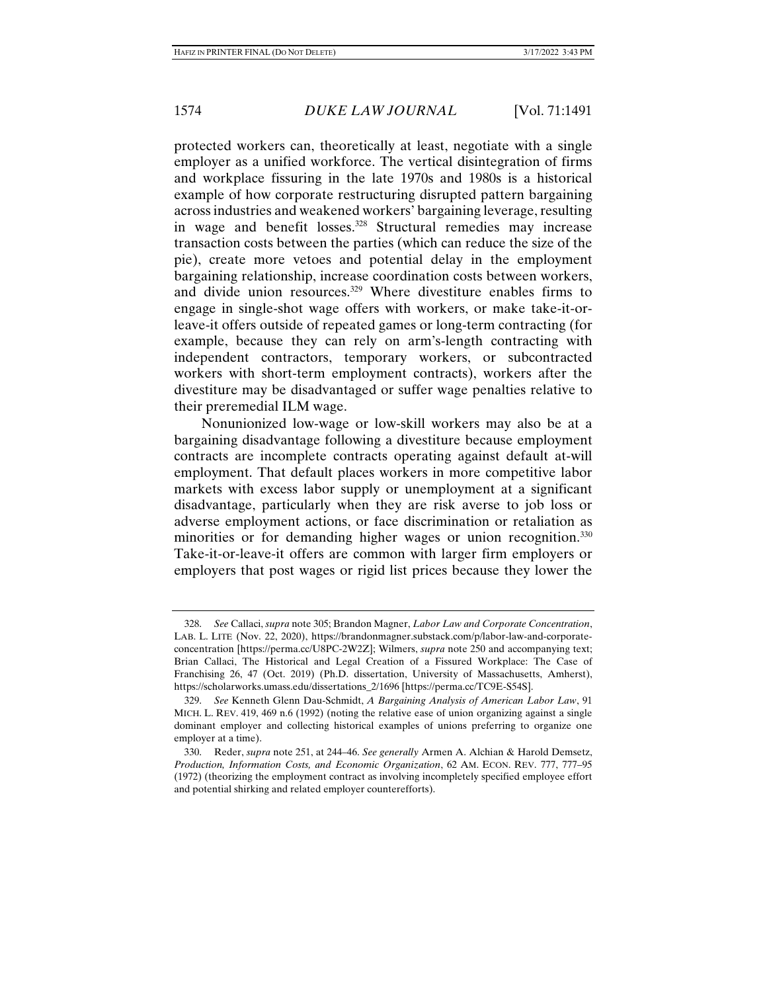protected workers can, theoretically at least, negotiate with a single employer as a unified workforce. The vertical disintegration of firms and workplace fissuring in the late 1970s and 1980s is a historical example of how corporate restructuring disrupted pattern bargaining across industries and weakened workers' bargaining leverage, resulting in wage and benefit losses.<sup>328</sup> Structural remedies may increase transaction costs between the parties (which can reduce the size of the pie), create more vetoes and potential delay in the employment bargaining relationship, increase coordination costs between workers, and divide union resources.<sup>329</sup> Where divestiture enables firms to engage in single-shot wage offers with workers, or make take-it-orleave-it offers outside of repeated games or long-term contracting (for example, because they can rely on arm's-length contracting with independent contractors, temporary workers, or subcontracted workers with short-term employment contracts), workers after the divestiture may be disadvantaged or suffer wage penalties relative to their preremedial ILM wage.

Nonunionized low-wage or low-skill workers may also be at a bargaining disadvantage following a divestiture because employment contracts are incomplete contracts operating against default at-will employment. That default places workers in more competitive labor markets with excess labor supply or unemployment at a significant disadvantage, particularly when they are risk averse to job loss or adverse employment actions, or face discrimination or retaliation as minorities or for demanding higher wages or union recognition.<sup>330</sup> Take-it-or-leave-it offers are common with larger firm employers or employers that post wages or rigid list prices because they lower the

 <sup>328.</sup> *See* Callaci, *supra* note 305; Brandon Magner, *Labor Law and Corporate Concentration*, LAB. L. LITE (Nov. 22, 2020), https://brandonmagner.substack.com/p/labor-law-and-corporateconcentration [https://perma.cc/U8PC-2W2Z]; Wilmers, *supra* note 250 and accompanying text; Brian Callaci, The Historical and Legal Creation of a Fissured Workplace: The Case of Franchising 26, 47 (Oct. 2019) (Ph.D. dissertation, University of Massachusetts, Amherst), https://scholarworks.umass.edu/dissertations\_2/1696 [https://perma.cc/TC9E-S54S].

 <sup>329.</sup> *See* Kenneth Glenn Dau-Schmidt, *A Bargaining Analysis of American Labor Law*, 91 MICH. L. REV. 419, 469 n.6 (1992) (noting the relative ease of union organizing against a single dominant employer and collecting historical examples of unions preferring to organize one employer at a time).

 <sup>330.</sup> Reder, *supra* note 251, at 244–46. *See generally* Armen A. Alchian & Harold Demsetz, *Production, Information Costs, and Economic Organization*, 62 AM. ECON. REV. 777, 777–95 (1972) (theorizing the employment contract as involving incompletely specified employee effort and potential shirking and related employer counterefforts).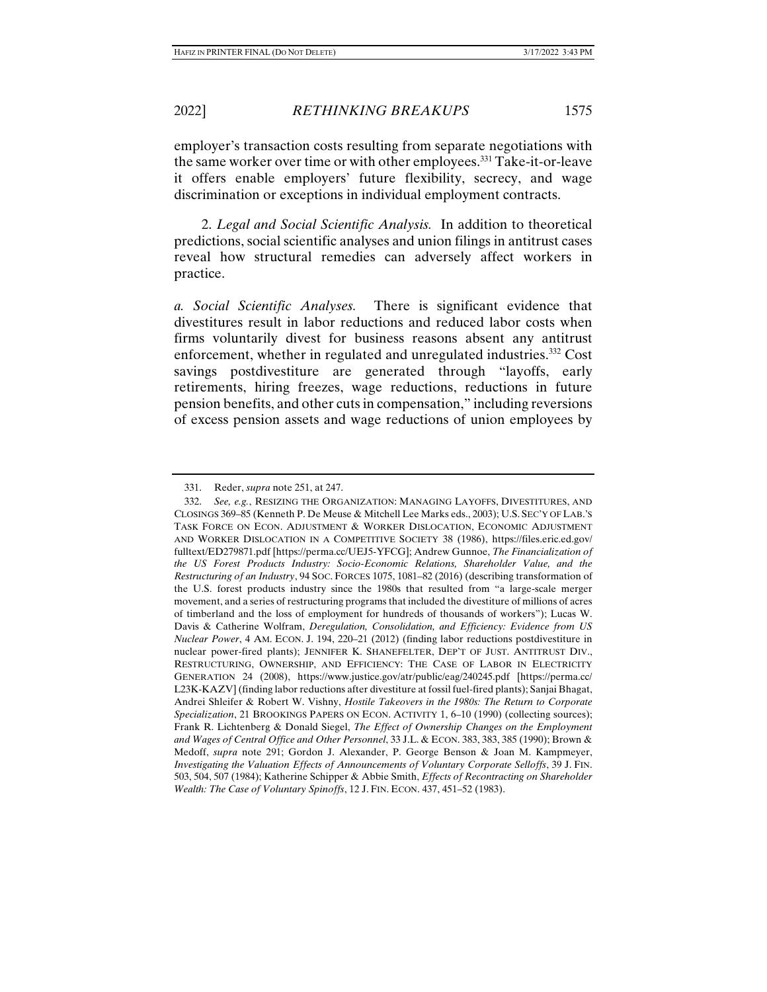employer's transaction costs resulting from separate negotiations with the same worker over time or with other employees.331 Take-it-or-leave it offers enable employers' future flexibility, secrecy, and wage discrimination or exceptions in individual employment contracts.

2. *Legal and Social Scientific Analysis.* In addition to theoretical predictions, social scientific analyses and union filings in antitrust cases reveal how structural remedies can adversely affect workers in practice.

*a. Social Scientific Analyses.* There is significant evidence that divestitures result in labor reductions and reduced labor costs when firms voluntarily divest for business reasons absent any antitrust enforcement, whether in regulated and unregulated industries.332 Cost savings postdivestiture are generated through "layoffs, early retirements, hiring freezes, wage reductions, reductions in future pension benefits, and other cuts in compensation," including reversions of excess pension assets and wage reductions of union employees by

 <sup>331.</sup> Reder, *supra* note 251, at 247.

 <sup>332.</sup> *See, e.g.*, RESIZING THE ORGANIZATION: MANAGING LAYOFFS, DIVESTITURES, AND CLOSINGS 369–85 (Kenneth P. De Meuse & Mitchell Lee Marks eds., 2003); U.S. SEC'Y OF LAB.'S TASK FORCE ON ECON. ADJUSTMENT & WORKER DISLOCATION, ECONOMIC ADJUSTMENT AND WORKER DISLOCATION IN A COMPETITIVE SOCIETY 38 (1986), https://files.eric.ed.gov/ fulltext/ED279871.pdf [https://perma.cc/UEJ5-YFCG]; Andrew Gunnoe, *The Financialization of the US Forest Products Industry: Socio-Economic Relations, Shareholder Value, and the Restructuring of an Industry*, 94 SOC. FORCES 1075, 1081–82 (2016) (describing transformation of the U.S. forest products industry since the 1980s that resulted from "a large-scale merger movement, and a series of restructuring programs that included the divestiture of millions of acres of timberland and the loss of employment for hundreds of thousands of workers"); Lucas W. Davis & Catherine Wolfram, *Deregulation, Consolidation, and Efficiency: Evidence from US Nuclear Power*, 4 AM. ECON. J. 194, 220–21 (2012) (finding labor reductions postdivestiture in nuclear power-fired plants); JENNIFER K. SHANEFELTER, DEP'T OF JUST. ANTITRUST DIV., RESTRUCTURING, OWNERSHIP, AND EFFICIENCY: THE CASE OF LABOR IN ELECTRICITY GENERATION 24 (2008), https://www.justice.gov/atr/public/eag/240245.pdf [https://perma.cc/ L23K-KAZV] (finding labor reductions after divestiture at fossil fuel-fired plants); Sanjai Bhagat, Andrei Shleifer & Robert W. Vishny, *Hostile Takeovers in the 1980s: The Return to Corporate Specialization*, 21 BROOKINGS PAPERS ON ECON. ACTIVITY 1, 6–10 (1990) (collecting sources); Frank R. Lichtenberg & Donald Siegel, *The Effect of Ownership Changes on the Employment and Wages of Central Office and Other Personnel*, 33 J.L. & ECON. 383, 383, 385 (1990); Brown & Medoff, *supra* note 291; Gordon J. Alexander, P. George Benson & Joan M. Kampmeyer, *Investigating the Valuation Effects of Announcements of Voluntary Corporate Selloffs*, 39 J. FIN. 503, 504, 507 (1984); Katherine Schipper & Abbie Smith, *Effects of Recontracting on Shareholder Wealth: The Case of Voluntary Spinoffs*, 12 J. FIN. ECON. 437, 451–52 (1983).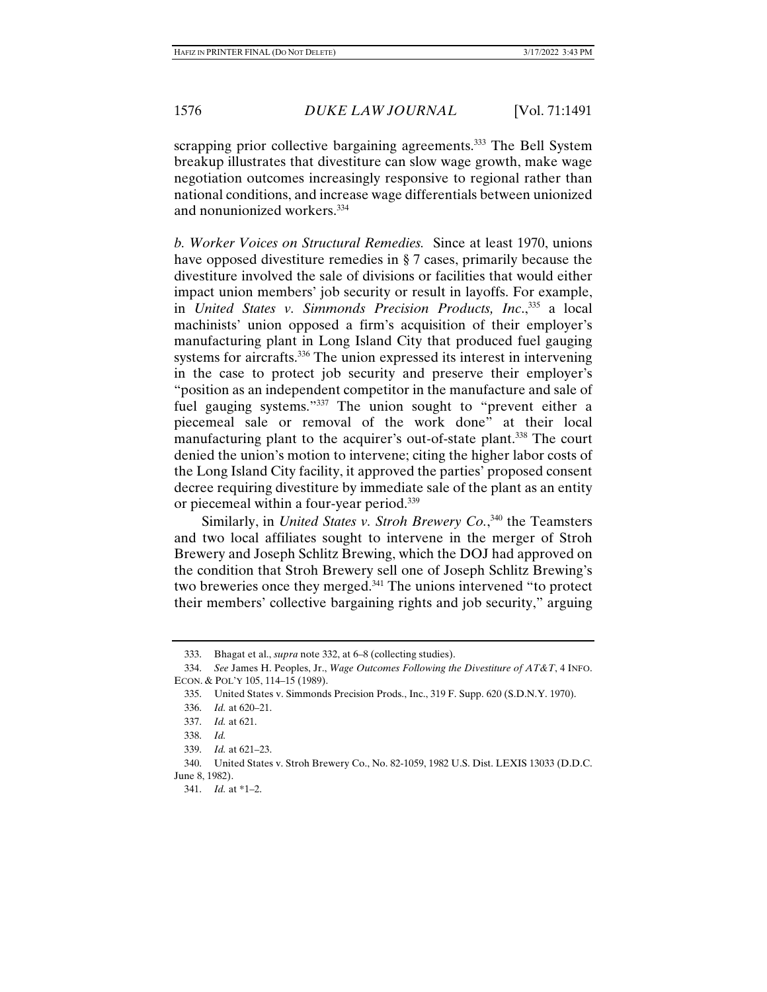scrapping prior collective bargaining agreements.<sup>333</sup> The Bell System breakup illustrates that divestiture can slow wage growth, make wage negotiation outcomes increasingly responsive to regional rather than national conditions, and increase wage differentials between unionized and nonunionized workers.334

*b. Worker Voices on Structural Remedies.* Since at least 1970, unions have opposed divestiture remedies in § 7 cases, primarily because the divestiture involved the sale of divisions or facilities that would either impact union members' job security or result in layoffs. For example, in *United States v. Simmonds Precision Products, Inc.*<sup>335</sup> a local machinists' union opposed a firm's acquisition of their employer's manufacturing plant in Long Island City that produced fuel gauging systems for aircrafts.<sup>336</sup> The union expressed its interest in intervening in the case to protect job security and preserve their employer's "position as an independent competitor in the manufacture and sale of fuel gauging systems."<sup>337</sup> The union sought to "prevent either a piecemeal sale or removal of the work done" at their local manufacturing plant to the acquirer's out-of-state plant.<sup>338</sup> The court denied the union's motion to intervene; citing the higher labor costs of the Long Island City facility, it approved the parties' proposed consent decree requiring divestiture by immediate sale of the plant as an entity or piecemeal within a four-year period.339

Similarly, in *United States v. Stroh Brewery Co.*, 340 the Teamsters and two local affiliates sought to intervene in the merger of Stroh Brewery and Joseph Schlitz Brewing, which the DOJ had approved on the condition that Stroh Brewery sell one of Joseph Schlitz Brewing's two breweries once they merged.341 The unions intervened "to protect their members' collective bargaining rights and job security," arguing

 <sup>333.</sup> Bhagat et al., *supra* note 332, at 6–8 (collecting studies).

 <sup>334.</sup> *See* James H. Peoples, Jr., *Wage Outcomes Following the Divestiture of AT&T*, 4 INFO. ECON. & POL'Y 105, 114–15 (1989).

 <sup>335.</sup> United States v. Simmonds Precision Prods., Inc., 319 F. Supp. 620 (S.D.N.Y. 1970).

 <sup>336.</sup> *Id.* at 620–21.

 <sup>337.</sup> *Id.* at 621.

 <sup>338.</sup> *Id.*

 <sup>339.</sup> *Id.* at 621–23.

 <sup>340.</sup> United States v. Stroh Brewery Co., No. 82-1059, 1982 U.S. Dist. LEXIS 13033 (D.D.C. June 8, 1982).

 <sup>341.</sup> *Id.* at \*1–2.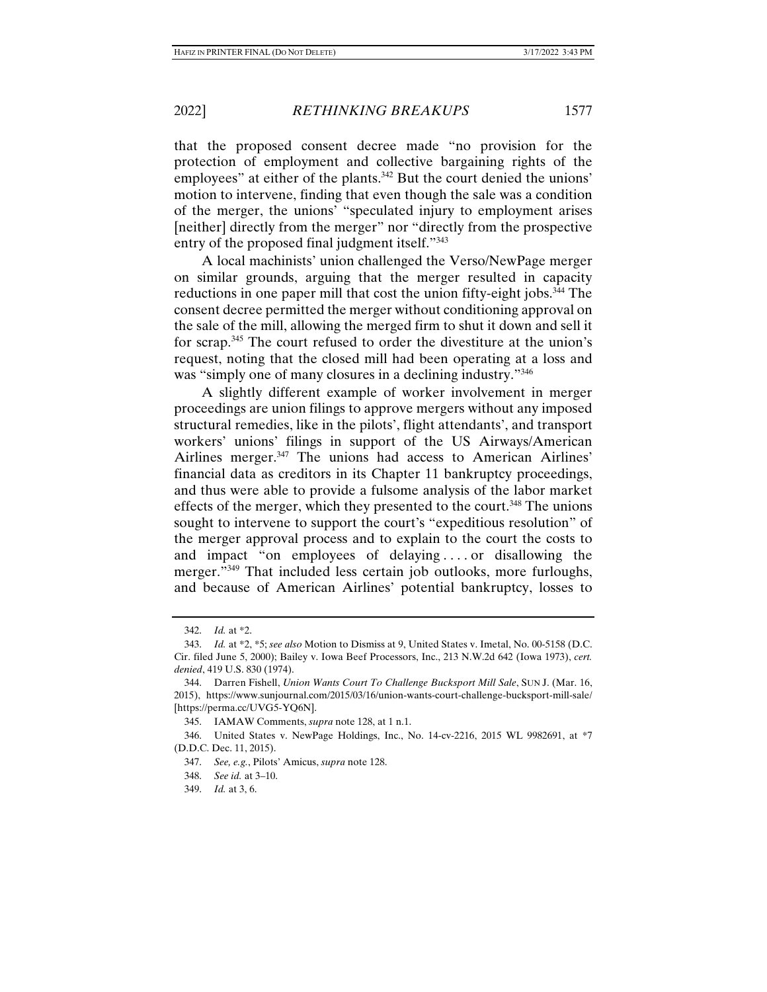that the proposed consent decree made "no provision for the protection of employment and collective bargaining rights of the employees" at either of the plants.342 But the court denied the unions' motion to intervene, finding that even though the sale was a condition of the merger, the unions' "speculated injury to employment arises [neither] directly from the merger" nor "directly from the prospective entry of the proposed final judgment itself."<sup>343</sup>

A local machinists' union challenged the Verso/NewPage merger on similar grounds, arguing that the merger resulted in capacity reductions in one paper mill that cost the union fifty-eight jobs.<sup>344</sup> The consent decree permitted the merger without conditioning approval on the sale of the mill, allowing the merged firm to shut it down and sell it for scrap.<sup>345</sup> The court refused to order the divestiture at the union's request, noting that the closed mill had been operating at a loss and was "simply one of many closures in a declining industry."<sup>346</sup>

A slightly different example of worker involvement in merger proceedings are union filings to approve mergers without any imposed structural remedies, like in the pilots', flight attendants', and transport workers' unions' filings in support of the US Airways/American Airlines merger.<sup>347</sup> The unions had access to American Airlines' financial data as creditors in its Chapter 11 bankruptcy proceedings, and thus were able to provide a fulsome analysis of the labor market effects of the merger, which they presented to the court.<sup>348</sup> The unions sought to intervene to support the court's "expeditious resolution" of the merger approval process and to explain to the court the costs to and impact "on employees of delaying . . . . or disallowing the merger."<sup>349</sup> That included less certain job outlooks, more furloughs, and because of American Airlines' potential bankruptcy, losses to

 <sup>342.</sup> *Id.* at \*2.

 <sup>343.</sup> *Id.* at \*2, \*5; *see also* Motion to Dismiss at 9, United States v. Imetal, No. 00-5158 (D.C. Cir. filed June 5, 2000); Bailey v. Iowa Beef Processors, Inc., 213 N.W.2d 642 (Iowa 1973), *cert. denied*, 419 U.S. 830 (1974).

 <sup>344.</sup> Darren Fishell, *Union Wants Court To Challenge Bucksport Mill Sale*, SUN J. (Mar. 16, 2015), https://www.sunjournal.com/2015/03/16/union-wants-court-challenge-bucksport-mill-sale/ [https://perma.cc/UVG5-YQ6N].

 <sup>345.</sup> IAMAW Comments, *supra* note 128, at 1 n.1.

 <sup>346.</sup> United States v. NewPage Holdings, Inc., No. 14-cv-2216, 2015 WL 9982691, at \*7 (D.D.C. Dec. 11, 2015).

 <sup>347.</sup> *See, e.g.*, Pilots' Amicus, *supra* note 128.

 <sup>348.</sup> *See id.* at 3–10.

 <sup>349.</sup> *Id.* at 3, 6.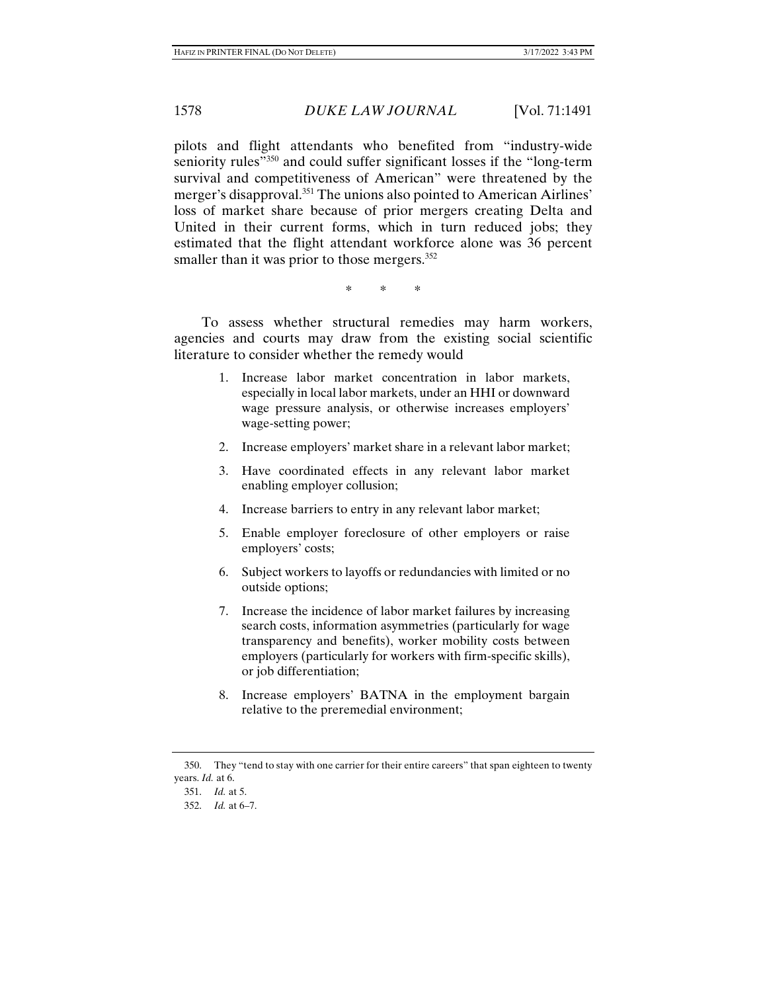pilots and flight attendants who benefited from "industry-wide seniority rules<sup>"350</sup> and could suffer significant losses if the "long-term" survival and competitiveness of American" were threatened by the merger's disapproval.<sup>351</sup> The unions also pointed to American Airlines' loss of market share because of prior mergers creating Delta and United in their current forms, which in turn reduced jobs; they estimated that the flight attendant workforce alone was 36 percent smaller than it was prior to those mergers.<sup>352</sup>

\* \* \*

To assess whether structural remedies may harm workers, agencies and courts may draw from the existing social scientific literature to consider whether the remedy would

- 1. Increase labor market concentration in labor markets, especially in local labor markets, under an HHI or downward wage pressure analysis, or otherwise increases employers' wage-setting power;
- 2. Increase employers' market share in a relevant labor market;
- 3. Have coordinated effects in any relevant labor market enabling employer collusion;
- 4. Increase barriers to entry in any relevant labor market;
- 5. Enable employer foreclosure of other employers or raise employers' costs;
- 6. Subject workers to layoffs or redundancies with limited or no outside options;
- 7. Increase the incidence of labor market failures by increasing search costs, information asymmetries (particularly for wage transparency and benefits), worker mobility costs between employers (particularly for workers with firm-specific skills), or job differentiation;
- 8. Increase employers' BATNA in the employment bargain relative to the preremedial environment;

 <sup>350.</sup> They "tend to stay with one carrier for their entire careers" that span eighteen to twenty years. *Id.* at 6.

 <sup>351.</sup> *Id.* at 5.

 <sup>352.</sup> *Id.* at 6–7.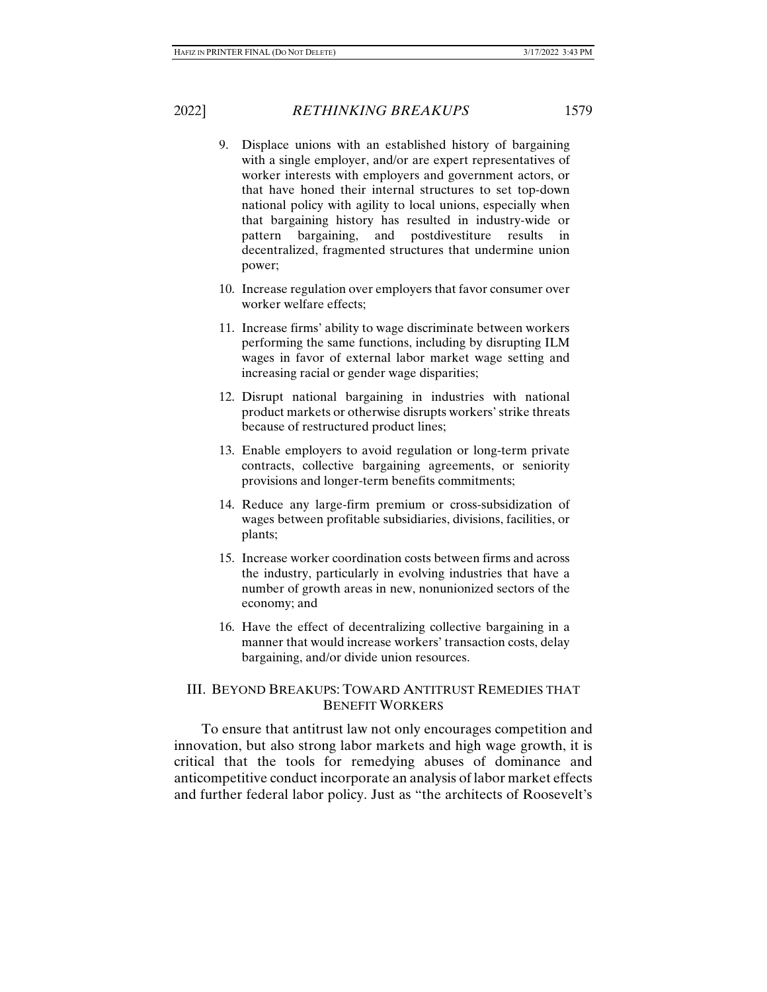- 9. Displace unions with an established history of bargaining with a single employer, and/or are expert representatives of worker interests with employers and government actors, or that have honed their internal structures to set top-down national policy with agility to local unions, especially when that bargaining history has resulted in industry-wide or pattern bargaining, and postdivestiture results in decentralized, fragmented structures that undermine union power;
- 10. Increase regulation over employers that favor consumer over worker welfare effects;
- 11. Increase firms' ability to wage discriminate between workers performing the same functions, including by disrupting ILM wages in favor of external labor market wage setting and increasing racial or gender wage disparities;
- 12. Disrupt national bargaining in industries with national product markets or otherwise disrupts workers' strike threats because of restructured product lines;
- 13. Enable employers to avoid regulation or long-term private contracts, collective bargaining agreements, or seniority provisions and longer-term benefits commitments;
- 14. Reduce any large-firm premium or cross-subsidization of wages between profitable subsidiaries, divisions, facilities, or plants;
- 15. Increase worker coordination costs between firms and across the industry, particularly in evolving industries that have a number of growth areas in new, nonunionized sectors of the economy; and
- 16. Have the effect of decentralizing collective bargaining in a manner that would increase workers' transaction costs, delay bargaining, and/or divide union resources.

# III. BEYOND BREAKUPS: TOWARD ANTITRUST REMEDIES THAT BENEFIT WORKERS

To ensure that antitrust law not only encourages competition and innovation, but also strong labor markets and high wage growth, it is critical that the tools for remedying abuses of dominance and anticompetitive conduct incorporate an analysis of labor market effects and further federal labor policy. Just as "the architects of Roosevelt's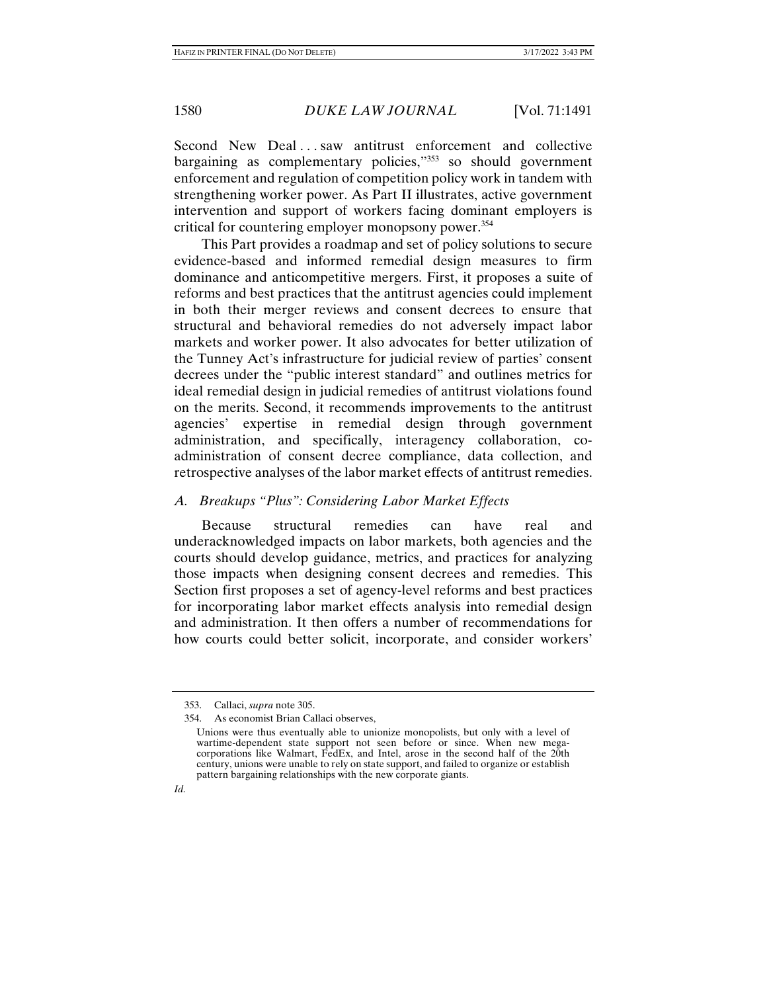Second New Deal ... saw antitrust enforcement and collective bargaining as complementary policies,"<sup>353</sup> so should government enforcement and regulation of competition policy work in tandem with strengthening worker power. As Part II illustrates, active government intervention and support of workers facing dominant employers is critical for countering employer monopsony power.354

This Part provides a roadmap and set of policy solutions to secure evidence-based and informed remedial design measures to firm dominance and anticompetitive mergers. First, it proposes a suite of reforms and best practices that the antitrust agencies could implement in both their merger reviews and consent decrees to ensure that structural and behavioral remedies do not adversely impact labor markets and worker power. It also advocates for better utilization of the Tunney Act's infrastructure for judicial review of parties' consent decrees under the "public interest standard" and outlines metrics for ideal remedial design in judicial remedies of antitrust violations found on the merits. Second, it recommends improvements to the antitrust agencies' expertise in remedial design through government administration, and specifically, interagency collaboration, coadministration of consent decree compliance, data collection, and retrospective analyses of the labor market effects of antitrust remedies.

## *A. Breakups "Plus": Considering Labor Market Effects*

Because structural remedies can have real and underacknowledged impacts on labor markets, both agencies and the courts should develop guidance, metrics, and practices for analyzing those impacts when designing consent decrees and remedies. This Section first proposes a set of agency-level reforms and best practices for incorporating labor market effects analysis into remedial design and administration. It then offers a number of recommendations for how courts could better solicit, incorporate, and consider workers'

 <sup>353.</sup> Callaci, *supra* note 305.

 <sup>354.</sup> As economist Brian Callaci observes,

Unions were thus eventually able to unionize monopolists, but only with a level of wartime-dependent state support not seen before or since. When new megacorporations like Walmart, FedEx, and Intel, arose in the second half of the 20th century, unions were unable to rely on state support, and failed to organize or establish pattern bargaining relationships with the new corporate giants.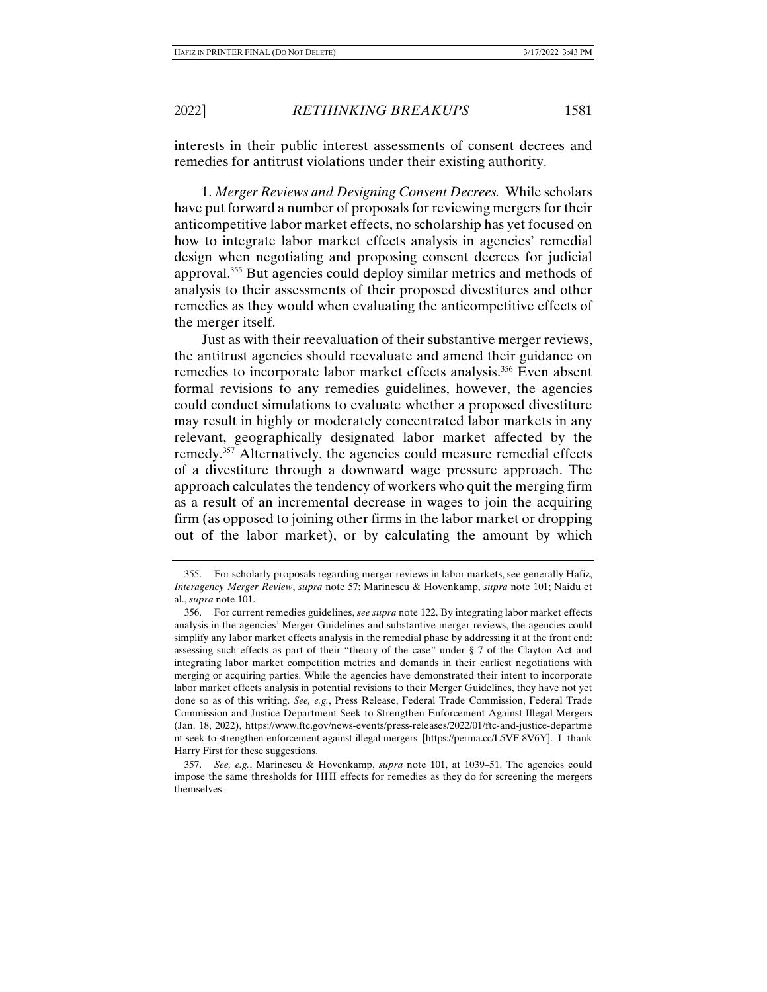interests in their public interest assessments of consent decrees and remedies for antitrust violations under their existing authority.

1. *Merger Reviews and Designing Consent Decrees.* While scholars have put forward a number of proposals for reviewing mergers for their anticompetitive labor market effects, no scholarship has yet focused on how to integrate labor market effects analysis in agencies' remedial design when negotiating and proposing consent decrees for judicial approval.355 But agencies could deploy similar metrics and methods of analysis to their assessments of their proposed divestitures and other remedies as they would when evaluating the anticompetitive effects of the merger itself.

Just as with their reevaluation of their substantive merger reviews, the antitrust agencies should reevaluate and amend their guidance on remedies to incorporate labor market effects analysis.<sup>356</sup> Even absent formal revisions to any remedies guidelines, however, the agencies could conduct simulations to evaluate whether a proposed divestiture may result in highly or moderately concentrated labor markets in any relevant, geographically designated labor market affected by the remedy.<sup>357</sup> Alternatively, the agencies could measure remedial effects of a divestiture through a downward wage pressure approach. The approach calculates the tendency of workers who quit the merging firm as a result of an incremental decrease in wages to join the acquiring firm (as opposed to joining other firms in the labor market or dropping out of the labor market), or by calculating the amount by which

 <sup>355.</sup> For scholarly proposals regarding merger reviews in labor markets, see generally Hafiz, *Interagency Merger Review*, *supra* note 57; Marinescu & Hovenkamp, *supra* note 101; Naidu et al., *supra* note 101.

 <sup>356.</sup> For current remedies guidelines, *see supra* note 122. By integrating labor market effects analysis in the agencies' Merger Guidelines and substantive merger reviews, the agencies could simplify any labor market effects analysis in the remedial phase by addressing it at the front end: assessing such effects as part of their "theory of the case" under § 7 of the Clayton Act and integrating labor market competition metrics and demands in their earliest negotiations with merging or acquiring parties. While the agencies have demonstrated their intent to incorporate labor market effects analysis in potential revisions to their Merger Guidelines, they have not yet done so as of this writing. *See, e.g.*, Press Release, Federal Trade Commission, Federal Trade Commission and Justice Department Seek to Strengthen Enforcement Against Illegal Mergers (Jan. 18, 2022), https://www.ftc.gov/news-events/press-releases/2022/01/ftc-and-justice-departme nt-seek-to-strengthen-enforcement-against-illegal-mergers [https://perma.cc/L5VF-8V6Y]. I thank Harry First for these suggestions.

 <sup>357.</sup> *See, e.g.*, Marinescu & Hovenkamp, *supra* note 101, at 1039–51. The agencies could impose the same thresholds for HHI effects for remedies as they do for screening the mergers themselves.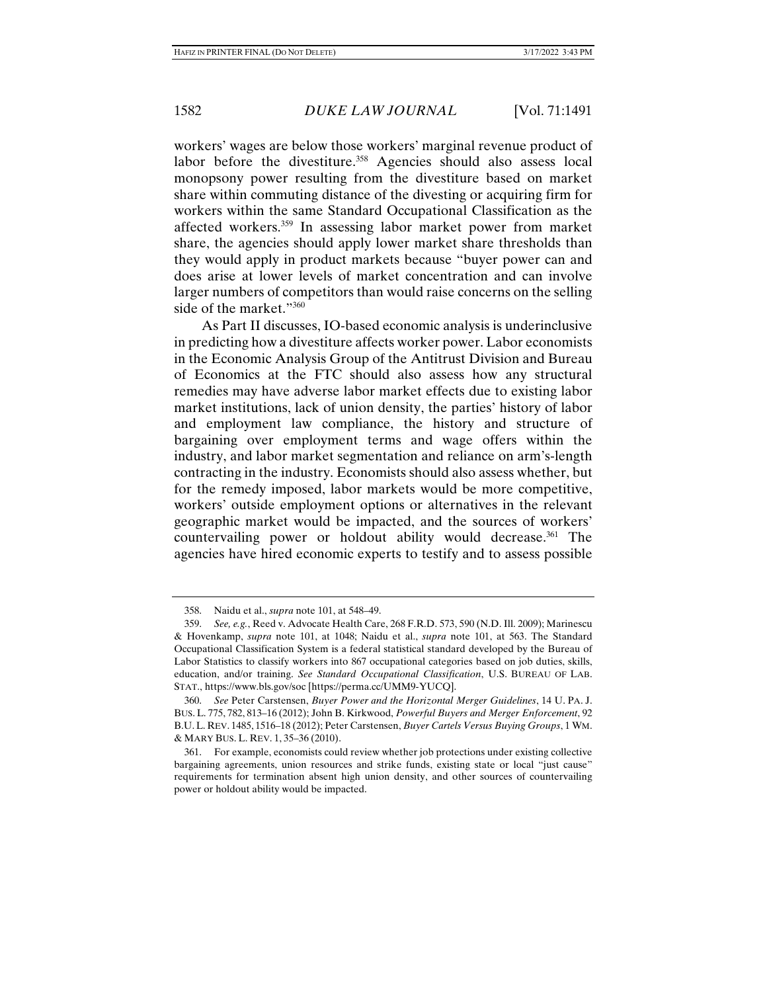workers' wages are below those workers' marginal revenue product of labor before the divestiture.<sup>358</sup> Agencies should also assess local monopsony power resulting from the divestiture based on market share within commuting distance of the divesting or acquiring firm for workers within the same Standard Occupational Classification as the affected workers.359 In assessing labor market power from market share, the agencies should apply lower market share thresholds than they would apply in product markets because "buyer power can and does arise at lower levels of market concentration and can involve larger numbers of competitors than would raise concerns on the selling side of the market."<sup>360</sup>

As Part II discusses, IO-based economic analysis is underinclusive in predicting how a divestiture affects worker power. Labor economists in the Economic Analysis Group of the Antitrust Division and Bureau of Economics at the FTC should also assess how any structural remedies may have adverse labor market effects due to existing labor market institutions, lack of union density, the parties' history of labor and employment law compliance, the history and structure of bargaining over employment terms and wage offers within the industry, and labor market segmentation and reliance on arm's-length contracting in the industry. Economists should also assess whether, but for the remedy imposed, labor markets would be more competitive, workers' outside employment options or alternatives in the relevant geographic market would be impacted, and the sources of workers' countervailing power or holdout ability would decrease. $361$  The agencies have hired economic experts to testify and to assess possible

 <sup>358.</sup> Naidu et al., *supra* note 101, at 548–49.

 <sup>359.</sup> *See, e.g.*, Reed v. Advocate Health Care, 268 F.R.D. 573, 590 (N.D. Ill. 2009); Marinescu & Hovenkamp, *supra* note 101, at 1048; Naidu et al., *supra* note 101, at 563. The Standard Occupational Classification System is a federal statistical standard developed by the Bureau of Labor Statistics to classify workers into 867 occupational categories based on job duties, skills, education, and/or training. *See Standard Occupational Classification*, U.S. BUREAU OF LAB. STAT., https://www.bls.gov/soc [https://perma.cc/UMM9-YUCQ].

 <sup>360.</sup> *See* Peter Carstensen, *Buyer Power and the Horizontal Merger Guidelines*, 14 U. PA. J. BUS. L. 775, 782, 813–16 (2012); John B. Kirkwood, *Powerful Buyers and Merger Enforcement*, 92 B.U.L. REV. 1485, 1516–18 (2012); Peter Carstensen, *Buyer Cartels Versus Buying Groups*, 1 WM. & MARY BUS. L. REV. 1, 35–36 (2010).

 <sup>361.</sup> For example, economists could review whether job protections under existing collective bargaining agreements, union resources and strike funds, existing state or local "just cause" requirements for termination absent high union density, and other sources of countervailing power or holdout ability would be impacted.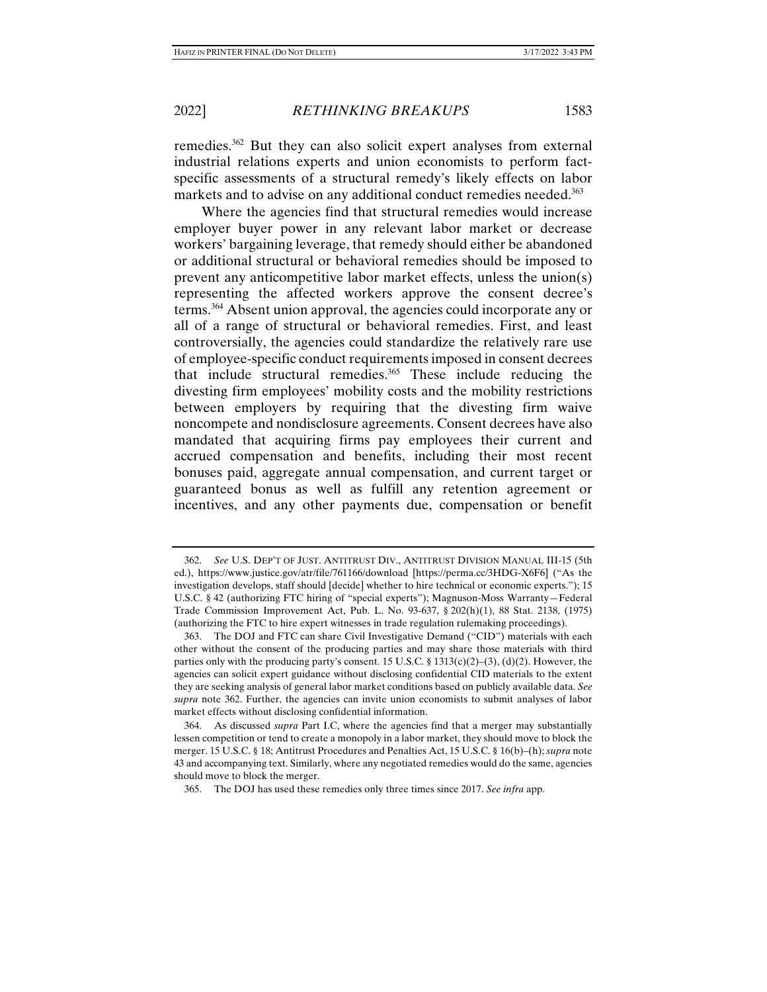remedies.362 But they can also solicit expert analyses from external industrial relations experts and union economists to perform factspecific assessments of a structural remedy's likely effects on labor markets and to advise on any additional conduct remedies needed.<sup>363</sup>

Where the agencies find that structural remedies would increase employer buyer power in any relevant labor market or decrease workers' bargaining leverage, that remedy should either be abandoned or additional structural or behavioral remedies should be imposed to prevent any anticompetitive labor market effects, unless the union(s) representing the affected workers approve the consent decree's terms.364 Absent union approval, the agencies could incorporate any or all of a range of structural or behavioral remedies. First, and least controversially, the agencies could standardize the relatively rare use of employee-specific conduct requirements imposed in consent decrees that include structural remedies.365 These include reducing the divesting firm employees' mobility costs and the mobility restrictions between employers by requiring that the divesting firm waive noncompete and nondisclosure agreements. Consent decrees have also mandated that acquiring firms pay employees their current and accrued compensation and benefits, including their most recent bonuses paid, aggregate annual compensation, and current target or guaranteed bonus as well as fulfill any retention agreement or incentives, and any other payments due, compensation or benefit

 <sup>362.</sup> *See* U.S. DEP'T OF JUST. ANTITRUST DIV., ANTITRUST DIVISION MANUAL III-15 (5th ed.), https://www.justice.gov/atr/file/761166/download [https://perma.cc/3HDG-X6F6] ("As the investigation develops, staff should [decide] whether to hire technical or economic experts."); 15 U.S.C. § 42 (authorizing FTC hiring of "special experts"); Magnuson-Moss Warranty—Federal Trade Commission Improvement Act, Pub. L. No. 93-637, § 202(h)(1), 88 Stat. 2138, (1975) (authorizing the FTC to hire expert witnesses in trade regulation rulemaking proceedings).

 <sup>363.</sup> The DOJ and FTC can share Civil Investigative Demand ("CID") materials with each other without the consent of the producing parties and may share those materials with third parties only with the producing party's consent. 15 U.S.C. § 1313(c)(2)–(3), (d)(2). However, the agencies can solicit expert guidance without disclosing confidential CID materials to the extent they are seeking analysis of general labor market conditions based on publicly available data. *See supra* note 362. Further, the agencies can invite union economists to submit analyses of labor market effects without disclosing confidential information.

 <sup>364.</sup> As discussed *supra* Part I.C, where the agencies find that a merger may substantially lessen competition or tend to create a monopoly in a labor market, they should move to block the merger. 15 U.S.C. § 18; Antitrust Procedures and Penalties Act, 15 U.S.C. § 16(b)–(h); *supra* note 43 and accompanying text. Similarly, where any negotiated remedies would do the same, agencies should move to block the merger.

 <sup>365.</sup> The DOJ has used these remedies only three times since 2017. *See infra* app.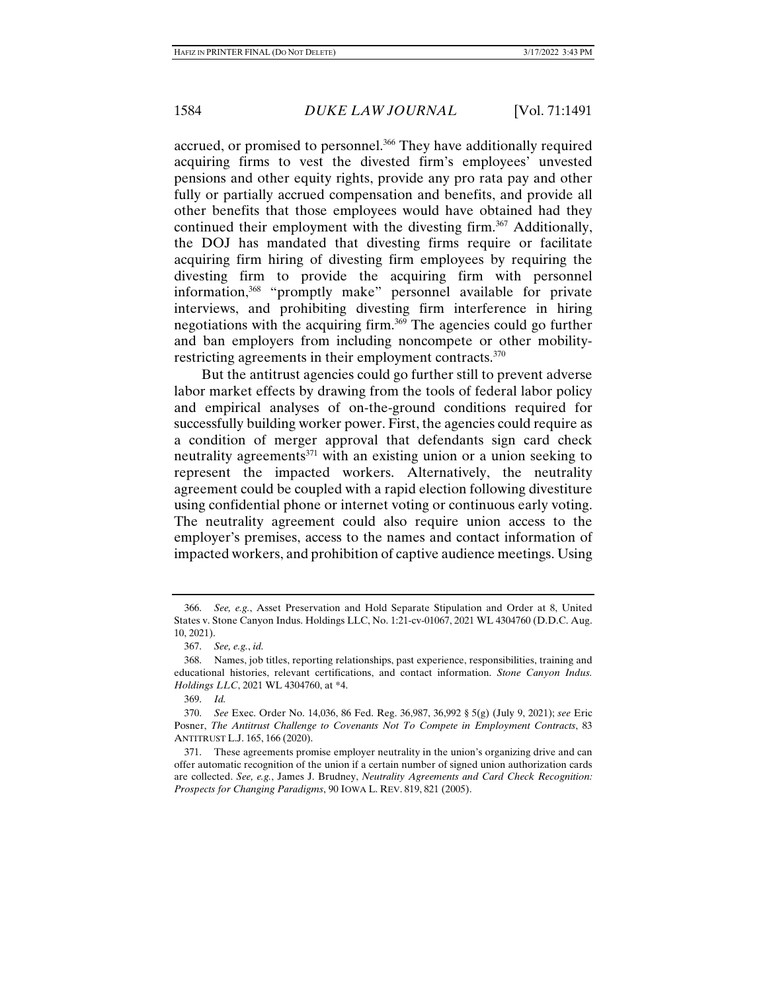accrued, or promised to personnel.<sup>366</sup> They have additionally required acquiring firms to vest the divested firm's employees' unvested pensions and other equity rights, provide any pro rata pay and other fully or partially accrued compensation and benefits, and provide all other benefits that those employees would have obtained had they continued their employment with the divesting firm.<sup>367</sup> Additionally, the DOJ has mandated that divesting firms require or facilitate acquiring firm hiring of divesting firm employees by requiring the divesting firm to provide the acquiring firm with personnel information,368 "promptly make" personnel available for private interviews, and prohibiting divesting firm interference in hiring negotiations with the acquiring firm.369 The agencies could go further and ban employers from including noncompete or other mobilityrestricting agreements in their employment contracts.<sup>370</sup>

But the antitrust agencies could go further still to prevent adverse labor market effects by drawing from the tools of federal labor policy and empirical analyses of on-the-ground conditions required for successfully building worker power. First, the agencies could require as a condition of merger approval that defendants sign card check neutrality agreements<sup>371</sup> with an existing union or a union seeking to represent the impacted workers. Alternatively, the neutrality agreement could be coupled with a rapid election following divestiture using confidential phone or internet voting or continuous early voting. The neutrality agreement could also require union access to the employer's premises, access to the names and contact information of impacted workers, and prohibition of captive audience meetings. Using

 <sup>366.</sup> *See, e.g.*, Asset Preservation and Hold Separate Stipulation and Order at 8, United States v. Stone Canyon Indus. Holdings LLC, No. 1:21-cv-01067, 2021 WL 4304760 (D.D.C. Aug. 10, 2021).

 <sup>367.</sup> *See, e.g.*, *id.*

 <sup>368.</sup> Names, job titles, reporting relationships, past experience, responsibilities, training and educational histories, relevant certifications, and contact information. *Stone Canyon Indus. Holdings LLC*, 2021 WL 4304760, at \*4.

 <sup>369.</sup> *Id.*

 <sup>370.</sup> *See* Exec. Order No. 14,036, 86 Fed. Reg. 36,987, 36,992 § 5(g) (July 9, 2021); *see* Eric Posner, *The Antitrust Challenge to Covenants Not To Compete in Employment Contracts*, 83 ANTITRUST L.J. 165, 166 (2020).

 <sup>371.</sup> These agreements promise employer neutrality in the union's organizing drive and can offer automatic recognition of the union if a certain number of signed union authorization cards are collected. *See, e.g.*, James J. Brudney, *Neutrality Agreements and Card Check Recognition: Prospects for Changing Paradigms*, 90 IOWA L. REV. 819, 821 (2005).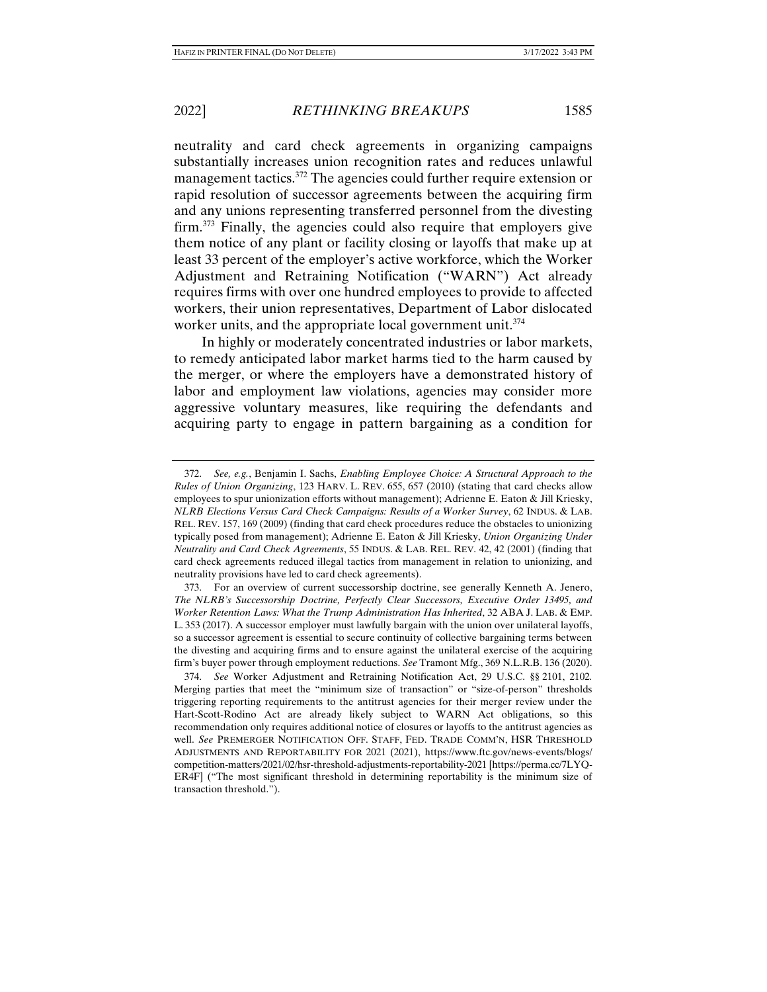neutrality and card check agreements in organizing campaigns substantially increases union recognition rates and reduces unlawful management tactics.372 The agencies could further require extension or rapid resolution of successor agreements between the acquiring firm and any unions representing transferred personnel from the divesting firm.373 Finally, the agencies could also require that employers give them notice of any plant or facility closing or layoffs that make up at least 33 percent of the employer's active workforce, which the Worker Adjustment and Retraining Notification ("WARN") Act already requires firms with over one hundred employees to provide to affected workers, their union representatives, Department of Labor dislocated worker units, and the appropriate local government unit.<sup>374</sup>

In highly or moderately concentrated industries or labor markets, to remedy anticipated labor market harms tied to the harm caused by the merger, or where the employers have a demonstrated history of labor and employment law violations, agencies may consider more aggressive voluntary measures, like requiring the defendants and acquiring party to engage in pattern bargaining as a condition for

 <sup>372.</sup> *See, e.g.*, Benjamin I. Sachs, *Enabling Employee Choice: A Structural Approach to the Rules of Union Organizing*, 123 HARV. L. REV. 655, 657 (2010) (stating that card checks allow employees to spur unionization efforts without management); Adrienne E. Eaton & Jill Kriesky, *NLRB Elections Versus Card Check Campaigns: Results of a Worker Survey*, 62 INDUS. & LAB. REL. REV. 157, 169 (2009) (finding that card check procedures reduce the obstacles to unionizing typically posed from management); Adrienne E. Eaton & Jill Kriesky, *Union Organizing Under Neutrality and Card Check Agreements*, 55 INDUS. & LAB. REL. REV. 42, 42 (2001) (finding that card check agreements reduced illegal tactics from management in relation to unionizing, and neutrality provisions have led to card check agreements).

 <sup>373.</sup> For an overview of current successorship doctrine, see generally Kenneth A. Jenero, *The NLRB's Successorship Doctrine, Perfectly Clear Successors, Executive Order 13495, and Worker Retention Laws: What the Trump Administration Has Inherited*, 32 ABA J. LAB. & EMP. L. 353 (2017). A successor employer must lawfully bargain with the union over unilateral layoffs, so a successor agreement is essential to secure continuity of collective bargaining terms between the divesting and acquiring firms and to ensure against the unilateral exercise of the acquiring firm's buyer power through employment reductions. *See* Tramont Mfg., 369 N.L.R.B. 136 (2020).

 <sup>374.</sup> *See* Worker Adjustment and Retraining Notification Act, 29 U.S.C. §§ 2101, 2102*.*  Merging parties that meet the "minimum size of transaction" or "size-of-person" thresholds triggering reporting requirements to the antitrust agencies for their merger review under the Hart-Scott-Rodino Act are already likely subject to WARN Act obligations, so this recommendation only requires additional notice of closures or layoffs to the antitrust agencies as well. *See* PREMERGER NOTIFICATION OFF. STAFF, FED. TRADE COMM'N, HSR THRESHOLD ADJUSTMENTS AND REPORTABILITY FOR 2021 (2021), https://www.ftc.gov/news-events/blogs/ competition-matters/2021/02/hsr-threshold-adjustments-reportability-2021 [https://perma.cc/7LYQ-ER4F] ("The most significant threshold in determining reportability is the minimum size of transaction threshold.").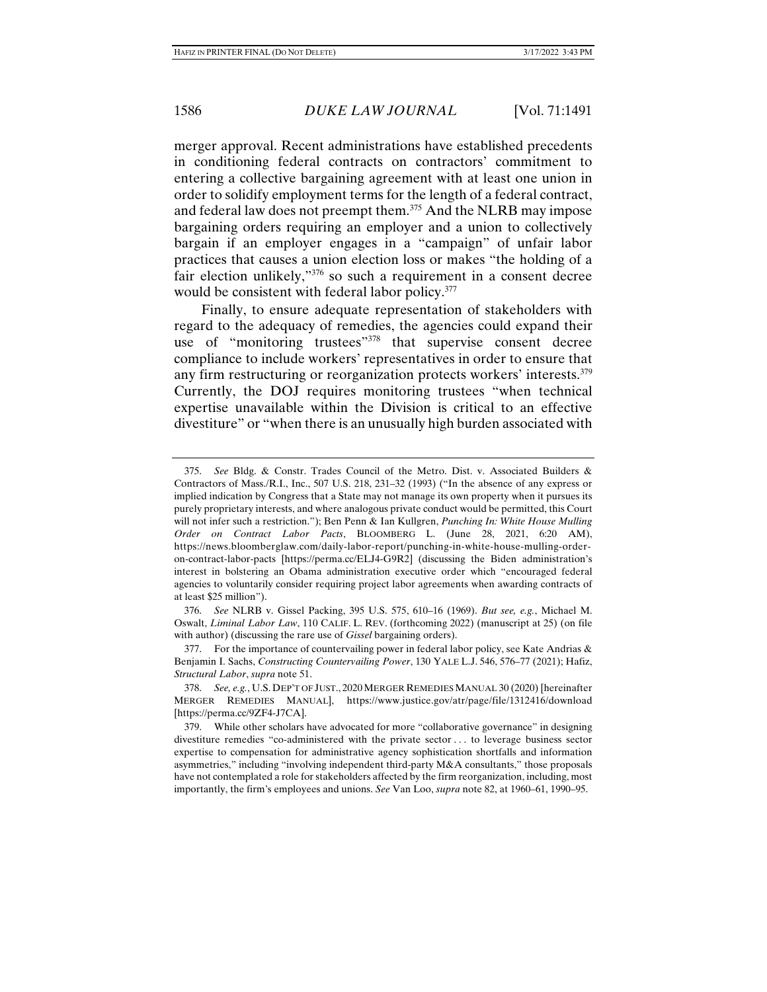merger approval. Recent administrations have established precedents in conditioning federal contracts on contractors' commitment to entering a collective bargaining agreement with at least one union in order to solidify employment terms for the length of a federal contract, and federal law does not preempt them.375 And the NLRB may impose bargaining orders requiring an employer and a union to collectively bargain if an employer engages in a "campaign" of unfair labor practices that causes a union election loss or makes "the holding of a fair election unlikely,"376 so such a requirement in a consent decree would be consistent with federal labor policy.<sup>377</sup>

Finally, to ensure adequate representation of stakeholders with regard to the adequacy of remedies, the agencies could expand their use of "monitoring trustees"<sup>378</sup> that supervise consent decree compliance to include workers' representatives in order to ensure that any firm restructuring or reorganization protects workers' interests.379 Currently, the DOJ requires monitoring trustees "when technical expertise unavailable within the Division is critical to an effective divestiture" or "when there is an unusually high burden associated with

 376. *See* NLRB v. Gissel Packing, 395 U.S. 575, 610–16 (1969). *But see, e.g.*, Michael M. Oswalt, *Liminal Labor Law*, 110 CALIF. L. REV. (forthcoming 2022) (manuscript at 25) (on file with author) (discussing the rare use of *Gissel* bargaining orders).

 <sup>375.</sup> *See* Bldg. & Constr. Trades Council of the Metro. Dist. v. Associated Builders & Contractors of Mass./R.I., Inc., 507 U.S. 218, 231–32 (1993) ("In the absence of any express or implied indication by Congress that a State may not manage its own property when it pursues its purely proprietary interests, and where analogous private conduct would be permitted, this Court will not infer such a restriction."); Ben Penn & Ian Kullgren, *Punching In: White House Mulling Order on Contract Labor Pacts*, BLOOMBERG L. (June 28, 2021, 6:20 AM), https://news.bloomberglaw.com/daily-labor-report/punching-in-white-house-mulling-orderon-contract-labor-pacts [https://perma.cc/ELJ4-G9R2] (discussing the Biden administration's interest in bolstering an Obama administration executive order which "encouraged federal agencies to voluntarily consider requiring project labor agreements when awarding contracts of at least \$25 million").

<sup>377.</sup> For the importance of countervailing power in federal labor policy, see Kate Andrias  $\&$ Benjamin I. Sachs, *Constructing Countervailing Power*, 130 YALE L.J. 546, 576–77 (2021); Hafiz, *Structural Labor*, *supra* note 51.

 <sup>378.</sup> *See, e.g.*, U.S. DEP'T OF JUST., 2020 MERGER REMEDIES MANUAL 30 (2020) [hereinafter MERGER REMEDIES MANUAL], https://www.justice.gov/atr/page/file/1312416/download [https://perma.cc/9ZF4-J7CA].

 <sup>379.</sup> While other scholars have advocated for more "collaborative governance" in designing divestiture remedies "co-administered with the private sector . . . to leverage business sector expertise to compensation for administrative agency sophistication shortfalls and information asymmetries," including "involving independent third-party M&A consultants," those proposals have not contemplated a role for stakeholders affected by the firm reorganization, including, most importantly, the firm's employees and unions. *See* Van Loo, *supra* note 82, at 1960–61, 1990–95.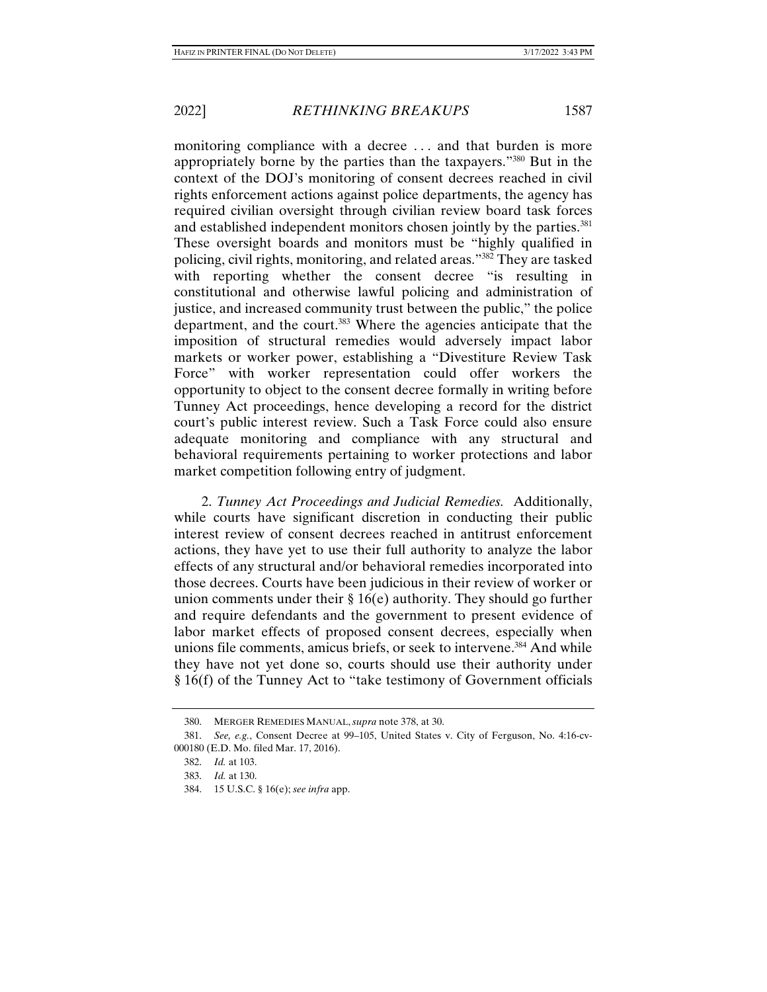monitoring compliance with a decree . . . and that burden is more appropriately borne by the parties than the taxpayers."380 But in the context of the DOJ's monitoring of consent decrees reached in civil rights enforcement actions against police departments, the agency has required civilian oversight through civilian review board task forces and established independent monitors chosen jointly by the parties.<sup>381</sup> These oversight boards and monitors must be "highly qualified in policing, civil rights, monitoring, and related areas."382 They are tasked with reporting whether the consent decree "is resulting in constitutional and otherwise lawful policing and administration of justice, and increased community trust between the public," the police department, and the court.<sup>383</sup> Where the agencies anticipate that the imposition of structural remedies would adversely impact labor markets or worker power, establishing a "Divestiture Review Task Force" with worker representation could offer workers the opportunity to object to the consent decree formally in writing before Tunney Act proceedings, hence developing a record for the district court's public interest review. Such a Task Force could also ensure adequate monitoring and compliance with any structural and behavioral requirements pertaining to worker protections and labor market competition following entry of judgment.

2. *Tunney Act Proceedings and Judicial Remedies.* Additionally, while courts have significant discretion in conducting their public interest review of consent decrees reached in antitrust enforcement actions, they have yet to use their full authority to analyze the labor effects of any structural and/or behavioral remedies incorporated into those decrees. Courts have been judicious in their review of worker or union comments under their § 16(e) authority. They should go further and require defendants and the government to present evidence of labor market effects of proposed consent decrees, especially when unions file comments, amicus briefs, or seek to intervene.<sup>384</sup> And while they have not yet done so, courts should use their authority under § 16(f) of the Tunney Act to "take testimony of Government officials

 <sup>380.</sup> MERGER REMEDIES MANUAL, *supra* note 378, at 30.

 <sup>381.</sup> *See, e.g.*, Consent Decree at 99–105, United States v. City of Ferguson, No. 4:16-cv-000180 (E.D. Mo. filed Mar. 17, 2016).

 <sup>382.</sup> *Id.* at 103.

 <sup>383.</sup> *Id.* at 130.

 <sup>384. 15</sup> U.S.C. § 16(e); *see infra* app.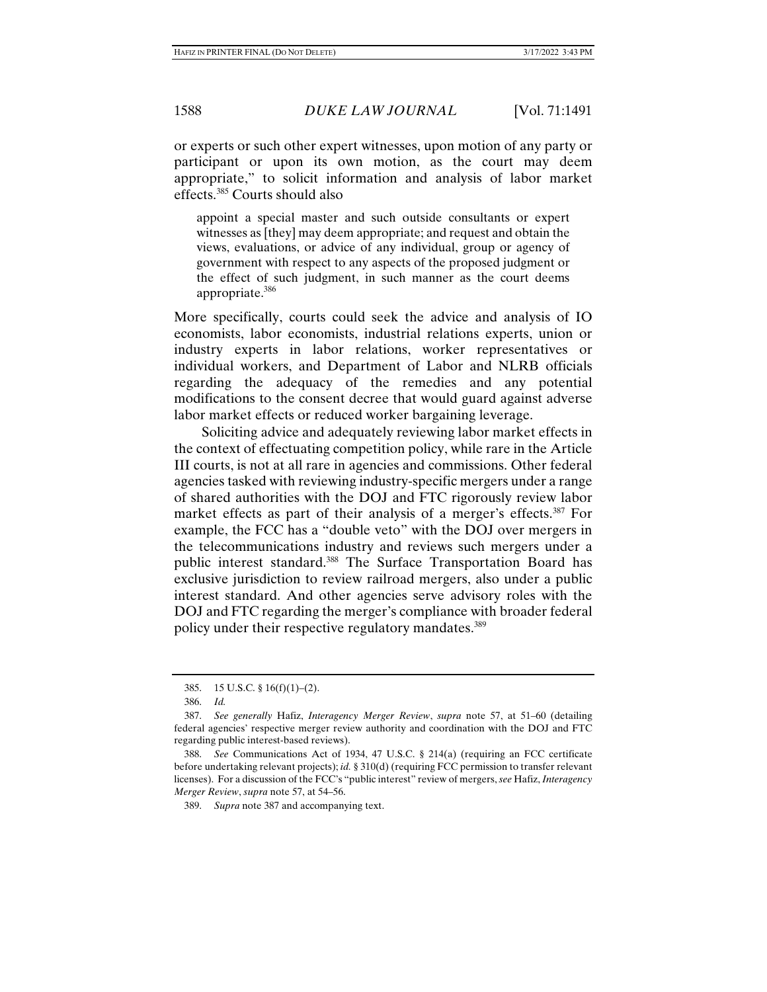or experts or such other expert witnesses, upon motion of any party or participant or upon its own motion, as the court may deem appropriate," to solicit information and analysis of labor market effects.385 Courts should also

appoint a special master and such outside consultants or expert witnesses as [they] may deem appropriate; and request and obtain the views, evaluations, or advice of any individual, group or agency of government with respect to any aspects of the proposed judgment or the effect of such judgment, in such manner as the court deems appropriate.386

More specifically, courts could seek the advice and analysis of IO economists, labor economists, industrial relations experts, union or industry experts in labor relations, worker representatives or individual workers, and Department of Labor and NLRB officials regarding the adequacy of the remedies and any potential modifications to the consent decree that would guard against adverse labor market effects or reduced worker bargaining leverage.

Soliciting advice and adequately reviewing labor market effects in the context of effectuating competition policy, while rare in the Article III courts, is not at all rare in agencies and commissions. Other federal agencies tasked with reviewing industry-specific mergers under a range of shared authorities with the DOJ and FTC rigorously review labor market effects as part of their analysis of a merger's effects.<sup>387</sup> For example, the FCC has a "double veto" with the DOJ over mergers in the telecommunications industry and reviews such mergers under a public interest standard.388 The Surface Transportation Board has exclusive jurisdiction to review railroad mergers, also under a public interest standard. And other agencies serve advisory roles with the DOJ and FTC regarding the merger's compliance with broader federal policy under their respective regulatory mandates.389

 <sup>385. 15</sup> U.S.C. § 16(f)(1)–(2).

 <sup>386.</sup> *Id.*

 <sup>387.</sup> *See generally* Hafiz, *Interagency Merger Review*, *supra* note 57, at 51–60 (detailing federal agencies' respective merger review authority and coordination with the DOJ and FTC regarding public interest-based reviews).

 <sup>388.</sup> *See* Communications Act of 1934, 47 U.S.C. § 214(a) (requiring an FCC certificate before undertaking relevant projects); *id.* § 310(d) (requiring FCC permission to transfer relevant licenses). For a discussion of the FCC's "public interest" review of mergers, *see* Hafiz, *Interagency Merger Review*, *supra* note 57, at 54–56.

 <sup>389.</sup> *Supra* note 387 and accompanying text.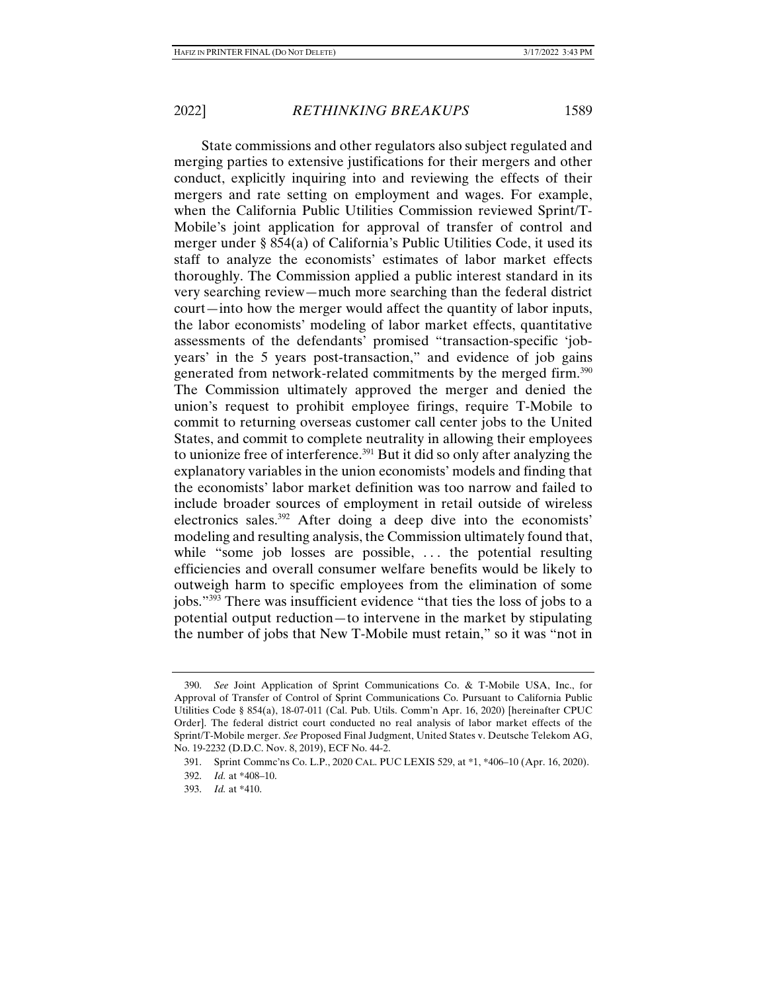State commissions and other regulators also subject regulated and merging parties to extensive justifications for their mergers and other conduct, explicitly inquiring into and reviewing the effects of their mergers and rate setting on employment and wages. For example, when the California Public Utilities Commission reviewed Sprint/T-Mobile's joint application for approval of transfer of control and merger under § 854(a) of California's Public Utilities Code, it used its staff to analyze the economists' estimates of labor market effects thoroughly. The Commission applied a public interest standard in its very searching review—much more searching than the federal district court—into how the merger would affect the quantity of labor inputs, the labor economists' modeling of labor market effects, quantitative assessments of the defendants' promised "transaction-specific 'jobyears' in the 5 years post-transaction," and evidence of job gains generated from network-related commitments by the merged firm.390 The Commission ultimately approved the merger and denied the union's request to prohibit employee firings, require T-Mobile to commit to returning overseas customer call center jobs to the United States, and commit to complete neutrality in allowing their employees to unionize free of interference.<sup>391</sup> But it did so only after analyzing the explanatory variables in the union economists' models and finding that the economists' labor market definition was too narrow and failed to include broader sources of employment in retail outside of wireless electronics sales.392 After doing a deep dive into the economists' modeling and resulting analysis, the Commission ultimately found that, while "some job losses are possible, ... the potential resulting efficiencies and overall consumer welfare benefits would be likely to outweigh harm to specific employees from the elimination of some jobs."393 There was insufficient evidence "that ties the loss of jobs to a potential output reduction—to intervene in the market by stipulating the number of jobs that New T-Mobile must retain," so it was "not in

 <sup>390.</sup> *See* Joint Application of Sprint Communications Co. & T-Mobile USA, Inc., for Approval of Transfer of Control of Sprint Communications Co. Pursuant to California Public Utilities Code § 854(a), 18-07-011 (Cal. Pub. Utils. Comm'n Apr. 16, 2020) [hereinafter CPUC Order]. The federal district court conducted no real analysis of labor market effects of the Sprint/T-Mobile merger. *See* Proposed Final Judgment, United States v. Deutsche Telekom AG, No. 19-2232 (D.D.C. Nov. 8, 2019), ECF No. 44-2.

 <sup>391.</sup> Sprint Commc'ns Co. L.P., 2020 CAL. PUC LEXIS 529, at \*1, \*406–10 (Apr. 16, 2020).

 <sup>392.</sup> *Id.* at \*408–10.

 <sup>393.</sup> *Id.* at \*410.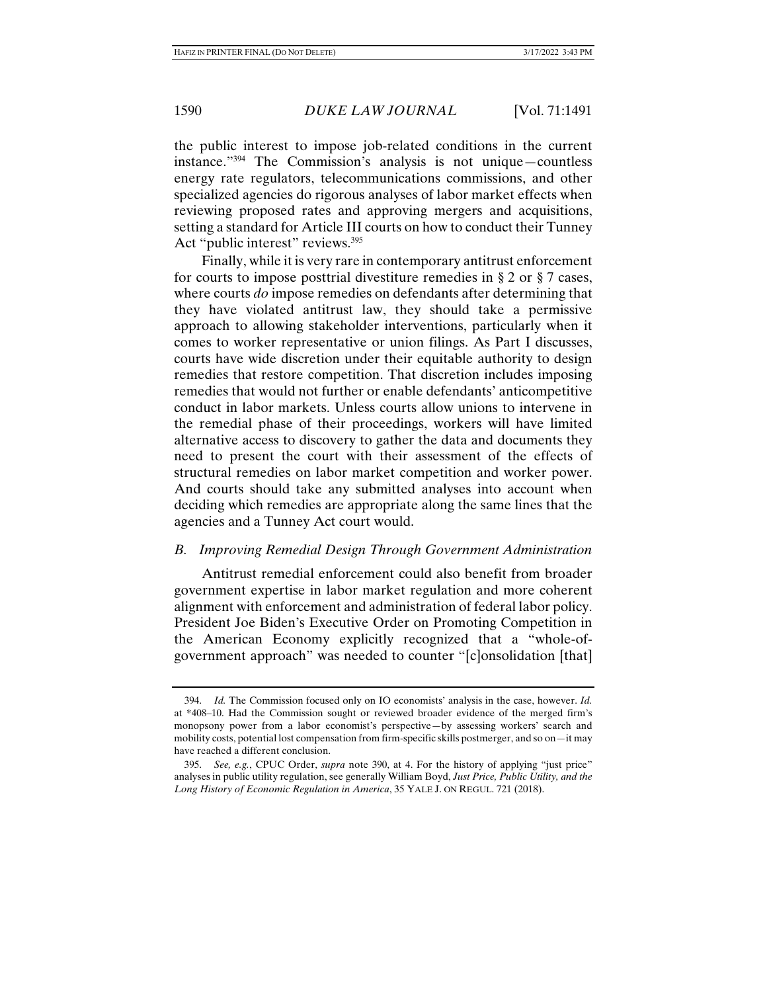the public interest to impose job-related conditions in the current instance."394 The Commission's analysis is not unique—countless energy rate regulators, telecommunications commissions, and other specialized agencies do rigorous analyses of labor market effects when reviewing proposed rates and approving mergers and acquisitions, setting a standard for Article III courts on how to conduct their Tunney Act "public interest" reviews.<sup>395</sup>

Finally, while it is very rare in contemporary antitrust enforcement for courts to impose posttrial divestiture remedies in § 2 or § 7 cases, where courts *do* impose remedies on defendants after determining that they have violated antitrust law, they should take a permissive approach to allowing stakeholder interventions, particularly when it comes to worker representative or union filings. As Part I discusses, courts have wide discretion under their equitable authority to design remedies that restore competition. That discretion includes imposing remedies that would not further or enable defendants' anticompetitive conduct in labor markets. Unless courts allow unions to intervene in the remedial phase of their proceedings, workers will have limited alternative access to discovery to gather the data and documents they need to present the court with their assessment of the effects of structural remedies on labor market competition and worker power. And courts should take any submitted analyses into account when deciding which remedies are appropriate along the same lines that the agencies and a Tunney Act court would.

#### *B. Improving Remedial Design Through Government Administration*

Antitrust remedial enforcement could also benefit from broader government expertise in labor market regulation and more coherent alignment with enforcement and administration of federal labor policy. President Joe Biden's Executive Order on Promoting Competition in the American Economy explicitly recognized that a "whole-ofgovernment approach" was needed to counter "[c]onsolidation [that]

 <sup>394.</sup> *Id.* The Commission focused only on IO economists' analysis in the case, however. *Id.* at \*408–10. Had the Commission sought or reviewed broader evidence of the merged firm's monopsony power from a labor economist's perspective—by assessing workers' search and mobility costs, potential lost compensation from firm-specific skills postmerger, and so on—it may have reached a different conclusion.

 <sup>395.</sup> *See, e.g.*, CPUC Order, *supra* note 390, at 4. For the history of applying "just price" analyses in public utility regulation, see generally William Boyd, *Just Price, Public Utility, and the Long History of Economic Regulation in America*, 35 YALE J. ON REGUL. 721 (2018).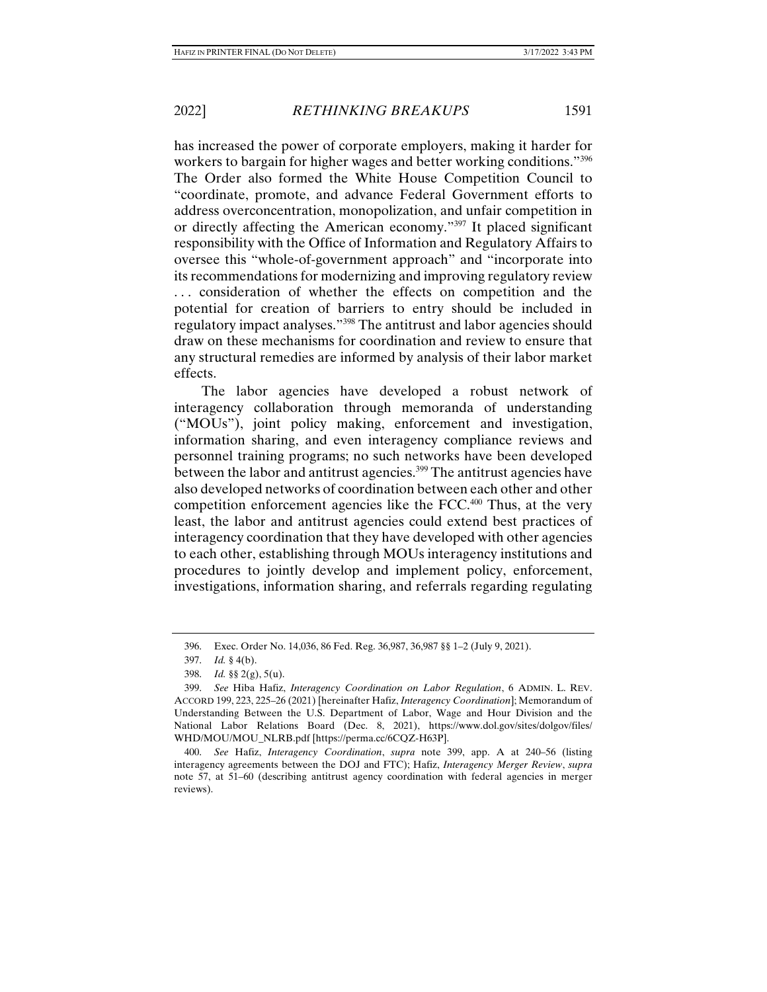has increased the power of corporate employers, making it harder for workers to bargain for higher wages and better working conditions."<sup>396</sup> The Order also formed the White House Competition Council to "coordinate, promote, and advance Federal Government efforts to address overconcentration, monopolization, and unfair competition in or directly affecting the American economy."397 It placed significant responsibility with the Office of Information and Regulatory Affairs to oversee this "whole-of-government approach" and "incorporate into its recommendations for modernizing and improving regulatory review ... consideration of whether the effects on competition and the potential for creation of barriers to entry should be included in regulatory impact analyses."398 The antitrust and labor agencies should draw on these mechanisms for coordination and review to ensure that any structural remedies are informed by analysis of their labor market effects.

The labor agencies have developed a robust network of interagency collaboration through memoranda of understanding ("MOUs"), joint policy making, enforcement and investigation, information sharing, and even interagency compliance reviews and personnel training programs; no such networks have been developed between the labor and antitrust agencies.<sup>399</sup> The antitrust agencies have also developed networks of coordination between each other and other competition enforcement agencies like the FCC.400 Thus, at the very least, the labor and antitrust agencies could extend best practices of interagency coordination that they have developed with other agencies to each other, establishing through MOUs interagency institutions and procedures to jointly develop and implement policy, enforcement, investigations, information sharing, and referrals regarding regulating

 <sup>396.</sup> Exec. Order No. 14,036, 86 Fed. Reg. 36,987, 36,987 §§ 1–2 (July 9, 2021).

 <sup>397.</sup> *Id.* § 4(b).

 <sup>398.</sup> *Id.* §§ 2(g), 5(u).

 <sup>399.</sup> *See* Hiba Hafiz, *Interagency Coordination on Labor Regulation*, 6 ADMIN. L. REV. ACCORD 199, 223, 225–26 (2021) [hereinafter Hafiz, *Interagency Coordination*]; Memorandum of Understanding Between the U.S. Department of Labor, Wage and Hour Division and the National Labor Relations Board (Dec. 8, 2021), https://www.dol.gov/sites/dolgov/files/ WHD/MOU/MOU\_NLRB.pdf [https://perma.cc/6COZ-H63P].

 <sup>400.</sup> *See* Hafiz, *Interagency Coordination*, *supra* note 399, app. A at 240–56 (listing interagency agreements between the DOJ and FTC); Hafiz, *Interagency Merger Review*, *supra* note 57, at 51–60 (describing antitrust agency coordination with federal agencies in merger reviews).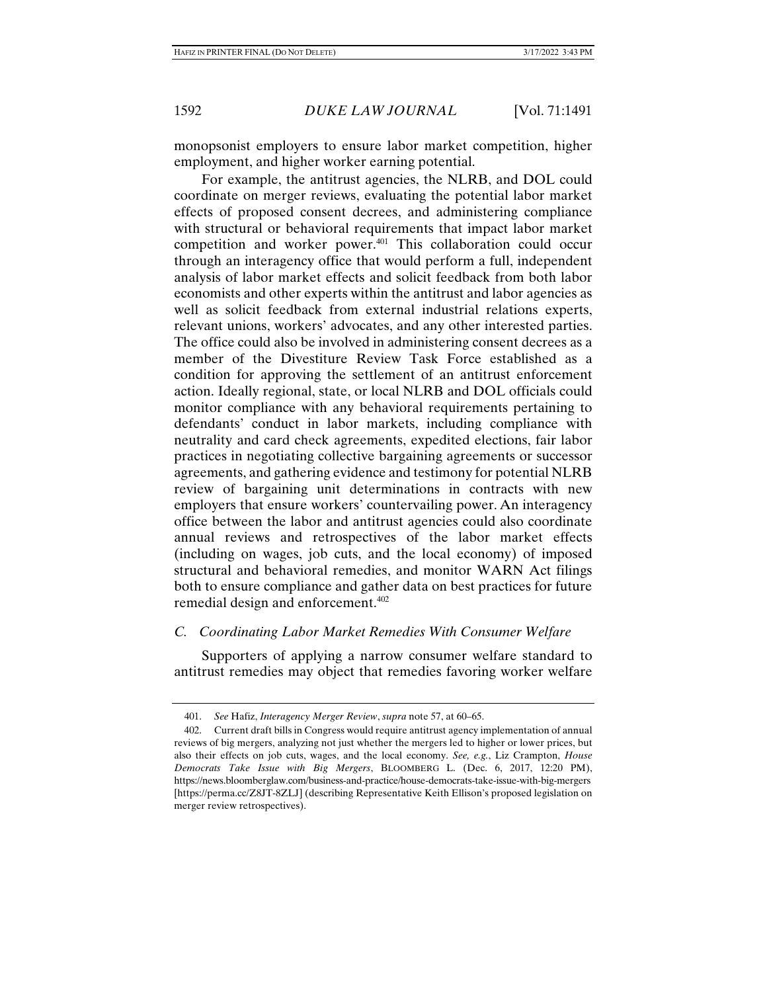monopsonist employers to ensure labor market competition, higher employment, and higher worker earning potential.

For example, the antitrust agencies, the NLRB, and DOL could coordinate on merger reviews, evaluating the potential labor market effects of proposed consent decrees, and administering compliance with structural or behavioral requirements that impact labor market competition and worker power.401 This collaboration could occur through an interagency office that would perform a full, independent analysis of labor market effects and solicit feedback from both labor economists and other experts within the antitrust and labor agencies as well as solicit feedback from external industrial relations experts, relevant unions, workers' advocates, and any other interested parties. The office could also be involved in administering consent decrees as a member of the Divestiture Review Task Force established as a condition for approving the settlement of an antitrust enforcement action. Ideally regional, state, or local NLRB and DOL officials could monitor compliance with any behavioral requirements pertaining to defendants' conduct in labor markets, including compliance with neutrality and card check agreements, expedited elections, fair labor practices in negotiating collective bargaining agreements or successor agreements, and gathering evidence and testimony for potential NLRB review of bargaining unit determinations in contracts with new employers that ensure workers' countervailing power. An interagency office between the labor and antitrust agencies could also coordinate annual reviews and retrospectives of the labor market effects (including on wages, job cuts, and the local economy) of imposed structural and behavioral remedies, and monitor WARN Act filings both to ensure compliance and gather data on best practices for future remedial design and enforcement.402

## *C. Coordinating Labor Market Remedies With Consumer Welfare*

Supporters of applying a narrow consumer welfare standard to antitrust remedies may object that remedies favoring worker welfare

 <sup>401.</sup> *See* Hafiz, *Interagency Merger Review*, *supra* note 57, at 60–65.

 <sup>402.</sup> Current draft bills in Congress would require antitrust agency implementation of annual reviews of big mergers, analyzing not just whether the mergers led to higher or lower prices, but also their effects on job cuts, wages, and the local economy. *See, e.g.*, Liz Crampton, *House Democrats Take Issue with Big Mergers*, BLOOMBERG L. (Dec. 6, 2017, 12:20 PM), https://news.bloomberglaw.com/business-and-practice/house-democrats-take-issue-with-big-mergers [https://perma.cc/Z8JT-8ZLJ] (describing Representative Keith Ellison's proposed legislation on merger review retrospectives).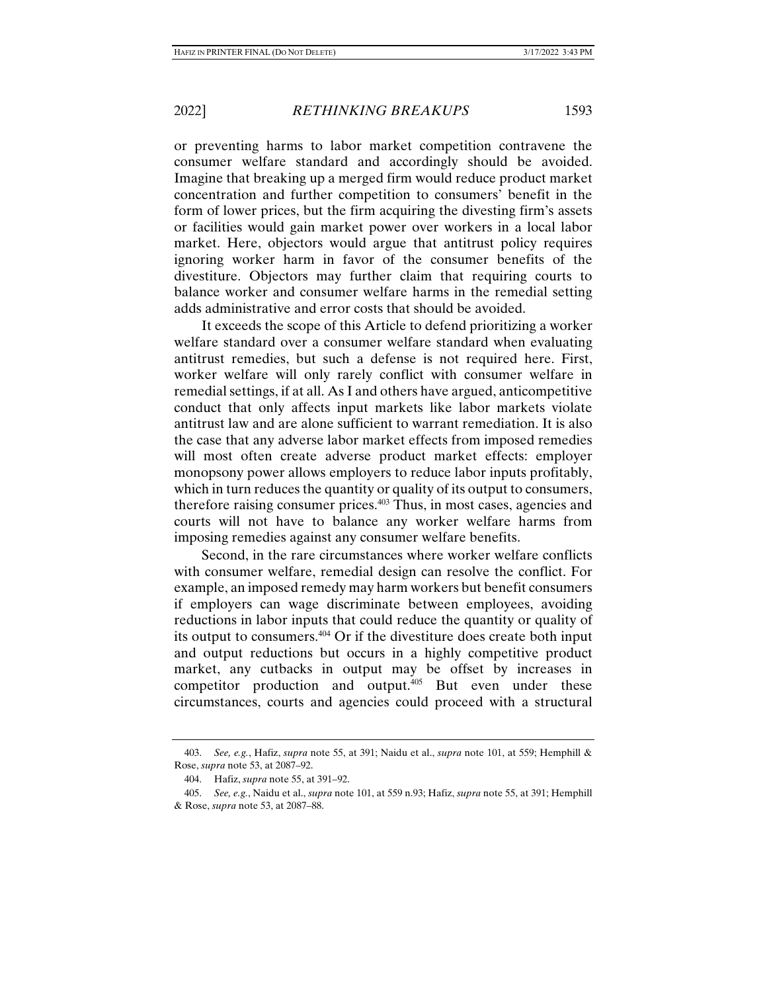or preventing harms to labor market competition contravene the consumer welfare standard and accordingly should be avoided. Imagine that breaking up a merged firm would reduce product market concentration and further competition to consumers' benefit in the form of lower prices, but the firm acquiring the divesting firm's assets or facilities would gain market power over workers in a local labor market. Here, objectors would argue that antitrust policy requires ignoring worker harm in favor of the consumer benefits of the divestiture. Objectors may further claim that requiring courts to balance worker and consumer welfare harms in the remedial setting adds administrative and error costs that should be avoided.

It exceeds the scope of this Article to defend prioritizing a worker welfare standard over a consumer welfare standard when evaluating antitrust remedies, but such a defense is not required here. First, worker welfare will only rarely conflict with consumer welfare in remedial settings, if at all. As I and others have argued, anticompetitive conduct that only affects input markets like labor markets violate antitrust law and are alone sufficient to warrant remediation. It is also the case that any adverse labor market effects from imposed remedies will most often create adverse product market effects: employer monopsony power allows employers to reduce labor inputs profitably, which in turn reduces the quantity or quality of its output to consumers, therefore raising consumer prices.403 Thus, in most cases, agencies and courts will not have to balance any worker welfare harms from imposing remedies against any consumer welfare benefits.

Second, in the rare circumstances where worker welfare conflicts with consumer welfare, remedial design can resolve the conflict. For example, an imposed remedy may harm workers but benefit consumers if employers can wage discriminate between employees, avoiding reductions in labor inputs that could reduce the quantity or quality of its output to consumers.404 Or if the divestiture does create both input and output reductions but occurs in a highly competitive product market, any cutbacks in output may be offset by increases in competitor production and output.405 But even under these circumstances, courts and agencies could proceed with a structural

 <sup>403.</sup> *See, e.g.*, Hafiz, *supra* note 55, at 391; Naidu et al., *supra* note 101, at 559; Hemphill & Rose, *supra* note 53, at 2087–92.

 <sup>404.</sup> Hafiz, *supra* note 55, at 391–92.

 <sup>405.</sup> *See, e.g.*, Naidu et al., *supra* note 101, at 559 n.93; Hafiz, *supra* note 55, at 391; Hemphill & Rose, *supra* note 53, at 2087–88.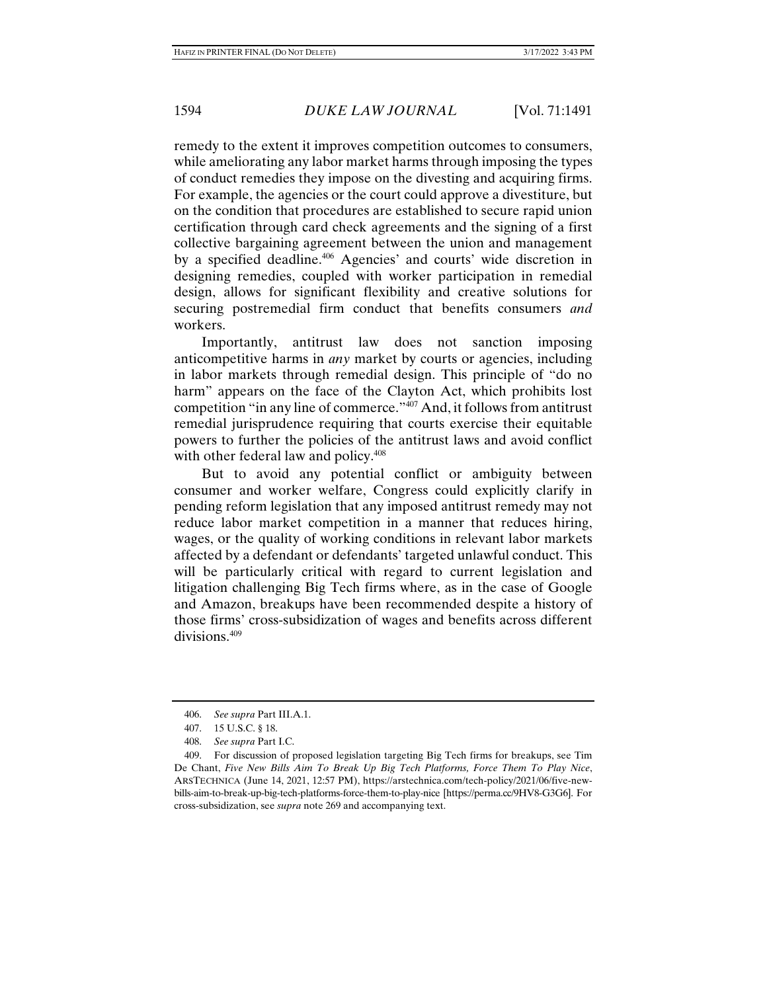remedy to the extent it improves competition outcomes to consumers, while ameliorating any labor market harms through imposing the types of conduct remedies they impose on the divesting and acquiring firms. For example, the agencies or the court could approve a divestiture, but on the condition that procedures are established to secure rapid union certification through card check agreements and the signing of a first collective bargaining agreement between the union and management by a specified deadline.406 Agencies' and courts' wide discretion in designing remedies, coupled with worker participation in remedial design, allows for significant flexibility and creative solutions for securing postremedial firm conduct that benefits consumers *and*  workers.

Importantly, antitrust law does not sanction imposing anticompetitive harms in *any* market by courts or agencies, including in labor markets through remedial design. This principle of "do no harm" appears on the face of the Clayton Act, which prohibits lost competition "in any line of commerce."407 And, it follows from antitrust remedial jurisprudence requiring that courts exercise their equitable powers to further the policies of the antitrust laws and avoid conflict with other federal law and policy.<sup>408</sup>

But to avoid any potential conflict or ambiguity between consumer and worker welfare, Congress could explicitly clarify in pending reform legislation that any imposed antitrust remedy may not reduce labor market competition in a manner that reduces hiring, wages, or the quality of working conditions in relevant labor markets affected by a defendant or defendants' targeted unlawful conduct. This will be particularly critical with regard to current legislation and litigation challenging Big Tech firms where, as in the case of Google and Amazon, breakups have been recommended despite a history of those firms' cross-subsidization of wages and benefits across different divisions.<sup>409</sup>

 <sup>406.</sup> *See supra* Part III.A.1.

 <sup>407. 15</sup> U.S.C. § 18.

 <sup>408.</sup> *See supra* Part I.C.

 <sup>409.</sup> For discussion of proposed legislation targeting Big Tech firms for breakups, see Tim De Chant, *Five New Bills Aim To Break Up Big Tech Platforms, Force Them To Play Nice*, ARSTECHNICA (June 14, 2021, 12:57 PM), https://arstechnica.com/tech-policy/2021/06/five-newbills-aim-to-break-up-big-tech-platforms-force-them-to-play-nice [https://perma.cc/9HV8-G3G6]. For cross-subsidization, see *supra* note 269 and accompanying text.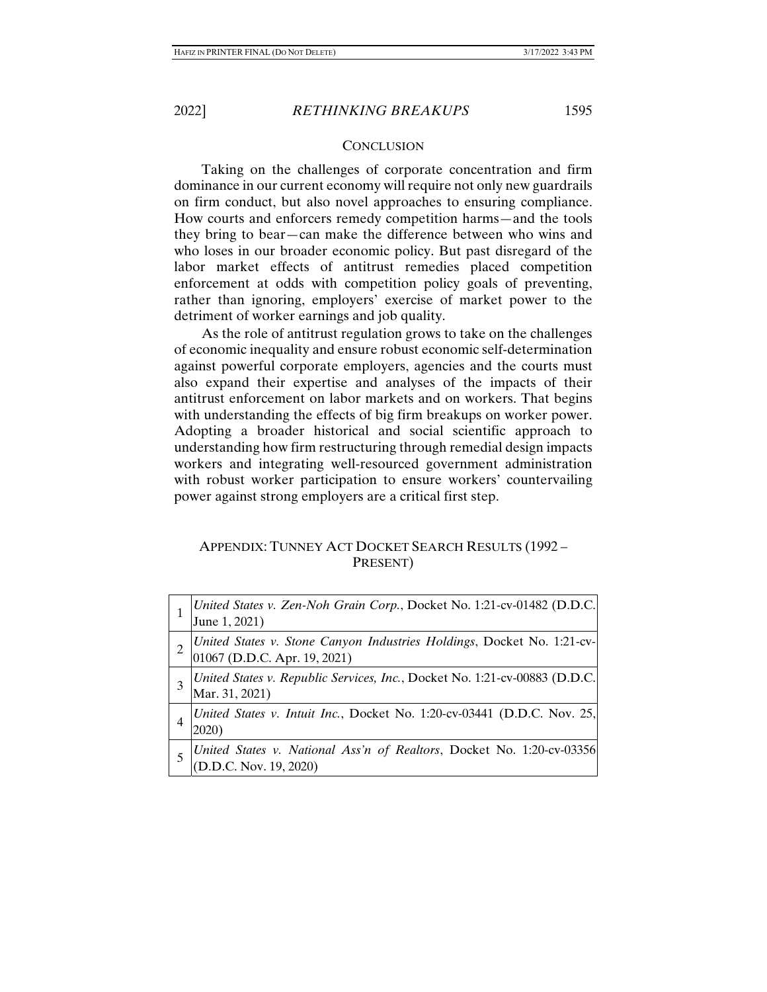## **CONCLUSION**

Taking on the challenges of corporate concentration and firm dominance in our current economy will require not only new guardrails on firm conduct, but also novel approaches to ensuring compliance. How courts and enforcers remedy competition harms—and the tools they bring to bear—can make the difference between who wins and who loses in our broader economic policy. But past disregard of the labor market effects of antitrust remedies placed competition enforcement at odds with competition policy goals of preventing, rather than ignoring, employers' exercise of market power to the detriment of worker earnings and job quality.

As the role of antitrust regulation grows to take on the challenges of economic inequality and ensure robust economic self-determination against powerful corporate employers, agencies and the courts must also expand their expertise and analyses of the impacts of their antitrust enforcement on labor markets and on workers. That begins with understanding the effects of big firm breakups on worker power. Adopting a broader historical and social scientific approach to understanding how firm restructuring through remedial design impacts workers and integrating well-resourced government administration with robust worker participation to ensure workers' countervailing power against strong employers are a critical first step.

## APPENDIX: TUNNEY ACT DOCKET SEARCH RESULTS (1992 – PRESENT)

| United States v. Zen-Noh Grain Corp., Docket No. 1:21-cv-01482 (D.D.C.<br>June 1, 2021)                |
|--------------------------------------------------------------------------------------------------------|
| United States v. Stone Canyon Industries Holdings, Docket No. 1:21-cv-<br>01067 (D.D.C. Apr. 19, 2021) |
| United States v. Republic Services, Inc., Docket No. 1:21-cv-00883 (D.D.C.<br>Mar. 31, 2021)           |
| United States v. Intuit Inc., Docket No. 1:20-cv-03441 (D.D.C. Nov. 25,<br>2020)                       |
| United States v. National Ass'n of Realtors, Docket No. 1:20-cv-03356 <br>(D.D.C. Nov. 19, 2020)       |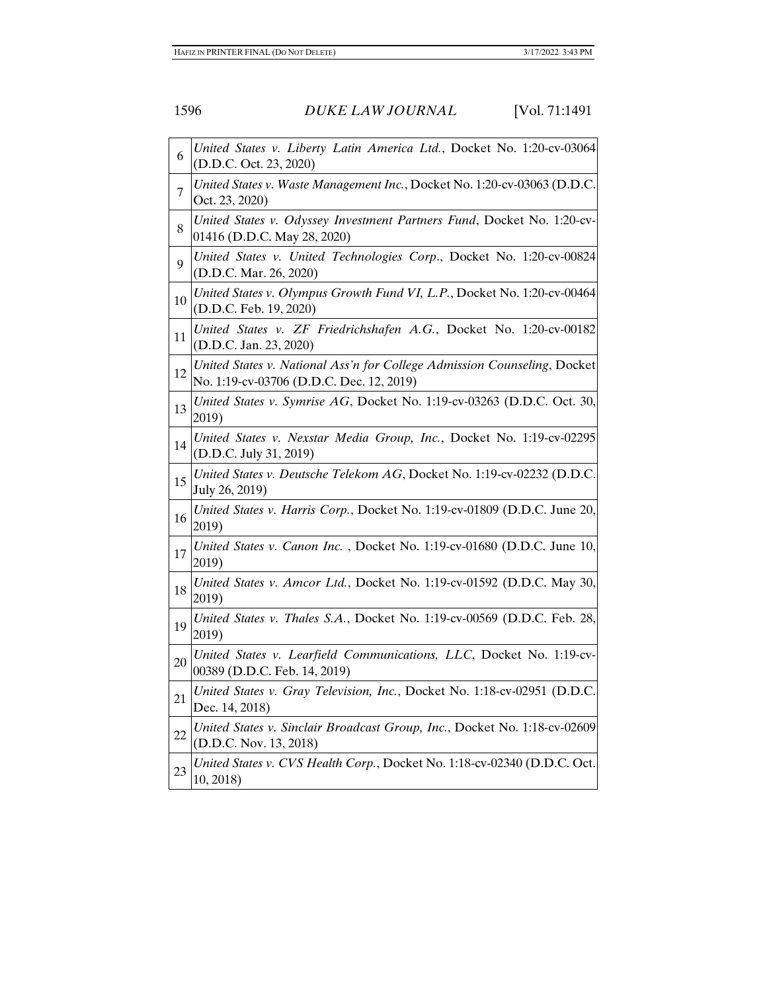| 6  | United States v. Liberty Latin America Ltd., Docket No. 1:20-cv-03064<br>(D.D.C. Oct. 23, 2020)                      |
|----|----------------------------------------------------------------------------------------------------------------------|
| 7  | United States v. Waste Management Inc., Docket No. 1:20-cv-03063 (D.D.C.<br>Oct. 23, 2020)                           |
| 8  | United States v. Odyssey Investment Partners Fund, Docket No. 1:20-cv-<br>01416 (D.D.C. May 28, 2020)                |
| 9  | United States v. United Technologies Corp., Docket No. 1:20-cv-00824<br>(D.D.C. Mar. 26, 2020)                       |
| 10 | United States v. Olympus Growth Fund VI, L.P., Docket No. 1:20-cv-00464<br>(D.D.C. Feb. 19, 2020)                    |
| 11 | United States v. ZF Friedrichshafen A.G., Docket No. 1:20-cv-00182<br>(D.D.C. Jan. 23, 2020)                         |
| 12 | United States v. National Ass'n for College Admission Counseling, Docket<br>No. 1:19-cv-03706 (D.D.C. Dec. 12, 2019) |
| 13 | United States v. Symrise AG, Docket No. 1:19-cv-03263 (D.D.C. Oct. 30,<br>2019)                                      |
| 14 | United States v. Nexstar Media Group, Inc., Docket No. 1:19-cv-02295<br>(D.D.C. July 31, 2019)                       |
| 15 | United States v. Deutsche Telekom AG, Docket No. 1:19-cv-02232 (D.D.C.<br>July 26, 2019)                             |
| 16 | United States v. Harris Corp., Docket No. 1:19-cv-01809 (D.D.C. June 20,<br>2019)                                    |
| 17 | United States v. Canon Inc., Docket No. 1:19-cv-01680 (D.D.C. June 10,<br>2019)                                      |
| 18 | United States v. Amcor Ltd., Docket No. 1:19-cv-01592 (D.D.C. May 30,<br>2019)                                       |
| 19 | United States v. Thales S.A., Docket No. 1:19-cv-00569 (D.D.C. Feb. 28,<br>2019)                                     |
| 20 | United States v. Learfield Communications, LLC, Docket No. 1:19-cv-<br>00389 (D.D.C. Feb. 14, 2019)                  |
| 21 | United States v. Gray Television, Inc., Docket No. 1:18-cv-02951 (D.D.C.<br>Dec. 14, 2018)                           |
| 22 | United States v. Sinclair Broadcast Group, Inc., Docket No. 1:18-cv-02609<br>(D.D.C. Nov. 13, 2018)                  |
| 23 | United States v. CVS Health Corp., Docket No. 1:18-cv-02340 (D.D.C. Oct.<br>10, 2018                                 |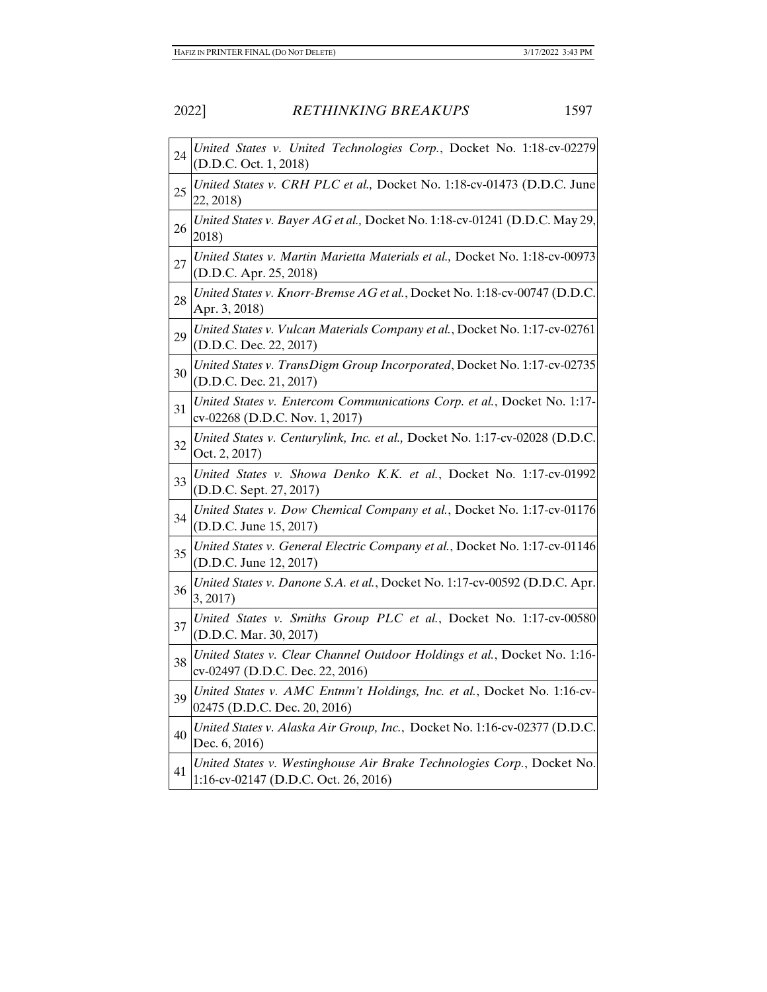| 24 | United States v. United Technologies Corp., Docket No. 1:18-cv-02279<br>(D.D.C. Oct. 1, 2018)                  |
|----|----------------------------------------------------------------------------------------------------------------|
| 25 | United States v. CRH PLC et al., Docket No. 1:18-cv-01473 (D.D.C. June<br>22, 2018)                            |
| 26 | United States v. Bayer AG et al., Docket No. 1:18-cv-01241 (D.D.C. May 29,<br>2018)                            |
| 27 | United States v. Martin Marietta Materials et al., Docket No. 1:18-cv-00973<br>(D.D.C. Apr. 25, 2018)          |
| 28 | United States v. Knorr-Bremse AG et al., Docket No. 1:18-cv-00747 (D.D.C.<br>Apr. 3, 2018)                     |
| 29 | United States v. Vulcan Materials Company et al., Docket No. 1:17-cv-02761<br>(D.D.C. Dec. 22, 2017)           |
| 30 | United States v. TransDigm Group Incorporated, Docket No. 1:17-cv-02735<br>(D.D.C. Dec. 21, 2017)              |
| 31 | United States v. Entercom Communications Corp. et al., Docket No. 1:17-<br>cv-02268 (D.D.C. Nov. 1, 2017)      |
| 32 | United States v. Centurylink, Inc. et al., Docket No. 1:17-cv-02028 (D.D.C.<br>Oct. 2, 2017)                   |
| 33 | United States v. Showa Denko K.K. et al., Docket No. 1:17-cv-01992<br>(D.D.C. Sept. 27, 2017)                  |
| 34 | United States v. Dow Chemical Company et al., Docket No. 1:17-cv-01176<br>(D.D.C. June 15, 2017)               |
| 35 | United States v. General Electric Company et al., Docket No. 1:17-cv-01146<br>(D.D.C. June 12, 2017)           |
| 36 | United States v. Danone S.A. et al., Docket No. 1:17-cv-00592 (D.D.C. Apr.<br>3, 2017)                         |
| 37 | United States v. Smiths Group PLC et al., Docket No. 1:17-cv-00580<br>(D.D.C. Mar. 30, 2017)                   |
| 38 | United States v. Clear Channel Outdoor Holdings et al., Docket No. 1:16-<br>cv-02497 (D.D.C. Dec. 22, 2016)    |
| 39 | United States v. AMC Entnm't Holdings, Inc. et al., Docket No. 1:16-cv-<br>02475 (D.D.C. Dec. 20, 2016)        |
| 40 | United States v. Alaska Air Group, Inc., Docket No. 1:16-cv-02377 (D.D.C.<br>Dec. 6, 2016)                     |
| 41 | United States v. Westinghouse Air Brake Technologies Corp., Docket No.<br>1:16-cv-02147 (D.D.C. Oct. 26, 2016) |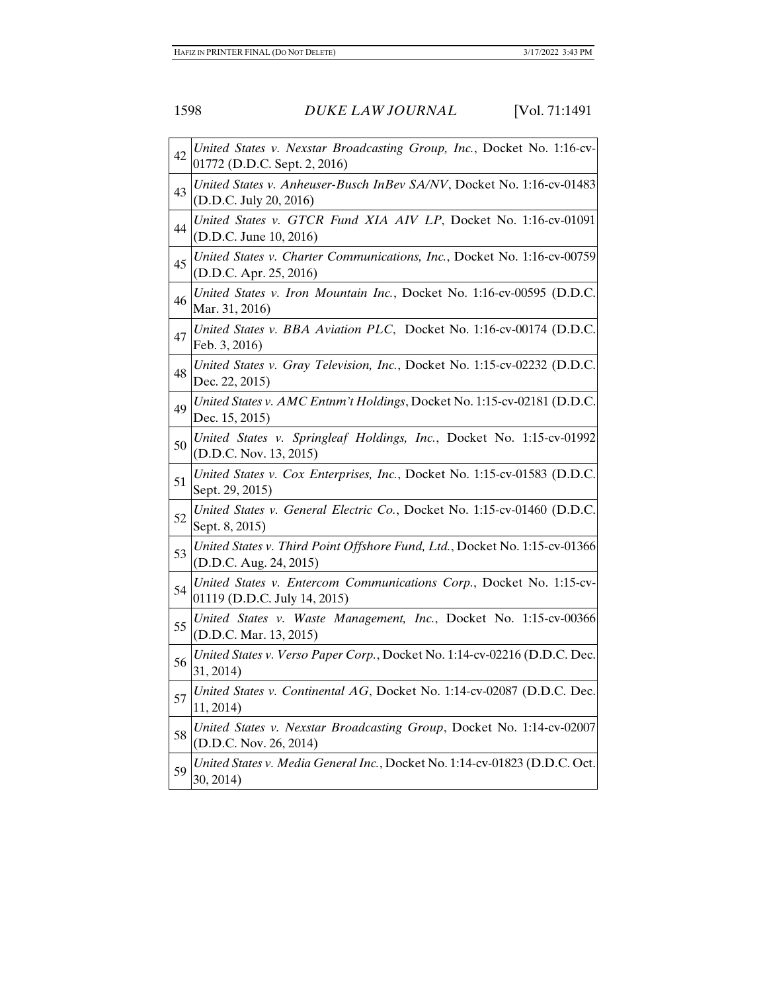| 42 | United States v. Nexstar Broadcasting Group, Inc., Docket No. 1:16-cv-<br>01772 (D.D.C. Sept. 2, 2016) |
|----|--------------------------------------------------------------------------------------------------------|
| 43 | United States v. Anheuser-Busch InBev SA/NV, Docket No. 1:16-cv-01483<br>(D.D.C. July 20, 2016)        |
| 44 | United States v. GTCR Fund XIA AIV LP, Docket No. 1:16-cv-01091<br>(D.D.C. June 10, 2016)              |
| 45 | United States v. Charter Communications, Inc., Docket No. 1:16-cv-00759<br>(D.D.C. Apr. 25, 2016)      |
| 46 | United States v. Iron Mountain Inc., Docket No. 1:16-cv-00595 (D.D.C.<br>Mar. 31, 2016)                |
| 47 | United States v. BBA Aviation PLC, Docket No. 1:16-cv-00174 (D.D.C.<br>Feb. 3, 2016)                   |
| 48 | United States v. Gray Television, Inc., Docket No. 1:15-cv-02232 (D.D.C.<br>Dec. 22, 2015)             |
| 49 | United States v. AMC Entnm't Holdings, Docket No. 1:15-cv-02181 (D.D.C.<br>Dec. 15, 2015)              |
| 50 | United States v. Springleaf Holdings, Inc., Docket No. 1:15-cv-01992<br>(D.D.C. Nov. 13, 2015)         |
| 51 | United States v. Cox Enterprises, Inc., Docket No. 1:15-cv-01583 (D.D.C.<br>Sept. 29, 2015)            |
| 52 | United States v. General Electric Co., Docket No. 1:15-cv-01460 (D.D.C.<br>Sept. 8, 2015)              |
| 53 | United States v. Third Point Offshore Fund, Ltd., Docket No. 1:15-cv-01366<br>(D.D.C. Aug. 24, 2015)   |
| 54 | United States v. Entercom Communications Corp., Docket No. 1:15-cv-<br>01119 (D.D.C. July 14, 2015)    |
| 55 | United States v. Waste Management, Inc., Docket No. 1:15-cv-00366<br>(D.D.C. Mar. 13, 2015)            |
| 56 | United States v. Verso Paper Corp., Docket No. 1:14-cv-02216 (D.D.C. Dec.<br>31, 2014)                 |
| 57 | United States v. Continental AG, Docket No. 1:14-cv-02087 (D.D.C. Dec.<br>11, 2014)                    |
| 58 | United States v. Nexstar Broadcasting Group, Docket No. 1:14-cv-02007<br>(D.D.C. Nov. 26, 2014)        |
| 59 | United States v. Media General Inc., Docket No. 1:14-cv-01823 (D.D.C. Oct.<br>30, 2014)                |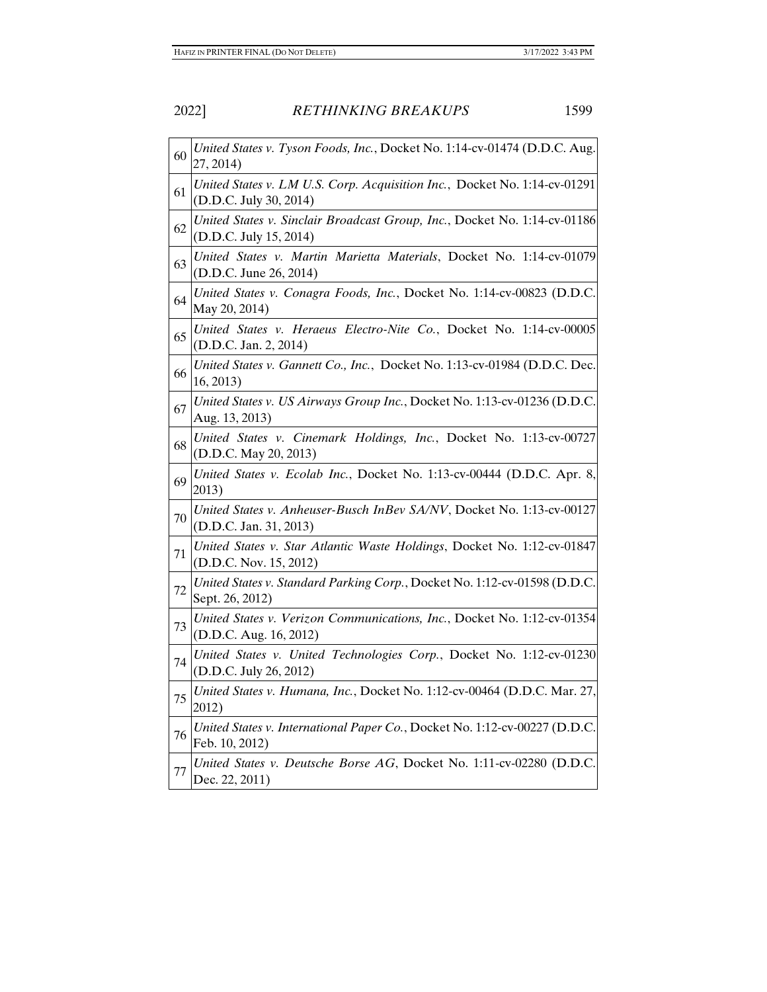| 60      | United States v. Tyson Foods, Inc., Docket No. 1:14-cv-01474 (D.D.C. Aug.<br>27, 2014)              |
|---------|-----------------------------------------------------------------------------------------------------|
| 61      | United States v. LM U.S. Corp. Acquisition Inc., Docket No. 1:14-cv-01291<br>(D.D.C. July 30, 2014) |
| 62      | United States v. Sinclair Broadcast Group, Inc., Docket No. 1:14-cv-01186<br>(D.D.C. July 15, 2014) |
| 63      | United States v. Martin Marietta Materials, Docket No. 1:14-cv-01079<br>(D.D.C. June 26, 2014)      |
| 64      | United States v. Conagra Foods, Inc., Docket No. 1:14-cv-00823 (D.D.C.<br>May 20, 2014)             |
| 65      | United States v. Heraeus Electro-Nite Co., Docket No. 1:14-cv-00005<br>(D.D.C. Jan. 2, 2014)        |
| 66      | United States v. Gannett Co., Inc., Docket No. 1:13-cv-01984 (D.D.C. Dec.<br>16, 2013)              |
| 67      | United States v. US Airways Group Inc., Docket No. 1:13-cv-01236 (D.D.C.<br>Aug. 13, 2013)          |
| 68      | United States v. Cinemark Holdings, Inc., Docket No. 1:13-cv-00727<br>(D.D.C. May 20, 2013)         |
| 69      | United States v. Ecolab Inc., Docket No. 1:13-cv-00444 (D.D.C. Apr. 8,<br>2013)                     |
| 70      | United States v. Anheuser-Busch InBev SA/NV, Docket No. 1:13-cv-00127<br>(D.D.C. Jan. 31, 2013)     |
| 71      | United States v. Star Atlantic Waste Holdings, Docket No. 1:12-cv-01847<br>(D.D.C. Nov. 15, 2012)   |
| 72      | United States v. Standard Parking Corp., Docket No. 1:12-cv-01598 (D.D.C.<br>Sept. 26, 2012)        |
| 73      | United States v. Verizon Communications, Inc., Docket No. 1:12-cv-01354<br>(D.D.C. Aug. 16, 2012)   |
| 74      | United States v. United Technologies Corp., Docket No. 1:12-cv-01230<br>(D.D.C. July 26, 2012)      |
| 75      | United States v. Humana, Inc., Docket No. 1:12-cv-00464 (D.D.C. Mar. 27,<br>2012)                   |
| 76      | United States v. International Paper Co., Docket No. 1:12-cv-00227 (D.D.C.<br>Feb. 10, 2012)        |
| $77 \,$ | United States v. Deutsche Borse AG, Docket No. 1:11-cv-02280 (D.D.C.<br>Dec. 22, 2011)              |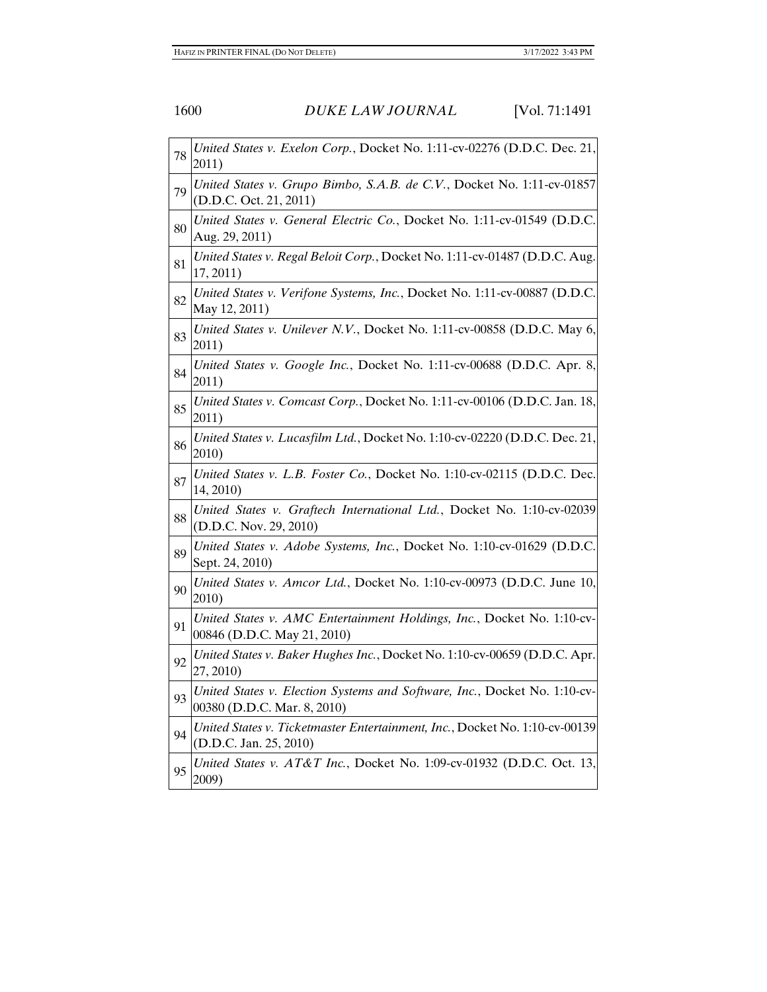| 78 | United States v. Exelon Corp., Docket No. 1:11-cv-02276 (D.D.C. Dec. 21,<br>2011)                        |
|----|----------------------------------------------------------------------------------------------------------|
| 79 | United States v. Grupo Bimbo, S.A.B. de C.V., Docket No. 1:11-cv-01857<br>(D.D.C. Oct. 21, 2011)         |
| 80 | United States v. General Electric Co., Docket No. 1:11-cv-01549 (D.D.C.<br>Aug. 29, 2011)                |
| 81 | United States v. Regal Beloit Corp., Docket No. 1:11-cv-01487 (D.D.C. Aug.<br>17, 2011)                  |
| 82 | United States v. Verifone Systems, Inc., Docket No. 1:11-cv-00887 (D.D.C.<br>May 12, 2011)               |
| 83 | United States v. Unilever N.V., Docket No. 1:11-cv-00858 (D.D.C. May 6,<br>2011)                         |
| 84 | United States v. Google Inc., Docket No. 1:11-cv-00688 (D.D.C. Apr. 8,<br>2011)                          |
| 85 | United States v. Comcast Corp., Docket No. 1:11-cv-00106 (D.D.C. Jan. 18,<br>2011)                       |
| 86 | United States v. Lucasfilm Ltd., Docket No. 1:10-cv-02220 (D.D.C. Dec. 21,<br>2010)                      |
| 87 | United States v. L.B. Foster Co., Docket No. 1:10-cv-02115 (D.D.C. Dec.<br>14, 2010)                     |
| 88 | United States v. Graftech International Ltd., Docket No. 1:10-cv-02039<br>(D.D.C. Nov. 29, 2010)         |
| 89 | United States v. Adobe Systems, Inc., Docket No. 1:10-cv-01629 (D.D.C.<br>Sept. 24, 2010)                |
| 90 | United States v. Amcor Ltd., Docket No. 1:10-cv-00973 (D.D.C. June 10,<br>2010)                          |
| 91 | United States v. AMC Entertainment Holdings, Inc., Docket No. 1:10-cv-<br>00846 (D.D.C. May 21, 2010)    |
| 92 | United States v. Baker Hughes Inc., Docket No. 1:10-cv-00659 (D.D.C. Apr.<br>27, 2010)                   |
| 93 | United States v. Election Systems and Software, Inc., Docket No. 1:10-cv-<br>00380 (D.D.C. Mar. 8, 2010) |
| 94 | United States v. Ticketmaster Entertainment, Inc., Docket No. 1:10-cv-00139<br>(D.D.C. Jan. 25, 2010)    |
| 95 | United States v. AT&T Inc., Docket No. 1:09-cv-01932 (D.D.C. Oct. 13,<br>2009)                           |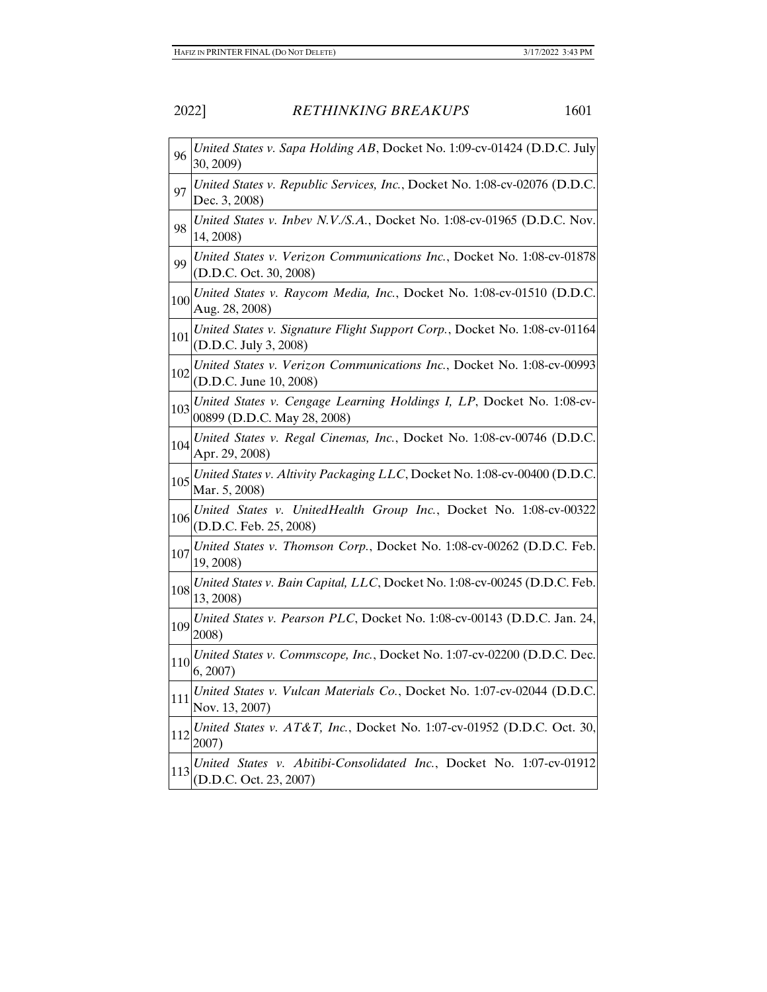| 96  | United States v. Sapa Holding AB, Docket No. 1:09-cv-01424 (D.D.C. July<br>30, 2009)                 |
|-----|------------------------------------------------------------------------------------------------------|
| 97  | United States v. Republic Services, Inc., Docket No. 1:08-cv-02076 (D.D.C.<br>Dec. 3, 2008)          |
| 98  | United States v. Inbev N.V./S.A., Docket No. 1:08-cv-01965 (D.D.C. Nov.<br>14, 2008)                 |
| 99  | United States v. Verizon Communications Inc., Docket No. 1:08-cv-01878<br>(D.D.C. Oct. 30, 2008)     |
| 100 | United States v. Raycom Media, Inc., Docket No. 1:08-cv-01510 (D.D.C.<br>Aug. 28, 2008)              |
| 101 | United States v. Signature Flight Support Corp., Docket No. 1:08-cv-01164<br>(D.D.C. July 3, 2008)   |
| 102 | United States v. Verizon Communications Inc., Docket No. 1:08-cv-00993<br>(D.D.C. June 10, 2008)     |
| 103 | United States v. Cengage Learning Holdings I, LP, Docket No. 1:08-cv-<br>00899 (D.D.C. May 28, 2008) |
| 104 | United States v. Regal Cinemas, Inc., Docket No. 1:08-cv-00746 (D.D.C.<br>Apr. 29, 2008)             |
| 105 | United States v. Altivity Packaging LLC, Docket No. 1:08-cv-00400 (D.D.C.<br>Mar. 5, 2008)           |
| 106 | United States v. UnitedHealth Group Inc., Docket No. 1:08-cv-00322<br>(D.D.C. Feb. 25, 2008)         |
| 107 | United States v. Thomson Corp., Docket No. 1:08-cv-00262 (D.D.C. Feb.<br>19, 2008)                   |
| 108 | United States v. Bain Capital, LLC, Docket No. 1:08-cv-00245 (D.D.C. Feb.<br>13, 2008)               |
| 109 | United States v. Pearson PLC, Docket No. 1:08-cv-00143 (D.D.C. Jan. 24,<br>2008)                     |
| 110 | United States v. Commscope, Inc., Docket No. 1:07-cv-02200 (D.D.C. Dec.<br>6, 2007                   |
| 111 | United States v. Vulcan Materials Co., Docket No. 1:07-cv-02044 (D.D.C.<br>Nov. 13, 2007)            |
| 112 | United States v. AT&T, Inc., Docket No. 1:07-cv-01952 (D.D.C. Oct. 30,<br>2007)                      |
| 113 | United States v. Abitibi-Consolidated Inc., Docket No. 1:07-cv-01912<br>(D.D.C. Oct. 23, 2007)       |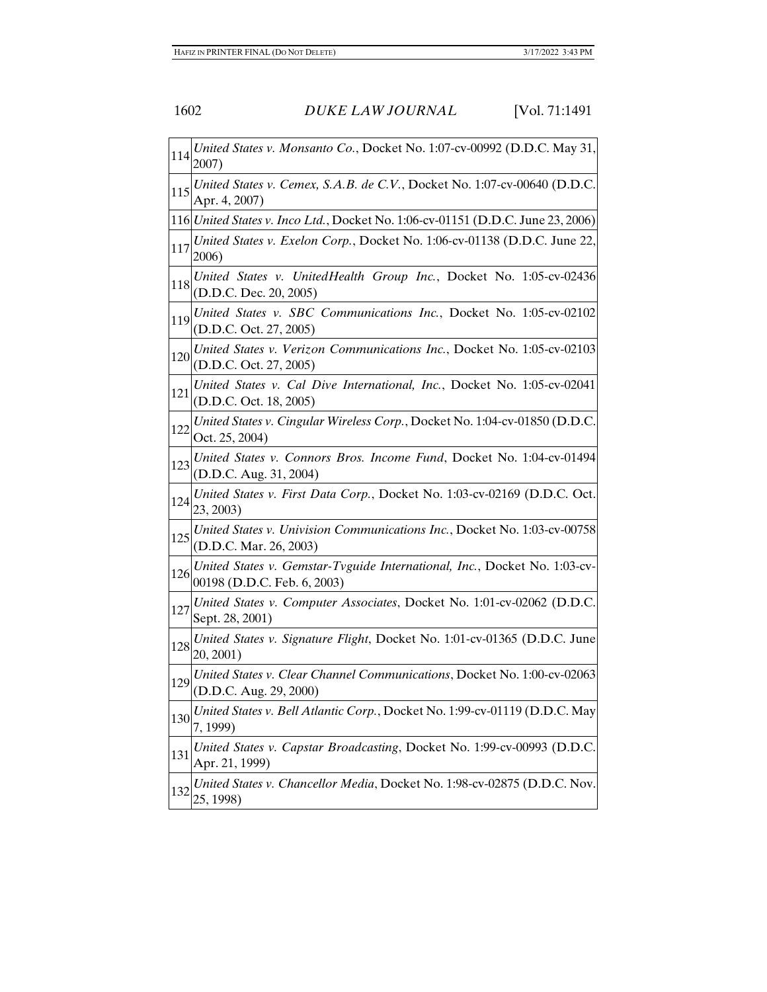| 114 | United States v. Monsanto Co., Docket No. 1:07-cv-00992 (D.D.C. May 31,<br>2007)                         |
|-----|----------------------------------------------------------------------------------------------------------|
| 115 | United States v. Cemex, S.A.B. de C.V., Docket No. 1:07-cv-00640 (D.D.C.<br>Apr. 4, 2007)                |
|     | 116 United States v. Inco Ltd., Docket No. 1:06-cv-01151 (D.D.C. June 23, 2006)                          |
| 117 | United States v. Exelon Corp., Docket No. 1:06-cv-01138 (D.D.C. June 22,<br>2006)                        |
| 118 | United States v. UnitedHealth Group Inc., Docket No. 1:05-cv-02436<br>(D.D.C. Dec. 20, 2005)             |
| 119 | United States v. SBC Communications Inc., Docket No. 1:05-cv-02102<br>(D.D.C. Oct. 27, 2005)             |
| 120 | United States v. Verizon Communications Inc., Docket No. 1:05-cv-02103<br>(D.D.C. Oct. 27, 2005)         |
| 121 | United States v. Cal Dive International, Inc., Docket No. 1:05-cv-02041<br>(D.D.C. Oct. 18, 2005)        |
| 122 | United States v. Cingular Wireless Corp., Docket No. 1:04-cv-01850 (D.D.C.<br>Oct. 25, 2004)             |
| 123 | United States v. Connors Bros. Income Fund, Docket No. 1:04-cv-01494<br>(D.D.C. Aug. 31, 2004)           |
| 124 | United States v. First Data Corp., Docket No. 1:03-cv-02169 (D.D.C. Oct.<br>23, 2003)                    |
| 125 | United States v. Univision Communications Inc., Docket No. 1:03-cv-00758<br>(D.D.C. Mar. 26, 2003)       |
| 126 | United States v. Gemstar-Tvguide International, Inc., Docket No. 1:03-cv-<br>00198 (D.D.C. Feb. 6, 2003) |
| 127 | United States v. Computer Associates, Docket No. 1:01-cv-02062 (D.D.C.<br>Sept. 28, 2001)                |
| 128 | United States v. Signature Flight, Docket No. 1:01-cv-01365 (D.D.C. June<br>20, 2001)                    |
|     | 129 United States v. Clear Channel Communications, Docket No. 1:00-cv-02063<br>(D.D.C. Aug. 29, 2000)    |
| 130 | United States v. Bell Atlantic Corp., Docket No. 1:99-cv-01119 (D.D.C. May<br>7, 1999)                   |
| 131 | United States v. Capstar Broadcasting, Docket No. 1:99-cv-00993 (D.D.C.<br>Apr. 21, 1999)                |
| 132 | United States v. Chancellor Media, Docket No. 1:98-cv-02875 (D.D.C. Nov.<br>25, 1998)                    |